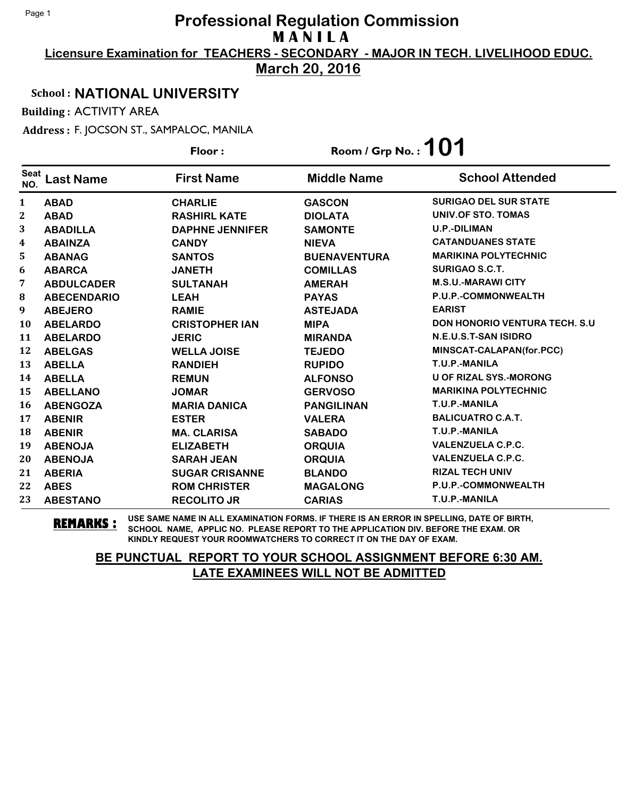**Licensure Examination for TEACHERS - SECONDARY - MAJOR IN TECH. LIVELIHOOD EDUC.**

**March 20, 2016**

#### School : **NATIONAL UNIVERSITY**

Building : ACTIVITY AREA

Address : F. JOCSON ST., SAMPALOC, MANILA

|                    |                    | Floor:                 | Room / Grp No.: $101$ |                                      |
|--------------------|--------------------|------------------------|-----------------------|--------------------------------------|
| <b>Seat</b><br>NO. | Last Name          | <b>First Name</b>      | <b>Middle Name</b>    | <b>School Attended</b>               |
| 1                  | <b>ABAD</b>        | <b>CHARLIE</b>         | <b>GASCON</b>         | <b>SURIGAO DEL SUR STATE</b>         |
| 2                  | <b>ABAD</b>        | <b>RASHIRL KATE</b>    | <b>DIOLATA</b>        | UNIV.OF STO. TOMAS                   |
| 3                  | <b>ABADILLA</b>    | <b>DAPHNE JENNIFER</b> | <b>SAMONTE</b>        | <b>U.P.-DILIMAN</b>                  |
| 4                  | <b>ABAINZA</b>     | <b>CANDY</b>           | <b>NIEVA</b>          | <b>CATANDUANES STATE</b>             |
| 5                  | <b>ABANAG</b>      | <b>SANTOS</b>          | <b>BUENAVENTURA</b>   | <b>MARIKINA POLYTECHNIC</b>          |
| 6                  | <b>ABARCA</b>      | <b>JANETH</b>          | <b>COMILLAS</b>       | SURIGAO S.C.T.                       |
| 7                  | <b>ABDULCADER</b>  | <b>SULTANAH</b>        | <b>AMERAH</b>         | <b>M.S.U.-MARAWI CITY</b>            |
| 8                  | <b>ABECENDARIO</b> | <b>LEAH</b>            | <b>PAYAS</b>          | P.U.P.-COMMONWEALTH                  |
| 9                  | <b>ABEJERO</b>     | <b>RAMIE</b>           | <b>ASTEJADA</b>       | <b>EARIST</b>                        |
| 10                 | <b>ABELARDO</b>    | <b>CRISTOPHER IAN</b>  | <b>MIPA</b>           | <b>DON HONORIO VENTURA TECH. S.U</b> |
| 11                 | <b>ABELARDO</b>    | <b>JERIC</b>           | <b>MIRANDA</b>        | N.E.U.S.T-SAN ISIDRO                 |
| 12                 | <b>ABELGAS</b>     | <b>WELLA JOISE</b>     | <b>TEJEDO</b>         | MINSCAT-CALAPAN(for.PCC)             |
| 13                 | <b>ABELLA</b>      | <b>RANDIEH</b>         | <b>RUPIDO</b>         | T.U.P.-MANILA                        |
| 14                 | <b>ABELLA</b>      | <b>REMUN</b>           | <b>ALFONSO</b>        | <b>U OF RIZAL SYS.-MORONG</b>        |
| 15                 | <b>ABELLANO</b>    | <b>JOMAR</b>           | <b>GERVOSO</b>        | <b>MARIKINA POLYTECHNIC</b>          |
| 16                 | <b>ABENGOZA</b>    | <b>MARIA DANICA</b>    | <b>PANGILINAN</b>     | T.U.P.-MANILA                        |
| 17                 | <b>ABENIR</b>      | <b>ESTER</b>           | <b>VALERA</b>         | <b>BALICUATRO C.A.T.</b>             |
| 18                 | <b>ABENIR</b>      | <b>MA. CLARISA</b>     | <b>SABADO</b>         | T.U.P.-MANILA                        |
| 19                 | <b>ABENOJA</b>     | <b>ELIZABETH</b>       | <b>ORQUIA</b>         | <b>VALENZUELA C.P.C.</b>             |
| 20                 | <b>ABENOJA</b>     | <b>SARAH JEAN</b>      | <b>ORQUIA</b>         | <b>VALENZUELA C.P.C.</b>             |
| 21                 | <b>ABERIA</b>      | <b>SUGAR CRISANNE</b>  | <b>BLANDO</b>         | <b>RIZAL TECH UNIV</b>               |
| 22                 | <b>ABES</b>        | <b>ROM CHRISTER</b>    | <b>MAGALONG</b>       | P.U.P.-COMMONWEALTH                  |
| 23                 | <b>ABESTANO</b>    | <b>RECOLITO JR</b>     | <b>CARIAS</b>         | T.U.P.-MANILA                        |

**REMARKS :** USE SAME NAME IN ALL EXAMINATION FORMS. IF THERE IS AN ERROR IN SPELLING, DATE OF BIRTH, SCHOOL NAME, APPLIC NO. PLEASE REPORT TO THE APPLICATION DIV. BEFORE THE EXAM. OR KINDLY REQUEST YOUR ROOMWATCHERS TO CORRECT IT ON THE DAY OF EXAM.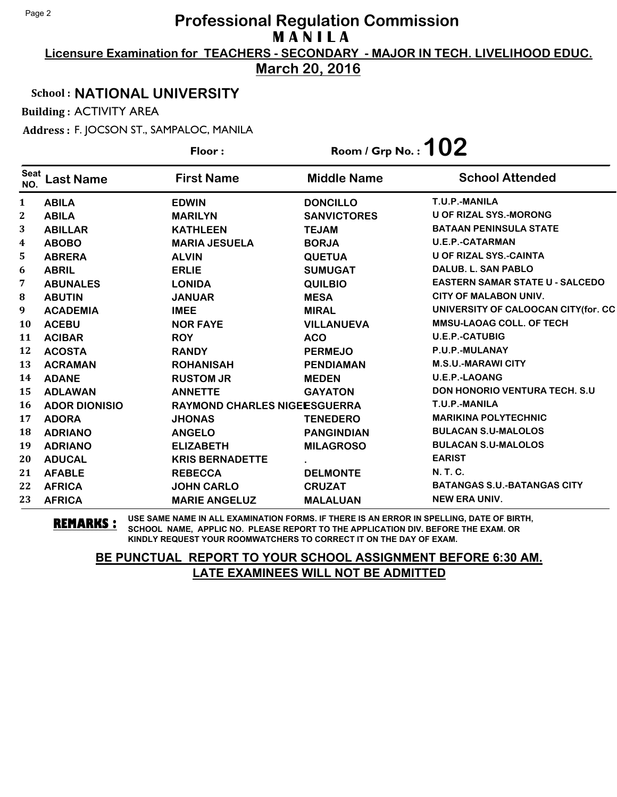**Licensure Examination for TEACHERS - SECONDARY - MAJOR IN TECH. LIVELIHOOD EDUC.**

**March 20, 2016**

### School : **NATIONAL UNIVERSITY**

Building : ACTIVITY AREA

Address : F. JOCSON ST., SAMPALOC, MANILA

|                    |                      | Floor:                       | Room / Grp No.: $102$ |                                        |
|--------------------|----------------------|------------------------------|-----------------------|----------------------------------------|
| <b>Seat</b><br>NO. | <b>Last Name</b>     | <b>First Name</b>            | <b>Middle Name</b>    | <b>School Attended</b>                 |
| 1                  | <b>ABILA</b>         | <b>EDWIN</b>                 | <b>DONCILLO</b>       | T.U.P.-MANILA                          |
| 2                  | <b>ABILA</b>         | <b>MARILYN</b>               | <b>SANVICTORES</b>    | <b>U OF RIZAL SYS.-MORONG</b>          |
| 3                  | <b>ABILLAR</b>       | <b>KATHLEEN</b>              | <b>TEJAM</b>          | <b>BATAAN PENINSULA STATE</b>          |
| 4                  | <b>ABOBO</b>         | <b>MARIA JESUELA</b>         | <b>BORJA</b>          | <b>U.E.P.-CATARMAN</b>                 |
| 5                  | <b>ABRERA</b>        | <b>ALVIN</b>                 | <b>QUETUA</b>         | <b>U OF RIZAL SYS.-CAINTA</b>          |
| 6                  | <b>ABRIL</b>         | <b>ERLIE</b>                 | <b>SUMUGAT</b>        | DALUB, L. SAN PABLO                    |
| 7                  | <b>ABUNALES</b>      | <b>LONIDA</b>                | <b>QUILBIO</b>        | <b>EASTERN SAMAR STATE U - SALCEDO</b> |
| 8                  | <b>ABUTIN</b>        | <b>JANUAR</b>                | <b>MESA</b>           | <b>CITY OF MALABON UNIV.</b>           |
| 9                  | <b>ACADEMIA</b>      | <b>IMEE</b>                  | <b>MIRAL</b>          | UNIVERSITY OF CALOOCAN CITY(for. CC    |
| 10                 | <b>ACEBU</b>         | <b>NOR FAYE</b>              | <b>VILLANUEVA</b>     | <b>MMSU-LAOAG COLL, OF TECH</b>        |
| 11                 | <b>ACIBAR</b>        | <b>ROY</b>                   | <b>ACO</b>            | <b>U.E.P.-CATUBIG</b>                  |
| 12                 | <b>ACOSTA</b>        | <b>RANDY</b>                 | <b>PERMEJO</b>        | P.U.P.-MULANAY                         |
| 13                 | <b>ACRAMAN</b>       | <b>ROHANISAH</b>             | <b>PENDIAMAN</b>      | <b>M.S.U.-MARAWI CITY</b>              |
| 14                 | <b>ADANE</b>         | <b>RUSTOM JR</b>             | <b>MEDEN</b>          | <b>U.E.P.-LAOANG</b>                   |
| 15                 | <b>ADLAWAN</b>       | <b>ANNETTE</b>               | <b>GAYATON</b>        | <b>DON HONORIO VENTURA TECH. S.U.</b>  |
| 16                 | <b>ADOR DIONISIO</b> | RAYMOND CHARLES NIGEESGUERRA |                       | T.U.P.-MANILA                          |
| 17                 | <b>ADORA</b>         | <b>JHONAS</b>                | <b>TENEDERO</b>       | <b>MARIKINA POLYTECHNIC</b>            |
| 18                 | <b>ADRIANO</b>       | <b>ANGELO</b>                | <b>PANGINDIAN</b>     | <b>BULACAN S.U-MALOLOS</b>             |
| 19                 | <b>ADRIANO</b>       | <b>ELIZABETH</b>             | <b>MILAGROSO</b>      | <b>BULACAN S.U-MALOLOS</b>             |
| 20                 | <b>ADUCAL</b>        | <b>KRIS BERNADETTE</b>       |                       | <b>EARIST</b>                          |
| 21                 | <b>AFABLE</b>        | <b>REBECCA</b>               | <b>DELMONTE</b>       | N. T. C.                               |
| 22                 | <b>AFRICA</b>        | <b>JOHN CARLO</b>            | <b>CRUZAT</b>         | <b>BATANGAS S.U.-BATANGAS CITY</b>     |
| 23                 | <b>AFRICA</b>        | <b>MARIE ANGELUZ</b>         | <b>MALALUAN</b>       | <b>NEW ERA UNIV.</b>                   |

**REMARKS :** USE SAME NAME IN ALL EXAMINATION FORMS. IF THERE IS AN ERROR IN SPELLING, DATE OF BIRTH, SCHOOL NAME, APPLIC NO. PLEASE REPORT TO THE APPLICATION DIV. BEFORE THE EXAM. OR KINDLY REQUEST YOUR ROOMWATCHERS TO CORRECT IT ON THE DAY OF EXAM.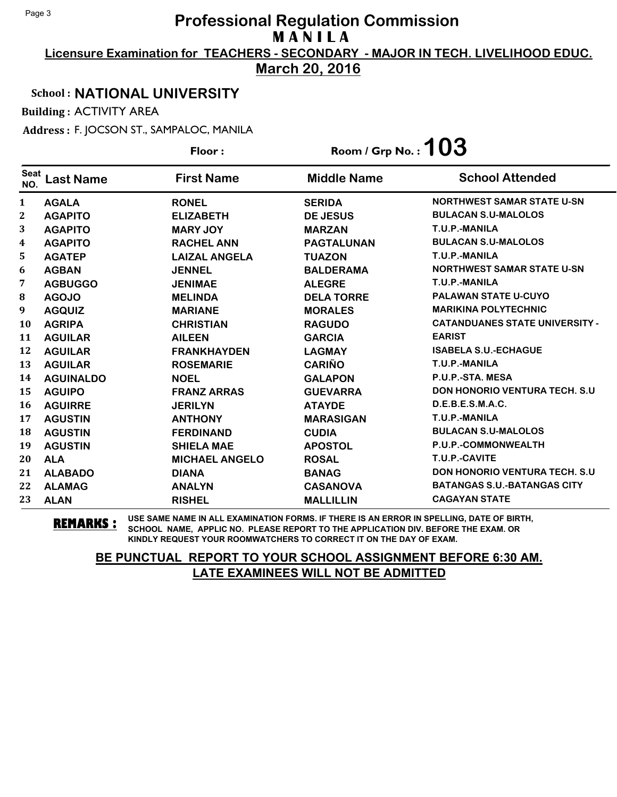**Licensure Examination for TEACHERS - SECONDARY - MAJOR IN TECH. LIVELIHOOD EDUC.**

**March 20, 2016**

### School : **NATIONAL UNIVERSITY**

Building : ACTIVITY AREA

Address : F. JOCSON ST., SAMPALOC, MANILA

|                    |                  | Floor:                | Room / Grp No. : $103$ |                                       |
|--------------------|------------------|-----------------------|------------------------|---------------------------------------|
| <b>Seat</b><br>NO. | <b>Last Name</b> | <b>First Name</b>     | <b>Middle Name</b>     | <b>School Attended</b>                |
| 1                  | <b>AGALA</b>     | <b>RONEL</b>          | <b>SERIDA</b>          | <b>NORTHWEST SAMAR STATE U-SN</b>     |
| $\mathbf 2$        | <b>AGAPITO</b>   | <b>ELIZABETH</b>      | <b>DE JESUS</b>        | <b>BULACAN S.U-MALOLOS</b>            |
| 3                  | <b>AGAPITO</b>   | <b>MARY JOY</b>       | <b>MARZAN</b>          | T.U.P.-MANILA                         |
| 4                  | <b>AGAPITO</b>   | <b>RACHEL ANN</b>     | <b>PAGTALUNAN</b>      | <b>BULACAN S.U-MALOLOS</b>            |
| 5                  | <b>AGATEP</b>    | <b>LAIZAL ANGELA</b>  | <b>TUAZON</b>          | T.U.P.-MANILA                         |
| 6                  | <b>AGBAN</b>     | <b>JENNEL</b>         | <b>BALDERAMA</b>       | <b>NORTHWEST SAMAR STATE U-SN</b>     |
| 7                  | <b>AGBUGGO</b>   | <b>JENIMAE</b>        | <b>ALEGRE</b>          | T.U.P.-MANILA                         |
| 8                  | <b>AGOJO</b>     | <b>MELINDA</b>        | <b>DELA TORRE</b>      | <b>PALAWAN STATE U-CUYO</b>           |
| 9                  | <b>AGQUIZ</b>    | <b>MARIANE</b>        | <b>MORALES</b>         | <b>MARIKINA POLYTECHNIC</b>           |
| 10                 | <b>AGRIPA</b>    | <b>CHRISTIAN</b>      | <b>RAGUDO</b>          | <b>CATANDUANES STATE UNIVERSITY -</b> |
| 11                 | <b>AGUILAR</b>   | <b>AILEEN</b>         | <b>GARCIA</b>          | <b>EARIST</b>                         |
| 12                 | <b>AGUILAR</b>   | <b>FRANKHAYDEN</b>    | <b>LAGMAY</b>          | <b>ISABELA S.U.-ECHAGUE</b>           |
| 13                 | <b>AGUILAR</b>   | <b>ROSEMARIE</b>      | <b>CARIÑO</b>          | T.U.P.-MANILA                         |
| 14                 | <b>AGUINALDO</b> | <b>NOEL</b>           | <b>GALAPON</b>         | P.U.P.-STA. MESA                      |
| 15                 | <b>AGUIPO</b>    | <b>FRANZ ARRAS</b>    | <b>GUEVARRA</b>        | <b>DON HONORIO VENTURA TECH. S.U.</b> |
| 16                 | <b>AGUIRRE</b>   | <b>JERILYN</b>        | <b>ATAYDE</b>          | D.E.B.E.S.M.A.C.                      |
| 17                 | <b>AGUSTIN</b>   | <b>ANTHONY</b>        | <b>MARASIGAN</b>       | T.U.P.-MANILA                         |
| 18                 | <b>AGUSTIN</b>   | <b>FERDINAND</b>      | <b>CUDIA</b>           | <b>BULACAN S.U-MALOLOS</b>            |
| 19                 | <b>AGUSTIN</b>   | <b>SHIELA MAE</b>     | <b>APOSTOL</b>         | P.U.P.-COMMONWEALTH                   |
| 20                 | <b>ALA</b>       | <b>MICHAEL ANGELO</b> | <b>ROSAL</b>           | T.U.P.-CAVITE                         |
| 21                 | <b>ALABADO</b>   | <b>DIANA</b>          | <b>BANAG</b>           | <b>DON HONORIO VENTURA TECH. S.U</b>  |
| 22                 | <b>ALAMAG</b>    | <b>ANALYN</b>         | <b>CASANOVA</b>        | <b>BATANGAS S.U.-BATANGAS CITY</b>    |
| 23                 | <b>ALAN</b>      | <b>RISHEL</b>         | <b>MALLILLIN</b>       | <b>CAGAYAN STATE</b>                  |

**REMARKS :** USE SAME NAME IN ALL EXAMINATION FORMS. IF THERE IS AN ERROR IN SPELLING, DATE OF BIRTH, SCHOOL NAME, APPLIC NO. PLEASE REPORT TO THE APPLICATION DIV. BEFORE THE EXAM. OR KINDLY REQUEST YOUR ROOMWATCHERS TO CORRECT IT ON THE DAY OF EXAM.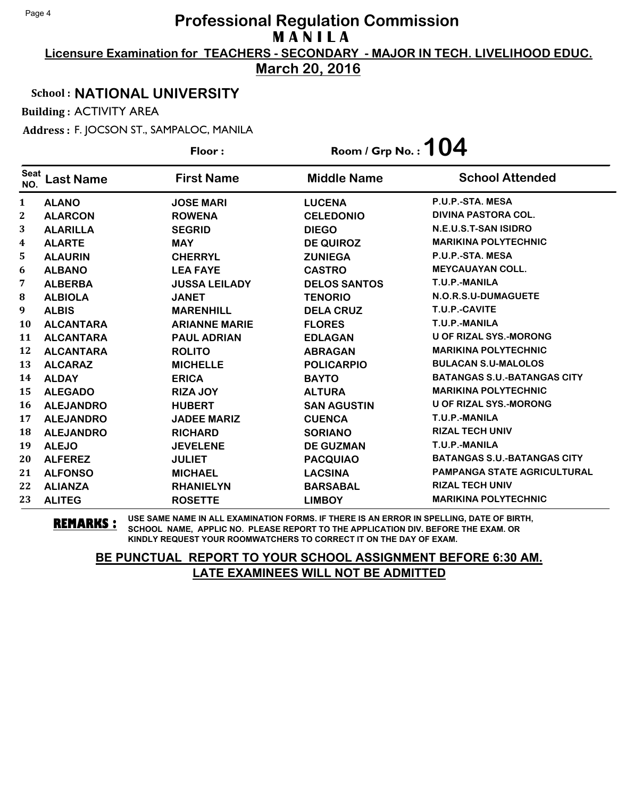**Licensure Examination for TEACHERS - SECONDARY - MAJOR IN TECH. LIVELIHOOD EDUC.**

**March 20, 2016**

### School : **NATIONAL UNIVERSITY**

Building : ACTIVITY AREA

Address : F. JOCSON ST., SAMPALOC, MANILA

|                    |                  | Floor:               | Room / Grp No.: $104$ |                                    |
|--------------------|------------------|----------------------|-----------------------|------------------------------------|
| <b>Seat</b><br>NO. | <b>Last Name</b> | <b>First Name</b>    | <b>Middle Name</b>    | <b>School Attended</b>             |
| 1                  | <b>ALANO</b>     | <b>JOSE MARI</b>     | <b>LUCENA</b>         | P.U.P.-STA, MESA                   |
| $\mathbf 2$        | <b>ALARCON</b>   | <b>ROWENA</b>        | <b>CELEDONIO</b>      | <b>DIVINA PASTORA COL.</b>         |
| 3                  | <b>ALARILLA</b>  | <b>SEGRID</b>        | <b>DIEGO</b>          | N.E.U.S.T-SAN ISIDRO               |
| 4                  | <b>ALARTE</b>    | <b>MAY</b>           | <b>DE QUIROZ</b>      | <b>MARIKINA POLYTECHNIC</b>        |
| 5                  | <b>ALAURIN</b>   | <b>CHERRYL</b>       | <b>ZUNIEGA</b>        | P.U.P.-STA. MESA                   |
| 6                  | <b>ALBANO</b>    | <b>LEA FAYE</b>      | <b>CASTRO</b>         | <b>MEYCAUAYAN COLL.</b>            |
| 7                  | <b>ALBERBA</b>   | <b>JUSSA LEILADY</b> | <b>DELOS SANTOS</b>   | T.U.P.-MANILA                      |
| 8                  | <b>ALBIOLA</b>   | <b>JANET</b>         | <b>TENORIO</b>        | N.O.R.S.U-DUMAGUETE                |
| 9                  | <b>ALBIS</b>     | <b>MARENHILL</b>     | <b>DELA CRUZ</b>      | T.U.P.-CAVITE                      |
| 10                 | <b>ALCANTARA</b> | <b>ARIANNE MARIE</b> | <b>FLORES</b>         | T.U.P.-MANILA                      |
| 11                 | <b>ALCANTARA</b> | <b>PAUL ADRIAN</b>   | <b>EDLAGAN</b>        | <b>U OF RIZAL SYS.-MORONG</b>      |
| 12                 | <b>ALCANTARA</b> | <b>ROLITO</b>        | <b>ABRAGAN</b>        | <b>MARIKINA POLYTECHNIC</b>        |
| 13                 | <b>ALCARAZ</b>   | <b>MICHELLE</b>      | <b>POLICARPIO</b>     | <b>BULACAN S.U-MALOLOS</b>         |
| 14                 | <b>ALDAY</b>     | <b>ERICA</b>         | <b>BAYTO</b>          | <b>BATANGAS S.U.-BATANGAS CITY</b> |
| 15                 | <b>ALEGADO</b>   | <b>RIZA JOY</b>      | <b>ALTURA</b>         | <b>MARIKINA POLYTECHNIC</b>        |
| 16                 | <b>ALEJANDRO</b> | <b>HUBERT</b>        | <b>SAN AGUSTIN</b>    | <b>U OF RIZAL SYS.-MORONG</b>      |
| 17                 | <b>ALEJANDRO</b> | <b>JADEE MARIZ</b>   | <b>CUENCA</b>         | T.U.P.-MANILA                      |
| 18                 | <b>ALEJANDRO</b> | <b>RICHARD</b>       | <b>SORIANO</b>        | <b>RIZAL TECH UNIV</b>             |
| 19                 | <b>ALEJO</b>     | <b>JEVELENE</b>      | <b>DE GUZMAN</b>      | T.U.P.-MANILA                      |
| 20                 | <b>ALFEREZ</b>   | <b>JULIET</b>        | <b>PACQUIAO</b>       | <b>BATANGAS S.U.-BATANGAS CITY</b> |
| 21                 | <b>ALFONSO</b>   | <b>MICHAEL</b>       | <b>LACSINA</b>        | <b>PAMPANGA STATE AGRICULTURAL</b> |
| 22                 | <b>ALIANZA</b>   | <b>RHANIELYN</b>     | <b>BARSABAL</b>       | <b>RIZAL TECH UNIV</b>             |
| 23                 | <b>ALITEG</b>    | <b>ROSETTE</b>       | <b>LIMBOY</b>         | <b>MARIKINA POLYTECHNIC</b>        |

**REMARKS :** USE SAME NAME IN ALL EXAMINATION FORMS. IF THERE IS AN ERROR IN SPELLING, DATE OF BIRTH, SCHOOL NAME, APPLIC NO. PLEASE REPORT TO THE APPLICATION DIV. BEFORE THE EXAM. OR KINDLY REQUEST YOUR ROOMWATCHERS TO CORRECT IT ON THE DAY OF EXAM.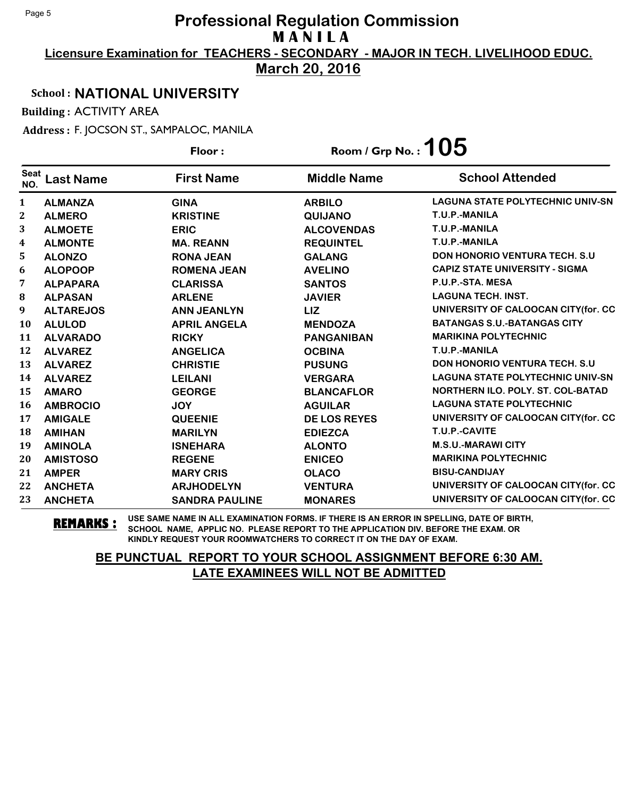**Licensure Examination for TEACHERS - SECONDARY - MAJOR IN TECH. LIVELIHOOD EDUC.**

**March 20, 2016**

### School : **NATIONAL UNIVERSITY**

Building : ACTIVITY AREA

Address : F. JOCSON ST., SAMPALOC, MANILA

|                         |                  | Floor:                | Room / Grp No.: $105$ |                                         |
|-------------------------|------------------|-----------------------|-----------------------|-----------------------------------------|
| <b>Seat</b><br>NO.      | Last Name        | <b>First Name</b>     | <b>Middle Name</b>    | <b>School Attended</b>                  |
| $\mathbf{1}$            | <b>ALMANZA</b>   | <b>GINA</b>           | <b>ARBILO</b>         | <b>LAGUNA STATE POLYTECHNIC UNIV-SN</b> |
| $\boldsymbol{2}$        | <b>ALMERO</b>    | <b>KRISTINE</b>       | <b>QUIJANO</b>        | T.U.P.-MANILA                           |
| 3                       | <b>ALMOETE</b>   | <b>ERIC</b>           | <b>ALCOVENDAS</b>     | T.U.P.-MANILA                           |
| $\overline{\mathbf{4}}$ | <b>ALMONTE</b>   | <b>MA. REANN</b>      | <b>REQUINTEL</b>      | T.U.P.-MANILA                           |
| 5                       | <b>ALONZO</b>    | <b>RONA JEAN</b>      | <b>GALANG</b>         | <b>DON HONORIO VENTURA TECH. S.U.</b>   |
| 6                       | <b>ALOPOOP</b>   | <b>ROMENA JEAN</b>    | <b>AVELINO</b>        | <b>CAPIZ STATE UNIVERSITY - SIGMA</b>   |
| 7                       | <b>ALPAPARA</b>  | <b>CLARISSA</b>       | <b>SANTOS</b>         | P.U.P.-STA. MESA                        |
| 8                       | <b>ALPASAN</b>   | <b>ARLENE</b>         | <b>JAVIER</b>         | <b>LAGUNA TECH. INST.</b>               |
| 9                       | <b>ALTAREJOS</b> | <b>ANN JEANLYN</b>    | <b>LIZ</b>            | UNIVERSITY OF CALOOCAN CITY(for. CC     |
| 10                      | <b>ALULOD</b>    | <b>APRIL ANGELA</b>   | <b>MENDOZA</b>        | <b>BATANGAS S.U.-BATANGAS CITY</b>      |
| 11                      | <b>ALVARADO</b>  | <b>RICKY</b>          | <b>PANGANIBAN</b>     | <b>MARIKINA POLYTECHNIC</b>             |
| 12                      | <b>ALVAREZ</b>   | <b>ANGELICA</b>       | <b>OCBINA</b>         | T.U.P.-MANILA                           |
| 13                      | <b>ALVAREZ</b>   | <b>CHRISTIE</b>       | <b>PUSUNG</b>         | <b>DON HONORIO VENTURA TECH. S.U.</b>   |
| 14                      | <b>ALVAREZ</b>   | <b>LEILANI</b>        | <b>VERGARA</b>        | <b>LAGUNA STATE POLYTECHNIC UNIV-SN</b> |
| 15                      | <b>AMARO</b>     | <b>GEORGE</b>         | <b>BLANCAFLOR</b>     | NORTHERN ILO. POLY. ST. COL-BATAD       |
| <b>16</b>               | <b>AMBROCIO</b>  | <b>JOY</b>            | <b>AGUILAR</b>        | <b>LAGUNA STATE POLYTECHNIC</b>         |
| 17                      | <b>AMIGALE</b>   | <b>QUEENIE</b>        | <b>DE LOS REYES</b>   | UNIVERSITY OF CALOOCAN CITY(for. CC     |
| 18                      | <b>AMIHAN</b>    | <b>MARILYN</b>        | <b>EDIEZCA</b>        | T.U.P.-CAVITE                           |
| 19                      | <b>AMINOLA</b>   | <b>ISNEHARA</b>       | <b>ALONTO</b>         | <b>M.S.U.-MARAWI CITY</b>               |
| 20                      | <b>AMISTOSO</b>  | <b>REGENE</b>         | <b>ENICEO</b>         | <b>MARIKINA POLYTECHNIC</b>             |
| 21                      | <b>AMPER</b>     | <b>MARY CRIS</b>      | <b>OLACO</b>          | <b>BISU-CANDIJAY</b>                    |
| 22                      | <b>ANCHETA</b>   | <b>ARJHODELYN</b>     | <b>VENTURA</b>        | UNIVERSITY OF CALOOCAN CITY(for. CC     |
| 23                      | <b>ANCHETA</b>   | <b>SANDRA PAULINE</b> | <b>MONARES</b>        | UNIVERSITY OF CALOOCAN CITY(for. CC     |

**REMARKS :** USE SAME NAME IN ALL EXAMINATION FORMS. IF THERE IS AN ERROR IN SPELLING, DATE OF BIRTH, SCHOOL NAME, APPLIC NO. PLEASE REPORT TO THE APPLICATION DIV. BEFORE THE EXAM. OR KINDLY REQUEST YOUR ROOMWATCHERS TO CORRECT IT ON THE DAY OF EXAM.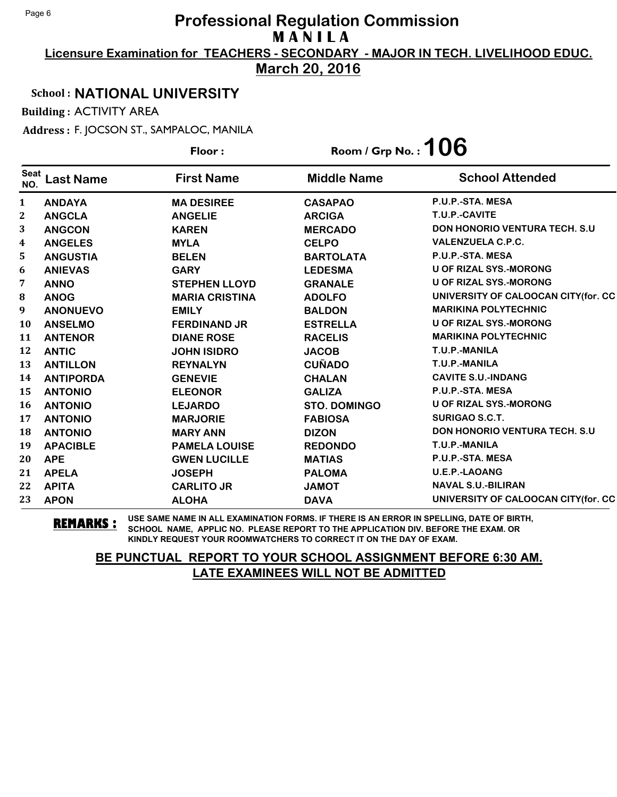**Licensure Examination for TEACHERS - SECONDARY - MAJOR IN TECH. LIVELIHOOD EDUC.**

**March 20, 2016**

### School : **NATIONAL UNIVERSITY**

Building : ACTIVITY AREA

Address : F. JOCSON ST., SAMPALOC, MANILA

|                    |                  | Floor:                | Room / Grp No. : $106$ |                                       |
|--------------------|------------------|-----------------------|------------------------|---------------------------------------|
| <b>Seat</b><br>NO. | <b>Last Name</b> | <b>First Name</b>     | <b>Middle Name</b>     | <b>School Attended</b>                |
| 1                  | <b>ANDAYA</b>    | <b>MA DESIREE</b>     | <b>CASAPAO</b>         | P.U.P.-STA. MESA                      |
| $\mathbf 2$        | <b>ANGCLA</b>    | <b>ANGELIE</b>        | <b>ARCIGA</b>          | T.U.P.-CAVITE                         |
| 3                  | <b>ANGCON</b>    | <b>KAREN</b>          | <b>MERCADO</b>         | <b>DON HONORIO VENTURA TECH. S.U.</b> |
| 4                  | <b>ANGELES</b>   | <b>MYLA</b>           | <b>CELPO</b>           | <b>VALENZUELA C.P.C.</b>              |
| 5                  | <b>ANGUSTIA</b>  | <b>BELEN</b>          | <b>BARTOLATA</b>       | P.U.P.-STA. MESA                      |
| 6                  | <b>ANIEVAS</b>   | <b>GARY</b>           | <b>LEDESMA</b>         | <b>U OF RIZAL SYS.-MORONG</b>         |
| 7                  | <b>ANNO</b>      | <b>STEPHEN LLOYD</b>  | <b>GRANALE</b>         | <b>U OF RIZAL SYS.-MORONG</b>         |
| 8                  | <b>ANOG</b>      | <b>MARIA CRISTINA</b> | <b>ADOLFO</b>          | UNIVERSITY OF CALOOCAN CITY (for. CC  |
| 9                  | <b>ANONUEVO</b>  | <b>EMILY</b>          | <b>BALDON</b>          | <b>MARIKINA POLYTECHNIC</b>           |
| 10                 | <b>ANSELMO</b>   | <b>FERDINAND JR</b>   | <b>ESTRELLA</b>        | <b>U OF RIZAL SYS.-MORONG</b>         |
| 11                 | <b>ANTENOR</b>   | <b>DIANE ROSE</b>     | <b>RACELIS</b>         | <b>MARIKINA POLYTECHNIC</b>           |
| 12                 | <b>ANTIC</b>     | <b>JOHN ISIDRO</b>    | <b>JACOB</b>           | T.U.P.-MANILA                         |
| 13                 | <b>ANTILLON</b>  | <b>REYNALYN</b>       | <b>CUÑADO</b>          | T.U.P.-MANILA                         |
| 14                 | <b>ANTIPORDA</b> | <b>GENEVIE</b>        | <b>CHALAN</b>          | <b>CAVITE S.U.-INDANG</b>             |
| 15                 | <b>ANTONIO</b>   | <b>ELEONOR</b>        | <b>GALIZA</b>          | P.U.P.-STA. MESA                      |
| 16                 | <b>ANTONIO</b>   | <b>LEJARDO</b>        | <b>STO. DOMINGO</b>    | <b>U OF RIZAL SYS.-MORONG</b>         |
| 17                 | <b>ANTONIO</b>   | <b>MARJORIE</b>       | <b>FABIOSA</b>         | <b>SURIGAO S.C.T.</b>                 |
| 18                 | <b>ANTONIO</b>   | <b>MARY ANN</b>       | <b>DIZON</b>           | <b>DON HONORIO VENTURA TECH. S.U.</b> |
| 19                 | <b>APACIBLE</b>  | <b>PAMELA LOUISE</b>  | <b>REDONDO</b>         | T.U.P.-MANILA                         |
| 20                 | <b>APE</b>       | <b>GWEN LUCILLE</b>   | <b>MATIAS</b>          | P.U.P.-STA. MESA                      |
| 21                 | <b>APELA</b>     | <b>JOSEPH</b>         | <b>PALOMA</b>          | U.E.P.-LAOANG                         |
| 22                 | <b>APITA</b>     | <b>CARLITO JR</b>     | <b>JAMOT</b>           | <b>NAVAL S.U.-BILIRAN</b>             |
| 23                 | <b>APON</b>      | <b>ALOHA</b>          | <b>DAVA</b>            | UNIVERSITY OF CALOOCAN CITY(for. CC   |

**REMARKS :** USE SAME NAME IN ALL EXAMINATION FORMS. IF THERE IS AN ERROR IN SPELLING, DATE OF BIRTH, SCHOOL NAME, APPLIC NO. PLEASE REPORT TO THE APPLICATION DIV. BEFORE THE EXAM. OR KINDLY REQUEST YOUR ROOMWATCHERS TO CORRECT IT ON THE DAY OF EXAM.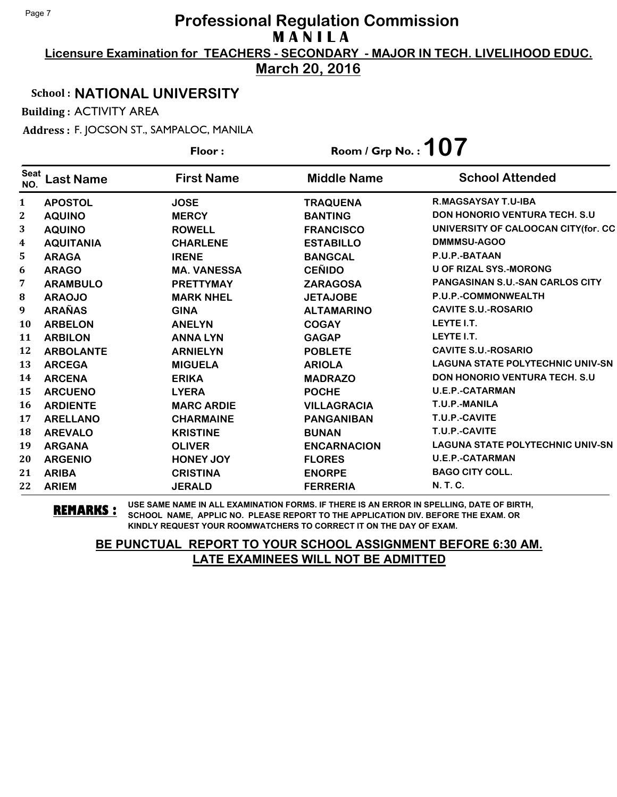**Licensure Examination for TEACHERS - SECONDARY - MAJOR IN TECH. LIVELIHOOD EDUC.**

**March 20, 2016**

### School : **NATIONAL UNIVERSITY**

Building : ACTIVITY AREA

Address : F. JOCSON ST., SAMPALOC, MANILA

|                    |                  | Floor:             | Room / Grp No.: $107$ |                                         |
|--------------------|------------------|--------------------|-----------------------|-----------------------------------------|
| <b>Seat</b><br>NO. | <b>Last Name</b> | <b>First Name</b>  | <b>Middle Name</b>    | <b>School Attended</b>                  |
| $\mathbf{1}$       | <b>APOSTOL</b>   | <b>JOSE</b>        | <b>TRAQUENA</b>       | <b>R.MAGSAYSAY T.U-IBA</b>              |
| $\boldsymbol{2}$   | <b>AQUINO</b>    | <b>MERCY</b>       | <b>BANTING</b>        | <b>DON HONORIO VENTURA TECH. S.U.</b>   |
| 3                  | <b>AQUINO</b>    | <b>ROWELL</b>      | <b>FRANCISCO</b>      | UNIVERSITY OF CALOOCAN CITY(for. CC     |
| 4                  | <b>AQUITANIA</b> | <b>CHARLENE</b>    | <b>ESTABILLO</b>      | DMMMSU-AGOO                             |
| 5                  | <b>ARAGA</b>     | <b>IRENE</b>       | <b>BANGCAL</b>        | P.U.P.-BATAAN                           |
| 6                  | <b>ARAGO</b>     | <b>MA. VANESSA</b> | <b>CEÑIDO</b>         | <b>U OF RIZAL SYS.-MORONG</b>           |
| 7                  | <b>ARAMBULO</b>  | <b>PRETTYMAY</b>   | <b>ZARAGOSA</b>       | <b>PANGASINAN S.U.-SAN CARLOS CITY</b>  |
| ${\bf 8}$          | <b>ARAOJO</b>    | <b>MARK NHEL</b>   | <b>JETAJOBE</b>       | P.U.P.-COMMONWEALTH                     |
| 9                  | <b>ARAÑAS</b>    | <b>GINA</b>        | <b>ALTAMARINO</b>     | <b>CAVITE S.U.-ROSARIO</b>              |
| 10                 | <b>ARBELON</b>   | <b>ANELYN</b>      | <b>COGAY</b>          | LEYTE I.T.                              |
| 11                 | <b>ARBILON</b>   | <b>ANNA LYN</b>    | <b>GAGAP</b>          | LEYTE I.T.                              |
| 12                 | <b>ARBOLANTE</b> | <b>ARNIELYN</b>    | <b>POBLETE</b>        | <b>CAVITE S.U.-ROSARIO</b>              |
| 13                 | <b>ARCEGA</b>    | <b>MIGUELA</b>     | <b>ARIOLA</b>         | <b>LAGUNA STATE POLYTECHNIC UNIV-SN</b> |
| 14                 | <b>ARCENA</b>    | <b>ERIKA</b>       | <b>MADRAZO</b>        | <b>DON HONORIO VENTURA TECH. S.U.</b>   |
| 15                 | <b>ARCUENO</b>   | <b>LYERA</b>       | <b>POCHE</b>          | <b>U.E.P.-CATARMAN</b>                  |
| 16                 | <b>ARDIENTE</b>  | <b>MARC ARDIE</b>  | <b>VILLAGRACIA</b>    | T.U.P.-MANILA                           |
| 17                 | <b>ARELLANO</b>  | <b>CHARMAINE</b>   | <b>PANGANIBAN</b>     | T.U.P.-CAVITE                           |
| 18                 | <b>AREVALO</b>   | <b>KRISTINE</b>    | <b>BUNAN</b>          | T.U.P.-CAVITE                           |
| 19                 | <b>ARGANA</b>    | <b>OLIVER</b>      | <b>ENCARNACION</b>    | <b>LAGUNA STATE POLYTECHNIC UNIV-SN</b> |
| 20                 | <b>ARGENIO</b>   | <b>HONEY JOY</b>   | <b>FLORES</b>         | <b>U.E.P.-CATARMAN</b>                  |
| 21                 | <b>ARIBA</b>     | <b>CRISTINA</b>    | <b>ENORPE</b>         | <b>BAGO CITY COLL.</b>                  |
| 22                 | <b>ARIEM</b>     | <b>JERALD</b>      | <b>FERRERIA</b>       | <b>N. T. C.</b>                         |

**REMARKS :** USE SAME NAME IN ALL EXAMINATION FORMS. IF THERE IS AN ERROR IN SPELLING, DATE OF BIRTH, SCHOOL NAME, APPLIC NO. PLEASE REPORT TO THE APPLICATION DIV. BEFORE THE EXAM. OR KINDLY REQUEST YOUR ROOMWATCHERS TO CORRECT IT ON THE DAY OF EXAM.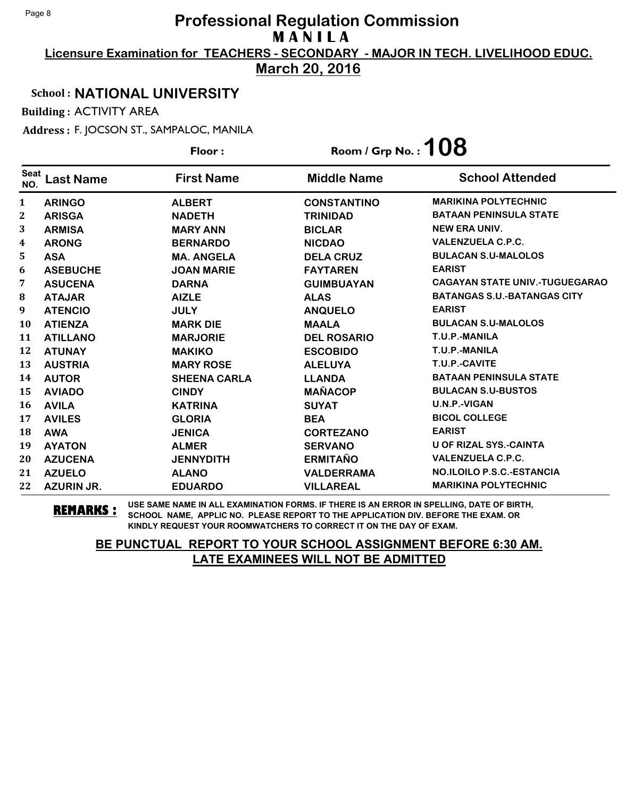**Licensure Examination for TEACHERS - SECONDARY - MAJOR IN TECH. LIVELIHOOD EDUC.**

**March 20, 2016**

### School : **NATIONAL UNIVERSITY**

Building : ACTIVITY AREA

Address : F. JOCSON ST., SAMPALOC, MANILA

|                    |                   | Floor:              | Room / Grp No. : $108$ |                                       |
|--------------------|-------------------|---------------------|------------------------|---------------------------------------|
| <b>Seat</b><br>NO. | <b>Last Name</b>  | <b>First Name</b>   | <b>Middle Name</b>     | <b>School Attended</b>                |
| 1                  | <b>ARINGO</b>     | <b>ALBERT</b>       | <b>CONSTANTINO</b>     | <b>MARIKINA POLYTECHNIC</b>           |
| 2                  | <b>ARISGA</b>     | <b>NADETH</b>       | <b>TRINIDAD</b>        | <b>BATAAN PENINSULA STATE</b>         |
| 3                  | <b>ARMISA</b>     | <b>MARY ANN</b>     | <b>BICLAR</b>          | <b>NEW ERA UNIV.</b>                  |
| 4                  | <b>ARONG</b>      | <b>BERNARDO</b>     | <b>NICDAO</b>          | <b>VALENZUELA C.P.C.</b>              |
| 5                  | <b>ASA</b>        | <b>MA. ANGELA</b>   | <b>DELA CRUZ</b>       | <b>BULACAN S.U-MALOLOS</b>            |
| 6                  | <b>ASEBUCHE</b>   | <b>JOAN MARIE</b>   | <b>FAYTAREN</b>        | <b>EARIST</b>                         |
| 7                  | <b>ASUCENA</b>    | <b>DARNA</b>        | <b>GUIMBUAYAN</b>      | <b>CAGAYAN STATE UNIV.-TUGUEGARAO</b> |
| 8                  | <b>ATAJAR</b>     | <b>AIZLE</b>        | <b>ALAS</b>            | <b>BATANGAS S.U.-BATANGAS CITY</b>    |
| 9                  | <b>ATENCIO</b>    | <b>JULY</b>         | <b>ANQUELO</b>         | <b>EARIST</b>                         |
| <b>10</b>          | <b>ATIENZA</b>    | <b>MARK DIE</b>     | <b>MAALA</b>           | <b>BULACAN S.U-MALOLOS</b>            |
| 11                 | <b>ATILLANO</b>   | <b>MARJORIE</b>     | <b>DEL ROSARIO</b>     | T.U.P.-MANILA                         |
| 12                 | <b>ATUNAY</b>     | <b>MAKIKO</b>       | <b>ESCOBIDO</b>        | T.U.P.-MANILA                         |
| 13                 | <b>AUSTRIA</b>    | <b>MARY ROSE</b>    | <b>ALELUYA</b>         | T.U.P.-CAVITE                         |
| 14                 | <b>AUTOR</b>      | <b>SHEENA CARLA</b> | <b>LLANDA</b>          | <b>BATAAN PENINSULA STATE</b>         |
| 15                 | <b>AVIADO</b>     | <b>CINDY</b>        | <b>MAÑACOP</b>         | <b>BULACAN S.U-BUSTOS</b>             |
| 16                 | <b>AVILA</b>      | <b>KATRINA</b>      | <b>SUYAT</b>           | U.N.P.-VIGAN                          |
| 17                 | <b>AVILES</b>     | <b>GLORIA</b>       | <b>BEA</b>             | <b>BICOL COLLEGE</b>                  |
| 18                 | <b>AWA</b>        | <b>JENICA</b>       | <b>CORTEZANO</b>       | <b>EARIST</b>                         |
| 19                 | <b>AYATON</b>     | <b>ALMER</b>        | <b>SERVANO</b>         | <b>U OF RIZAL SYS.-CAINTA</b>         |
| 20                 | <b>AZUCENA</b>    | <b>JENNYDITH</b>    | <b>ERMITAÑO</b>        | <b>VALENZUELA C.P.C.</b>              |
| 21                 | <b>AZUELO</b>     | <b>ALANO</b>        | <b>VALDERRAMA</b>      | <b>NO.ILOILO P.S.C.-ESTANCIA</b>      |
| 22                 | <b>AZURIN JR.</b> | <b>EDUARDO</b>      | <b>VILLAREAL</b>       | <b>MARIKINA POLYTECHNIC</b>           |

**REMARKS :** USE SAME NAME IN ALL EXAMINATION FORMS. IF THERE IS AN ERROR IN SPELLING, DATE OF BIRTH, SCHOOL NAME, APPLIC NO. PLEASE REPORT TO THE APPLICATION DIV. BEFORE THE EXAM. OR KINDLY REQUEST YOUR ROOMWATCHERS TO CORRECT IT ON THE DAY OF EXAM.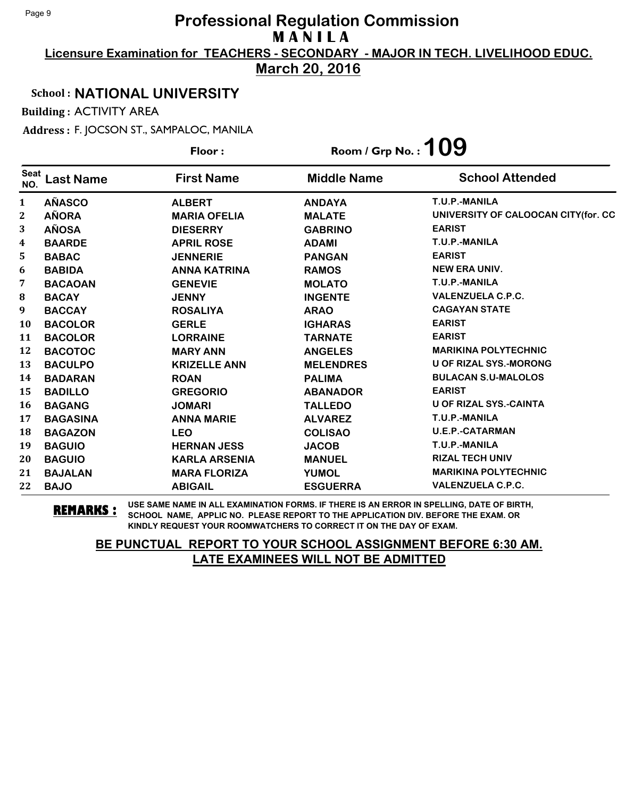**Licensure Examination for TEACHERS - SECONDARY - MAJOR IN TECH. LIVELIHOOD EDUC.**

**March 20, 2016**

### School : **NATIONAL UNIVERSITY**

Building : ACTIVITY AREA

Address : F. JOCSON ST., SAMPALOC, MANILA

|                    |                  | Floor:               | Room / Grp No.: $109$ |                                     |
|--------------------|------------------|----------------------|-----------------------|-------------------------------------|
| <b>Seat</b><br>NO. | <b>Last Name</b> | <b>First Name</b>    | <b>Middle Name</b>    | <b>School Attended</b>              |
| 1                  | <b>AÑASCO</b>    | <b>ALBERT</b>        | <b>ANDAYA</b>         | T.U.P.-MANILA                       |
| 2                  | <b>AÑORA</b>     | <b>MARIA OFELIA</b>  | <b>MALATE</b>         | UNIVERSITY OF CALOOCAN CITY(for. CC |
| 3                  | <b>AÑOSA</b>     | <b>DIESERRY</b>      | <b>GABRINO</b>        | <b>EARIST</b>                       |
| 4                  | <b>BAARDE</b>    | <b>APRIL ROSE</b>    | <b>ADAMI</b>          | T.U.P.-MANILA                       |
| 5                  | <b>BABAC</b>     | <b>JENNERIE</b>      | <b>PANGAN</b>         | <b>EARIST</b>                       |
| 6                  | <b>BABIDA</b>    | <b>ANNA KATRINA</b>  | <b>RAMOS</b>          | <b>NEW ERA UNIV.</b>                |
| 7                  | <b>BACAOAN</b>   | <b>GENEVIE</b>       | <b>MOLATO</b>         | T.U.P.-MANILA                       |
| 8                  | <b>BACAY</b>     | <b>JENNY</b>         | <b>INGENTE</b>        | <b>VALENZUELA C.P.C.</b>            |
| 9                  | <b>BACCAY</b>    | <b>ROSALIYA</b>      | <b>ARAO</b>           | <b>CAGAYAN STATE</b>                |
| 10                 | <b>BACOLOR</b>   | <b>GERLE</b>         | <b>IGHARAS</b>        | <b>EARIST</b>                       |
| 11                 | <b>BACOLOR</b>   | <b>LORRAINE</b>      | <b>TARNATE</b>        | <b>EARIST</b>                       |
| 12                 | <b>BACOTOC</b>   | <b>MARY ANN</b>      | <b>ANGELES</b>        | <b>MARIKINA POLYTECHNIC</b>         |
| 13                 | <b>BACULPO</b>   | <b>KRIZELLE ANN</b>  | <b>MELENDRES</b>      | <b>U OF RIZAL SYS.-MORONG</b>       |
| 14                 | <b>BADARAN</b>   | <b>ROAN</b>          | <b>PALIMA</b>         | <b>BULACAN S.U-MALOLOS</b>          |
| 15                 | <b>BADILLO</b>   | <b>GREGORIO</b>      | <b>ABANADOR</b>       | <b>EARIST</b>                       |
| 16                 | <b>BAGANG</b>    | <b>JOMARI</b>        | <b>TALLEDO</b>        | <b>U OF RIZAL SYS.-CAINTA</b>       |
| 17                 | <b>BAGASINA</b>  | <b>ANNA MARIE</b>    | <b>ALVAREZ</b>        | T.U.P.-MANILA                       |
| 18                 | <b>BAGAZON</b>   | <b>LEO</b>           | <b>COLISAO</b>        | <b>U.E.P.-CATARMAN</b>              |
| 19                 | <b>BAGUIO</b>    | <b>HERNAN JESS</b>   | <b>JACOB</b>          | T.U.P.-MANILA                       |
| 20                 | <b>BAGUIO</b>    | <b>KARLA ARSENIA</b> | <b>MANUEL</b>         | <b>RIZAL TECH UNIV</b>              |
| 21                 | <b>BAJALAN</b>   | <b>MARA FLORIZA</b>  | <b>YUMOL</b>          | <b>MARIKINA POLYTECHNIC</b>         |
| 22                 | <b>BAJO</b>      | <b>ABIGAIL</b>       | <b>ESGUERRA</b>       | <b>VALENZUELA C.P.C.</b>            |

**REMARKS :** USE SAME NAME IN ALL EXAMINATION FORMS. IF THERE IS AN ERROR IN SPELLING, DATE OF BIRTH, SCHOOL NAME, APPLIC NO. PLEASE REPORT TO THE APPLICATION DIV. BEFORE THE EXAM. OR KINDLY REQUEST YOUR ROOMWATCHERS TO CORRECT IT ON THE DAY OF EXAM.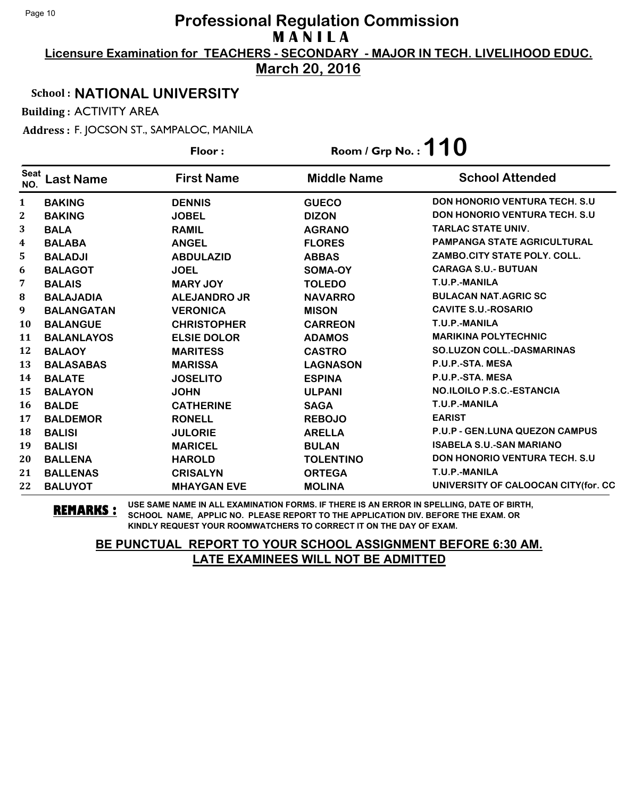**Licensure Examination for TEACHERS - SECONDARY - MAJOR IN TECH. LIVELIHOOD EDUC.**

**March 20, 2016**

### School : **NATIONAL UNIVERSITY**

Building : ACTIVITY AREA

Address : F. JOCSON ST., SAMPALOC, MANILA

|                    |                   | Floor:              | Room / Grp No.: $110$ |                                       |
|--------------------|-------------------|---------------------|-----------------------|---------------------------------------|
| <b>Seat</b><br>NO. | <b>Last Name</b>  | <b>First Name</b>   | <b>Middle Name</b>    | <b>School Attended</b>                |
| $\mathbf{1}$       | <b>BAKING</b>     | <b>DENNIS</b>       | <b>GUECO</b>          | <b>DON HONORIO VENTURA TECH. S.U.</b> |
| 2                  | <b>BAKING</b>     | <b>JOBEL</b>        | <b>DIZON</b>          | <b>DON HONORIO VENTURA TECH. S.U.</b> |
| 3                  | <b>BALA</b>       | <b>RAMIL</b>        | <b>AGRANO</b>         | <b>TARLAC STATE UNIV.</b>             |
| 4                  | <b>BALABA</b>     | <b>ANGEL</b>        | <b>FLORES</b>         | <b>PAMPANGA STATE AGRICULTURAL</b>    |
| 5                  | <b>BALADJI</b>    | <b>ABDULAZID</b>    | <b>ABBAS</b>          | ZAMBO.CITY STATE POLY. COLL.          |
| 6                  | <b>BALAGOT</b>    | <b>JOEL</b>         | SOMA-OY               | <b>CARAGA S.U.- BUTUAN</b>            |
| 7                  | <b>BALAIS</b>     | <b>MARY JOY</b>     | <b>TOLEDO</b>         | T.U.P.-MANILA                         |
| $\bf{8}$           | <b>BALAJADIA</b>  | <b>ALEJANDRO JR</b> | <b>NAVARRO</b>        | <b>BULACAN NAT.AGRIC SC</b>           |
| 9                  | <b>BALANGATAN</b> | <b>VERONICA</b>     | <b>MISON</b>          | <b>CAVITE S.U.-ROSARIO</b>            |
| <b>10</b>          | <b>BALANGUE</b>   | <b>CHRISTOPHER</b>  | <b>CARREON</b>        | T.U.P.-MANILA                         |
| 11                 | <b>BALANLAYOS</b> | <b>ELSIE DOLOR</b>  | <b>ADAMOS</b>         | <b>MARIKINA POLYTECHNIC</b>           |
| 12                 | <b>BALAOY</b>     | <b>MARITESS</b>     | <b>CASTRO</b>         | <b>SO.LUZON COLL.-DASMARINAS</b>      |
| 13                 | <b>BALASABAS</b>  | <b>MARISSA</b>      | <b>LAGNASON</b>       | P.U.P.-STA. MESA                      |
| 14                 | <b>BALATE</b>     | <b>JOSELITO</b>     | <b>ESPINA</b>         | P.U.P.-STA. MESA                      |
| 15                 | <b>BALAYON</b>    | <b>JOHN</b>         | <b>ULPANI</b>         | <b>NO.ILOILO P.S.C.-ESTANCIA</b>      |
| 16                 | <b>BALDE</b>      | <b>CATHERINE</b>    | <b>SAGA</b>           | T.U.P.-MANILA                         |
| 17                 | <b>BALDEMOR</b>   | <b>RONELL</b>       | <b>REBOJO</b>         | <b>EARIST</b>                         |
| 18                 | <b>BALISI</b>     | <b>JULORIE</b>      | <b>ARELLA</b>         | P.U.P - GEN.LUNA QUEZON CAMPUS        |
| 19                 | <b>BALISI</b>     | <b>MARICEL</b>      | <b>BULAN</b>          | <b>ISABELA S.U.-SAN MARIANO</b>       |
| 20                 | <b>BALLENA</b>    | <b>HAROLD</b>       | <b>TOLENTINO</b>      | <b>DON HONORIO VENTURA TECH. S.U.</b> |
| 21                 | <b>BALLENAS</b>   | <b>CRISALYN</b>     | <b>ORTEGA</b>         | T.U.P.-MANILA                         |
| 22                 | <b>BALUYOT</b>    | <b>MHAYGAN EVE</b>  | <b>MOLINA</b>         | UNIVERSITY OF CALOOCAN CITY (for. CC  |

**REMARKS :** USE SAME NAME IN ALL EXAMINATION FORMS. IF THERE IS AN ERROR IN SPELLING, DATE OF BIRTH, SCHOOL NAME, APPLIC NO. PLEASE REPORT TO THE APPLICATION DIV. BEFORE THE EXAM. OR KINDLY REQUEST YOUR ROOMWATCHERS TO CORRECT IT ON THE DAY OF EXAM.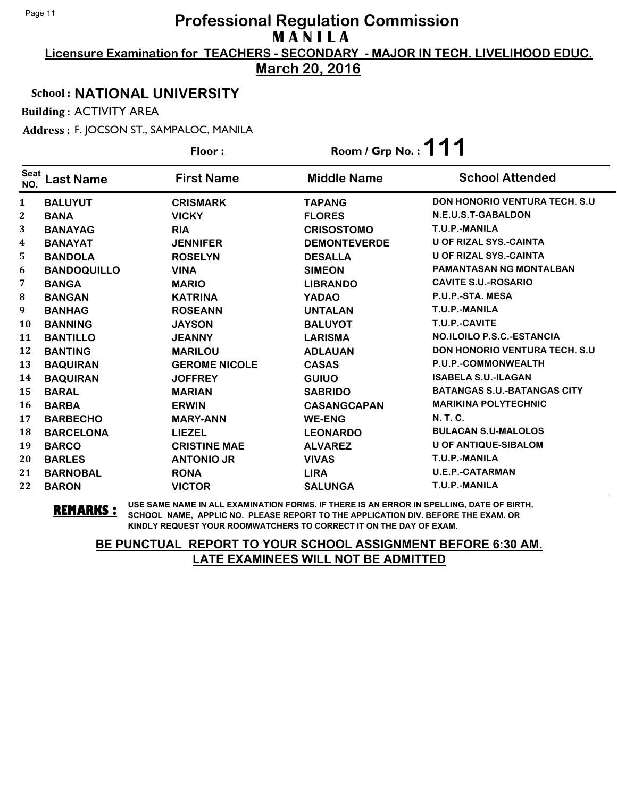**Licensure Examination for TEACHERS - SECONDARY - MAJOR IN TECH. LIVELIHOOD EDUC.**

**March 20, 2016**

### School : **NATIONAL UNIVERSITY**

Building : ACTIVITY AREA

Address : F. JOCSON ST., SAMPALOC, MANILA

|                    |                    | - -, - <i>.</i><br>Floor: | Room / Grp No.: $111$ |                                       |
|--------------------|--------------------|---------------------------|-----------------------|---------------------------------------|
| <b>Seat</b><br>NO. | Last Name          | <b>First Name</b>         | <b>Middle Name</b>    | <b>School Attended</b>                |
| $\mathbf{1}$       | <b>BALUYUT</b>     | <b>CRISMARK</b>           | <b>TAPANG</b>         | <b>DON HONORIO VENTURA TECH. S.U.</b> |
| 2                  | <b>BANA</b>        | <b>VICKY</b>              | <b>FLORES</b>         | N.E.U.S.T-GABALDON                    |
| 3                  | <b>BANAYAG</b>     | <b>RIA</b>                | <b>CRISOSTOMO</b>     | T.U.P.-MANILA                         |
| 4                  | <b>BANAYAT</b>     | <b>JENNIFER</b>           | <b>DEMONTEVERDE</b>   | <b>U OF RIZAL SYS.-CAINTA</b>         |
| 5                  | <b>BANDOLA</b>     | <b>ROSELYN</b>            | <b>DESALLA</b>        | <b>U OF RIZAL SYS.-CAINTA</b>         |
| 6                  | <b>BANDOQUILLO</b> | <b>VINA</b>               | <b>SIMEON</b>         | <b>PAMANTASAN NG MONTALBAN</b>        |
| 7                  | <b>BANGA</b>       | <b>MARIO</b>              | <b>LIBRANDO</b>       | <b>CAVITE S.U.-ROSARIO</b>            |
| 8                  | <b>BANGAN</b>      | <b>KATRINA</b>            | <b>YADAO</b>          | P.U.P.-STA. MESA                      |
| 9                  | <b>BANHAG</b>      | <b>ROSEANN</b>            | <b>UNTALAN</b>        | T.U.P.-MANILA                         |
| <b>10</b>          | <b>BANNING</b>     | <b>JAYSON</b>             | <b>BALUYOT</b>        | T.U.P.-CAVITE                         |
| 11                 | <b>BANTILLO</b>    | <b>JEANNY</b>             | <b>LARISMA</b>        | <b>NO.ILOILO P.S.C.-ESTANCIA</b>      |
| 12                 | <b>BANTING</b>     | <b>MARILOU</b>            | <b>ADLAUAN</b>        | <b>DON HONORIO VENTURA TECH. S.U.</b> |
| 13                 | <b>BAQUIRAN</b>    | <b>GEROME NICOLE</b>      | <b>CASAS</b>          | P.U.P.-COMMONWEALTH                   |
| 14                 | <b>BAQUIRAN</b>    | <b>JOFFREY</b>            | <b>GUIUO</b>          | <b>ISABELA S.U.-ILAGAN</b>            |
| 15                 | <b>BARAL</b>       | <b>MARIAN</b>             | <b>SABRIDO</b>        | <b>BATANGAS S.U.-BATANGAS CITY</b>    |
| <b>16</b>          | <b>BARBA</b>       | <b>ERWIN</b>              | <b>CASANGCAPAN</b>    | <b>MARIKINA POLYTECHNIC</b>           |
| 17                 | <b>BARBECHO</b>    | <b>MARY-ANN</b>           | <b>WE-ENG</b>         | <b>N. T. C.</b>                       |
| 18                 | <b>BARCELONA</b>   | <b>LIEZEL</b>             | <b>LEONARDO</b>       | <b>BULACAN S.U-MALOLOS</b>            |
| 19                 | <b>BARCO</b>       | <b>CRISTINE MAE</b>       | <b>ALVAREZ</b>        | <b>U OF ANTIQUE-SIBALOM</b>           |
| 20                 | <b>BARLES</b>      | <b>ANTONIO JR</b>         | <b>VIVAS</b>          | T.U.P.-MANILA                         |
| 21                 | <b>BARNOBAL</b>    | <b>RONA</b>               | <b>LIRA</b>           | <b>U.E.P.-CATARMAN</b>                |
| 22                 | <b>BARON</b>       | <b>VICTOR</b>             | <b>SALUNGA</b>        | T.U.P.-MANILA                         |

**REMARKS :** USE SAME NAME IN ALL EXAMINATION FORMS. IF THERE IS AN ERROR IN SPELLING, DATE OF BIRTH, SCHOOL NAME, APPLIC NO. PLEASE REPORT TO THE APPLICATION DIV. BEFORE THE EXAM. OR KINDLY REQUEST YOUR ROOMWATCHERS TO CORRECT IT ON THE DAY OF EXAM.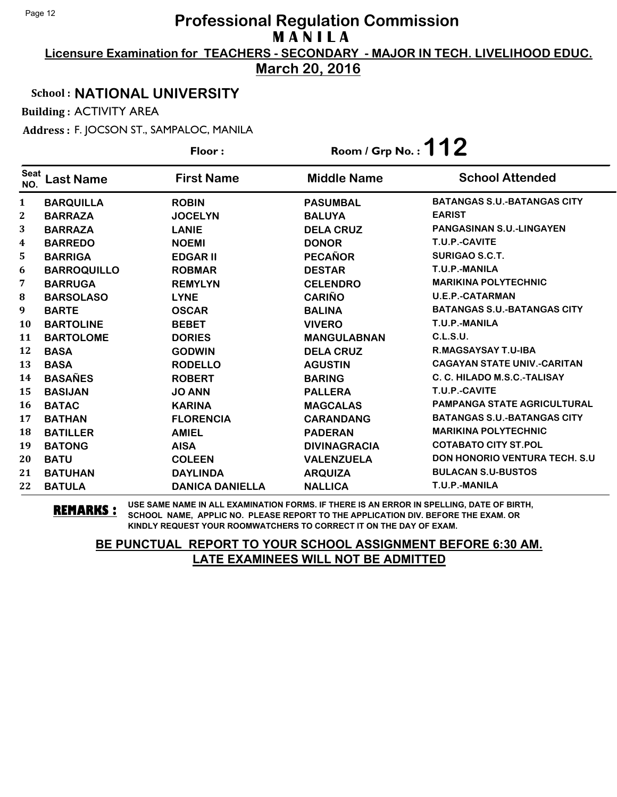**Licensure Examination for TEACHERS - SECONDARY - MAJOR IN TECH. LIVELIHOOD EDUC.**

**March 20, 2016**

### School : **NATIONAL UNIVERSITY**

Building : ACTIVITY AREA

Address : F. JOCSON ST., SAMPALOC, MANILA

|                         |                    | Floor:                 | Room / Grp No.: $112$ |                                       |
|-------------------------|--------------------|------------------------|-----------------------|---------------------------------------|
| <b>Seat</b><br>NO.      | Last Name          | <b>First Name</b>      | <b>Middle Name</b>    | <b>School Attended</b>                |
| $\mathbf{1}$            | <b>BARQUILLA</b>   | <b>ROBIN</b>           | <b>PASUMBAL</b>       | <b>BATANGAS S.U.-BATANGAS CITY</b>    |
| 2                       | <b>BARRAZA</b>     | <b>JOCELYN</b>         | <b>BALUYA</b>         | <b>EARIST</b>                         |
| 3                       | <b>BARRAZA</b>     | <b>LANIE</b>           | <b>DELA CRUZ</b>      | <b>PANGASINAN S.U.-LINGAYEN</b>       |
| $\overline{\mathbf{4}}$ | <b>BARREDO</b>     | <b>NOEMI</b>           | <b>DONOR</b>          | T.U.P.-CAVITE                         |
| 5                       | <b>BARRIGA</b>     | <b>EDGAR II</b>        | <b>PECAÑOR</b>        | <b>SURIGAO S.C.T.</b>                 |
| 6                       | <b>BARROQUILLO</b> | <b>ROBMAR</b>          | <b>DESTAR</b>         | T.U.P.-MANILA                         |
| 7                       | <b>BARRUGA</b>     | <b>REMYLYN</b>         | <b>CELENDRO</b>       | <b>MARIKINA POLYTECHNIC</b>           |
| 8                       | <b>BARSOLASO</b>   | <b>LYNE</b>            | <b>CARIÑO</b>         | <b>U.E.P.-CATARMAN</b>                |
| $\boldsymbol{9}$        | <b>BARTE</b>       | <b>OSCAR</b>           | <b>BALINA</b>         | <b>BATANGAS S.U.-BATANGAS CITY</b>    |
| <b>10</b>               | <b>BARTOLINE</b>   | <b>BEBET</b>           | <b>VIVERO</b>         | T.U.P.-MANILA                         |
| 11                      | <b>BARTOLOME</b>   | <b>DORIES</b>          | <b>MANGULABNAN</b>    | <b>C.L.S.U.</b>                       |
| 12                      | <b>BASA</b>        | <b>GODWIN</b>          | <b>DELA CRUZ</b>      | <b>R.MAGSAYSAY T.U-IBA</b>            |
| 13                      | <b>BASA</b>        | <b>RODELLO</b>         | <b>AGUSTIN</b>        | <b>CAGAYAN STATE UNIV.-CARITAN</b>    |
| 14                      | <b>BASAÑES</b>     | <b>ROBERT</b>          | <b>BARING</b>         | C. C. HILADO M.S.C.-TALISAY           |
| 15                      | <b>BASIJAN</b>     | <b>JO ANN</b>          | <b>PALLERA</b>        | T.U.P.-CAVITE                         |
| 16                      | <b>BATAC</b>       | <b>KARINA</b>          | <b>MAGCALAS</b>       | <b>PAMPANGA STATE AGRICULTURAL</b>    |
| 17                      | <b>BATHAN</b>      | <b>FLORENCIA</b>       | <b>CARANDANG</b>      | <b>BATANGAS S.U.-BATANGAS CITY</b>    |
| 18                      | <b>BATILLER</b>    | <b>AMIEL</b>           | <b>PADERAN</b>        | <b>MARIKINA POLYTECHNIC</b>           |
| 19                      | <b>BATONG</b>      | <b>AISA</b>            | <b>DIVINAGRACIA</b>   | <b>COTABATO CITY ST.POL</b>           |
| 20                      | <b>BATU</b>        | <b>COLEEN</b>          | <b>VALENZUELA</b>     | <b>DON HONORIO VENTURA TECH. S.U.</b> |
| 21                      | <b>BATUHAN</b>     | <b>DAYLINDA</b>        | <b>ARQUIZA</b>        | <b>BULACAN S.U-BUSTOS</b>             |
| 22                      | <b>BATULA</b>      | <b>DANICA DANIELLA</b> | <b>NALLICA</b>        | T.U.P.-MANILA                         |

**REMARKS :** USE SAME NAME IN ALL EXAMINATION FORMS. IF THERE IS AN ERROR IN SPELLING, DATE OF BIRTH, SCHOOL NAME, APPLIC NO. PLEASE REPORT TO THE APPLICATION DIV. BEFORE THE EXAM. OR KINDLY REQUEST YOUR ROOMWATCHERS TO CORRECT IT ON THE DAY OF EXAM.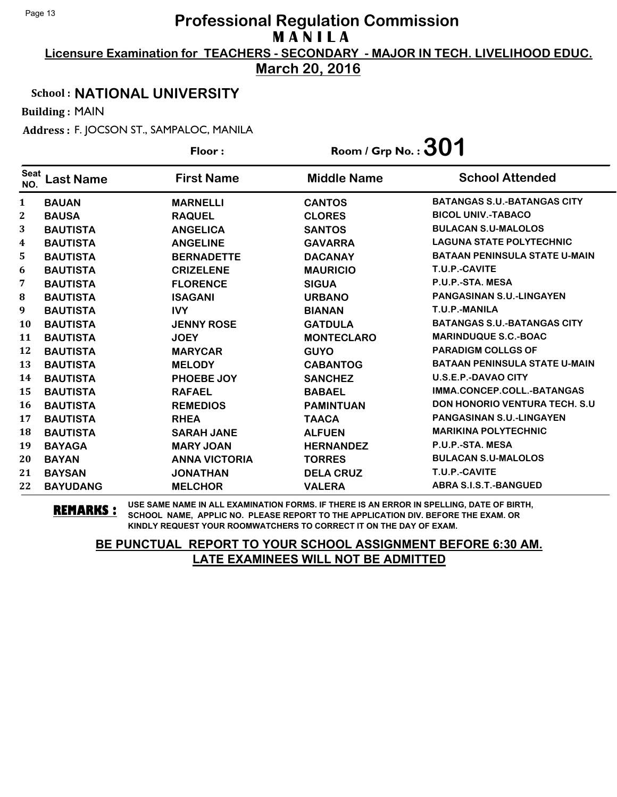**Licensure Examination for TEACHERS - SECONDARY - MAJOR IN TECH. LIVELIHOOD EDUC.**

**March 20, 2016**

### School : **NATIONAL UNIVERSITY**

Building : MAIN

Address : F. JOCSON ST., SAMPALOC, MANILA

|                    |                  | Floor:               | Room / Grp No. : $301$ |                                      |
|--------------------|------------------|----------------------|------------------------|--------------------------------------|
| <b>Seat</b><br>NO. | <b>Last Name</b> | <b>First Name</b>    | <b>Middle Name</b>     | <b>School Attended</b>               |
| $\mathbf{1}$       | <b>BAUAN</b>     | <b>MARNELLI</b>      | <b>CANTOS</b>          | <b>BATANGAS S.U.-BATANGAS CITY</b>   |
| 2                  | <b>BAUSA</b>     | <b>RAQUEL</b>        | <b>CLORES</b>          | <b>BICOL UNIV.-TABACO</b>            |
| 3                  | <b>BAUTISTA</b>  | <b>ANGELICA</b>      | <b>SANTOS</b>          | <b>BULACAN S.U-MALOLOS</b>           |
| 4                  | <b>BAUTISTA</b>  | <b>ANGELINE</b>      | <b>GAVARRA</b>         | <b>LAGUNA STATE POLYTECHNIC</b>      |
| 5.                 | <b>BAUTISTA</b>  | <b>BERNADETTE</b>    | <b>DACANAY</b>         | <b>BATAAN PENINSULA STATE U-MAIN</b> |
| 6                  | <b>BAUTISTA</b>  | <b>CRIZELENE</b>     | <b>MAURICIO</b>        | <b>T.U.P.-CAVITE</b>                 |
| 7                  | <b>BAUTISTA</b>  | <b>FLORENCE</b>      | <b>SIGUA</b>           | P.U.P.-STA. MESA                     |
| 8                  | <b>BAUTISTA</b>  | <b>ISAGANI</b>       | <b>URBANO</b>          | <b>PANGASINAN S.U.-LINGAYEN</b>      |
| 9                  | <b>BAUTISTA</b>  | <b>IVY</b>           | <b>BIANAN</b>          | T.U.P.-MANILA                        |
| <b>10</b>          | <b>BAUTISTA</b>  | <b>JENNY ROSE</b>    | <b>GATDULA</b>         | <b>BATANGAS S.U.-BATANGAS CITY</b>   |
| 11                 | <b>BAUTISTA</b>  | <b>JOEY</b>          | <b>MONTECLARO</b>      | <b>MARINDUQUE S.C.-BOAC</b>          |
| 12                 | <b>BAUTISTA</b>  | <b>MARYCAR</b>       | <b>GUYO</b>            | <b>PARADIGM COLLGS OF</b>            |
| 13                 | <b>BAUTISTA</b>  | <b>MELODY</b>        | <b>CABANTOG</b>        | <b>BATAAN PENINSULA STATE U-MAIN</b> |
| 14                 | <b>BAUTISTA</b>  | PHOEBE JOY           | <b>SANCHEZ</b>         | <b>U.S.E.P.-DAVAO CITY</b>           |
| 15                 | <b>BAUTISTA</b>  | <b>RAFAEL</b>        | <b>BABAEL</b>          | IMMA.CONCEP.COLL.-BATANGAS           |
| <b>16</b>          | <b>BAUTISTA</b>  | <b>REMEDIOS</b>      | <b>PAMINTUAN</b>       | DON HONORIO VENTURA TECH. S.U        |
| 17                 | <b>BAUTISTA</b>  | <b>RHEA</b>          | <b>TAACA</b>           | PANGASINAN S.U.-LINGAYEN             |
| 18                 | <b>BAUTISTA</b>  | <b>SARAH JANE</b>    | <b>ALFUEN</b>          | <b>MARIKINA POLYTECHNIC</b>          |
| 19                 | <b>BAYAGA</b>    | <b>MARY JOAN</b>     | <b>HERNANDEZ</b>       | P.U.P.-STA. MESA                     |
| 20                 | <b>BAYAN</b>     | <b>ANNA VICTORIA</b> | <b>TORRES</b>          | <b>BULACAN S.U-MALOLOS</b>           |
| 21                 | <b>BAYSAN</b>    | <b>JONATHAN</b>      | <b>DELA CRUZ</b>       | T.U.P.-CAVITE                        |
| 22                 | <b>BAYUDANG</b>  | <b>MELCHOR</b>       | <b>VALERA</b>          | <b>ABRA S.I.S.T.-BANGUED</b>         |

**REMARKS :** USE SAME NAME IN ALL EXAMINATION FORMS. IF THERE IS AN ERROR IN SPELLING, DATE OF BIRTH, SCHOOL NAME, APPLIC NO. PLEASE REPORT TO THE APPLICATION DIV. BEFORE THE EXAM. OR KINDLY REQUEST YOUR ROOMWATCHERS TO CORRECT IT ON THE DAY OF EXAM.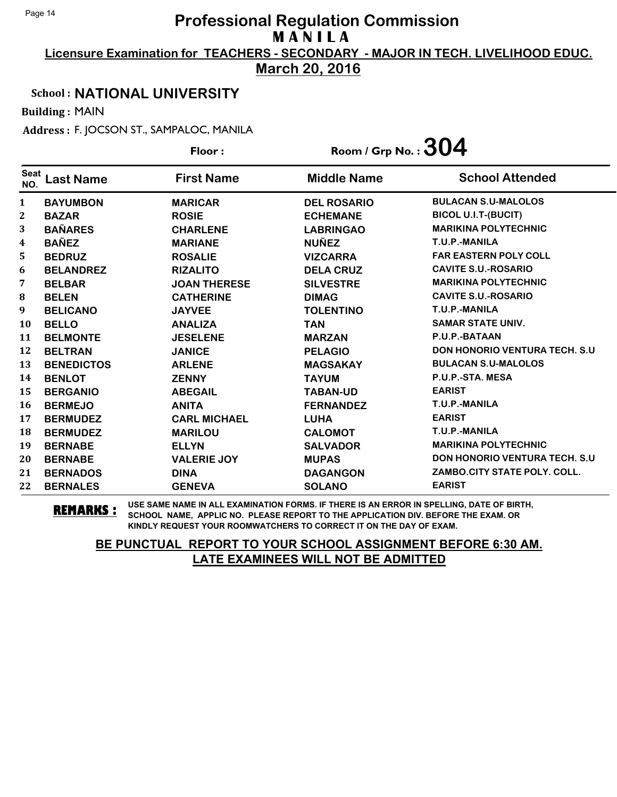**Licensure Examination for TEACHERS - SECONDARY - MAJOR IN TECH. LIVELIHOOD EDUC.**

**March 20, 2016**

### School : **NATIONAL UNIVERSITY**

Building : MAIN

Address : F. JOCSON ST., SAMPALOC, MANILA

|                    |                   | Floor:              | Room / Grp No. : $304$ |                                      |
|--------------------|-------------------|---------------------|------------------------|--------------------------------------|
| <b>Seat</b><br>NO. | <b>Last Name</b>  | <b>First Name</b>   | <b>Middle Name</b>     | <b>School Attended</b>               |
| $\mathbf{1}$       | <b>BAYUMBON</b>   | <b>MARICAR</b>      | <b>DEL ROSARIO</b>     | <b>BULACAN S.U-MALOLOS</b>           |
| 2                  | <b>BAZAR</b>      | <b>ROSIE</b>        | <b>ECHEMANE</b>        | <b>BICOL U.I.T-(BUCIT)</b>           |
| 3                  | <b>BAÑARES</b>    | <b>CHARLENE</b>     | <b>LABRINGAO</b>       | <b>MARIKINA POLYTECHNIC</b>          |
| 4                  | <b>BAÑEZ</b>      | <b>MARIANE</b>      | <b>NUÑEZ</b>           | T.U.P.-MANILA                        |
| 5                  | <b>BEDRUZ</b>     | <b>ROSALIE</b>      | <b>VIZCARRA</b>        | <b>FAR EASTERN POLY COLL</b>         |
| 6                  | <b>BELANDREZ</b>  | <b>RIZALITO</b>     | <b>DELA CRUZ</b>       | <b>CAVITE S.U.-ROSARIO</b>           |
| 7                  | <b>BELBAR</b>     | <b>JOAN THERESE</b> | <b>SILVESTRE</b>       | <b>MARIKINA POLYTECHNIC</b>          |
| 8                  | <b>BELEN</b>      | <b>CATHERINE</b>    | <b>DIMAG</b>           | <b>CAVITE S.U.-ROSARIO</b>           |
| 9                  | <b>BELICANO</b>   | <b>JAYVEE</b>       | <b>TOLENTINO</b>       | T.U.P.-MANILA                        |
| 10                 | <b>BELLO</b>      | <b>ANALIZA</b>      | <b>TAN</b>             | <b>SAMAR STATE UNIV.</b>             |
| 11                 | <b>BELMONTE</b>   | <b>JESELENE</b>     | <b>MARZAN</b>          | P.U.P.-BATAAN                        |
| 12                 | <b>BELTRAN</b>    | <b>JANICE</b>       | <b>PELAGIO</b>         | <b>DON HONORIO VENTURA TECH. S.U</b> |
| 13                 | <b>BENEDICTOS</b> | <b>ARLENE</b>       | <b>MAGSAKAY</b>        | <b>BULACAN S.U-MALOLOS</b>           |
| 14                 | <b>BENLOT</b>     | <b>ZENNY</b>        | <b>TAYUM</b>           | P.U.P.-STA. MESA                     |
| 15                 | <b>BERGANIO</b>   | <b>ABEGAIL</b>      | <b>TABAN-UD</b>        | <b>EARIST</b>                        |
| 16                 | <b>BERMEJO</b>    | <b>ANITA</b>        | <b>FERNANDEZ</b>       | T.U.P.-MANILA                        |
| 17                 | <b>BERMUDEZ</b>   | <b>CARL MICHAEL</b> | <b>LUHA</b>            | <b>EARIST</b>                        |
| 18                 | <b>BERMUDEZ</b>   | <b>MARILOU</b>      | <b>CALOMOT</b>         | T.U.P.-MANILA                        |
| 19                 | <b>BERNABE</b>    | <b>ELLYN</b>        | <b>SALVADOR</b>        | <b>MARIKINA POLYTECHNIC</b>          |
| 20                 | <b>BERNABE</b>    | <b>VALERIE JOY</b>  | <b>MUPAS</b>           | <b>DON HONORIO VENTURA TECH. S.U</b> |
| 21                 | <b>BERNADOS</b>   | <b>DINA</b>         | <b>DAGANGON</b>        | ZAMBO.CITY STATE POLY, COLL.         |
| 22                 | <b>BERNALES</b>   | <b>GENEVA</b>       | <b>SOLANO</b>          | <b>EARIST</b>                        |

**REMARKS :** USE SAME NAME IN ALL EXAMINATION FORMS. IF THERE IS AN ERROR IN SPELLING, DATE OF BIRTH, SCHOOL NAME, APPLIC NO. PLEASE REPORT TO THE APPLICATION DIV. BEFORE THE EXAM. OR KINDLY REQUEST YOUR ROOMWATCHERS TO CORRECT IT ON THE DAY OF EXAM.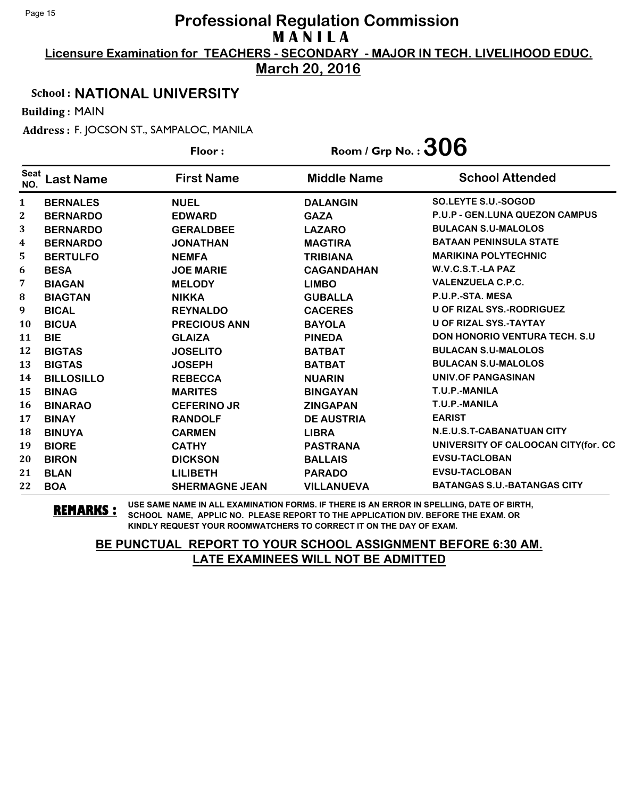**Licensure Examination for TEACHERS - SECONDARY - MAJOR IN TECH. LIVELIHOOD EDUC.**

**March 20, 2016**

### School : **NATIONAL UNIVERSITY**

Building : MAIN

Address : F. JOCSON ST., SAMPALOC, MANILA

|                    |                   | Floor:                | Room / Grp No. : $306$ |                                       |
|--------------------|-------------------|-----------------------|------------------------|---------------------------------------|
| <b>Seat</b><br>NO. | <b>Last Name</b>  | <b>First Name</b>     | <b>Middle Name</b>     | <b>School Attended</b>                |
| $\mathbf{1}$       | <b>BERNALES</b>   | <b>NUEL</b>           | <b>DALANGIN</b>        | SO.LEYTE S.U.-SOGOD                   |
| 2                  | <b>BERNARDO</b>   | <b>EDWARD</b>         | <b>GAZA</b>            | <b>P.U.P - GEN.LUNA QUEZON CAMPUS</b> |
| 3                  | <b>BERNARDO</b>   | <b>GERALDBEE</b>      | <b>LAZARO</b>          | <b>BULACAN S.U-MALOLOS</b>            |
| 4                  | <b>BERNARDO</b>   | <b>JONATHAN</b>       | <b>MAGTIRA</b>         | <b>BATAAN PENINSULA STATE</b>         |
| 5                  | <b>BERTULFO</b>   | <b>NEMFA</b>          | <b>TRIBIANA</b>        | <b>MARIKINA POLYTECHNIC</b>           |
| 6                  | <b>BESA</b>       | <b>JOE MARIE</b>      | <b>CAGANDAHAN</b>      | W.V.C.S.T.-LA PAZ                     |
| 7                  | <b>BIAGAN</b>     | <b>MELODY</b>         | <b>LIMBO</b>           | <b>VALENZUELA C.P.C.</b>              |
| 8                  | <b>BIAGTAN</b>    | <b>NIKKA</b>          | <b>GUBALLA</b>         | P.U.P.-STA. MESA                      |
| 9                  | <b>BICAL</b>      | <b>REYNALDO</b>       | <b>CACERES</b>         | <b>U OF RIZAL SYS.-RODRIGUEZ</b>      |
| 10                 | <b>BICUA</b>      | <b>PRECIOUS ANN</b>   | <b>BAYOLA</b>          | <b>U OF RIZAL SYS.-TAYTAY</b>         |
| 11                 | <b>BIE</b>        | <b>GLAIZA</b>         | <b>PINEDA</b>          | <b>DON HONORIO VENTURA TECH. S.U.</b> |
| 12                 | <b>BIGTAS</b>     | <b>JOSELITO</b>       | <b>BATBAT</b>          | <b>BULACAN S.U-MALOLOS</b>            |
| 13                 | <b>BIGTAS</b>     | <b>JOSEPH</b>         | <b>BATBAT</b>          | <b>BULACAN S.U-MALOLOS</b>            |
| 14                 | <b>BILLOSILLO</b> | <b>REBECCA</b>        | <b>NUARIN</b>          | UNIV.OF PANGASINAN                    |
| 15                 | <b>BINAG</b>      | <b>MARITES</b>        | <b>BINGAYAN</b>        | T.U.P.-MANILA                         |
| 16                 | <b>BINARAO</b>    | <b>CEFERINO JR</b>    | <b>ZINGAPAN</b>        | T.U.P.-MANILA                         |
| 17                 | <b>BINAY</b>      | <b>RANDOLF</b>        | <b>DE AUSTRIA</b>      | <b>EARIST</b>                         |
| 18                 | <b>BINUYA</b>     | <b>CARMEN</b>         | <b>LIBRA</b>           | N.E.U.S.T-CABANATUAN CITY             |
| 19                 | <b>BIORE</b>      | <b>CATHY</b>          | <b>PASTRANA</b>        | UNIVERSITY OF CALOOCAN CITY(for. CC   |
| 20                 | <b>BIRON</b>      | <b>DICKSON</b>        | <b>BALLAIS</b>         | <b>EVSU-TACLOBAN</b>                  |
| 21                 | <b>BLAN</b>       | <b>LILIBETH</b>       | <b>PARADO</b>          | <b>EVSU-TACLOBAN</b>                  |
| 22                 | <b>BOA</b>        | <b>SHERMAGNE JEAN</b> | <b>VILLANUEVA</b>      | <b>BATANGAS S.U.-BATANGAS CITY</b>    |

**REMARKS :** USE SAME NAME IN ALL EXAMINATION FORMS. IF THERE IS AN ERROR IN SPELLING, DATE OF BIRTH, SCHOOL NAME, APPLIC NO. PLEASE REPORT TO THE APPLICATION DIV. BEFORE THE EXAM. OR KINDLY REQUEST YOUR ROOMWATCHERS TO CORRECT IT ON THE DAY OF EXAM.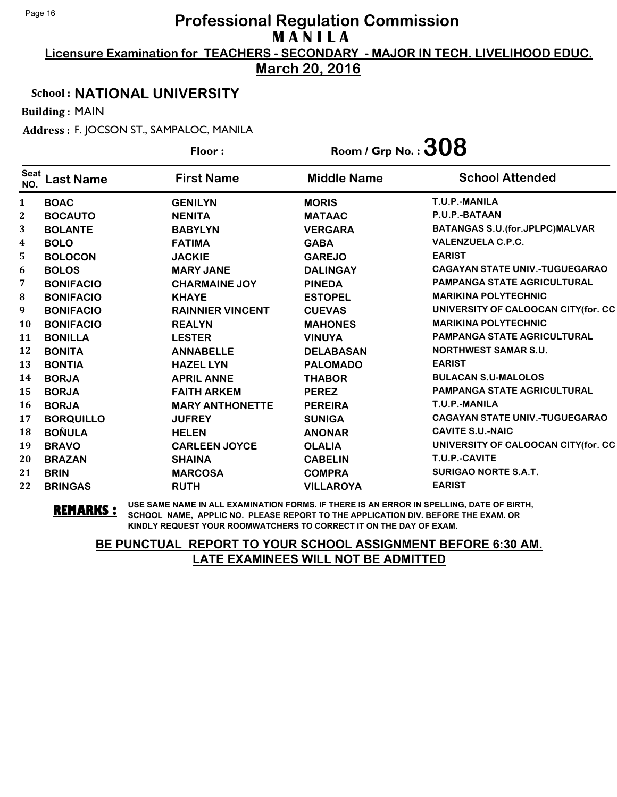**Licensure Examination for TEACHERS - SECONDARY - MAJOR IN TECH. LIVELIHOOD EDUC.**

**March 20, 2016**

### School : **NATIONAL UNIVERSITY**

Building : MAIN

Address : F. JOCSON ST., SAMPALOC, MANILA

|                    |                  | Floor:                  | Room / Grp No. : $308$ |                                          |
|--------------------|------------------|-------------------------|------------------------|------------------------------------------|
| <b>Seat</b><br>NO. | <b>Last Name</b> | <b>First Name</b>       | <b>Middle Name</b>     | <b>School Attended</b>                   |
| 1                  | <b>BOAC</b>      | <b>GENILYN</b>          | <b>MORIS</b>           | T.U.P.-MANILA                            |
| $\mathbf{2}$       | <b>BOCAUTO</b>   | <b>NENITA</b>           | <b>MATAAC</b>          | P.U.P.-BATAAN                            |
| 3                  | <b>BOLANTE</b>   | <b>BABYLYN</b>          | <b>VERGARA</b>         | <b>BATANGAS S.U. (for. JPLPC) MALVAR</b> |
| 4                  | <b>BOLO</b>      | <b>FATIMA</b>           | <b>GABA</b>            | <b>VALENZUELA C.P.C.</b>                 |
| 5                  | <b>BOLOCON</b>   | <b>JACKIE</b>           | <b>GAREJO</b>          | <b>EARIST</b>                            |
| 6                  | <b>BOLOS</b>     | <b>MARY JANE</b>        | <b>DALINGAY</b>        | <b>CAGAYAN STATE UNIV.-TUGUEGARAO</b>    |
| 7                  | <b>BONIFACIO</b> | <b>CHARMAINE JOY</b>    | <b>PINEDA</b>          | <b>PAMPANGA STATE AGRICULTURAL</b>       |
| 8                  | <b>BONIFACIO</b> | <b>KHAYE</b>            | <b>ESTOPEL</b>         | <b>MARIKINA POLYTECHNIC</b>              |
| 9                  | <b>BONIFACIO</b> | <b>RAINNIER VINCENT</b> | <b>CUEVAS</b>          | UNIVERSITY OF CALOOCAN CITY(for. CC      |
| 10                 | <b>BONIFACIO</b> | <b>REALYN</b>           | <b>MAHONES</b>         | <b>MARIKINA POLYTECHNIC</b>              |
| 11                 | <b>BONILLA</b>   | <b>LESTER</b>           | <b>VINUYA</b>          | <b>PAMPANGA STATE AGRICULTURAL</b>       |
| 12                 | <b>BONITA</b>    | <b>ANNABELLE</b>        | <b>DELABASAN</b>       | <b>NORTHWEST SAMAR S.U.</b>              |
| 13                 | <b>BONTIA</b>    | <b>HAZEL LYN</b>        | <b>PALOMADO</b>        | <b>EARIST</b>                            |
| 14                 | <b>BORJA</b>     | <b>APRIL ANNE</b>       | <b>THABOR</b>          | <b>BULACAN S.U-MALOLOS</b>               |
| 15                 | <b>BORJA</b>     | <b>FAITH ARKEM</b>      | <b>PEREZ</b>           | <b>PAMPANGA STATE AGRICULTURAL</b>       |
| 16                 | <b>BORJA</b>     | <b>MARY ANTHONETTE</b>  | <b>PEREIRA</b>         | T.U.P.-MANILA                            |
| 17                 | <b>BORQUILLO</b> | <b>JUFREY</b>           | <b>SUNIGA</b>          | <b>CAGAYAN STATE UNIV.-TUGUEGARAO</b>    |
| 18                 | <b>BOÑULA</b>    | <b>HELEN</b>            | <b>ANONAR</b>          | <b>CAVITE S.U.-NAIC</b>                  |
| 19                 | <b>BRAVO</b>     | <b>CARLEEN JOYCE</b>    | <b>OLALIA</b>          | UNIVERSITY OF CALOOCAN CITY (for. CC     |
| 20                 | <b>BRAZAN</b>    | <b>SHAINA</b>           | <b>CABELIN</b>         | T.U.P.-CAVITE                            |
| 21                 | <b>BRIN</b>      | <b>MARCOSA</b>          | <b>COMPRA</b>          | <b>SURIGAO NORTE S.A.T.</b>              |
| 22                 | <b>BRINGAS</b>   | <b>RUTH</b>             | <b>VILLAROYA</b>       | <b>EARIST</b>                            |

**REMARKS :** USE SAME NAME IN ALL EXAMINATION FORMS. IF THERE IS AN ERROR IN SPELLING, DATE OF BIRTH, SCHOOL NAME, APPLIC NO. PLEASE REPORT TO THE APPLICATION DIV. BEFORE THE EXAM. OR KINDLY REQUEST YOUR ROOMWATCHERS TO CORRECT IT ON THE DAY OF EXAM.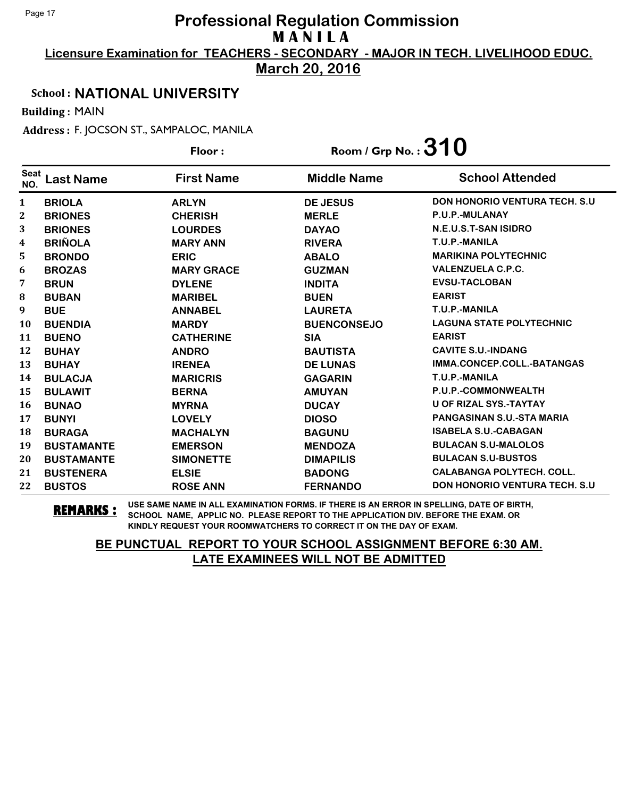**Licensure Examination for TEACHERS - SECONDARY - MAJOR IN TECH. LIVELIHOOD EDUC.**

**March 20, 2016**

### School : **NATIONAL UNIVERSITY**

Building : MAIN

Address : F. JOCSON ST., SAMPALOC, MANILA

|                    |                   | Floor:            | Room / Grp No. : $310$ |                                       |
|--------------------|-------------------|-------------------|------------------------|---------------------------------------|
| <b>Seat</b><br>NO. | <b>Last Name</b>  | <b>First Name</b> | <b>Middle Name</b>     | <b>School Attended</b>                |
| $\mathbf{1}$       | <b>BRIOLA</b>     | <b>ARLYN</b>      | <b>DE JESUS</b>        | <b>DON HONORIO VENTURA TECH. S.U.</b> |
| 2                  | <b>BRIONES</b>    | <b>CHERISH</b>    | <b>MERLE</b>           | P.U.P.-MULANAY                        |
| 3                  | <b>BRIONES</b>    | <b>LOURDES</b>    | <b>DAYAO</b>           | N.E.U.S.T-SAN ISIDRO                  |
| 4                  | <b>BRIÑOLA</b>    | <b>MARY ANN</b>   | <b>RIVERA</b>          | T.U.P.-MANILA                         |
| 5                  | <b>BRONDO</b>     | <b>ERIC</b>       | <b>ABALO</b>           | <b>MARIKINA POLYTECHNIC</b>           |
| 6                  | <b>BROZAS</b>     | <b>MARY GRACE</b> | <b>GUZMAN</b>          | <b>VALENZUELA C.P.C.</b>              |
| 7                  | <b>BRUN</b>       | <b>DYLENE</b>     | <b>INDITA</b>          | <b>EVSU-TACLOBAN</b>                  |
| 8                  | <b>BUBAN</b>      | <b>MARIBEL</b>    | <b>BUEN</b>            | <b>EARIST</b>                         |
| 9                  | <b>BUE</b>        | <b>ANNABEL</b>    | <b>LAURETA</b>         | T.U.P.-MANILA                         |
| <b>10</b>          | <b>BUENDIA</b>    | <b>MARDY</b>      | <b>BUENCONSEJO</b>     | <b>LAGUNA STATE POLYTECHNIC</b>       |
| 11                 | <b>BUENO</b>      | <b>CATHERINE</b>  | <b>SIA</b>             | <b>EARIST</b>                         |
| 12                 | <b>BUHAY</b>      | <b>ANDRO</b>      | <b>BAUTISTA</b>        | <b>CAVITE S.U.-INDANG</b>             |
| 13                 | <b>BUHAY</b>      | <b>IRENEA</b>     | <b>DE LUNAS</b>        | IMMA.CONCEP.COLL.-BATANGAS            |
| 14                 | <b>BULACJA</b>    | <b>MARICRIS</b>   | <b>GAGARIN</b>         | T.U.P.-MANILA                         |
| 15                 | <b>BULAWIT</b>    | <b>BERNA</b>      | <b>AMUYAN</b>          | P.U.P.-COMMONWEALTH                   |
| 16                 | <b>BUNAO</b>      | <b>MYRNA</b>      | <b>DUCAY</b>           | <b>U OF RIZAL SYS.-TAYTAY</b>         |
| 17                 | <b>BUNYI</b>      | <b>LOVELY</b>     | <b>DIOSO</b>           | <b>PANGASINAN S.U.-STA MARIA</b>      |
| 18                 | <b>BURAGA</b>     | <b>MACHALYN</b>   | <b>BAGUNU</b>          | <b>ISABELA S.U.-CABAGAN</b>           |
| 19                 | <b>BUSTAMANTE</b> | <b>EMERSON</b>    | <b>MENDOZA</b>         | <b>BULACAN S.U-MALOLOS</b>            |
| 20                 | <b>BUSTAMANTE</b> | <b>SIMONETTE</b>  | <b>DIMAPILIS</b>       | <b>BULACAN S.U-BUSTOS</b>             |
| 21                 | <b>BUSTENERA</b>  | <b>ELSIE</b>      | <b>BADONG</b>          | <b>CALABANGA POLYTECH, COLL.</b>      |
| 22                 | <b>BUSTOS</b>     | <b>ROSE ANN</b>   | <b>FERNANDO</b>        | <b>DON HONORIO VENTURA TECH. S.U</b>  |

**REMARKS :** USE SAME NAME IN ALL EXAMINATION FORMS. IF THERE IS AN ERROR IN SPELLING, DATE OF BIRTH, SCHOOL NAME, APPLIC NO. PLEASE REPORT TO THE APPLICATION DIV. BEFORE THE EXAM. OR KINDLY REQUEST YOUR ROOMWATCHERS TO CORRECT IT ON THE DAY OF EXAM.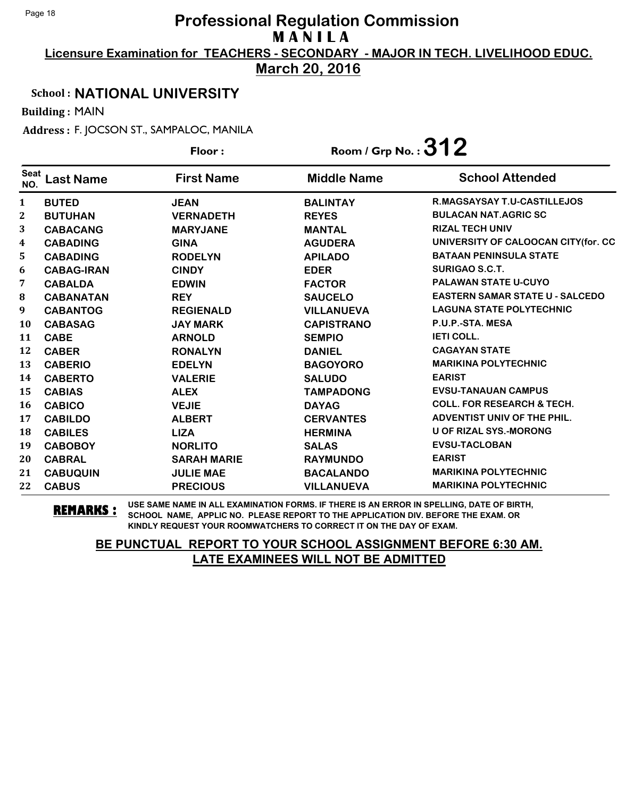**Licensure Examination for TEACHERS - SECONDARY - MAJOR IN TECH. LIVELIHOOD EDUC.**

**March 20, 2016**

### School : **NATIONAL UNIVERSITY**

Building : MAIN

Address : F. JOCSON ST., SAMPALOC, MANILA

|                  |                   | Floor:             | Room / Grp No.: $312$ |                                        |
|------------------|-------------------|--------------------|-----------------------|----------------------------------------|
| Seat<br>NO.      | <b>Last Name</b>  | <b>First Name</b>  | <b>Middle Name</b>    | <b>School Attended</b>                 |
| 1                | <b>BUTED</b>      | <b>JEAN</b>        | <b>BALINTAY</b>       | <b>R.MAGSAYSAY T.U-CASTILLEJOS</b>     |
| $\mathbf{2}$     | <b>BUTUHAN</b>    | <b>VERNADETH</b>   | <b>REYES</b>          | <b>BULACAN NAT.AGRIC SC</b>            |
| 3                | <b>CABACANG</b>   | <b>MARYJANE</b>    | <b>MANTAL</b>         | <b>RIZAL TECH UNIV</b>                 |
| 4                | <b>CABADING</b>   | <b>GINA</b>        | <b>AGUDERA</b>        | UNIVERSITY OF CALOOCAN CITY(for. CC    |
| 5                | <b>CABADING</b>   | <b>RODELYN</b>     | <b>APILADO</b>        | <b>BATAAN PENINSULA STATE</b>          |
| 6                | <b>CABAG-IRAN</b> | <b>CINDY</b>       | <b>EDER</b>           | <b>SURIGAO S.C.T.</b>                  |
| 7                | <b>CABALDA</b>    | <b>EDWIN</b>       | <b>FACTOR</b>         | <b>PALAWAN STATE U-CUYO</b>            |
| 8                | <b>CABANATAN</b>  | <b>REY</b>         | <b>SAUCELO</b>        | <b>EASTERN SAMAR STATE U - SALCEDO</b> |
| $\boldsymbol{9}$ | <b>CABANTOG</b>   | <b>REGIENALD</b>   | <b>VILLANUEVA</b>     | <b>LAGUNA STATE POLYTECHNIC</b>        |
| <b>10</b>        | <b>CABASAG</b>    | <b>JAY MARK</b>    | <b>CAPISTRANO</b>     | P.U.P.-STA. MESA                       |
| 11               | <b>CABE</b>       | <b>ARNOLD</b>      | <b>SEMPIO</b>         | <b>IETI COLL.</b>                      |
| 12               | <b>CABER</b>      | <b>RONALYN</b>     | <b>DANIEL</b>         | <b>CAGAYAN STATE</b>                   |
| 13               | <b>CABERIO</b>    | <b>EDELYN</b>      | <b>BAGOYORO</b>       | <b>MARIKINA POLYTECHNIC</b>            |
| 14               | <b>CABERTO</b>    | <b>VALERIE</b>     | <b>SALUDO</b>         | <b>EARIST</b>                          |
| 15               | <b>CABIAS</b>     | <b>ALEX</b>        | <b>TAMPADONG</b>      | <b>EVSU-TANAUAN CAMPUS</b>             |
| 16               | <b>CABICO</b>     | <b>VEJIE</b>       | <b>DAYAG</b>          | <b>COLL. FOR RESEARCH &amp; TECH.</b>  |
| 17               | <b>CABILDO</b>    | <b>ALBERT</b>      | <b>CERVANTES</b>      | ADVENTIST UNIV OF THE PHIL.            |
| 18               | <b>CABILES</b>    | <b>LIZA</b>        | <b>HERMINA</b>        | U OF RIZAL SYS.-MORONG                 |
| 19               | <b>CABOBOY</b>    | <b>NORLITO</b>     | <b>SALAS</b>          | <b>EVSU-TACLOBAN</b>                   |
| 20               | <b>CABRAL</b>     | <b>SARAH MARIE</b> | <b>RAYMUNDO</b>       | <b>EARIST</b>                          |
| 21               | <b>CABUQUIN</b>   | <b>JULIE MAE</b>   | <b>BACALANDO</b>      | <b>MARIKINA POLYTECHNIC</b>            |
| 22               | <b>CABUS</b>      | <b>PRECIOUS</b>    | <b>VILLANUEVA</b>     | <b>MARIKINA POLYTECHNIC</b>            |

**REMARKS :** USE SAME NAME IN ALL EXAMINATION FORMS. IF THERE IS AN ERROR IN SPELLING, DATE OF BIRTH, SCHOOL NAME, APPLIC NO. PLEASE REPORT TO THE APPLICATION DIV. BEFORE THE EXAM. OR KINDLY REQUEST YOUR ROOMWATCHERS TO CORRECT IT ON THE DAY OF EXAM.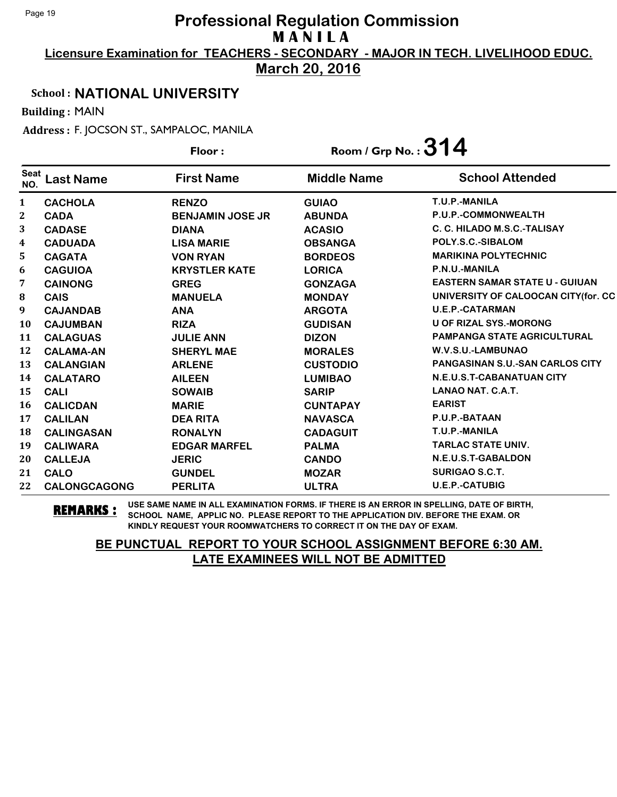**Licensure Examination for TEACHERS - SECONDARY - MAJOR IN TECH. LIVELIHOOD EDUC.**

**March 20, 2016**

### School : **NATIONAL UNIVERSITY**

Building : MAIN

Address : F. JOCSON ST., SAMPALOC, MANILA

|                    |                     | Floor:                  | Room / Grp No. : $314$ |                                        |
|--------------------|---------------------|-------------------------|------------------------|----------------------------------------|
| <b>Seat</b><br>NO. | <b>Last Name</b>    | <b>First Name</b>       | <b>Middle Name</b>     | <b>School Attended</b>                 |
| $\mathbf{1}$       | <b>CACHOLA</b>      | <b>RENZO</b>            | <b>GUIAO</b>           | T.U.P.-MANILA                          |
| $\boldsymbol{2}$   | <b>CADA</b>         | <b>BENJAMIN JOSE JR</b> | <b>ABUNDA</b>          | P.U.P.-COMMONWEALTH                    |
| 3                  | <b>CADASE</b>       | <b>DIANA</b>            | <b>ACASIO</b>          | C. C. HILADO M.S.C.-TALISAY            |
| 4                  | <b>CADUADA</b>      | <b>LISA MARIE</b>       | <b>OBSANGA</b>         | POLY.S.C.-SIBALOM                      |
| 5                  | <b>CAGATA</b>       | <b>VON RYAN</b>         | <b>BORDEOS</b>         | <b>MARIKINA POLYTECHNIC</b>            |
| 6                  | <b>CAGUIOA</b>      | <b>KRYSTLER KATE</b>    | <b>LORICA</b>          | P.N.U.-MANILA                          |
| 7                  | <b>CAINONG</b>      | <b>GREG</b>             | <b>GONZAGA</b>         | <b>EASTERN SAMAR STATE U - GUIUAN</b>  |
| ${\bf 8}$          | <b>CAIS</b>         | <b>MANUELA</b>          | <b>MONDAY</b>          | UNIVERSITY OF CALOOCAN CITY (for. CC   |
| 9                  | <b>CAJANDAB</b>     | <b>ANA</b>              | <b>ARGOTA</b>          | <b>U.E.P.-CATARMAN</b>                 |
| 10                 | <b>CAJUMBAN</b>     | <b>RIZA</b>             | <b>GUDISAN</b>         | <b>U OF RIZAL SYS.-MORONG</b>          |
| 11                 | <b>CALAGUAS</b>     | <b>JULIE ANN</b>        | <b>DIZON</b>           | <b>PAMPANGA STATE AGRICULTURAL</b>     |
| 12                 | <b>CALAMA-AN</b>    | <b>SHERYL MAE</b>       | <b>MORALES</b>         | W.V.S.U.-LAMBUNAO                      |
| 13                 | <b>CALANGIAN</b>    | <b>ARLENE</b>           | <b>CUSTODIO</b>        | <b>PANGASINAN S.U.-SAN CARLOS CITY</b> |
| 14                 | <b>CALATARO</b>     | <b>AILEEN</b>           | <b>LUMIBAO</b>         | N.E.U.S.T-CABANATUAN CITY              |
| 15                 | <b>CALI</b>         | <b>SOWAIB</b>           | <b>SARIP</b>           | LANAO NAT. C.A.T.                      |
| 16                 | <b>CALICDAN</b>     | <b>MARIE</b>            | <b>CUNTAPAY</b>        | <b>EARIST</b>                          |
| 17                 | <b>CALILAN</b>      | <b>DEA RITA</b>         | <b>NAVASCA</b>         | P.U.P.-BATAAN                          |
| 18                 | <b>CALINGASAN</b>   | <b>RONALYN</b>          | <b>CADAGUIT</b>        | T.U.P.-MANILA                          |
| 19                 | <b>CALIWARA</b>     | <b>EDGAR MARFEL</b>     | <b>PALMA</b>           | <b>TARLAC STATE UNIV.</b>              |
| 20                 | <b>CALLEJA</b>      | <b>JERIC</b>            | <b>CANDO</b>           | N.E.U.S.T-GABALDON                     |
| 21                 | <b>CALO</b>         | <b>GUNDEL</b>           | <b>MOZAR</b>           | <b>SURIGAO S.C.T.</b>                  |
| 22                 | <b>CALONGCAGONG</b> | <b>PERLITA</b>          | <b>ULTRA</b>           | <b>U.E.P.-CATUBIG</b>                  |

**REMARKS :** USE SAME NAME IN ALL EXAMINATION FORMS. IF THERE IS AN ERROR IN SPELLING, DATE OF BIRTH, SCHOOL NAME, APPLIC NO. PLEASE REPORT TO THE APPLICATION DIV. BEFORE THE EXAM. OR KINDLY REQUEST YOUR ROOMWATCHERS TO CORRECT IT ON THE DAY OF EXAM.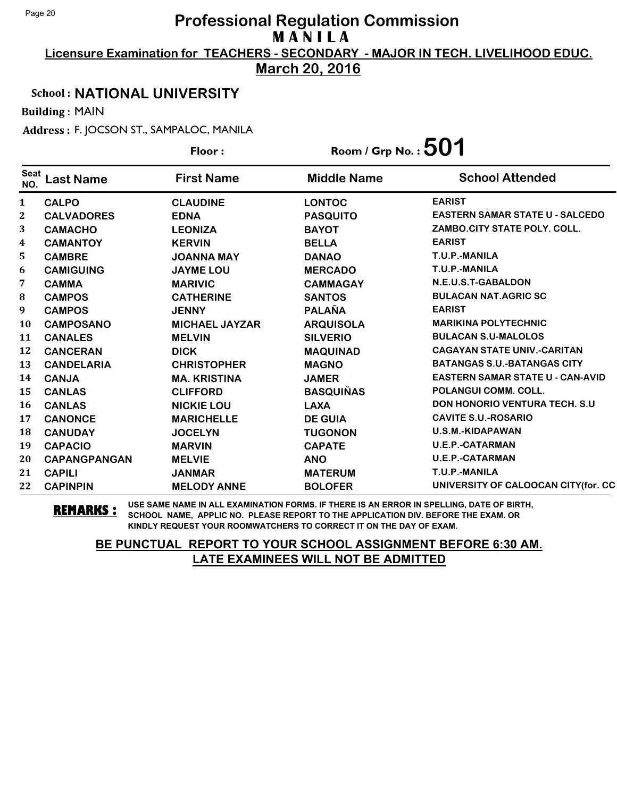**Licensure Examination for TEACHERS - SECONDARY - MAJOR IN TECH. LIVELIHOOD EDUC.**

**March 20, 2016**

### School : **NATIONAL UNIVERSITY**

Building : MAIN

Address : F. JOCSON ST., SAMPALOC, MANILA

|                    |                     | Floor:                | Room / Grp No. : $501$ |                                         |
|--------------------|---------------------|-----------------------|------------------------|-----------------------------------------|
| <b>Seat</b><br>NO. | <b>Last Name</b>    | <b>First Name</b>     | <b>Middle Name</b>     | <b>School Attended</b>                  |
| $\mathbf{1}$       | <b>CALPO</b>        | <b>CLAUDINE</b>       | <b>LONTOC</b>          | <b>EARIST</b>                           |
| 2                  | <b>CALVADORES</b>   | <b>EDNA</b>           | <b>PASQUITO</b>        | <b>EASTERN SAMAR STATE U - SALCEDO</b>  |
| 3                  | <b>CAMACHO</b>      | <b>LEONIZA</b>        | <b>BAYOT</b>           | ZAMBO.CITY STATE POLY. COLL.            |
| 4                  | <b>CAMANTOY</b>     | <b>KERVIN</b>         | <b>BELLA</b>           | <b>EARIST</b>                           |
| 5.                 | <b>CAMBRE</b>       | <b>JOANNA MAY</b>     | <b>DANAO</b>           | T.U.P.-MANILA                           |
| 6                  | <b>CAMIGUING</b>    | <b>JAYME LOU</b>      | <b>MERCADO</b>         | T.U.P.-MANILA                           |
| 7                  | <b>CAMMA</b>        | <b>MARIVIC</b>        | <b>CAMMAGAY</b>        | N.E.U.S.T-GABALDON                      |
| ${\bf 8}$          | <b>CAMPOS</b>       | <b>CATHERINE</b>      | <b>SANTOS</b>          | <b>BULACAN NAT.AGRIC SC</b>             |
| 9                  | <b>CAMPOS</b>       | <b>JENNY</b>          | <b>PALAÑA</b>          | <b>EARIST</b>                           |
| 10                 | <b>CAMPOSANO</b>    | <b>MICHAEL JAYZAR</b> | <b>ARQUISOLA</b>       | <b>MARIKINA POLYTECHNIC</b>             |
| 11                 | <b>CANALES</b>      | <b>MELVIN</b>         | <b>SILVERIO</b>        | <b>BULACAN S.U-MALOLOS</b>              |
| 12                 | <b>CANCERAN</b>     | <b>DICK</b>           | <b>MAQUINAD</b>        | <b>CAGAYAN STATE UNIV.-CARITAN</b>      |
| 13                 | <b>CANDELARIA</b>   | <b>CHRISTOPHER</b>    | <b>MAGNO</b>           | <b>BATANGAS S.U.-BATANGAS CITY</b>      |
| 14                 | <b>CANJA</b>        | <b>MA. KRISTINA</b>   | <b>JAMER</b>           | <b>EASTERN SAMAR STATE U - CAN-AVID</b> |
| 15                 | <b>CANLAS</b>       | <b>CLIFFORD</b>       | <b>BASQUIÑAS</b>       | POLANGUI COMM. COLL.                    |
| 16                 | <b>CANLAS</b>       | <b>NICKIE LOU</b>     | <b>LAXA</b>            | <b>DON HONORIO VENTURA TECH. S.U.</b>   |
| 17                 | <b>CANONCE</b>      | <b>MARICHELLE</b>     | <b>DE GUIA</b>         | <b>CAVITE S.U.-ROSARIO</b>              |
| 18                 | <b>CANUDAY</b>      | <b>JOCELYN</b>        | <b>TUGONON</b>         | U.S.M.-KIDAPAWAN                        |
| 19                 | <b>CAPACIO</b>      | <b>MARVIN</b>         | <b>CAPATE</b>          | <b>U.E.P.-CATARMAN</b>                  |
| 20                 | <b>CAPANGPANGAN</b> | <b>MELVIE</b>         | <b>ANO</b>             | <b>U.E.P.-CATARMAN</b>                  |
| 21                 | <b>CAPILI</b>       | <b>JANMAR</b>         | <b>MATERUM</b>         | T.U.P.-MANILA                           |
| 22                 | <b>CAPINPIN</b>     | <b>MELODY ANNE</b>    | <b>BOLOFER</b>         | UNIVERSITY OF CALOOCAN CITY(for. CC     |

**REMARKS :** USE SAME NAME IN ALL EXAMINATION FORMS. IF THERE IS AN ERROR IN SPELLING, DATE OF BIRTH, SCHOOL NAME, APPLIC NO. PLEASE REPORT TO THE APPLICATION DIV. BEFORE THE EXAM. OR KINDLY REQUEST YOUR ROOMWATCHERS TO CORRECT IT ON THE DAY OF EXAM.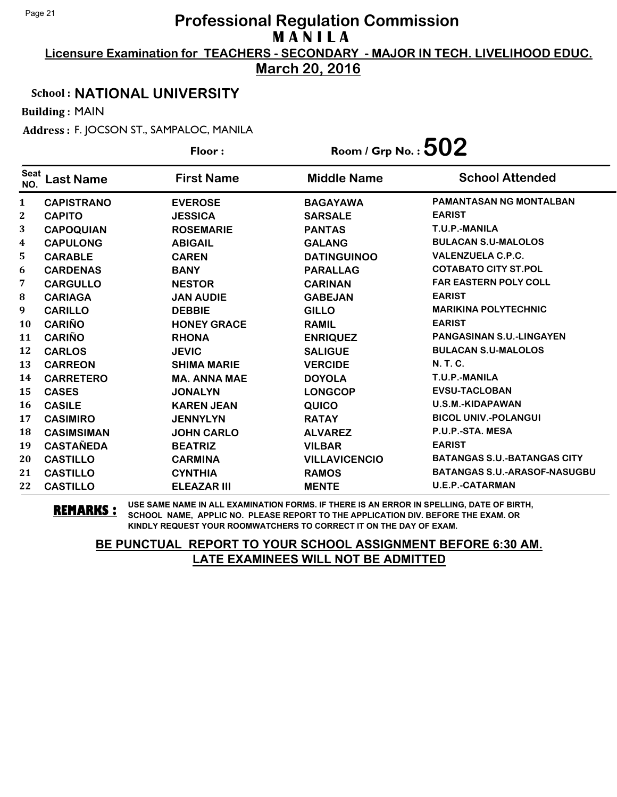**Licensure Examination for TEACHERS - SECONDARY - MAJOR IN TECH. LIVELIHOOD EDUC.**

**March 20, 2016**

### School : **NATIONAL UNIVERSITY**

Building : MAIN

Address : F. JOCSON ST., SAMPALOC, MANILA

|                    |                   | Floor:              | Room / Grp No. : $502$ |                                     |
|--------------------|-------------------|---------------------|------------------------|-------------------------------------|
| <b>Seat</b><br>NO. | <b>Last Name</b>  | <b>First Name</b>   | <b>Middle Name</b>     | <b>School Attended</b>              |
| 1                  | <b>CAPISTRANO</b> | <b>EVEROSE</b>      | <b>BAGAYAWA</b>        | <b>PAMANTASAN NG MONTALBAN</b>      |
| 2                  | <b>CAPITO</b>     | <b>JESSICA</b>      | <b>SARSALE</b>         | <b>EARIST</b>                       |
| 3                  | <b>CAPOQUIAN</b>  | <b>ROSEMARIE</b>    | <b>PANTAS</b>          | T.U.P.-MANILA                       |
| 4                  | <b>CAPULONG</b>   | <b>ABIGAIL</b>      | <b>GALANG</b>          | <b>BULACAN S.U-MALOLOS</b>          |
| 5                  | <b>CARABLE</b>    | <b>CAREN</b>        | <b>DATINGUINOO</b>     | <b>VALENZUELA C.P.C.</b>            |
| 6                  | <b>CARDENAS</b>   | <b>BANY</b>         | <b>PARALLAG</b>        | <b>COTABATO CITY ST.POL</b>         |
| 7                  | <b>CARGULLO</b>   | <b>NESTOR</b>       | <b>CARINAN</b>         | <b>FAR EASTERN POLY COLL</b>        |
| 8                  | <b>CARIAGA</b>    | <b>JAN AUDIE</b>    | <b>GABEJAN</b>         | <b>EARIST</b>                       |
| $\boldsymbol{9}$   | <b>CARILLO</b>    | <b>DEBBIE</b>       | <b>GILLO</b>           | <b>MARIKINA POLYTECHNIC</b>         |
| <b>10</b>          | <b>CARIÑO</b>     | <b>HONEY GRACE</b>  | <b>RAMIL</b>           | <b>EARIST</b>                       |
| 11                 | <b>CARIÑO</b>     | <b>RHONA</b>        | <b>ENRIQUEZ</b>        | <b>PANGASINAN S.U.-LINGAYEN</b>     |
| 12                 | <b>CARLOS</b>     | <b>JEVIC</b>        | <b>SALIGUE</b>         | <b>BULACAN S.U-MALOLOS</b>          |
| 13                 | <b>CARREON</b>    | <b>SHIMA MARIE</b>  | <b>VERCIDE</b>         | <b>N. T. C.</b>                     |
| 14                 | <b>CARRETERO</b>  | <b>MA. ANNA MAE</b> | <b>DOYOLA</b>          | T.U.P.-MANILA                       |
| 15                 | <b>CASES</b>      | <b>JONALYN</b>      | <b>LONGCOP</b>         | <b>EVSU-TACLOBAN</b>                |
| 16                 | <b>CASILE</b>     | <b>KAREN JEAN</b>   | QUICO                  | U.S.M.-KIDAPAWAN                    |
| 17                 | <b>CASIMIRO</b>   | <b>JENNYLYN</b>     | <b>RATAY</b>           | <b>BICOL UNIV.-POLANGUI</b>         |
| 18                 | <b>CASIMSIMAN</b> | <b>JOHN CARLO</b>   | <b>ALVAREZ</b>         | P.U.P.-STA. MESA                    |
| 19                 | <b>CASTAÑEDA</b>  | <b>BEATRIZ</b>      | <b>VILBAR</b>          | <b>EARIST</b>                       |
| 20                 | <b>CASTILLO</b>   | <b>CARMINA</b>      | <b>VILLAVICENCIO</b>   | <b>BATANGAS S.U.-BATANGAS CITY</b>  |
| 21                 | <b>CASTILLO</b>   | <b>CYNTHIA</b>      | <b>RAMOS</b>           | <b>BATANGAS S.U.-ARASOF-NASUGBU</b> |
| 22                 | <b>CASTILLO</b>   | <b>ELEAZAR III</b>  | <b>MENTE</b>           | <b>U.E.P.-CATARMAN</b>              |

**REMARKS :** USE SAME NAME IN ALL EXAMINATION FORMS. IF THERE IS AN ERROR IN SPELLING, DATE OF BIRTH, SCHOOL NAME, APPLIC NO. PLEASE REPORT TO THE APPLICATION DIV. BEFORE THE EXAM. OR KINDLY REQUEST YOUR ROOMWATCHERS TO CORRECT IT ON THE DAY OF EXAM.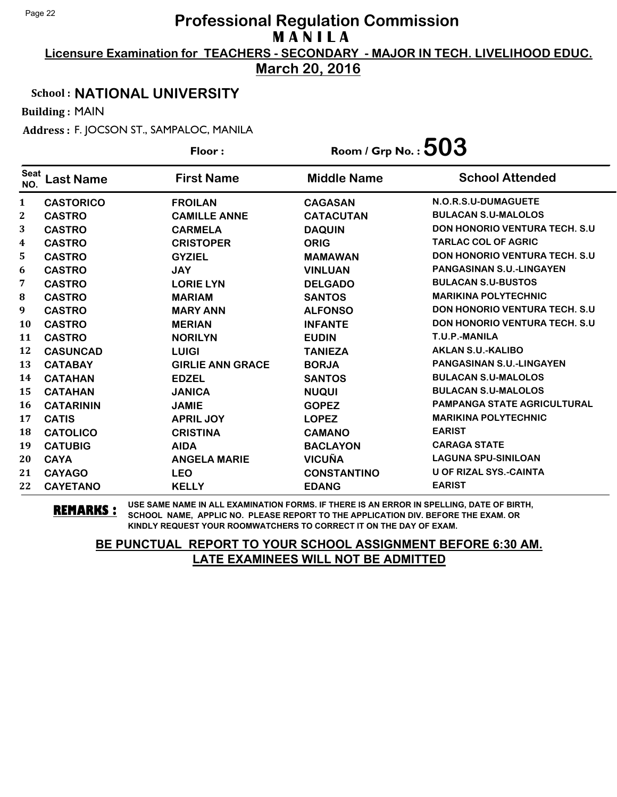**Licensure Examination for TEACHERS - SECONDARY - MAJOR IN TECH. LIVELIHOOD EDUC.**

**March 20, 2016**

### School : **NATIONAL UNIVERSITY**

Building : MAIN

Address : F. JOCSON ST., SAMPALOC, MANILA

|                    |                  | Floor:                  | Room / Grp No. : $503$ |                                       |
|--------------------|------------------|-------------------------|------------------------|---------------------------------------|
| <b>Seat</b><br>NO. | Last Name        | <b>First Name</b>       | <b>Middle Name</b>     | <b>School Attended</b>                |
| 1                  | <b>CASTORICO</b> | <b>FROILAN</b>          | <b>CAGASAN</b>         | N.O.R.S.U-DUMAGUETE                   |
| 2                  | <b>CASTRO</b>    | <b>CAMILLE ANNE</b>     | <b>CATACUTAN</b>       | <b>BULACAN S.U-MALOLOS</b>            |
| 3                  | <b>CASTRO</b>    | <b>CARMELA</b>          | <b>DAQUIN</b>          | <b>DON HONORIO VENTURA TECH. S.U</b>  |
| 4                  | <b>CASTRO</b>    | <b>CRISTOPER</b>        | <b>ORIG</b>            | <b>TARLAC COL OF AGRIC</b>            |
| 5                  | <b>CASTRO</b>    | <b>GYZIEL</b>           | <b>MAMAWAN</b>         | <b>DON HONORIO VENTURA TECH. S.U</b>  |
| 6                  | <b>CASTRO</b>    | <b>JAY</b>              | <b>VINLUAN</b>         | <b>PANGASINAN S.U.-LINGAYEN</b>       |
| 7                  | <b>CASTRO</b>    | <b>LORIE LYN</b>        | <b>DELGADO</b>         | <b>BULACAN S.U-BUSTOS</b>             |
| 8                  | <b>CASTRO</b>    | <b>MARIAM</b>           | <b>SANTOS</b>          | <b>MARIKINA POLYTECHNIC</b>           |
| 9                  | <b>CASTRO</b>    | <b>MARY ANN</b>         | <b>ALFONSO</b>         | <b>DON HONORIO VENTURA TECH. S.U.</b> |
| 10                 | <b>CASTRO</b>    | <b>MERIAN</b>           | <b>INFANTE</b>         | <b>DON HONORIO VENTURA TECH. S.U</b>  |
| 11                 | <b>CASTRO</b>    | <b>NORILYN</b>          | <b>EUDIN</b>           | T.U.P.-MANILA                         |
| 12                 | <b>CASUNCAD</b>  | <b>LUIGI</b>            | <b>TANIEZA</b>         | <b>AKLAN S.U.-KALIBO</b>              |
| 13                 | <b>CATABAY</b>   | <b>GIRLIE ANN GRACE</b> | <b>BORJA</b>           | PANGASINAN S.U.-LINGAYEN              |
| 14                 | <b>CATAHAN</b>   | <b>EDZEL</b>            | <b>SANTOS</b>          | <b>BULACAN S.U-MALOLOS</b>            |
| 15                 | <b>CATAHAN</b>   | <b>JANICA</b>           | <b>NUQUI</b>           | <b>BULACAN S.U-MALOLOS</b>            |
| 16                 | <b>CATARININ</b> | <b>JAMIE</b>            | <b>GOPEZ</b>           | <b>PAMPANGA STATE AGRICULTURAL</b>    |
| 17                 | <b>CATIS</b>     | <b>APRIL JOY</b>        | <b>LOPEZ</b>           | <b>MARIKINA POLYTECHNIC</b>           |
| 18                 | <b>CATOLICO</b>  | <b>CRISTINA</b>         | <b>CAMANO</b>          | <b>EARIST</b>                         |
| 19                 | <b>CATUBIG</b>   | <b>AIDA</b>             | <b>BACLAYON</b>        | <b>CARAGA STATE</b>                   |
| 20                 | <b>CAYA</b>      | <b>ANGELA MARIE</b>     | <b>VICUÑA</b>          | <b>LAGUNA SPU-SINILOAN</b>            |
| 21                 | <b>CAYAGO</b>    | <b>LEO</b>              | <b>CONSTANTINO</b>     | <b>U OF RIZAL SYS.-CAINTA</b>         |
| 22                 | <b>CAYETANO</b>  | <b>KELLY</b>            | <b>EDANG</b>           | <b>EARIST</b>                         |

**REMARKS :** USE SAME NAME IN ALL EXAMINATION FORMS. IF THERE IS AN ERROR IN SPELLING, DATE OF BIRTH, SCHOOL NAME, APPLIC NO. PLEASE REPORT TO THE APPLICATION DIV. BEFORE THE EXAM. OR KINDLY REQUEST YOUR ROOMWATCHERS TO CORRECT IT ON THE DAY OF EXAM.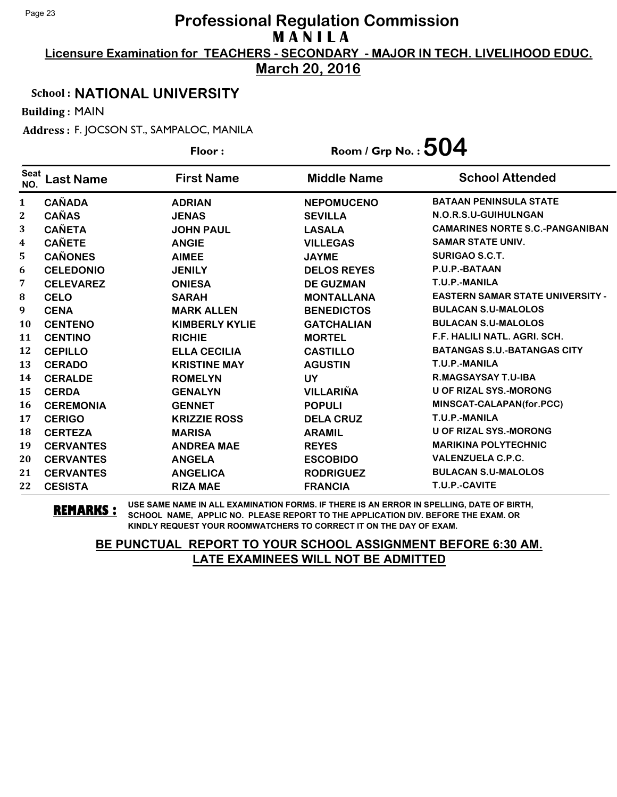**Licensure Examination for TEACHERS - SECONDARY - MAJOR IN TECH. LIVELIHOOD EDUC.**

**March 20, 2016**

### School : **NATIONAL UNIVERSITY**

Building : MAIN

Address : F. JOCSON ST., SAMPALOC, MANILA

|                    |                  | Floor:                | Room / Grp No. : $504$ |                                         |
|--------------------|------------------|-----------------------|------------------------|-----------------------------------------|
| <b>Seat</b><br>NO. | <b>Last Name</b> | <b>First Name</b>     | <b>Middle Name</b>     | <b>School Attended</b>                  |
| $\mathbf{1}$       | <b>CAÑADA</b>    | <b>ADRIAN</b>         | <b>NEPOMUCENO</b>      | <b>BATAAN PENINSULA STATE</b>           |
| 2                  | <b>CAÑAS</b>     | <b>JENAS</b>          | <b>SEVILLA</b>         | N.O.R.S.U-GUIHULNGAN                    |
| 3                  | <b>CAÑETA</b>    | <b>JOHN PAUL</b>      | <b>LASALA</b>          | <b>CAMARINES NORTE S.C.-PANGANIBAN</b>  |
| 4                  | <b>CAÑETE</b>    | <b>ANGIE</b>          | <b>VILLEGAS</b>        | <b>SAMAR STATE UNIV.</b>                |
| 5.                 | <b>CAÑONES</b>   | <b>AIMEE</b>          | <b>JAYME</b>           | <b>SURIGAO S.C.T.</b>                   |
| 6                  | <b>CELEDONIO</b> | <b>JENILY</b>         | <b>DELOS REYES</b>     | P.U.P.-BATAAN                           |
| 7                  | <b>CELEVAREZ</b> | <b>ONIESA</b>         | <b>DE GUZMAN</b>       | T.U.P.-MANILA                           |
| 8                  | <b>CELO</b>      | <b>SARAH</b>          | <b>MONTALLANA</b>      | <b>EASTERN SAMAR STATE UNIVERSITY -</b> |
| $\boldsymbol{9}$   | <b>CENA</b>      | <b>MARK ALLEN</b>     | <b>BENEDICTOS</b>      | <b>BULACAN S.U-MALOLOS</b>              |
| <b>10</b>          | <b>CENTENO</b>   | <b>KIMBERLY KYLIE</b> | <b>GATCHALIAN</b>      | <b>BULACAN S.U-MALOLOS</b>              |
| 11                 | <b>CENTINO</b>   | <b>RICHIE</b>         | <b>MORTEL</b>          | F.F. HALILI NATL. AGRI. SCH.            |
| 12                 | <b>CEPILLO</b>   | <b>ELLA CECILIA</b>   | <b>CASTILLO</b>        | <b>BATANGAS S.U.-BATANGAS CITY</b>      |
| 13                 | <b>CERADO</b>    | <b>KRISTINE MAY</b>   | <b>AGUSTIN</b>         | T.U.P.-MANILA                           |
| 14                 | <b>CERALDE</b>   | <b>ROMELYN</b>        | <b>UY</b>              | <b>R.MAGSAYSAY T.U-IBA</b>              |
| 15                 | <b>CERDA</b>     | <b>GENALYN</b>        | <b>VILLARIÑA</b>       | <b>U OF RIZAL SYS.-MORONG</b>           |
| 16                 | <b>CEREMONIA</b> | <b>GENNET</b>         | <b>POPULI</b>          | MINSCAT-CALAPAN(for.PCC)                |
| 17                 | <b>CERIGO</b>    | <b>KRIZZIE ROSS</b>   | <b>DELA CRUZ</b>       | T.U.P.-MANILA                           |
| 18                 | <b>CERTEZA</b>   | <b>MARISA</b>         | <b>ARAMIL</b>          | <b>U OF RIZAL SYS.-MORONG</b>           |
| 19                 | <b>CERVANTES</b> | <b>ANDREA MAE</b>     | <b>REYES</b>           | <b>MARIKINA POLYTECHNIC</b>             |
| 20                 | <b>CERVANTES</b> | <b>ANGELA</b>         | <b>ESCOBIDO</b>        | <b>VALENZUELA C.P.C.</b>                |
| 21                 | <b>CERVANTES</b> | <b>ANGELICA</b>       | <b>RODRIGUEZ</b>       | <b>BULACAN S.U-MALOLOS</b>              |
| 22                 | <b>CESISTA</b>   | <b>RIZA MAE</b>       | <b>FRANCIA</b>         | T.U.P.-CAVITE                           |

**REMARKS :** USE SAME NAME IN ALL EXAMINATION FORMS. IF THERE IS AN ERROR IN SPELLING, DATE OF BIRTH, SCHOOL NAME, APPLIC NO. PLEASE REPORT TO THE APPLICATION DIV. BEFORE THE EXAM. OR KINDLY REQUEST YOUR ROOMWATCHERS TO CORRECT IT ON THE DAY OF EXAM.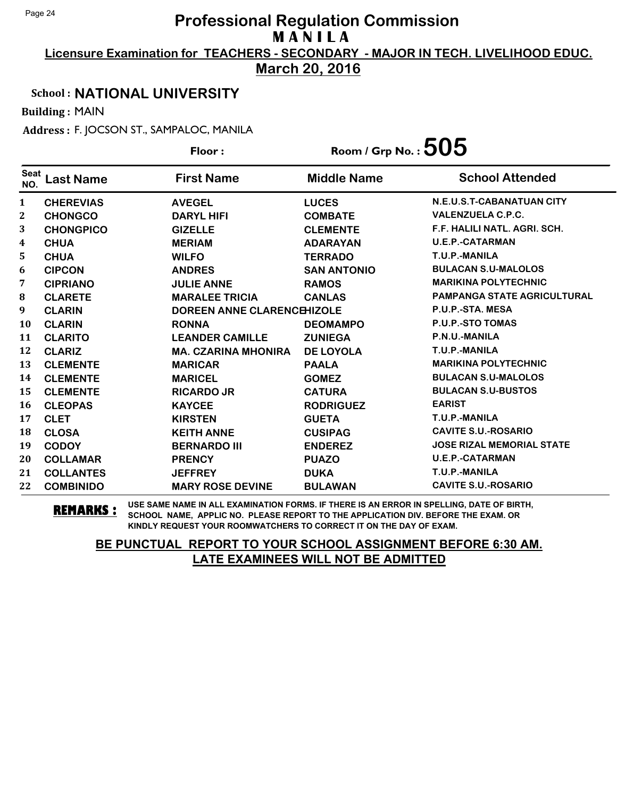**Licensure Examination for TEACHERS - SECONDARY - MAJOR IN TECH. LIVELIHOOD EDUC.**

**March 20, 2016**

### School : **NATIONAL UNIVERSITY**

Building : MAIN

Address : F. JOCSON ST., SAMPALOC, MANILA

|                    |                  | Floor:                            | Room / Grp No. : $505$ |                                    |
|--------------------|------------------|-----------------------------------|------------------------|------------------------------------|
| <b>Seat</b><br>NO. | <b>Last Name</b> | <b>First Name</b>                 | <b>Middle Name</b>     | <b>School Attended</b>             |
| $\mathbf{1}$       | <b>CHEREVIAS</b> | <b>AVEGEL</b>                     | <b>LUCES</b>           | N.E.U.S.T-CABANATUAN CITY          |
| 2                  | <b>CHONGCO</b>   | <b>DARYL HIFI</b>                 | <b>COMBATE</b>         | <b>VALENZUELA C.P.C.</b>           |
| 3                  | <b>CHONGPICO</b> | <b>GIZELLE</b>                    | <b>CLEMENTE</b>        | F.F. HALILI NATL. AGRI. SCH.       |
| 4                  | <b>CHUA</b>      | <b>MERIAM</b>                     | <b>ADARAYAN</b>        | <b>U.E.P.-CATARMAN</b>             |
| 5                  | <b>CHUA</b>      | <b>WILFO</b>                      | <b>TERRADO</b>         | T.U.P.-MANILA                      |
| 6                  | <b>CIPCON</b>    | <b>ANDRES</b>                     | <b>SAN ANTONIO</b>     | <b>BULACAN S.U-MALOLOS</b>         |
| 7                  | <b>CIPRIANO</b>  | <b>JULIE ANNE</b>                 | <b>RAMOS</b>           | <b>MARIKINA POLYTECHNIC</b>        |
| 8                  | <b>CLARETE</b>   | <b>MARALEE TRICIA</b>             | <b>CANLAS</b>          | <b>PAMPANGA STATE AGRICULTURAL</b> |
| 9                  | <b>CLARIN</b>    | <b>DOREEN ANNE CLARENCEHIZOLE</b> |                        | P.U.P.-STA. MESA                   |
| <b>10</b>          | <b>CLARIN</b>    | <b>RONNA</b>                      | <b>DEOMAMPO</b>        | P.U.P.-STO TOMAS                   |
| 11                 | <b>CLARITO</b>   | <b>LEANDER CAMILLE</b>            | <b>ZUNIEGA</b>         | P.N.U.-MANILA                      |
| 12                 | <b>CLARIZ</b>    | <b>MA. CZARINA MHONIRA</b>        | <b>DE LOYOLA</b>       | T.U.P.-MANILA                      |
| 13                 | <b>CLEMENTE</b>  | <b>MARICAR</b>                    | <b>PAALA</b>           | <b>MARIKINA POLYTECHNIC</b>        |
| 14                 | <b>CLEMENTE</b>  | <b>MARICEL</b>                    | <b>GOMEZ</b>           | <b>BULACAN S.U-MALOLOS</b>         |
| 15                 | <b>CLEMENTE</b>  | <b>RICARDO JR</b>                 | <b>CATURA</b>          | <b>BULACAN S.U-BUSTOS</b>          |
| 16                 | <b>CLEOPAS</b>   | <b>KAYCEE</b>                     | <b>RODRIGUEZ</b>       | <b>EARIST</b>                      |
| 17                 | <b>CLET</b>      | <b>KIRSTEN</b>                    | <b>GUETA</b>           | T.U.P.-MANILA                      |
| 18                 | <b>CLOSA</b>     | <b>KEITH ANNE</b>                 | <b>CUSIPAG</b>         | <b>CAVITE S.U.-ROSARIO</b>         |
| 19                 | <b>CODOY</b>     | <b>BERNARDO III</b>               | <b>ENDEREZ</b>         | <b>JOSE RIZAL MEMORIAL STATE</b>   |
| 20                 | <b>COLLAMAR</b>  | <b>PRENCY</b>                     | <b>PUAZO</b>           | <b>U.E.P.-CATARMAN</b>             |
| 21                 | <b>COLLANTES</b> | <b>JEFFREY</b>                    | <b>DUKA</b>            | T.U.P.-MANILA                      |
| 22                 | <b>COMBINIDO</b> | <b>MARY ROSE DEVINE</b>           | <b>BULAWAN</b>         | <b>CAVITE S.U.-ROSARIO</b>         |

**REMARKS :** USE SAME NAME IN ALL EXAMINATION FORMS. IF THERE IS AN ERROR IN SPELLING, DATE OF BIRTH, SCHOOL NAME, APPLIC NO. PLEASE REPORT TO THE APPLICATION DIV. BEFORE THE EXAM. OR KINDLY REQUEST YOUR ROOMWATCHERS TO CORRECT IT ON THE DAY OF EXAM.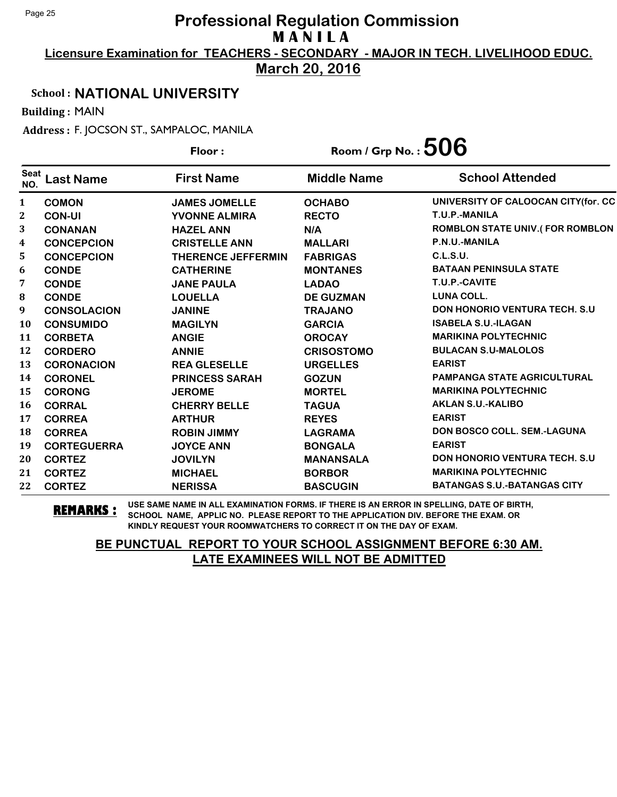**Licensure Examination for TEACHERS - SECONDARY - MAJOR IN TECH. LIVELIHOOD EDUC.**

**March 20, 2016**

### School : **NATIONAL UNIVERSITY**

Building : MAIN

Address : F. JOCSON ST., SAMPALOC, MANILA

|                    |                    | Floor:                    | Room / Grp No. : $506$ |                                        |
|--------------------|--------------------|---------------------------|------------------------|----------------------------------------|
| <b>Seat</b><br>NO. | <b>Last Name</b>   | <b>First Name</b>         | <b>Middle Name</b>     | <b>School Attended</b>                 |
| $\mathbf{1}$       | <b>COMON</b>       | <b>JAMES JOMELLE</b>      | <b>OCHABO</b>          | UNIVERSITY OF CALOOCAN CITY(for. CC    |
| 2                  | <b>CON-UI</b>      | <b>YVONNE ALMIRA</b>      | <b>RECTO</b>           | T.U.P.-MANILA                          |
| 3                  | <b>CONANAN</b>     | <b>HAZEL ANN</b>          | N/A                    | <b>ROMBLON STATE UNIV.(FOR ROMBLON</b> |
| $\boldsymbol{4}$   | <b>CONCEPCION</b>  | <b>CRISTELLE ANN</b>      | <b>MALLARI</b>         | P.N.U.-MANILA                          |
| 5                  | <b>CONCEPCION</b>  | <b>THERENCE JEFFERMIN</b> | <b>FABRIGAS</b>        | C.L.S.U.                               |
| 6                  | <b>CONDE</b>       | <b>CATHERINE</b>          | <b>MONTANES</b>        | <b>BATAAN PENINSULA STATE</b>          |
| 7                  | <b>CONDE</b>       | <b>JANE PAULA</b>         | <b>LADAO</b>           | T.U.P.-CAVITE                          |
| 8                  | <b>CONDE</b>       | <b>LOUELLA</b>            | <b>DE GUZMAN</b>       | <b>LUNA COLL.</b>                      |
| 9                  | <b>CONSOLACION</b> | <b>JANINE</b>             | <b>TRAJANO</b>         | <b>DON HONORIO VENTURA TECH. S.U.</b>  |
| <b>10</b>          | <b>CONSUMIDO</b>   | <b>MAGILYN</b>            | <b>GARCIA</b>          | <b>ISABELA S.U.-ILAGAN</b>             |
| 11                 | <b>CORBETA</b>     | <b>ANGIE</b>              | <b>OROCAY</b>          | <b>MARIKINA POLYTECHNIC</b>            |
| 12                 | <b>CORDERO</b>     | <b>ANNIE</b>              | <b>CRISOSTOMO</b>      | <b>BULACAN S.U-MALOLOS</b>             |
| 13                 | <b>CORONACION</b>  | <b>REA GLESELLE</b>       | <b>URGELLES</b>        | <b>EARIST</b>                          |
| 14                 | <b>CORONEL</b>     | <b>PRINCESS SARAH</b>     | <b>GOZUN</b>           | <b>PAMPANGA STATE AGRICULTURAL</b>     |
| 15                 | <b>CORONG</b>      | <b>JEROME</b>             | <b>MORTEL</b>          | <b>MARIKINA POLYTECHNIC</b>            |
| 16                 | <b>CORRAL</b>      | <b>CHERRY BELLE</b>       | <b>TAGUA</b>           | <b>AKLAN S.U.-KALIBO</b>               |
| 17                 | <b>CORREA</b>      | <b>ARTHUR</b>             | <b>REYES</b>           | <b>EARIST</b>                          |
| 18                 | <b>CORREA</b>      | <b>ROBIN JIMMY</b>        | <b>LAGRAMA</b>         | DON BOSCO COLL. SEM.-LAGUNA            |
| 19                 | <b>CORTEGUERRA</b> | <b>JOYCE ANN</b>          | <b>BONGALA</b>         | <b>EARIST</b>                          |
| 20                 | <b>CORTEZ</b>      | <b>JOVILYN</b>            | <b>MANANSALA</b>       | <b>DON HONORIO VENTURA TECH. S.U.</b>  |
| 21                 | <b>CORTEZ</b>      | <b>MICHAEL</b>            | <b>BORBOR</b>          | <b>MARIKINA POLYTECHNIC</b>            |
| 22                 | <b>CORTEZ</b>      | <b>NERISSA</b>            | <b>BASCUGIN</b>        | <b>BATANGAS S.U.-BATANGAS CITY</b>     |

**REMARKS :** USE SAME NAME IN ALL EXAMINATION FORMS. IF THERE IS AN ERROR IN SPELLING, DATE OF BIRTH, SCHOOL NAME, APPLIC NO. PLEASE REPORT TO THE APPLICATION DIV. BEFORE THE EXAM. OR KINDLY REQUEST YOUR ROOMWATCHERS TO CORRECT IT ON THE DAY OF EXAM.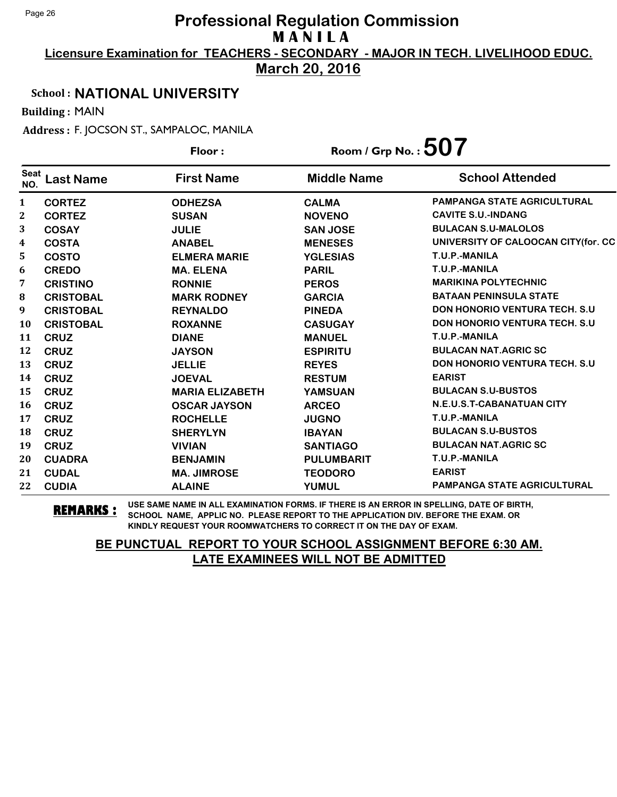**Licensure Examination for TEACHERS - SECONDARY - MAJOR IN TECH. LIVELIHOOD EDUC.**

**March 20, 2016**

### School : **NATIONAL UNIVERSITY**

Building : MAIN

Address : F. JOCSON ST., SAMPALOC, MANILA

|                    |                  | Floor:                 | Room / Grp No. : $507$ |                                       |
|--------------------|------------------|------------------------|------------------------|---------------------------------------|
| <b>Seat</b><br>NO. | <b>Last Name</b> | <b>First Name</b>      | <b>Middle Name</b>     | <b>School Attended</b>                |
| 1                  | <b>CORTEZ</b>    | <b>ODHEZSA</b>         | <b>CALMA</b>           | <b>PAMPANGA STATE AGRICULTURAL</b>    |
| 2                  | <b>CORTEZ</b>    | <b>SUSAN</b>           | <b>NOVENO</b>          | <b>CAVITE S.U.-INDANG</b>             |
| 3                  | <b>COSAY</b>     | <b>JULIE</b>           | <b>SAN JOSE</b>        | <b>BULACAN S.U-MALOLOS</b>            |
| 4                  | <b>COSTA</b>     | <b>ANABEL</b>          | <b>MENESES</b>         | UNIVERSITY OF CALOOCAN CITY(for. CC   |
| 5                  | <b>COSTO</b>     | <b>ELMERA MARIE</b>    | <b>YGLESIAS</b>        | T.U.P.-MANILA                         |
| 6                  | <b>CREDO</b>     | <b>MA. ELENA</b>       | <b>PARIL</b>           | T.U.P.-MANILA                         |
| 7                  | <b>CRISTINO</b>  | <b>RONNIE</b>          | <b>PEROS</b>           | <b>MARIKINA POLYTECHNIC</b>           |
| 8                  | <b>CRISTOBAL</b> | <b>MARK RODNEY</b>     | <b>GARCIA</b>          | <b>BATAAN PENINSULA STATE</b>         |
| 9                  | <b>CRISTOBAL</b> | <b>REYNALDO</b>        | <b>PINEDA</b>          | <b>DON HONORIO VENTURA TECH. S.U.</b> |
| <b>10</b>          | <b>CRISTOBAL</b> | <b>ROXANNE</b>         | <b>CASUGAY</b>         | <b>DON HONORIO VENTURA TECH. S.U.</b> |
| 11                 | <b>CRUZ</b>      | <b>DIANE</b>           | <b>MANUEL</b>          | T.U.P.-MANILA                         |
| 12                 | <b>CRUZ</b>      | <b>JAYSON</b>          | <b>ESPIRITU</b>        | <b>BULACAN NAT.AGRIC SC</b>           |
| 13                 | <b>CRUZ</b>      | <b>JELLIE</b>          | <b>REYES</b>           | <b>DON HONORIO VENTURA TECH. S.U.</b> |
| 14                 | <b>CRUZ</b>      | <b>JOEVAL</b>          | <b>RESTUM</b>          | <b>EARIST</b>                         |
| 15                 | <b>CRUZ</b>      | <b>MARIA ELIZABETH</b> | <b>YAMSUAN</b>         | <b>BULACAN S.U-BUSTOS</b>             |
| <b>16</b>          | <b>CRUZ</b>      | <b>OSCAR JAYSON</b>    | <b>ARCEO</b>           | N.E.U.S.T-CABANATUAN CITY             |
| 17                 | <b>CRUZ</b>      | <b>ROCHELLE</b>        | <b>JUGNO</b>           | T.U.P.-MANILA                         |
| 18                 | <b>CRUZ</b>      | <b>SHERYLYN</b>        | <b>IBAYAN</b>          | <b>BULACAN S.U-BUSTOS</b>             |
| 19                 | <b>CRUZ</b>      | <b>VIVIAN</b>          | <b>SANTIAGO</b>        | <b>BULACAN NAT.AGRIC SC</b>           |
| 20                 | <b>CUADRA</b>    | <b>BENJAMIN</b>        | <b>PULUMBARIT</b>      | T.U.P.-MANILA                         |
| 21                 | <b>CUDAL</b>     | <b>MA. JIMROSE</b>     | <b>TEODORO</b>         | <b>EARIST</b>                         |
| 22                 | <b>CUDIA</b>     | <b>ALAINE</b>          | <b>YUMUL</b>           | <b>PAMPANGA STATE AGRICULTURAL</b>    |

**REMARKS :** USE SAME NAME IN ALL EXAMINATION FORMS. IF THERE IS AN ERROR IN SPELLING, DATE OF BIRTH, SCHOOL NAME, APPLIC NO. PLEASE REPORT TO THE APPLICATION DIV. BEFORE THE EXAM. OR KINDLY REQUEST YOUR ROOMWATCHERS TO CORRECT IT ON THE DAY OF EXAM.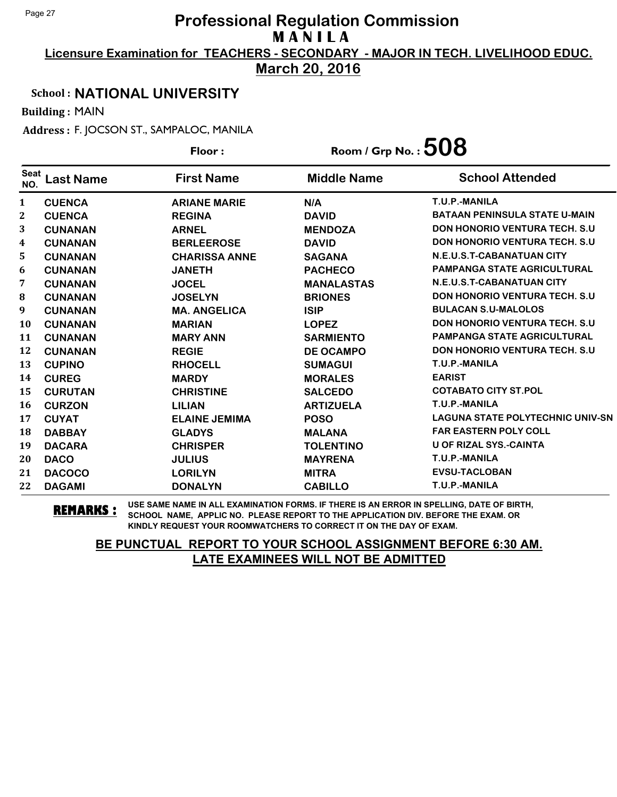**Licensure Examination for TEACHERS - SECONDARY - MAJOR IN TECH. LIVELIHOOD EDUC.**

**March 20, 2016**

### School : **NATIONAL UNIVERSITY**

Building : MAIN

Address : F. JOCSON ST., SAMPALOC, MANILA

|                    |                  | Floor:               | Room / Grp No. : $508$ |                                         |
|--------------------|------------------|----------------------|------------------------|-----------------------------------------|
| <b>Seat</b><br>NO. | <b>Last Name</b> | <b>First Name</b>    | <b>Middle Name</b>     | <b>School Attended</b>                  |
| $\mathbf{1}$       | <b>CUENCA</b>    | <b>ARIANE MARIE</b>  | N/A                    | T.U.P.-MANILA                           |
| $\mathbf{2}$       | <b>CUENCA</b>    | <b>REGINA</b>        | <b>DAVID</b>           | <b>BATAAN PENINSULA STATE U-MAIN</b>    |
| 3                  | <b>CUNANAN</b>   | <b>ARNEL</b>         | <b>MENDOZA</b>         | <b>DON HONORIO VENTURA TECH. S.U</b>    |
| 4                  | <b>CUNANAN</b>   | <b>BERLEEROSE</b>    | <b>DAVID</b>           | <b>DON HONORIO VENTURA TECH. S.U</b>    |
| 5                  | <b>CUNANAN</b>   | <b>CHARISSA ANNE</b> | <b>SAGANA</b>          | N.E.U.S.T-CABANATUAN CITY               |
| 6                  | <b>CUNANAN</b>   | <b>JANETH</b>        | <b>PACHECO</b>         | <b>PAMPANGA STATE AGRICULTURAL</b>      |
| 7                  | <b>CUNANAN</b>   | <b>JOCEL</b>         | <b>MANALASTAS</b>      | N.E.U.S.T-CABANATUAN CITY               |
| 8                  | <b>CUNANAN</b>   | <b>JOSELYN</b>       | <b>BRIONES</b>         | <b>DON HONORIO VENTURA TECH. S.U</b>    |
| 9                  | <b>CUNANAN</b>   | <b>MA. ANGELICA</b>  | <b>ISIP</b>            | <b>BULACAN S.U-MALOLOS</b>              |
| 10                 | <b>CUNANAN</b>   | <b>MARIAN</b>        | <b>LOPEZ</b>           | <b>DON HONORIO VENTURA TECH. S.U</b>    |
| 11                 | <b>CUNANAN</b>   | <b>MARY ANN</b>      | <b>SARMIENTO</b>       | <b>PAMPANGA STATE AGRICULTURAL</b>      |
| 12                 | <b>CUNANAN</b>   | <b>REGIE</b>         | <b>DE OCAMPO</b>       | <b>DON HONORIO VENTURA TECH. S.U</b>    |
| 13                 | <b>CUPINO</b>    | <b>RHOCELL</b>       | <b>SUMAGUI</b>         | T.U.P.-MANILA                           |
| 14                 | <b>CUREG</b>     | <b>MARDY</b>         | <b>MORALES</b>         | <b>EARIST</b>                           |
| 15                 | <b>CURUTAN</b>   | <b>CHRISTINE</b>     | <b>SALCEDO</b>         | <b>COTABATO CITY ST.POL</b>             |
| 16                 | <b>CURZON</b>    | <b>LILIAN</b>        | <b>ARTIZUELA</b>       | T.U.P.-MANILA                           |
| 17                 | <b>CUYAT</b>     | <b>ELAINE JEMIMA</b> | <b>POSO</b>            | <b>LAGUNA STATE POLYTECHNIC UNIV-SN</b> |
| 18                 | <b>DABBAY</b>    | <b>GLADYS</b>        | <b>MALANA</b>          | <b>FAR EASTERN POLY COLL</b>            |
| 19                 | <b>DACARA</b>    | <b>CHRISPER</b>      | <b>TOLENTINO</b>       | <b>U OF RIZAL SYS.-CAINTA</b>           |
| 20                 | <b>DACO</b>      | <b>JULIUS</b>        | <b>MAYRENA</b>         | T.U.P.-MANILA                           |
| 21                 | <b>DACOCO</b>    | <b>LORILYN</b>       | <b>MITRA</b>           | <b>EVSU-TACLOBAN</b>                    |
| 22                 | <b>DAGAMI</b>    | <b>DONALYN</b>       | <b>CABILLO</b>         | T.U.P.-MANILA                           |

**REMARKS :** USE SAME NAME IN ALL EXAMINATION FORMS. IF THERE IS AN ERROR IN SPELLING, DATE OF BIRTH, SCHOOL NAME, APPLIC NO. PLEASE REPORT TO THE APPLICATION DIV. BEFORE THE EXAM. OR KINDLY REQUEST YOUR ROOMWATCHERS TO CORRECT IT ON THE DAY OF EXAM.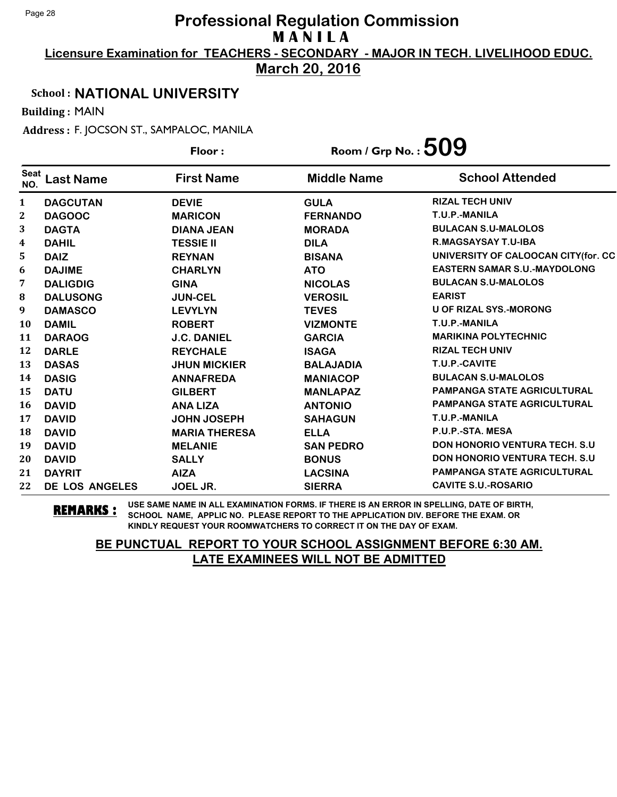**Licensure Examination for TEACHERS - SECONDARY - MAJOR IN TECH. LIVELIHOOD EDUC.**

**March 20, 2016**

### School : **NATIONAL UNIVERSITY**

Building : MAIN

Address : F. JOCSON ST., SAMPALOC, MANILA

|                    |                  | Floor:               | Room / Grp No. : $509$ |                                       |
|--------------------|------------------|----------------------|------------------------|---------------------------------------|
| <b>Seat</b><br>NO. | <b>Last Name</b> | <b>First Name</b>    | <b>Middle Name</b>     | <b>School Attended</b>                |
| $\mathbf{1}$       | <b>DAGCUTAN</b>  | <b>DEVIE</b>         | <b>GULA</b>            | <b>RIZAL TECH UNIV</b>                |
| $\mathbf{2}$       | <b>DAGOOC</b>    | <b>MARICON</b>       | <b>FERNANDO</b>        | T.U.P.-MANILA                         |
| 3                  | <b>DAGTA</b>     | <b>DIANA JEAN</b>    | <b>MORADA</b>          | <b>BULACAN S.U-MALOLOS</b>            |
| 4                  | <b>DAHIL</b>     | <b>TESSIE II</b>     | <b>DILA</b>            | <b>R.MAGSAYSAY T.U-IBA</b>            |
| 5                  | <b>DAIZ</b>      | <b>REYNAN</b>        | <b>BISANA</b>          | UNIVERSITY OF CALOOCAN CITY(for. CC   |
| 6                  | <b>DAJIME</b>    | <b>CHARLYN</b>       | <b>ATO</b>             | <b>EASTERN SAMAR S.U.-MAYDOLONG</b>   |
| 7                  | <b>DALIGDIG</b>  | <b>GINA</b>          | <b>NICOLAS</b>         | <b>BULACAN S.U-MALOLOS</b>            |
| 8                  | <b>DALUSONG</b>  | <b>JUN-CEL</b>       | <b>VEROSIL</b>         | <b>EARIST</b>                         |
| $\boldsymbol{9}$   | <b>DAMASCO</b>   | <b>LEVYLYN</b>       | <b>TEVES</b>           | <b>U OF RIZAL SYS.-MORONG</b>         |
| 10                 | <b>DAMIL</b>     | <b>ROBERT</b>        | <b>VIZMONTE</b>        | T.U.P.-MANILA                         |
| 11                 | <b>DARAOG</b>    | <b>J.C. DANIEL</b>   | <b>GARCIA</b>          | <b>MARIKINA POLYTECHNIC</b>           |
| 12                 | <b>DARLE</b>     | <b>REYCHALE</b>      | <b>ISAGA</b>           | <b>RIZAL TECH UNIV</b>                |
| 13                 | <b>DASAS</b>     | <b>JHUN MICKIER</b>  | <b>BALAJADIA</b>       | T.U.P.-CAVITE                         |
| 14                 | <b>DASIG</b>     | <b>ANNAFREDA</b>     | <b>MANIACOP</b>        | <b>BULACAN S.U-MALOLOS</b>            |
| 15                 | <b>DATU</b>      | <b>GILBERT</b>       | <b>MANLAPAZ</b>        | <b>PAMPANGA STATE AGRICULTURAL</b>    |
| 16                 | <b>DAVID</b>     | <b>ANA LIZA</b>      | <b>ANTONIO</b>         | <b>PAMPANGA STATE AGRICULTURAL</b>    |
| 17                 | <b>DAVID</b>     | <b>JOHN JOSEPH</b>   | <b>SAHAGUN</b>         | T.U.P.-MANILA                         |
| 18                 | <b>DAVID</b>     | <b>MARIA THERESA</b> | <b>ELLA</b>            | P.U.P.-STA. MESA                      |
| 19                 | <b>DAVID</b>     | <b>MELANIE</b>       | <b>SAN PEDRO</b>       | <b>DON HONORIO VENTURA TECH. S.U.</b> |
| 20                 | <b>DAVID</b>     | <b>SALLY</b>         | <b>BONUS</b>           | <b>DON HONORIO VENTURA TECH. S.U</b>  |
| 21                 | <b>DAYRIT</b>    | <b>AIZA</b>          | <b>LACSINA</b>         | <b>PAMPANGA STATE AGRICULTURAL</b>    |
| 22                 | DE LOS ANGELES   | JOEL JR.             | <b>SIERRA</b>          | <b>CAVITE S.U.-ROSARIO</b>            |

**REMARKS :** USE SAME NAME IN ALL EXAMINATION FORMS. IF THERE IS AN ERROR IN SPELLING, DATE OF BIRTH, SCHOOL NAME, APPLIC NO. PLEASE REPORT TO THE APPLICATION DIV. BEFORE THE EXAM. OR KINDLY REQUEST YOUR ROOMWATCHERS TO CORRECT IT ON THE DAY OF EXAM.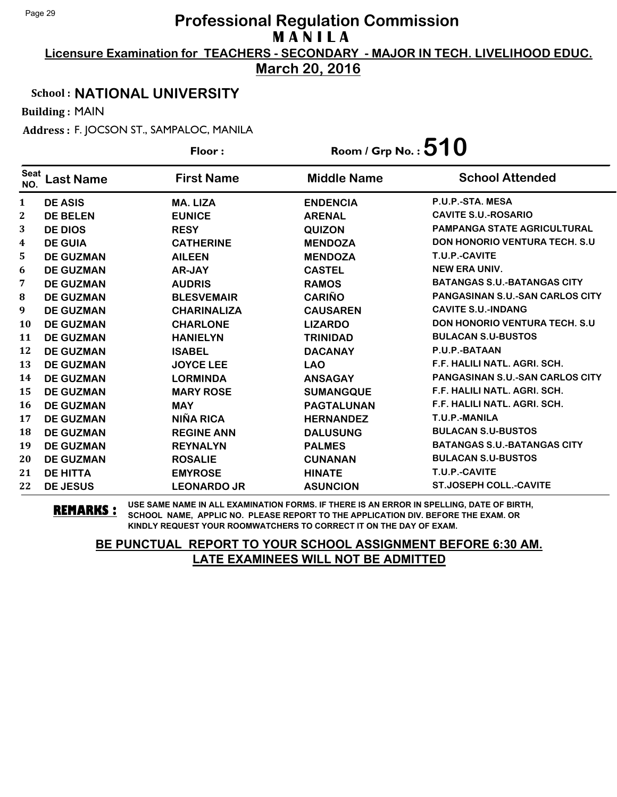**Licensure Examination for TEACHERS - SECONDARY - MAJOR IN TECH. LIVELIHOOD EDUC.**

**March 20, 2016**

### School : **NATIONAL UNIVERSITY**

Building : MAIN

Address : F. JOCSON ST., SAMPALOC, MANILA

|                    |                  | Floor:             | Room / Grp No. : $510$ |                                        |
|--------------------|------------------|--------------------|------------------------|----------------------------------------|
| <b>Seat</b><br>NO. | <b>Last Name</b> | <b>First Name</b>  | <b>Middle Name</b>     | <b>School Attended</b>                 |
| $\mathbf{1}$       | <b>DE ASIS</b>   | <b>MA. LIZA</b>    | <b>ENDENCIA</b>        | P.U.P.-STA. MESA                       |
| $\mathbf{2}$       | <b>DE BELEN</b>  | <b>EUNICE</b>      | <b>ARENAL</b>          | <b>CAVITE S.U.-ROSARIO</b>             |
| 3                  | <b>DE DIOS</b>   | <b>RESY</b>        | <b>QUIZON</b>          | <b>PAMPANGA STATE AGRICULTURAL</b>     |
| 4                  | <b>DE GUIA</b>   | <b>CATHERINE</b>   | <b>MENDOZA</b>         | <b>DON HONORIO VENTURA TECH. S.U</b>   |
| 5                  | <b>DE GUZMAN</b> | <b>AILEEN</b>      | <b>MENDOZA</b>         | T.U.P.-CAVITE                          |
| 6                  | <b>DE GUZMAN</b> | <b>AR-JAY</b>      | <b>CASTEL</b>          | <b>NEW ERA UNIV.</b>                   |
| 7                  | <b>DE GUZMAN</b> | <b>AUDRIS</b>      | <b>RAMOS</b>           | <b>BATANGAS S.U.-BATANGAS CITY</b>     |
| 8                  | <b>DE GUZMAN</b> | <b>BLESVEMAIR</b>  | <b>CARIÑO</b>          | <b>PANGASINAN S.U.-SAN CARLOS CITY</b> |
| 9                  | <b>DE GUZMAN</b> | <b>CHARINALIZA</b> | <b>CAUSAREN</b>        | <b>CAVITE S.U.-INDANG</b>              |
| <b>10</b>          | <b>DE GUZMAN</b> | <b>CHARLONE</b>    | <b>LIZARDO</b>         | <b>DON HONORIO VENTURA TECH. S.U</b>   |
| 11                 | <b>DE GUZMAN</b> | <b>HANIELYN</b>    | <b>TRINIDAD</b>        | <b>BULACAN S.U-BUSTOS</b>              |
| 12                 | <b>DE GUZMAN</b> | <b>ISABEL</b>      | <b>DACANAY</b>         | P.U.P.-BATAAN                          |
| 13                 | <b>DE GUZMAN</b> | <b>JOYCE LEE</b>   | <b>LAO</b>             | F.F. HALILI NATL. AGRI. SCH.           |
| 14                 | <b>DE GUZMAN</b> | <b>LORMINDA</b>    | <b>ANSAGAY</b>         | <b>PANGASINAN S.U.-SAN CARLOS CITY</b> |
| 15                 | <b>DE GUZMAN</b> | <b>MARY ROSE</b>   | <b>SUMANGQUE</b>       | F.F. HALILI NATL. AGRI. SCH.           |
| 16                 | <b>DE GUZMAN</b> | <b>MAY</b>         | <b>PAGTALUNAN</b>      | F.F. HALILI NATL. AGRI. SCH.           |
| 17                 | <b>DE GUZMAN</b> | NIÑA RICA          | <b>HERNANDEZ</b>       | T.U.P.-MANILA                          |
| 18                 | <b>DE GUZMAN</b> | <b>REGINE ANN</b>  | <b>DALUSUNG</b>        | <b>BULACAN S.U-BUSTOS</b>              |
| 19                 | <b>DE GUZMAN</b> | <b>REYNALYN</b>    | <b>PALMES</b>          | <b>BATANGAS S.U.-BATANGAS CITY</b>     |
| 20                 | <b>DE GUZMAN</b> | <b>ROSALIE</b>     | <b>CUNANAN</b>         | <b>BULACAN S.U-BUSTOS</b>              |
| 21                 | <b>DE HITTA</b>  | <b>EMYROSE</b>     | <b>HINATE</b>          | T.U.P.-CAVITE                          |
| 22                 | <b>DE JESUS</b>  | <b>LEONARDO JR</b> | <b>ASUNCION</b>        | <b>ST.JOSEPH COLL.-CAVITE</b>          |

**REMARKS :** USE SAME NAME IN ALL EXAMINATION FORMS. IF THERE IS AN ERROR IN SPELLING, DATE OF BIRTH, SCHOOL NAME, APPLIC NO. PLEASE REPORT TO THE APPLICATION DIV. BEFORE THE EXAM. OR KINDLY REQUEST YOUR ROOMWATCHERS TO CORRECT IT ON THE DAY OF EXAM.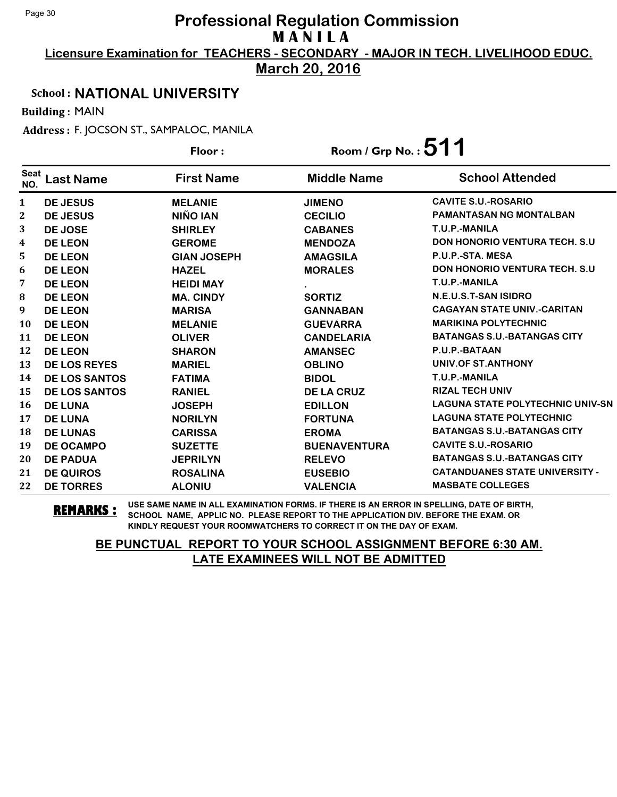**Licensure Examination for TEACHERS - SECONDARY - MAJOR IN TECH. LIVELIHOOD EDUC.**

**March 20, 2016**

### School : **NATIONAL UNIVERSITY**

Building : MAIN

Address : F. JOCSON ST., SAMPALOC, MANILA

|                    |                      | Floor:             | Room / Grp No. : $511$ |                                         |
|--------------------|----------------------|--------------------|------------------------|-----------------------------------------|
| <b>Seat</b><br>NO. | Last Name            | <b>First Name</b>  | <b>Middle Name</b>     | <b>School Attended</b>                  |
| $\mathbf{1}$       | <b>DE JESUS</b>      | <b>MELANIE</b>     | <b>JIMENO</b>          | <b>CAVITE S.U.-ROSARIO</b>              |
| $\mathbf{2}$       | <b>DE JESUS</b>      | NIÑO IAN           | <b>CECILIO</b>         | <b>PAMANTASAN NG MONTALBAN</b>          |
| 3                  | DE JOSE              | <b>SHIRLEY</b>     | <b>CABANES</b>         | T.U.P.-MANILA                           |
| 4                  | <b>DE LEON</b>       | <b>GEROME</b>      | <b>MENDOZA</b>         | <b>DON HONORIO VENTURA TECH. S.U</b>    |
| 5.                 | <b>DE LEON</b>       | <b>GIAN JOSEPH</b> | <b>AMAGSILA</b>        | P.U.P.-STA. MESA                        |
| 6                  | <b>DE LEON</b>       | <b>HAZEL</b>       | <b>MORALES</b>         | <b>DON HONORIO VENTURA TECH. S.U</b>    |
| 7                  | <b>DE LEON</b>       | <b>HEIDI MAY</b>   |                        | T.U.P.-MANILA                           |
| 8                  | <b>DE LEON</b>       | <b>MA. CINDY</b>   | <b>SORTIZ</b>          | N.E.U.S.T-SAN ISIDRO                    |
| 9                  | <b>DE LEON</b>       | <b>MARISA</b>      | <b>GANNABAN</b>        | <b>CAGAYAN STATE UNIV.-CARITAN</b>      |
| <b>10</b>          | <b>DE LEON</b>       | <b>MELANIE</b>     | <b>GUEVARRA</b>        | <b>MARIKINA POLYTECHNIC</b>             |
| 11                 | <b>DE LEON</b>       | <b>OLIVER</b>      | <b>CANDELARIA</b>      | <b>BATANGAS S.U.-BATANGAS CITY</b>      |
| 12                 | <b>DE LEON</b>       | <b>SHARON</b>      | <b>AMANSEC</b>         | P.U.P.-BATAAN                           |
| 13                 | <b>DE LOS REYES</b>  | <b>MARIEL</b>      | <b>OBLINO</b>          | UNIV.OF ST.ANTHONY                      |
| 14                 | <b>DE LOS SANTOS</b> | <b>FATIMA</b>      | <b>BIDOL</b>           | T.U.P.-MANILA                           |
| 15                 | <b>DE LOS SANTOS</b> | <b>RANIEL</b>      | <b>DE LA CRUZ</b>      | <b>RIZAL TECH UNIV</b>                  |
| 16                 | <b>DE LUNA</b>       | <b>JOSEPH</b>      | <b>EDILLON</b>         | <b>LAGUNA STATE POLYTECHNIC UNIV-SN</b> |
| 17                 | <b>DE LUNA</b>       | <b>NORILYN</b>     | <b>FORTUNA</b>         | <b>LAGUNA STATE POLYTECHNIC</b>         |
| 18                 | <b>DE LUNAS</b>      | <b>CARISSA</b>     | <b>EROMA</b>           | <b>BATANGAS S.U.-BATANGAS CITY</b>      |
| 19                 | <b>DE OCAMPO</b>     | <b>SUZETTE</b>     | <b>BUENAVENTURA</b>    | <b>CAVITE S.U.-ROSARIO</b>              |
| 20                 | <b>DE PADUA</b>      | <b>JEPRILYN</b>    | <b>RELEVO</b>          | <b>BATANGAS S.U.-BATANGAS CITY</b>      |
| 21                 | <b>DE QUIROS</b>     | <b>ROSALINA</b>    | <b>EUSEBIO</b>         | <b>CATANDUANES STATE UNIVERSITY -</b>   |
| 22                 | <b>DE TORRES</b>     | <b>ALONIU</b>      | <b>VALENCIA</b>        | <b>MASBATE COLLEGES</b>                 |

**REMARKS :** USE SAME NAME IN ALL EXAMINATION FORMS. IF THERE IS AN ERROR IN SPELLING, DATE OF BIRTH, SCHOOL NAME, APPLIC NO. PLEASE REPORT TO THE APPLICATION DIV. BEFORE THE EXAM. OR KINDLY REQUEST YOUR ROOMWATCHERS TO CORRECT IT ON THE DAY OF EXAM.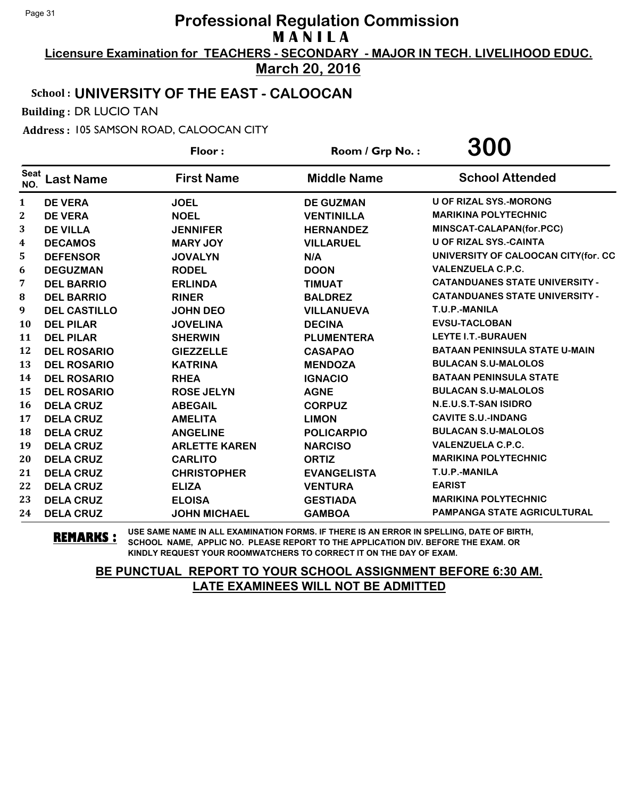**Licensure Examination for TEACHERS - SECONDARY - MAJOR IN TECH. LIVELIHOOD EDUC.**

**March 20, 2016**

## School : **UNIVERSITY OF THE EAST - CALOOCAN**

Building : DR LUCIO TAN

Address : 105 SAMSON ROAD, CALOOCAN CITY

|                    |                     | Floor:               | Room / Grp No.:    | 300                                   |
|--------------------|---------------------|----------------------|--------------------|---------------------------------------|
| <b>Seat</b><br>NO. | <b>Last Name</b>    | <b>First Name</b>    | <b>Middle Name</b> | <b>School Attended</b>                |
| 1                  | <b>DE VERA</b>      | <b>JOEL</b>          | <b>DE GUZMAN</b>   | <b>U OF RIZAL SYS.-MORONG</b>         |
| $\mathbf{2}$       | <b>DE VERA</b>      | <b>NOEL</b>          | <b>VENTINILLA</b>  | <b>MARIKINA POLYTECHNIC</b>           |
| 3                  | <b>DE VILLA</b>     | <b>JENNIFER</b>      | <b>HERNANDEZ</b>   | MINSCAT-CALAPAN(for.PCC)              |
| 4                  | <b>DECAMOS</b>      | <b>MARY JOY</b>      | <b>VILLARUEL</b>   | <b>U OF RIZAL SYS.-CAINTA</b>         |
| 5                  | <b>DEFENSOR</b>     | <b>JOVALYN</b>       | N/A                | UNIVERSITY OF CALOOCAN CITY(for. CC   |
| 6                  | <b>DEGUZMAN</b>     | <b>RODEL</b>         | <b>DOON</b>        | <b>VALENZUELA C.P.C.</b>              |
| 7                  | <b>DEL BARRIO</b>   | <b>ERLINDA</b>       | <b>TIMUAT</b>      | <b>CATANDUANES STATE UNIVERSITY -</b> |
| 8                  | <b>DEL BARRIO</b>   | <b>RINER</b>         | <b>BALDREZ</b>     | <b>CATANDUANES STATE UNIVERSITY -</b> |
| 9                  | <b>DEL CASTILLO</b> | <b>JOHN DEO</b>      | <b>VILLANUEVA</b>  | T.U.P.-MANILA                         |
| 10                 | <b>DEL PILAR</b>    | <b>JOVELINA</b>      | <b>DECINA</b>      | <b>EVSU-TACLOBAN</b>                  |
| 11                 | <b>DEL PILAR</b>    | <b>SHERWIN</b>       | <b>PLUMENTERA</b>  | <b>LEYTE I.T.-BURAUEN</b>             |
| 12                 | <b>DEL ROSARIO</b>  | <b>GIEZZELLE</b>     | <b>CASAPAO</b>     | <b>BATAAN PENINSULA STATE U-MAIN</b>  |
| 13                 | <b>DEL ROSARIO</b>  | <b>KATRINA</b>       | <b>MENDOZA</b>     | <b>BULACAN S.U-MALOLOS</b>            |
| 14                 | <b>DEL ROSARIO</b>  | <b>RHEA</b>          | <b>IGNACIO</b>     | <b>BATAAN PENINSULA STATE</b>         |
| 15                 | <b>DEL ROSARIO</b>  | <b>ROSE JELYN</b>    | <b>AGNE</b>        | <b>BULACAN S.U-MALOLOS</b>            |
| 16                 | <b>DELA CRUZ</b>    | <b>ABEGAIL</b>       | <b>CORPUZ</b>      | N.E.U.S.T-SAN ISIDRO                  |
| 17                 | <b>DELA CRUZ</b>    | <b>AMELITA</b>       | <b>LIMON</b>       | <b>CAVITE S.U.-INDANG</b>             |
| 18                 | <b>DELA CRUZ</b>    | <b>ANGELINE</b>      | <b>POLICARPIO</b>  | <b>BULACAN S.U-MALOLOS</b>            |
| 19                 | <b>DELA CRUZ</b>    | <b>ARLETTE KAREN</b> | <b>NARCISO</b>     | <b>VALENZUELA C.P.C.</b>              |
| 20                 | <b>DELA CRUZ</b>    | <b>CARLITO</b>       | <b>ORTIZ</b>       | <b>MARIKINA POLYTECHNIC</b>           |
| 21                 | <b>DELA CRUZ</b>    | <b>CHRISTOPHER</b>   | <b>EVANGELISTA</b> | T.U.P.-MANILA                         |
| 22                 | <b>DELA CRUZ</b>    | <b>ELIZA</b>         | <b>VENTURA</b>     | <b>EARIST</b>                         |
| 23                 | <b>DELA CRUZ</b>    | <b>ELOISA</b>        | <b>GESTIADA</b>    | <b>MARIKINA POLYTECHNIC</b>           |
| 24                 | <b>DELA CRUZ</b>    | <b>JOHN MICHAEL</b>  | <b>GAMBOA</b>      | <b>PAMPANGA STATE AGRICULTURAL</b>    |

**REMARKS :** USE SAME NAME IN ALL EXAMINATION FORMS. IF THERE IS AN ERROR IN SPELLING, DATE OF BIRTH, SCHOOL NAME, APPLIC NO. PLEASE REPORT TO THE APPLICATION DIV. BEFORE THE EXAM. OR KINDLY REQUEST YOUR ROOMWATCHERS TO CORRECT IT ON THE DAY OF EXAM.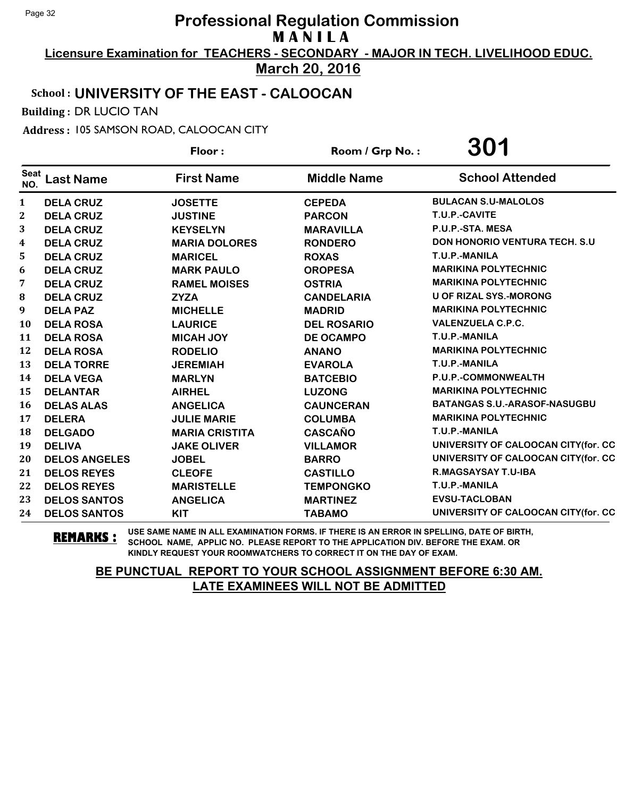**Licensure Examination for TEACHERS - SECONDARY - MAJOR IN TECH. LIVELIHOOD EDUC. March 20, 2016**

### School : **UNIVERSITY OF THE EAST - CALOOCAN**

Building : DR LUCIO TAN

Address : 105 SAMSON ROAD, CALOOCAN CITY

|                    |                      | Floor:                | Room / Grp No.:    | 301                                   |
|--------------------|----------------------|-----------------------|--------------------|---------------------------------------|
| <b>Seat</b><br>NO. | <b>Last Name</b>     | <b>First Name</b>     | <b>Middle Name</b> | <b>School Attended</b>                |
| 1                  | <b>DELA CRUZ</b>     | <b>JOSETTE</b>        | <b>CEPEDA</b>      | <b>BULACAN S.U-MALOLOS</b>            |
| $\mathbf{2}$       | <b>DELA CRUZ</b>     | <b>JUSTINE</b>        | <b>PARCON</b>      | T.U.P.-CAVITE                         |
| 3                  | <b>DELA CRUZ</b>     | <b>KEYSELYN</b>       | <b>MARAVILLA</b>   | P.U.P.-STA. MESA                      |
| 4                  | <b>DELA CRUZ</b>     | <b>MARIA DOLORES</b>  | <b>RONDERO</b>     | <b>DON HONORIO VENTURA TECH. S.U.</b> |
| 5                  | <b>DELA CRUZ</b>     | <b>MARICEL</b>        | <b>ROXAS</b>       | T.U.P.-MANILA                         |
| 6                  | <b>DELA CRUZ</b>     | <b>MARK PAULO</b>     | <b>OROPESA</b>     | <b>MARIKINA POLYTECHNIC</b>           |
| 7                  | <b>DELA CRUZ</b>     | <b>RAMEL MOISES</b>   | <b>OSTRIA</b>      | <b>MARIKINA POLYTECHNIC</b>           |
| 8                  | <b>DELA CRUZ</b>     | <b>ZYZA</b>           | <b>CANDELARIA</b>  | <b>U OF RIZAL SYS.-MORONG</b>         |
| 9                  | <b>DELA PAZ</b>      | <b>MICHELLE</b>       | <b>MADRID</b>      | <b>MARIKINA POLYTECHNIC</b>           |
| 10                 | <b>DELA ROSA</b>     | <b>LAURICE</b>        | <b>DEL ROSARIO</b> | <b>VALENZUELA C.P.C.</b>              |
| 11                 | <b>DELA ROSA</b>     | <b>MICAH JOY</b>      | <b>DE OCAMPO</b>   | T.U.P.-MANILA                         |
| 12                 | <b>DELA ROSA</b>     | <b>RODELIO</b>        | <b>ANANO</b>       | <b>MARIKINA POLYTECHNIC</b>           |
| 13                 | <b>DELA TORRE</b>    | <b>JEREMIAH</b>       | <b>EVAROLA</b>     | T.U.P.-MANILA                         |
| 14                 | <b>DELA VEGA</b>     | <b>MARLYN</b>         | <b>BATCEBIO</b>    | P.U.P.-COMMONWEALTH                   |
| 15                 | <b>DELANTAR</b>      | <b>AIRHEL</b>         | <b>LUZONG</b>      | <b>MARIKINA POLYTECHNIC</b>           |
| 16                 | <b>DELAS ALAS</b>    | <b>ANGELICA</b>       | <b>CAUNCERAN</b>   | BATANGAS S.U.-ARASOF-NASUGBU          |
| 17                 | <b>DELERA</b>        | <b>JULIE MARIE</b>    | <b>COLUMBA</b>     | <b>MARIKINA POLYTECHNIC</b>           |
| 18                 | <b>DELGADO</b>       | <b>MARIA CRISTITA</b> | <b>CASCAÑO</b>     | T.U.P.-MANILA                         |
| 19                 | <b>DELIVA</b>        | <b>JAKE OLIVER</b>    | <b>VILLAMOR</b>    | UNIVERSITY OF CALOOCAN CITY(for. CC   |
| 20                 | <b>DELOS ANGELES</b> | <b>JOBEL</b>          | <b>BARRO</b>       | UNIVERSITY OF CALOOCAN CITY(for. CC   |
| 21                 | <b>DELOS REYES</b>   | <b>CLEOFE</b>         | <b>CASTILLO</b>    | R.MAGSAYSAY T.U-IBA                   |
| 22                 | <b>DELOS REYES</b>   | <b>MARISTELLE</b>     | <b>TEMPONGKO</b>   | T.U.P.-MANILA                         |
| 23                 | <b>DELOS SANTOS</b>  | <b>ANGELICA</b>       | <b>MARTINEZ</b>    | <b>EVSU-TACLOBAN</b>                  |
| 24                 | <b>DELOS SANTOS</b>  | <b>KIT</b>            | <b>TABAMO</b>      | UNIVERSITY OF CALOOCAN CITY(for. CC   |

**REMARKS :** USE SAME NAME IN ALL EXAMINATION FORMS. IF THERE IS AN ERROR IN SPELLING, DATE OF BIRTH, SCHOOL NAME, APPLIC NO. PLEASE REPORT TO THE APPLICATION DIV. BEFORE THE EXAM. OR KINDLY REQUEST YOUR ROOMWATCHERS TO CORRECT IT ON THE DAY OF EXAM.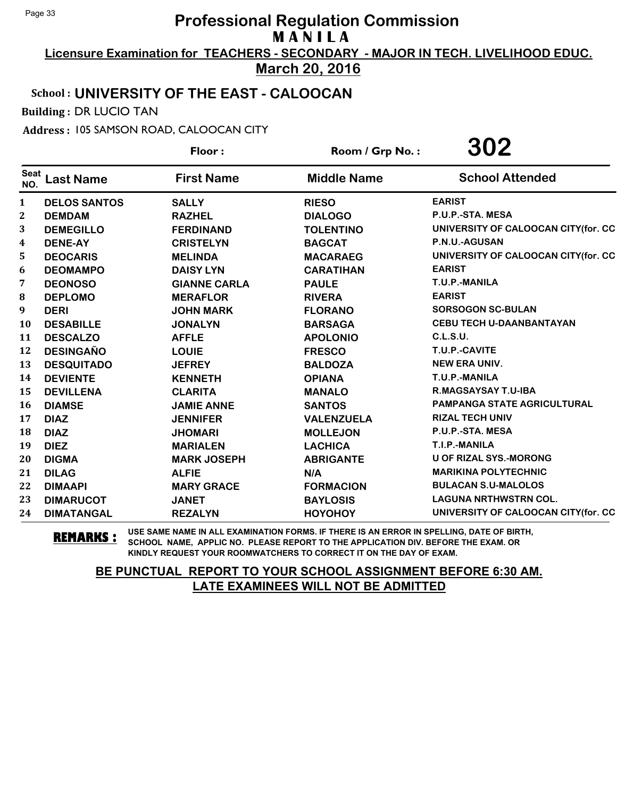**Licensure Examination for TEACHERS - SECONDARY - MAJOR IN TECH. LIVELIHOOD EDUC.**

**March 20, 2016**

## School : **UNIVERSITY OF THE EAST - CALOOCAN**

Building : DR LUCIO TAN

Address : 105 SAMSON ROAD, CALOOCAN CITY

|                    |                     | Floor:              | Room / Grp No.:    | 302                                 |
|--------------------|---------------------|---------------------|--------------------|-------------------------------------|
| <b>Seat</b><br>NO. | <b>Last Name</b>    | <b>First Name</b>   | <b>Middle Name</b> | <b>School Attended</b>              |
| $\mathbf{1}$       | <b>DELOS SANTOS</b> | <b>SALLY</b>        | <b>RIESO</b>       | <b>EARIST</b>                       |
| $\boldsymbol{2}$   | <b>DEMDAM</b>       | <b>RAZHEL</b>       | <b>DIALOGO</b>     | P.U.P.-STA. MESA                    |
| 3                  | <b>DEMEGILLO</b>    | <b>FERDINAND</b>    | <b>TOLENTINO</b>   | UNIVERSITY OF CALOOCAN CITY(for. CC |
| $\boldsymbol{4}$   | <b>DENE-AY</b>      | <b>CRISTELYN</b>    | <b>BAGCAT</b>      | P.N.U.-AGUSAN                       |
| 5                  | <b>DEOCARIS</b>     | <b>MELINDA</b>      | <b>MACARAEG</b>    | UNIVERSITY OF CALOOCAN CITY(for. CC |
| 6                  | <b>DEOMAMPO</b>     | <b>DAISY LYN</b>    | <b>CARATIHAN</b>   | <b>EARIST</b>                       |
| 7                  | <b>DEONOSO</b>      | <b>GIANNE CARLA</b> | <b>PAULE</b>       | T.U.P.-MANILA                       |
| 8                  | <b>DEPLOMO</b>      | <b>MERAFLOR</b>     | <b>RIVERA</b>      | <b>EARIST</b>                       |
| 9                  | <b>DERI</b>         | <b>JOHN MARK</b>    | <b>FLORANO</b>     | <b>SORSOGON SC-BULAN</b>            |
| <b>10</b>          | <b>DESABILLE</b>    | <b>JONALYN</b>      | <b>BARSAGA</b>     | <b>CEBU TECH U-DAANBANTAYAN</b>     |
| 11                 | <b>DESCALZO</b>     | <b>AFFLE</b>        | <b>APOLONIO</b>    | <b>C.L.S.U.</b>                     |
| 12                 | <b>DESINGAÑO</b>    | <b>LOUIE</b>        | <b>FRESCO</b>      | T.U.P.-CAVITE                       |
| 13                 | <b>DESQUITADO</b>   | <b>JEFREY</b>       | <b>BALDOZA</b>     | <b>NEW ERA UNIV.</b>                |
| 14                 | <b>DEVIENTE</b>     | <b>KENNETH</b>      | <b>OPIANA</b>      | T.U.P.-MANILA                       |
| 15                 | <b>DEVILLENA</b>    | <b>CLARITA</b>      | <b>MANALO</b>      | R.MAGSAYSAY T.U-IBA                 |
| <b>16</b>          | <b>DIAMSE</b>       | <b>JAMIE ANNE</b>   | <b>SANTOS</b>      | <b>PAMPANGA STATE AGRICULTURAL</b>  |
| 17                 | <b>DIAZ</b>         | <b>JENNIFER</b>     | <b>VALENZUELA</b>  | <b>RIZAL TECH UNIV</b>              |
| 18                 | <b>DIAZ</b>         | <b>JHOMARI</b>      | <b>MOLLEJON</b>    | P.U.P.-STA. MESA                    |
| 19                 | <b>DIEZ</b>         | <b>MARIALEN</b>     | <b>LACHICA</b>     | T.I.P.-MANILA                       |
| 20                 | <b>DIGMA</b>        | <b>MARK JOSEPH</b>  | <b>ABRIGANTE</b>   | <b>U OF RIZAL SYS.-MORONG</b>       |
| 21                 | <b>DILAG</b>        | <b>ALFIE</b>        | N/A                | <b>MARIKINA POLYTECHNIC</b>         |
| 22                 | <b>DIMAAPI</b>      | <b>MARY GRACE</b>   | <b>FORMACION</b>   | <b>BULACAN S.U-MALOLOS</b>          |
| 23                 | <b>DIMARUCOT</b>    | <b>JANET</b>        | <b>BAYLOSIS</b>    | <b>LAGUNA NRTHWSTRN COL.</b>        |
| 24                 | <b>DIMATANGAL</b>   | <b>REZALYN</b>      | <b>HOYOHOY</b>     | UNIVERSITY OF CALOOCAN CITY(for. CC |

**REMARKS :** USE SAME NAME IN ALL EXAMINATION FORMS. IF THERE IS AN ERROR IN SPELLING, DATE OF BIRTH, SCHOOL NAME, APPLIC NO. PLEASE REPORT TO THE APPLICATION DIV. BEFORE THE EXAM. OR KINDLY REQUEST YOUR ROOMWATCHERS TO CORRECT IT ON THE DAY OF EXAM.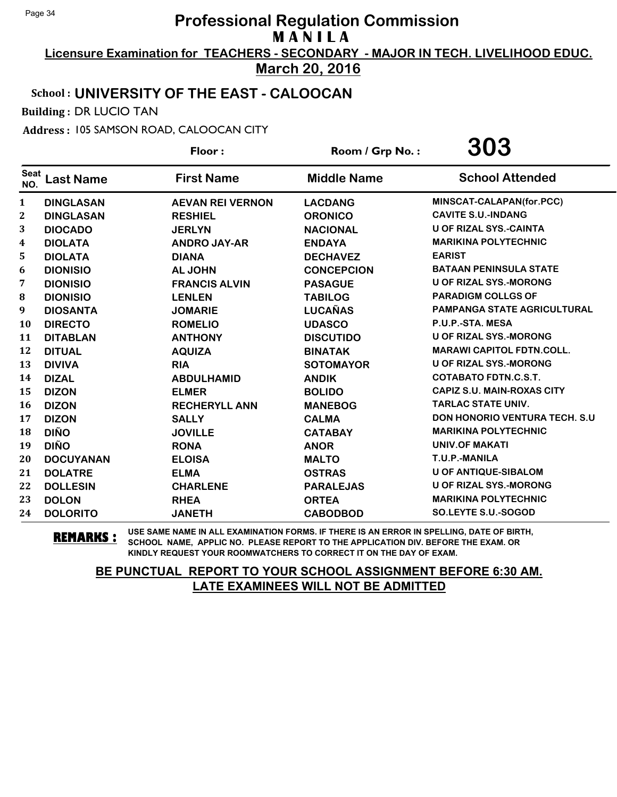**Licensure Examination for TEACHERS - SECONDARY - MAJOR IN TECH. LIVELIHOOD EDUC. March 20, 2016**

### School : **UNIVERSITY OF THE EAST - CALOOCAN**

Building : DR LUCIO TAN

Address : 105 SAMSON ROAD, CALOOCAN CITY

|                    |                  | Floor:                  | Room / Grp No.:    | 303                                  |
|--------------------|------------------|-------------------------|--------------------|--------------------------------------|
| <b>Seat</b><br>NO. | <b>Last Name</b> | <b>First Name</b>       | <b>Middle Name</b> | <b>School Attended</b>               |
| 1                  | <b>DINGLASAN</b> | <b>AEVAN REI VERNON</b> | <b>LACDANG</b>     | MINSCAT-CALAPAN(for.PCC)             |
| 2                  | <b>DINGLASAN</b> | <b>RESHIEL</b>          | <b>ORONICO</b>     | <b>CAVITE S.U.-INDANG</b>            |
| 3                  | <b>DIOCADO</b>   | <b>JERLYN</b>           | <b>NACIONAL</b>    | <b>U OF RIZAL SYS.-CAINTA</b>        |
| 4                  | <b>DIOLATA</b>   | <b>ANDRO JAY-AR</b>     | <b>ENDAYA</b>      | <b>MARIKINA POLYTECHNIC</b>          |
| 5                  | <b>DIOLATA</b>   | <b>DIANA</b>            | <b>DECHAVEZ</b>    | <b>EARIST</b>                        |
| 6                  | <b>DIONISIO</b>  | <b>AL JOHN</b>          | <b>CONCEPCION</b>  | <b>BATAAN PENINSULA STATE</b>        |
| 7                  | <b>DIONISIO</b>  | <b>FRANCIS ALVIN</b>    | <b>PASAGUE</b>     | <b>U OF RIZAL SYS.-MORONG</b>        |
| 8                  | <b>DIONISIO</b>  | <b>LENLEN</b>           | <b>TABILOG</b>     | <b>PARADIGM COLLGS OF</b>            |
| 9                  | <b>DIOSANTA</b>  | <b>JOMARIE</b>          | <b>LUCAÑAS</b>     | <b>PAMPANGA STATE AGRICULTURAL</b>   |
| 10                 | <b>DIRECTO</b>   | <b>ROMELIO</b>          | <b>UDASCO</b>      | P.U.P.-STA. MESA                     |
| 11                 | <b>DITABLAN</b>  | <b>ANTHONY</b>          | <b>DISCUTIDO</b>   | <b>U OF RIZAL SYS.-MORONG</b>        |
| 12                 | <b>DITUAL</b>    | <b>AQUIZA</b>           | <b>BINATAK</b>     | <b>MARAWI CAPITOL FDTN.COLL.</b>     |
| 13                 | <b>DIVIVA</b>    | <b>RIA</b>              | <b>SOTOMAYOR</b>   | <b>U OF RIZAL SYS.-MORONG</b>        |
| 14                 | <b>DIZAL</b>     | <b>ABDULHAMID</b>       | <b>ANDIK</b>       | <b>COTABATO FDTN.C.S.T.</b>          |
| 15                 | <b>DIZON</b>     | <b>ELMER</b>            | <b>BOLIDO</b>      | <b>CAPIZ S.U. MAIN-ROXAS CITY</b>    |
| 16                 | <b>DIZON</b>     | <b>RECHERYLL ANN</b>    | <b>MANEBOG</b>     | <b>TARLAC STATE UNIV.</b>            |
| 17                 | <b>DIZON</b>     | <b>SALLY</b>            | <b>CALMA</b>       | <b>DON HONORIO VENTURA TECH. S.U</b> |
| 18                 | <b>DIÑO</b>      | <b>JOVILLE</b>          | <b>CATABAY</b>     | <b>MARIKINA POLYTECHNIC</b>          |
| 19                 | <b>DIÑO</b>      | <b>RONA</b>             | <b>ANOR</b>        | <b>UNIV.OF MAKATI</b>                |
| 20                 | <b>DOCUYANAN</b> | <b>ELOISA</b>           | <b>MALTO</b>       | T.U.P.-MANILA                        |
| 21                 | <b>DOLATRE</b>   | <b>ELMA</b>             | <b>OSTRAS</b>      | <b>U OF ANTIQUE-SIBALOM</b>          |
| 22                 | <b>DOLLESIN</b>  | <b>CHARLENE</b>         | <b>PARALEJAS</b>   | <b>U OF RIZAL SYS.-MORONG</b>        |
| 23                 | <b>DOLON</b>     | <b>RHEA</b>             | <b>ORTEA</b>       | <b>MARIKINA POLYTECHNIC</b>          |
| 24                 | <b>DOLORITO</b>  | <b>JANETH</b>           | <b>CABODBOD</b>    | SO.LEYTE S.U.-SOGOD                  |

**REMARKS :** USE SAME NAME IN ALL EXAMINATION FORMS. IF THERE IS AN ERROR IN SPELLING, DATE OF BIRTH, SCHOOL NAME, APPLIC NO. PLEASE REPORT TO THE APPLICATION DIV. BEFORE THE EXAM. OR KINDLY REQUEST YOUR ROOMWATCHERS TO CORRECT IT ON THE DAY OF EXAM.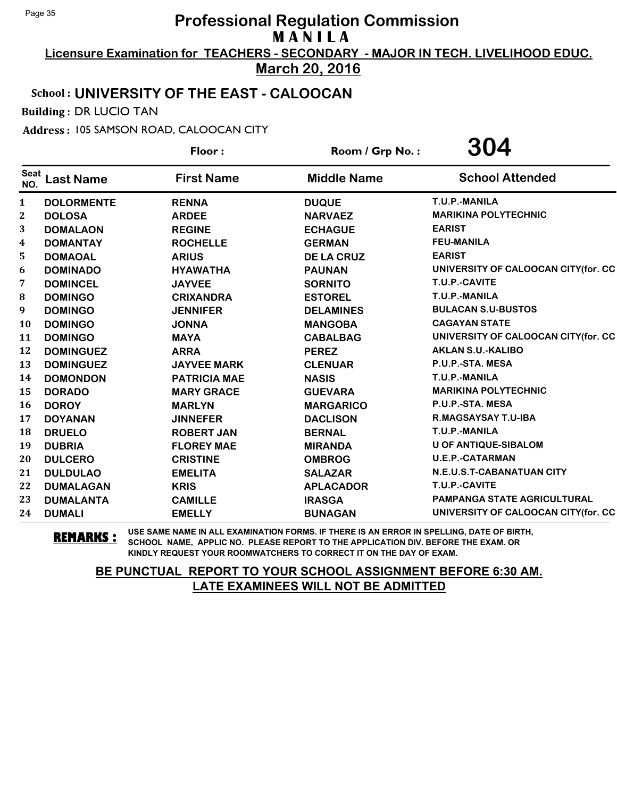**Licensure Examination for TEACHERS - SECONDARY - MAJOR IN TECH. LIVELIHOOD EDUC.**

**March 20, 2016**

## School : **UNIVERSITY OF THE EAST - CALOOCAN**

Building : DR LUCIO TAN

Address : 105 SAMSON ROAD, CALOOCAN CITY

|                    |                   | Floor:              | Room / Grp No.:    | 304                                 |
|--------------------|-------------------|---------------------|--------------------|-------------------------------------|
| <b>Seat</b><br>NO. | <b>Last Name</b>  | <b>First Name</b>   | <b>Middle Name</b> | <b>School Attended</b>              |
| $\mathbf{1}$       | <b>DOLORMENTE</b> | <b>RENNA</b>        | <b>DUQUE</b>       | T.U.P.-MANILA                       |
| 2                  | <b>DOLOSA</b>     | <b>ARDEE</b>        | <b>NARVAEZ</b>     | <b>MARIKINA POLYTECHNIC</b>         |
| 3                  | <b>DOMALAON</b>   | <b>REGINE</b>       | <b>ECHAGUE</b>     | <b>EARIST</b>                       |
| 4                  | <b>DOMANTAY</b>   | <b>ROCHELLE</b>     | <b>GERMAN</b>      | <b>FEU-MANILA</b>                   |
| 5                  | <b>DOMAOAL</b>    | <b>ARIUS</b>        | <b>DE LA CRUZ</b>  | <b>EARIST</b>                       |
| 6                  | <b>DOMINADO</b>   | <b>HYAWATHA</b>     | <b>PAUNAN</b>      | UNIVERSITY OF CALOOCAN CITY(for. CC |
| 7                  | <b>DOMINCEL</b>   | <b>JAYVEE</b>       | <b>SORNITO</b>     | T.U.P.-CAVITE                       |
| 8                  | <b>DOMINGO</b>    | <b>CRIXANDRA</b>    | <b>ESTOREL</b>     | T.U.P.-MANILA                       |
| 9                  | <b>DOMINGO</b>    | <b>JENNIFER</b>     | <b>DELAMINES</b>   | <b>BULACAN S.U-BUSTOS</b>           |
| <b>10</b>          | <b>DOMINGO</b>    | <b>JONNA</b>        | <b>MANGOBA</b>     | <b>CAGAYAN STATE</b>                |
| 11                 | <b>DOMINGO</b>    | <b>MAYA</b>         | <b>CABALBAG</b>    | UNIVERSITY OF CALOOCAN CITY(for. CC |
| 12                 | <b>DOMINGUEZ</b>  | <b>ARRA</b>         | <b>PEREZ</b>       | <b>AKLAN S.U.-KALIBO</b>            |
| 13                 | <b>DOMINGUEZ</b>  | <b>JAYVEE MARK</b>  | <b>CLENUAR</b>     | P.U.P.-STA. MESA                    |
| 14                 | <b>DOMONDON</b>   | <b>PATRICIA MAE</b> | <b>NASIS</b>       | T.U.P.-MANILA                       |
| 15                 | <b>DORADO</b>     | <b>MARY GRACE</b>   | <b>GUEVARA</b>     | <b>MARIKINA POLYTECHNIC</b>         |
| <b>16</b>          | <b>DOROY</b>      | <b>MARLYN</b>       | <b>MARGARICO</b>   | P.U.P.-STA. MESA                    |
| 17                 | <b>DOYANAN</b>    | <b>JINNEFER</b>     | <b>DACLISON</b>    | R.MAGSAYSAY T.U-IBA                 |
| 18                 | <b>DRUELO</b>     | <b>ROBERT JAN</b>   | <b>BERNAL</b>      | T.U.P.-MANILA                       |
| 19                 | <b>DUBRIA</b>     | <b>FLOREY MAE</b>   | <b>MIRANDA</b>     | <b>U OF ANTIQUE-SIBALOM</b>         |
| 20                 | <b>DULCERO</b>    | <b>CRISTINE</b>     | <b>OMBROG</b>      | <b>U.E.P.-CATARMAN</b>              |
| 21                 | <b>DULDULAO</b>   | <b>EMELITA</b>      | <b>SALAZAR</b>     | N.E.U.S.T-CABANATUAN CITY           |
| 22                 | <b>DUMALAGAN</b>  | <b>KRIS</b>         | <b>APLACADOR</b>   | T.U.P.-CAVITE                       |
| 23                 | <b>DUMALANTA</b>  | <b>CAMILLE</b>      | <b>IRASGA</b>      | PAMPANGA STATE AGRICULTURAL         |
| 24                 | <b>DUMALI</b>     | <b>EMELLY</b>       | <b>BUNAGAN</b>     | UNIVERSITY OF CALOOCAN CITY(for. CC |

**REMARKS :** USE SAME NAME IN ALL EXAMINATION FORMS. IF THERE IS AN ERROR IN SPELLING, DATE OF BIRTH, SCHOOL NAME, APPLIC NO. PLEASE REPORT TO THE APPLICATION DIV. BEFORE THE EXAM. OR KINDLY REQUEST YOUR ROOMWATCHERS TO CORRECT IT ON THE DAY OF EXAM.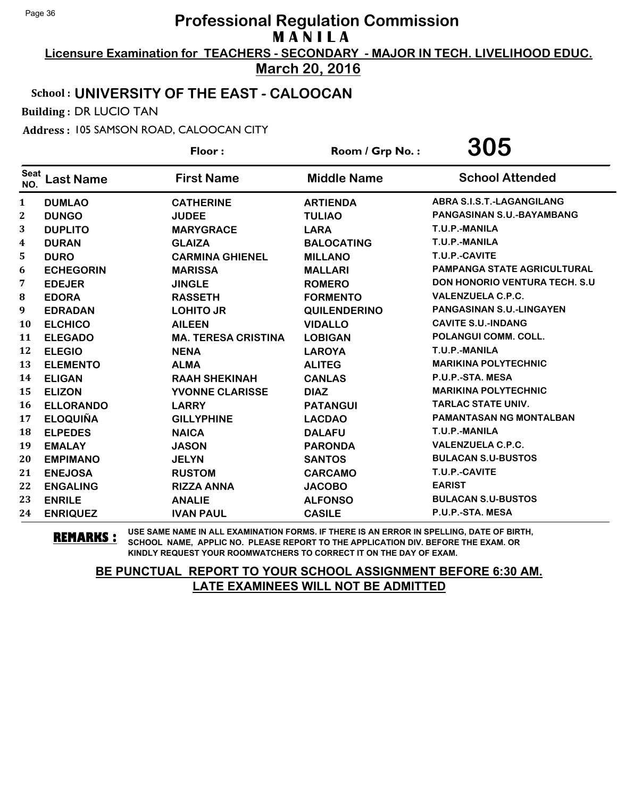**Licensure Examination for TEACHERS - SECONDARY - MAJOR IN TECH. LIVELIHOOD EDUC. March 20, 2016**

### School : **UNIVERSITY OF THE EAST - CALOOCAN**

Building : DR LUCIO TAN

Address : 105 SAMSON ROAD, CALOOCAN CITY

|                    |                  | Floor:                     | Room / Grp No.:     | 305                                  |
|--------------------|------------------|----------------------------|---------------------|--------------------------------------|
| <b>Seat</b><br>NO. | <b>Last Name</b> | <b>First Name</b>          | <b>Middle Name</b>  | <b>School Attended</b>               |
| 1                  | <b>DUMLAO</b>    | <b>CATHERINE</b>           | <b>ARTIENDA</b>     | ABRA S.I.S.T.-LAGANGILANG            |
| 2                  | <b>DUNGO</b>     | <b>JUDEE</b>               | <b>TULIAO</b>       | PANGASINAN S.U.-BAYAMBANG            |
| 3                  | <b>DUPLITO</b>   | <b>MARYGRACE</b>           | <b>LARA</b>         | T.U.P.-MANILA                        |
| 4                  | <b>DURAN</b>     | <b>GLAIZA</b>              | <b>BALOCATING</b>   | T.U.P.-MANILA                        |
| 5                  | <b>DURO</b>      | <b>CARMINA GHIENEL</b>     | <b>MILLANO</b>      | T.U.P.-CAVITE                        |
| 6                  | <b>ECHEGORIN</b> | <b>MARISSA</b>             | <b>MALLARI</b>      | <b>PAMPANGA STATE AGRICULTURAL</b>   |
| 7                  | <b>EDEJER</b>    | <b>JINGLE</b>              | <b>ROMERO</b>       | <b>DON HONORIO VENTURA TECH. S.U</b> |
| 8                  | <b>EDORA</b>     | <b>RASSETH</b>             | <b>FORMENTO</b>     | <b>VALENZUELA C.P.C.</b>             |
| 9                  | <b>EDRADAN</b>   | <b>LOHITO JR</b>           | <b>QUILENDERINO</b> | <b>PANGASINAN S.U.-LINGAYEN</b>      |
| 10                 | <b>ELCHICO</b>   | <b>AILEEN</b>              | <b>VIDALLO</b>      | <b>CAVITE S.U.-INDANG</b>            |
| 11                 | <b>ELEGADO</b>   | <b>MA. TERESA CRISTINA</b> | <b>LOBIGAN</b>      | POLANGUI COMM. COLL.                 |
| 12                 | <b>ELEGIO</b>    | <b>NENA</b>                | <b>LAROYA</b>       | T.U.P.-MANILA                        |
| 13                 | <b>ELEMENTO</b>  | <b>ALMA</b>                | <b>ALITEG</b>       | <b>MARIKINA POLYTECHNIC</b>          |
| 14                 | <b>ELIGAN</b>    | <b>RAAH SHEKINAH</b>       | <b>CANLAS</b>       | P.U.P.-STA. MESA                     |
| 15                 | <b>ELIZON</b>    | YVONNE CLARISSE            | <b>DIAZ</b>         | <b>MARIKINA POLYTECHNIC</b>          |
| 16                 | <b>ELLORANDO</b> | <b>LARRY</b>               | <b>PATANGUI</b>     | <b>TARLAC STATE UNIV.</b>            |
| 17                 | <b>ELOQUIÑA</b>  | <b>GILLYPHINE</b>          | <b>LACDAO</b>       | <b>PAMANTASAN NG MONTALBAN</b>       |
| 18                 | <b>ELPEDES</b>   | <b>NAICA</b>               | <b>DALAFU</b>       | T.U.P.-MANILA                        |
| 19                 | <b>EMALAY</b>    | <b>JASON</b>               | <b>PARONDA</b>      | <b>VALENZUELA C.P.C.</b>             |
| 20                 | <b>EMPIMANO</b>  | <b>JELYN</b>               | <b>SANTOS</b>       | <b>BULACAN S.U-BUSTOS</b>            |
| 21                 | <b>ENEJOSA</b>   | <b>RUSTOM</b>              | <b>CARCAMO</b>      | T.U.P.-CAVITE                        |
| 22                 | <b>ENGALING</b>  | <b>RIZZA ANNA</b>          | <b>JACOBO</b>       | <b>EARIST</b>                        |
| 23                 | <b>ENRILE</b>    | <b>ANALIE</b>              | <b>ALFONSO</b>      | <b>BULACAN S.U-BUSTOS</b>            |
| 24                 | <b>ENRIQUEZ</b>  | <b>IVAN PAUL</b>           | <b>CASILE</b>       | P.U.P.-STA. MESA                     |

**REMARKS :** USE SAME NAME IN ALL EXAMINATION FORMS. IF THERE IS AN ERROR IN SPELLING, DATE OF BIRTH, SCHOOL NAME, APPLIC NO. PLEASE REPORT TO THE APPLICATION DIV. BEFORE THE EXAM. OR KINDLY REQUEST YOUR ROOMWATCHERS TO CORRECT IT ON THE DAY OF EXAM.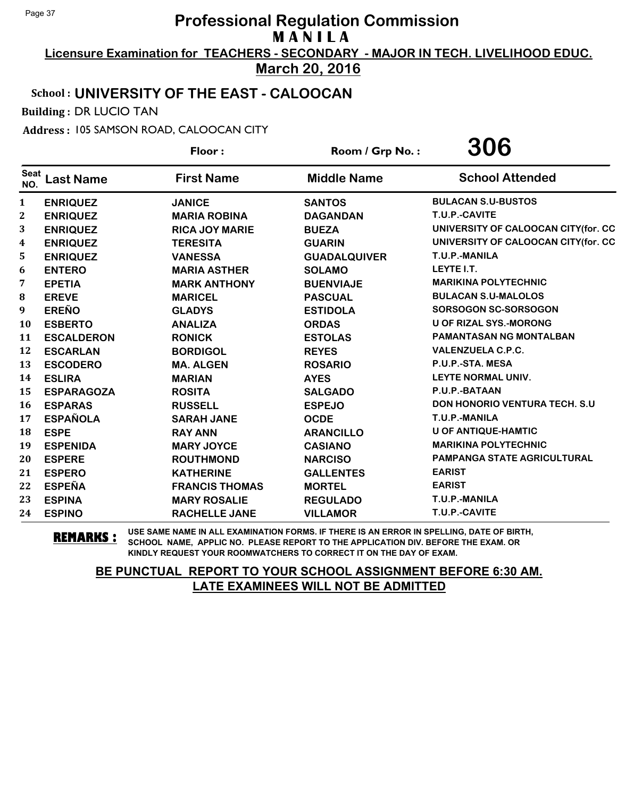**Licensure Examination for TEACHERS - SECONDARY - MAJOR IN TECH. LIVELIHOOD EDUC.**

**March 20, 2016**

## School : **UNIVERSITY OF THE EAST - CALOOCAN**

Building : DR LUCIO TAN

Address : 105 SAMSON ROAD, CALOOCAN CITY

|                    |                   | Floor:                | Room / Grp No.:     | 306                                   |
|--------------------|-------------------|-----------------------|---------------------|---------------------------------------|
| <b>Seat</b><br>NO. | <b>Last Name</b>  | <b>First Name</b>     | <b>Middle Name</b>  | <b>School Attended</b>                |
| 1                  | <b>ENRIQUEZ</b>   | <b>JANICE</b>         | <b>SANTOS</b>       | <b>BULACAN S.U-BUSTOS</b>             |
| $\mathbf 2$        | <b>ENRIQUEZ</b>   | <b>MARIA ROBINA</b>   | <b>DAGANDAN</b>     | T.U.P.-CAVITE                         |
| 3                  | <b>ENRIQUEZ</b>   | <b>RICA JOY MARIE</b> | <b>BUEZA</b>        | UNIVERSITY OF CALOOCAN CITY(for. CC   |
| 4                  | <b>ENRIQUEZ</b>   | <b>TERESITA</b>       | <b>GUARIN</b>       | UNIVERSITY OF CALOOCAN CITY(for. CC   |
| 5                  | <b>ENRIQUEZ</b>   | <b>VANESSA</b>        | <b>GUADALQUIVER</b> | T.U.P.-MANILA                         |
| 6                  | <b>ENTERO</b>     | <b>MARIA ASTHER</b>   | <b>SOLAMO</b>       | LEYTE I.T.                            |
| 7                  | <b>EPETIA</b>     | <b>MARK ANTHONY</b>   | <b>BUENVIAJE</b>    | <b>MARIKINA POLYTECHNIC</b>           |
| 8                  | <b>EREVE</b>      | <b>MARICEL</b>        | <b>PASCUAL</b>      | <b>BULACAN S.U-MALOLOS</b>            |
| 9                  | <b>EREÑO</b>      | <b>GLADYS</b>         | <b>ESTIDOLA</b>     | SORSOGON SC-SORSOGON                  |
| 10                 | <b>ESBERTO</b>    | <b>ANALIZA</b>        | <b>ORDAS</b>        | <b>U OF RIZAL SYS.-MORONG</b>         |
| 11                 | <b>ESCALDERON</b> | <b>RONICK</b>         | <b>ESTOLAS</b>      | <b>PAMANTASAN NG MONTALBAN</b>        |
| 12                 | <b>ESCARLAN</b>   | <b>BORDIGOL</b>       | <b>REYES</b>        | <b>VALENZUELA C.P.C.</b>              |
| 13                 | <b>ESCODERO</b>   | <b>MA. ALGEN</b>      | <b>ROSARIO</b>      | P.U.P.-STA. MESA                      |
| 14                 | <b>ESLIRA</b>     | <b>MARIAN</b>         | <b>AYES</b>         | <b>LEYTE NORMAL UNIV.</b>             |
| 15                 | <b>ESPARAGOZA</b> | <b>ROSITA</b>         | <b>SALGADO</b>      | P.U.P.-BATAAN                         |
| 16                 | <b>ESPARAS</b>    | <b>RUSSELL</b>        | <b>ESPEJO</b>       | <b>DON HONORIO VENTURA TECH. S.U.</b> |
| 17                 | <b>ESPAÑOLA</b>   | <b>SARAH JANE</b>     | <b>OCDE</b>         | T.U.P.-MANILA                         |
| 18                 | <b>ESPE</b>       | <b>RAY ANN</b>        | <b>ARANCILLO</b>    | U OF ANTIQUE-HAMTIC                   |
| 19                 | <b>ESPENIDA</b>   | <b>MARY JOYCE</b>     | <b>CASIANO</b>      | <b>MARIKINA POLYTECHNIC</b>           |
| 20                 | <b>ESPERE</b>     | <b>ROUTHMOND</b>      | <b>NARCISO</b>      | <b>PAMPANGA STATE AGRICULTURAL</b>    |
| 21                 | <b>ESPERO</b>     | <b>KATHERINE</b>      | <b>GALLENTES</b>    | <b>EARIST</b>                         |
| 22                 | <b>ESPEÑA</b>     | <b>FRANCIS THOMAS</b> | <b>MORTEL</b>       | <b>EARIST</b>                         |
| 23                 | <b>ESPINA</b>     | <b>MARY ROSALIE</b>   | <b>REGULADO</b>     | T.U.P.-MANILA                         |
| 24                 | <b>ESPINO</b>     | <b>RACHELLE JANE</b>  | <b>VILLAMOR</b>     | T.U.P.-CAVITE                         |

**REMARKS :** USE SAME NAME IN ALL EXAMINATION FORMS. IF THERE IS AN ERROR IN SPELLING, DATE OF BIRTH, SCHOOL NAME, APPLIC NO. PLEASE REPORT TO THE APPLICATION DIV. BEFORE THE EXAM. OR KINDLY REQUEST YOUR ROOMWATCHERS TO CORRECT IT ON THE DAY OF EXAM.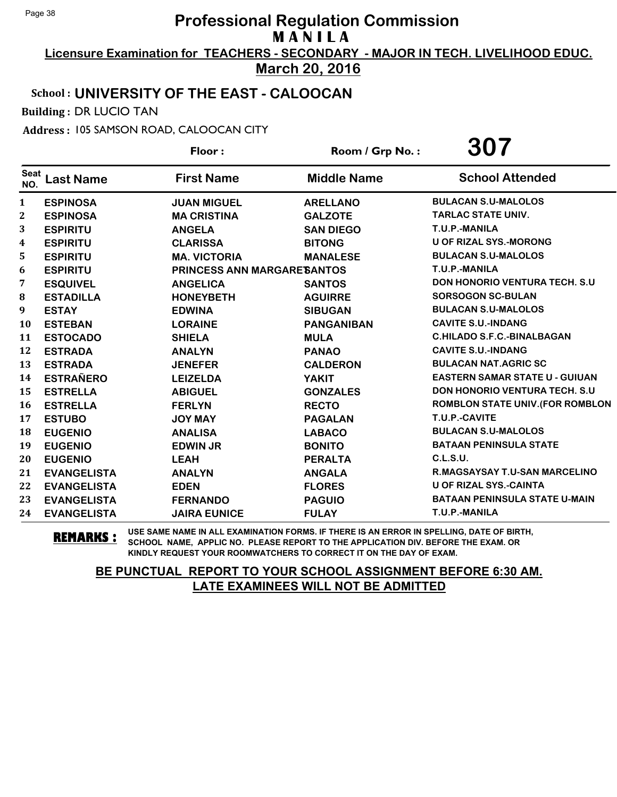**Licensure Examination for TEACHERS - SECONDARY - MAJOR IN TECH. LIVELIHOOD EDUC. March 20, 2016**

## School : **UNIVERSITY OF THE EAST - CALOOCAN**

Building : DR LUCIO TAN

Address : 105 SAMSON ROAD, CALOOCAN CITY

|                    |                    | Floor:                             | Room / Grp No.:    | 307                                   |
|--------------------|--------------------|------------------------------------|--------------------|---------------------------------------|
| <b>Seat</b><br>NO. | <b>Last Name</b>   | <b>First Name</b>                  | <b>Middle Name</b> | <b>School Attended</b>                |
| 1                  | <b>ESPINOSA</b>    | <b>JUAN MIGUEL</b>                 | <b>ARELLANO</b>    | <b>BULACAN S.U-MALOLOS</b>            |
| 2                  | <b>ESPINOSA</b>    | <b>MA CRISTINA</b>                 | <b>GALZOTE</b>     | <b>TARLAC STATE UNIV.</b>             |
| 3                  | <b>ESPIRITU</b>    | <b>ANGELA</b>                      | <b>SAN DIEGO</b>   | T.U.P.-MANILA                         |
| 4                  | <b>ESPIRITU</b>    | <b>CLARISSA</b>                    | <b>BITONG</b>      | <b>U OF RIZAL SYS.-MORONG</b>         |
| 5                  | <b>ESPIRITU</b>    | <b>MA. VICTORIA</b>                | <b>MANALESE</b>    | <b>BULACAN S.U-MALOLOS</b>            |
| 6                  | <b>ESPIRITU</b>    | <b>PRINCESS ANN MARGARE SANTOS</b> |                    | T.U.P.-MANILA                         |
| 7                  | <b>ESQUIVEL</b>    | <b>ANGELICA</b>                    | <b>SANTOS</b>      | <b>DON HONORIO VENTURA TECH. S.U.</b> |
| 8                  | <b>ESTADILLA</b>   | <b>HONEYBETH</b>                   | <b>AGUIRRE</b>     | <b>SORSOGON SC-BULAN</b>              |
| 9                  | <b>ESTAY</b>       | <b>EDWINA</b>                      | <b>SIBUGAN</b>     | <b>BULACAN S.U-MALOLOS</b>            |
| 10                 | <b>ESTEBAN</b>     | <b>LORAINE</b>                     | <b>PANGANIBAN</b>  | <b>CAVITE S.U.-INDANG</b>             |
| 11                 | <b>ESTOCADO</b>    | <b>SHIELA</b>                      | <b>MULA</b>        | <b>C.HILADO S.F.C.-BINALBAGAN</b>     |
| 12                 | <b>ESTRADA</b>     | <b>ANALYN</b>                      | <b>PANAO</b>       | <b>CAVITE S.U.-INDANG</b>             |
| 13                 | <b>ESTRADA</b>     | <b>JENEFER</b>                     | <b>CALDERON</b>    | <b>BULACAN NAT.AGRIC SC</b>           |
| 14                 | <b>ESTRAÑERO</b>   | <b>LEIZELDA</b>                    | <b>YAKIT</b>       | <b>EASTERN SAMAR STATE U - GUIUAN</b> |
| 15                 | <b>ESTRELLA</b>    | <b>ABIGUEL</b>                     | <b>GONZALES</b>    | <b>DON HONORIO VENTURA TECH. S.U.</b> |
| 16                 | <b>ESTRELLA</b>    | <b>FERLYN</b>                      | <b>RECTO</b>       | ROMBLON STATE UNIV. (FOR ROMBLON      |
| 17                 | <b>ESTUBO</b>      | <b>JOY MAY</b>                     | <b>PAGALAN</b>     | T.U.P.-CAVITE                         |
| 18                 | <b>EUGENIO</b>     | <b>ANALISA</b>                     | <b>LABACO</b>      | <b>BULACAN S.U-MALOLOS</b>            |
| 19                 | <b>EUGENIO</b>     | <b>EDWIN JR</b>                    | <b>BONITO</b>      | <b>BATAAN PENINSULA STATE</b>         |
| 20                 | <b>EUGENIO</b>     | <b>LEAH</b>                        | <b>PERALTA</b>     | C.L.S.U.                              |
| 21                 | <b>EVANGELISTA</b> | <b>ANALYN</b>                      | <b>ANGALA</b>      | <b>R.MAGSAYSAY T.U-SAN MARCELINO</b>  |
| 22                 | <b>EVANGELISTA</b> | <b>EDEN</b>                        | <b>FLORES</b>      | <b>U OF RIZAL SYS.-CAINTA</b>         |
| 23                 | <b>EVANGELISTA</b> | <b>FERNANDO</b>                    | <b>PAGUIO</b>      | <b>BATAAN PENINSULA STATE U-MAIN</b>  |
| 24                 | <b>EVANGELISTA</b> | <b>JAIRA EUNICE</b>                | <b>FULAY</b>       | T.U.P.-MANILA                         |

**REMARKS :** USE SAME NAME IN ALL EXAMINATION FORMS. IF THERE IS AN ERROR IN SPELLING, DATE OF BIRTH, SCHOOL NAME, APPLIC NO. PLEASE REPORT TO THE APPLICATION DIV. BEFORE THE EXAM. OR KINDLY REQUEST YOUR ROOMWATCHERS TO CORRECT IT ON THE DAY OF EXAM.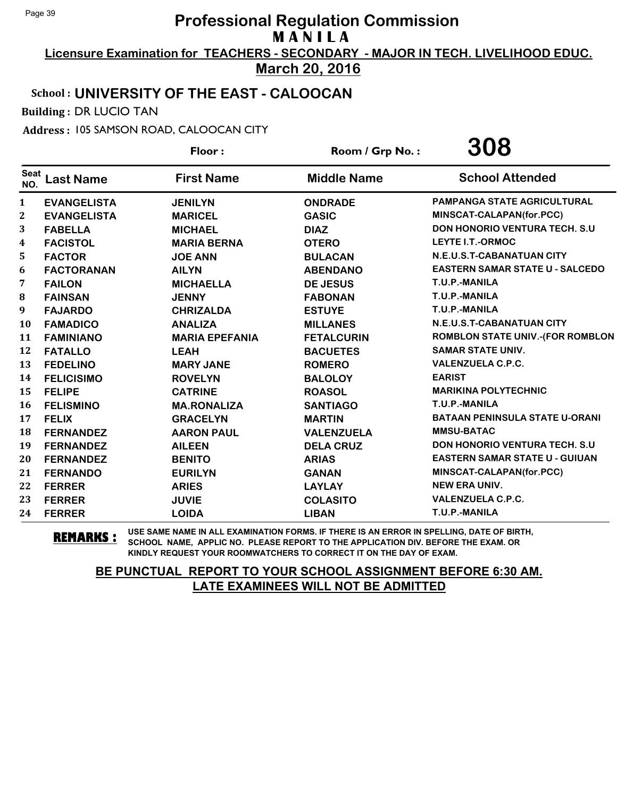**Licensure Examination for TEACHERS - SECONDARY - MAJOR IN TECH. LIVELIHOOD EDUC. March 20, 2016**

# School : **UNIVERSITY OF THE EAST - CALOOCAN**

Building : DR LUCIO TAN

Address : 105 SAMSON ROAD, CALOOCAN CITY

|                    |                    | Floor:                | Room / Grp No.:    | 308                                     |
|--------------------|--------------------|-----------------------|--------------------|-----------------------------------------|
| <b>Seat</b><br>NO. | <b>Last Name</b>   | <b>First Name</b>     | <b>Middle Name</b> | <b>School Attended</b>                  |
| 1                  | <b>EVANGELISTA</b> | <b>JENILYN</b>        | <b>ONDRADE</b>     | <b>PAMPANGA STATE AGRICULTURAL</b>      |
| $\mathbf{2}$       | <b>EVANGELISTA</b> | <b>MARICEL</b>        | <b>GASIC</b>       | MINSCAT-CALAPAN(for.PCC)                |
| 3                  | <b>FABELLA</b>     | <b>MICHAEL</b>        | <b>DIAZ</b>        | <b>DON HONORIO VENTURA TECH. S.U.</b>   |
| 4                  | <b>FACISTOL</b>    | <b>MARIA BERNA</b>    | <b>OTERO</b>       | <b>LEYTE I.T.-ORMOC</b>                 |
| 5                  | <b>FACTOR</b>      | <b>JOE ANN</b>        | <b>BULACAN</b>     | N.E.U.S.T-CABANATUAN CITY               |
| 6                  | <b>FACTORANAN</b>  | <b>AILYN</b>          | <b>ABENDANO</b>    | <b>EASTERN SAMAR STATE U - SALCEDO</b>  |
| 7                  | <b>FAILON</b>      | <b>MICHAELLA</b>      | <b>DE JESUS</b>    | T.U.P.-MANILA                           |
| 8                  | <b>FAINSAN</b>     | <b>JENNY</b>          | <b>FABONAN</b>     | T.U.P.-MANILA                           |
| 9                  | <b>FAJARDO</b>     | <b>CHRIZALDA</b>      | <b>ESTUYE</b>      | T.U.P.-MANILA                           |
| 10                 | <b>FAMADICO</b>    | <b>ANALIZA</b>        | <b>MILLANES</b>    | N.E.U.S.T-CABANATUAN CITY               |
| 11                 | <b>FAMINIANO</b>   | <b>MARIA EPEFANIA</b> | <b>FETALCURIN</b>  | <b>ROMBLON STATE UNIV.-(FOR ROMBLON</b> |
| 12                 | <b>FATALLO</b>     | <b>LEAH</b>           | <b>BACUETES</b>    | <b>SAMAR STATE UNIV.</b>                |
| 13                 | <b>FEDELINO</b>    | <b>MARY JANE</b>      | <b>ROMERO</b>      | <b>VALENZUELA C.P.C.</b>                |
| 14                 | <b>FELICISIMO</b>  | <b>ROVELYN</b>        | <b>BALOLOY</b>     | <b>EARIST</b>                           |
| 15                 | <b>FELIPE</b>      | <b>CATRINE</b>        | <b>ROASOL</b>      | <b>MARIKINA POLYTECHNIC</b>             |
| 16                 | <b>FELISMINO</b>   | <b>MA.RONALIZA</b>    | <b>SANTIAGO</b>    | T.U.P.-MANILA                           |
| 17                 | <b>FELIX</b>       | <b>GRACELYN</b>       | <b>MARTIN</b>      | <b>BATAAN PENINSULA STATE U-ORANI</b>   |
| 18                 | <b>FERNANDEZ</b>   | <b>AARON PAUL</b>     | <b>VALENZUELA</b>  | <b>MMSU-BATAC</b>                       |
| 19                 | <b>FERNANDEZ</b>   | <b>AILEEN</b>         | <b>DELA CRUZ</b>   | DON HONORIO VENTURA TECH. S.U           |
| 20                 | <b>FERNANDEZ</b>   | <b>BENITO</b>         | <b>ARIAS</b>       | <b>EASTERN SAMAR STATE U - GUIUAN</b>   |
| 21                 | <b>FERNANDO</b>    | <b>EURILYN</b>        | <b>GANAN</b>       | MINSCAT-CALAPAN(for.PCC)                |
| 22                 | <b>FERRER</b>      | <b>ARIES</b>          | <b>LAYLAY</b>      | <b>NEW ERA UNIV.</b>                    |
| 23                 | <b>FERRER</b>      | <b>JUVIE</b>          | <b>COLASITO</b>    | <b>VALENZUELA C.P.C.</b>                |
| 24                 | <b>FERRER</b>      | <b>LOIDA</b>          | <b>LIBAN</b>       | T.U.P.-MANILA                           |

**REMARKS :** USE SAME NAME IN ALL EXAMINATION FORMS. IF THERE IS AN ERROR IN SPELLING, DATE OF BIRTH, SCHOOL NAME, APPLIC NO. PLEASE REPORT TO THE APPLICATION DIV. BEFORE THE EXAM. OR KINDLY REQUEST YOUR ROOMWATCHERS TO CORRECT IT ON THE DAY OF EXAM.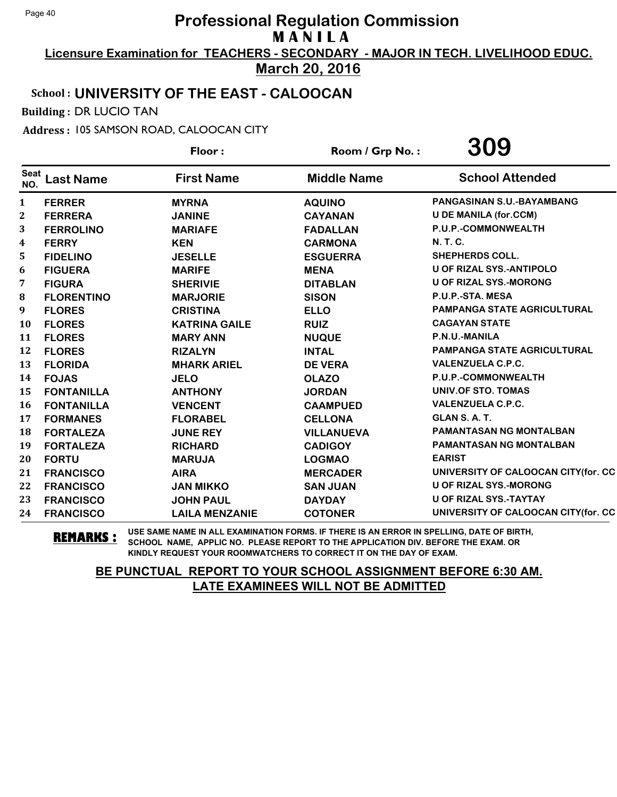**Licensure Examination for TEACHERS - SECONDARY - MAJOR IN TECH. LIVELIHOOD EDUC. March 20, 2016**

## School : **UNIVERSITY OF THE EAST - CALOOCAN**

Building : DR LUCIO TAN

Address : 105 SAMSON ROAD, CALOOCAN CITY

|                    |                   | Floor:                | Room / Grp No.:    | 309                                 |
|--------------------|-------------------|-----------------------|--------------------|-------------------------------------|
| <b>Seat</b><br>NO. | <b>Last Name</b>  | <b>First Name</b>     | <b>Middle Name</b> | <b>School Attended</b>              |
| 1                  | <b>FERRER</b>     | <b>MYRNA</b>          | <b>AQUINO</b>      | PANGASINAN S.U.-BAYAMBANG           |
| $\mathbf 2$        | <b>FERRERA</b>    | <b>JANINE</b>         | <b>CAYANAN</b>     | <b>U DE MANILA (for.CCM)</b>        |
| 3                  | <b>FERROLINO</b>  | <b>MARIAFE</b>        | <b>FADALLAN</b>    | P.U.P.-COMMONWEALTH                 |
| 4                  | <b>FERRY</b>      | <b>KEN</b>            | <b>CARMONA</b>     | N. T. C.                            |
| 5                  | <b>FIDELINO</b>   | <b>JESELLE</b>        | <b>ESGUERRA</b>    | <b>SHEPHERDS COLL.</b>              |
| 6                  | <b>FIGUERA</b>    | <b>MARIFE</b>         | <b>MENA</b>        | <b>U OF RIZAL SYS.-ANTIPOLO</b>     |
| 7                  | <b>FIGURA</b>     | <b>SHERIVIE</b>       | <b>DITABLAN</b>    | <b>U OF RIZAL SYS.-MORONG</b>       |
| 8                  | <b>FLORENTINO</b> | <b>MARJORIE</b>       | <b>SISON</b>       | P.U.P.-STA. MESA                    |
| 9                  | <b>FLORES</b>     | <b>CRISTINA</b>       | <b>ELLO</b>        | <b>PAMPANGA STATE AGRICULTURAL</b>  |
| 10                 | <b>FLORES</b>     | <b>KATRINA GAILE</b>  | <b>RUIZ</b>        | <b>CAGAYAN STATE</b>                |
| 11                 | <b>FLORES</b>     | <b>MARY ANN</b>       | <b>NUQUE</b>       | P.N.U.-MANILA                       |
| 12                 | <b>FLORES</b>     | <b>RIZALYN</b>        | <b>INTAL</b>       | <b>PAMPANGA STATE AGRICULTURAL</b>  |
| 13                 | <b>FLORIDA</b>    | <b>MHARK ARIEL</b>    | <b>DE VERA</b>     | <b>VALENZUELA C.P.C.</b>            |
| 14                 | <b>FOJAS</b>      | <b>JELO</b>           | <b>OLAZO</b>       | P.U.P.-COMMONWEALTH                 |
| 15                 | <b>FONTANILLA</b> | <b>ANTHONY</b>        | <b>JORDAN</b>      | UNIV.OF STO. TOMAS                  |
| 16                 | <b>FONTANILLA</b> | <b>VENCENT</b>        | <b>CAAMPUED</b>    | <b>VALENZUELA C.P.C.</b>            |
| 17                 | <b>FORMANES</b>   | <b>FLORABEL</b>       | <b>CELLONA</b>     | GLAN S.A.T.                         |
| 18                 | <b>FORTALEZA</b>  | <b>JUNE REY</b>       | <b>VILLANUEVA</b>  | <b>PAMANTASAN NG MONTALBAN</b>      |
| 19                 | <b>FORTALEZA</b>  | <b>RICHARD</b>        | <b>CADIGOY</b>     | PAMANTASAN NG MONTALBAN             |
| 20                 | <b>FORTU</b>      | <b>MARUJA</b>         | <b>LOGMAO</b>      | <b>EARIST</b>                       |
| 21                 | <b>FRANCISCO</b>  | <b>AIRA</b>           | <b>MERCADER</b>    | UNIVERSITY OF CALOOCAN CITY(for. CC |
| 22                 | <b>FRANCISCO</b>  | <b>JAN MIKKO</b>      | <b>SAN JUAN</b>    | <b>U OF RIZAL SYS.-MORONG</b>       |
| 23                 | <b>FRANCISCO</b>  | <b>JOHN PAUL</b>      | <b>DAYDAY</b>      | <b>U OF RIZAL SYS.-TAYTAY</b>       |
| 24                 | <b>FRANCISCO</b>  | <b>LAILA MENZANIE</b> | <b>COTONER</b>     | UNIVERSITY OF CALOOCAN CITY(for. CC |

**REMARKS :** USE SAME NAME IN ALL EXAMINATION FORMS. IF THERE IS AN ERROR IN SPELLING, DATE OF BIRTH, SCHOOL NAME, APPLIC NO. PLEASE REPORT TO THE APPLICATION DIV. BEFORE THE EXAM. OR KINDLY REQUEST YOUR ROOMWATCHERS TO CORRECT IT ON THE DAY OF EXAM.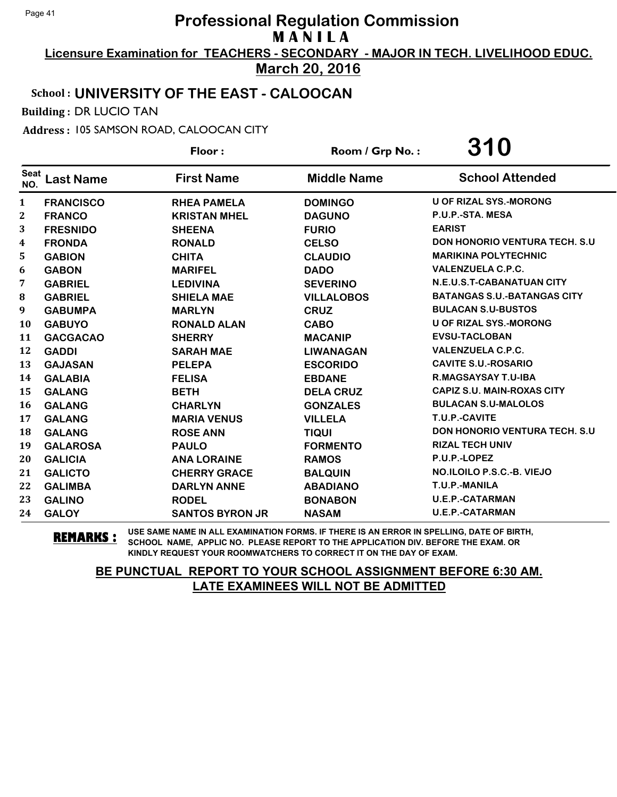**Licensure Examination for TEACHERS - SECONDARY - MAJOR IN TECH. LIVELIHOOD EDUC. March 20, 2016**

## School : **UNIVERSITY OF THE EAST - CALOOCAN**

Building : DR LUCIO TAN

Address : 105 SAMSON ROAD, CALOOCAN CITY

|                    |                  | Floor:                 | Room / Grp No.:    | 310                                   |
|--------------------|------------------|------------------------|--------------------|---------------------------------------|
| <b>Seat</b><br>NO. | <b>Last Name</b> | <b>First Name</b>      | <b>Middle Name</b> | <b>School Attended</b>                |
| $\mathbf{1}$       | <b>FRANCISCO</b> | <b>RHEA PAMELA</b>     | <b>DOMINGO</b>     | <b>U OF RIZAL SYS.-MORONG</b>         |
| 2                  | <b>FRANCO</b>    | <b>KRISTAN MHEL</b>    | <b>DAGUNO</b>      | P.U.P.-STA. MESA                      |
| 3                  | <b>FRESNIDO</b>  | <b>SHEENA</b>          | <b>FURIO</b>       | <b>EARIST</b>                         |
| 4                  | <b>FRONDA</b>    | <b>RONALD</b>          | <b>CELSO</b>       | <b>DON HONORIO VENTURA TECH. S.U.</b> |
| 5                  | <b>GABION</b>    | <b>CHITA</b>           | <b>CLAUDIO</b>     | <b>MARIKINA POLYTECHNIC</b>           |
| 6                  | <b>GABON</b>     | <b>MARIFEL</b>         | <b>DADO</b>        | <b>VALENZUELA C.P.C.</b>              |
| 7                  | <b>GABRIEL</b>   | <b>LEDIVINA</b>        | <b>SEVERINO</b>    | N.E.U.S.T-CABANATUAN CITY             |
| 8                  | <b>GABRIEL</b>   | <b>SHIELA MAE</b>      | <b>VILLALOBOS</b>  | <b>BATANGAS S.U.-BATANGAS CITY</b>    |
| 9                  | <b>GABUMPA</b>   | <b>MARLYN</b>          | <b>CRUZ</b>        | <b>BULACAN S.U-BUSTOS</b>             |
| 10                 | <b>GABUYO</b>    | <b>RONALD ALAN</b>     | <b>CABO</b>        | <b>U OF RIZAL SYS.-MORONG</b>         |
| 11                 | <b>GACGACAO</b>  | <b>SHERRY</b>          | <b>MACANIP</b>     | <b>EVSU-TACLOBAN</b>                  |
| 12                 | <b>GADDI</b>     | <b>SARAH MAE</b>       | <b>LIWANAGAN</b>   | <b>VALENZUELA C.P.C.</b>              |
| 13                 | <b>GAJASAN</b>   | <b>PELEPA</b>          | <b>ESCORIDO</b>    | <b>CAVITE S.U.-ROSARIO</b>            |
| 14                 | <b>GALABIA</b>   | <b>FELISA</b>          | <b>EBDANE</b>      | <b>R.MAGSAYSAY T.U-IBA</b>            |
| 15                 | <b>GALANG</b>    | <b>BETH</b>            | <b>DELA CRUZ</b>   | <b>CAPIZ S.U. MAIN-ROXAS CITY</b>     |
| 16                 | <b>GALANG</b>    | <b>CHARLYN</b>         | <b>GONZALES</b>    | <b>BULACAN S.U-MALOLOS</b>            |
| 17                 | <b>GALANG</b>    | <b>MARIA VENUS</b>     | <b>VILLELA</b>     | T.U.P.-CAVITE                         |
| 18                 | <b>GALANG</b>    | <b>ROSE ANN</b>        | <b>TIQUI</b>       | <b>DON HONORIO VENTURA TECH. S.U.</b> |
| 19                 | <b>GALAROSA</b>  | <b>PAULO</b>           | <b>FORMENTO</b>    | <b>RIZAL TECH UNIV</b>                |
| 20                 | <b>GALICIA</b>   | <b>ANA LORAINE</b>     | <b>RAMOS</b>       | P.U.P.-LOPEZ                          |
| 21                 | <b>GALICTO</b>   | <b>CHERRY GRACE</b>    | <b>BALQUIN</b>     | NO.ILOILO P.S.C.-B. VIEJO             |
| 22                 | <b>GALIMBA</b>   | <b>DARLYN ANNE</b>     | <b>ABADIANO</b>    | T.U.P.-MANILA                         |
| 23                 | <b>GALINO</b>    | <b>RODEL</b>           | <b>BONABON</b>     | <b>U.E.P.-CATARMAN</b>                |
| 24                 | <b>GALOY</b>     | <b>SANTOS BYRON JR</b> | <b>NASAM</b>       | <b>U.E.P.-CATARMAN</b>                |

**REMARKS :** USE SAME NAME IN ALL EXAMINATION FORMS. IF THERE IS AN ERROR IN SPELLING, DATE OF BIRTH, SCHOOL NAME, APPLIC NO. PLEASE REPORT TO THE APPLICATION DIV. BEFORE THE EXAM. OR KINDLY REQUEST YOUR ROOMWATCHERS TO CORRECT IT ON THE DAY OF EXAM.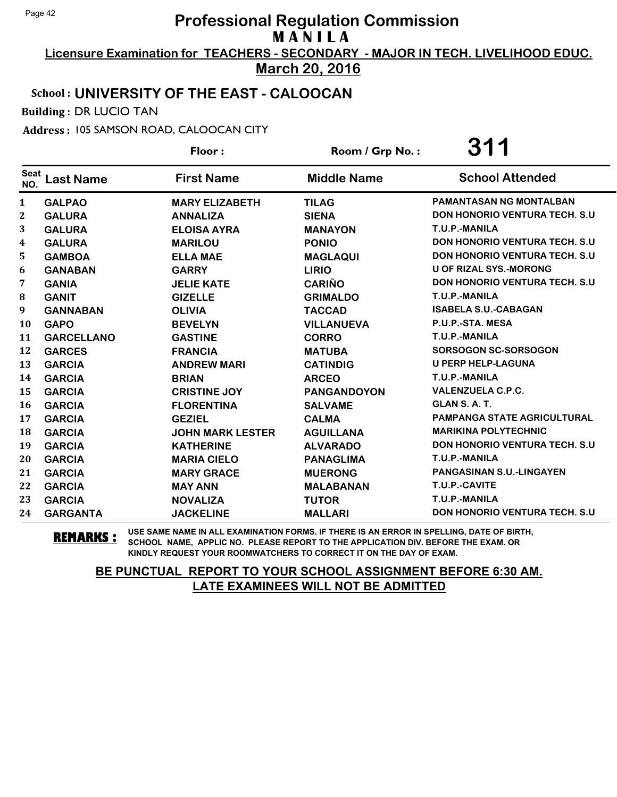**Licensure Examination for TEACHERS - SECONDARY - MAJOR IN TECH. LIVELIHOOD EDUC. March 20, 2016**

## School : **UNIVERSITY OF THE EAST - CALOOCAN**

Building : DR LUCIO TAN

Address : 105 SAMSON ROAD, CALOOCAN CITY

|                    |                   | Floor:                  | Room / Grp No.:    | 311                                   |
|--------------------|-------------------|-------------------------|--------------------|---------------------------------------|
| <b>Seat</b><br>NO. | <b>Last Name</b>  | <b>First Name</b>       | <b>Middle Name</b> | <b>School Attended</b>                |
| 1                  | <b>GALPAO</b>     | <b>MARY ELIZABETH</b>   | <b>TILAG</b>       | <b>PAMANTASAN NG MONTALBAN</b>        |
| 2                  | <b>GALURA</b>     | <b>ANNALIZA</b>         | <b>SIENA</b>       | <b>DON HONORIO VENTURA TECH. S.U</b>  |
| 3                  | <b>GALURA</b>     | <b>ELOISA AYRA</b>      | <b>MANAYON</b>     | T.U.P.-MANILA                         |
| 4                  | <b>GALURA</b>     | <b>MARILOU</b>          | <b>PONIO</b>       | <b>DON HONORIO VENTURA TECH. S.U.</b> |
| 5                  | <b>GAMBOA</b>     | <b>ELLA MAE</b>         | <b>MAGLAQUI</b>    | <b>DON HONORIO VENTURA TECH. S.U.</b> |
| 6                  | <b>GANABAN</b>    | <b>GARRY</b>            | <b>LIRIO</b>       | <b>U OF RIZAL SYS.-MORONG</b>         |
| 7                  | <b>GANIA</b>      | <b>JELIE KATE</b>       | <b>CARIÑO</b>      | <b>DON HONORIO VENTURA TECH. S.U</b>  |
| 8                  | <b>GANIT</b>      | <b>GIZELLE</b>          | <b>GRIMALDO</b>    | T.U.P.-MANILA                         |
| 9                  | <b>GANNABAN</b>   | <b>OLIVIA</b>           | <b>TACCAD</b>      | <b>ISABELA S.U.-CABAGAN</b>           |
| 10                 | <b>GAPO</b>       | <b>BEVELYN</b>          | <b>VILLANUEVA</b>  | P.U.P.-STA. MESA                      |
| 11                 | <b>GARCELLANO</b> | <b>GASTINE</b>          | <b>CORRO</b>       | T.U.P.-MANILA                         |
| 12                 | <b>GARCES</b>     | <b>FRANCIA</b>          | <b>MATUBA</b>      | <b>SORSOGON SC-SORSOGON</b>           |
| 13                 | <b>GARCIA</b>     | <b>ANDREW MARI</b>      | <b>CATINDIG</b>    | <b>U PERP HELP-LAGUNA</b>             |
| 14                 | <b>GARCIA</b>     | <b>BRIAN</b>            | <b>ARCEO</b>       | T.U.P.-MANILA                         |
| 15                 | <b>GARCIA</b>     | <b>CRISTINE JOY</b>     | <b>PANGANDOYON</b> | <b>VALENZUELA C.P.C.</b>              |
| 16                 | <b>GARCIA</b>     | <b>FLORENTINA</b>       | <b>SALVAME</b>     | GLAN S.A.T.                           |
| 17                 | <b>GARCIA</b>     | <b>GEZIEL</b>           | <b>CALMA</b>       | PAMPANGA STATE AGRICULTURAL           |
| 18                 | <b>GARCIA</b>     | <b>JOHN MARK LESTER</b> | <b>AGUILLANA</b>   | <b>MARIKINA POLYTECHNIC</b>           |
| 19                 | <b>GARCIA</b>     | <b>KATHERINE</b>        | <b>ALVARADO</b>    | <b>DON HONORIO VENTURA TECH. S.U.</b> |
| 20                 | <b>GARCIA</b>     | <b>MARIA CIELO</b>      | <b>PANAGLIMA</b>   | T.U.P.-MANILA                         |
| 21                 | <b>GARCIA</b>     | <b>MARY GRACE</b>       | <b>MUERONG</b>     | <b>PANGASINAN S.U.-LINGAYEN</b>       |
| 22                 | <b>GARCIA</b>     | <b>MAY ANN</b>          | <b>MALABANAN</b>   | T.U.P.-CAVITE                         |
| 23                 | <b>GARCIA</b>     | <b>NOVALIZA</b>         | <b>TUTOR</b>       | T.U.P.-MANILA                         |
| 24                 | <b>GARGANTA</b>   | <b>JACKELINE</b>        | <b>MALLARI</b>     | <b>DON HONORIO VENTURA TECH. S.U</b>  |

**REMARKS :** USE SAME NAME IN ALL EXAMINATION FORMS. IF THERE IS AN ERROR IN SPELLING, DATE OF BIRTH, SCHOOL NAME, APPLIC NO. PLEASE REPORT TO THE APPLICATION DIV. BEFORE THE EXAM. OR KINDLY REQUEST YOUR ROOMWATCHERS TO CORRECT IT ON THE DAY OF EXAM.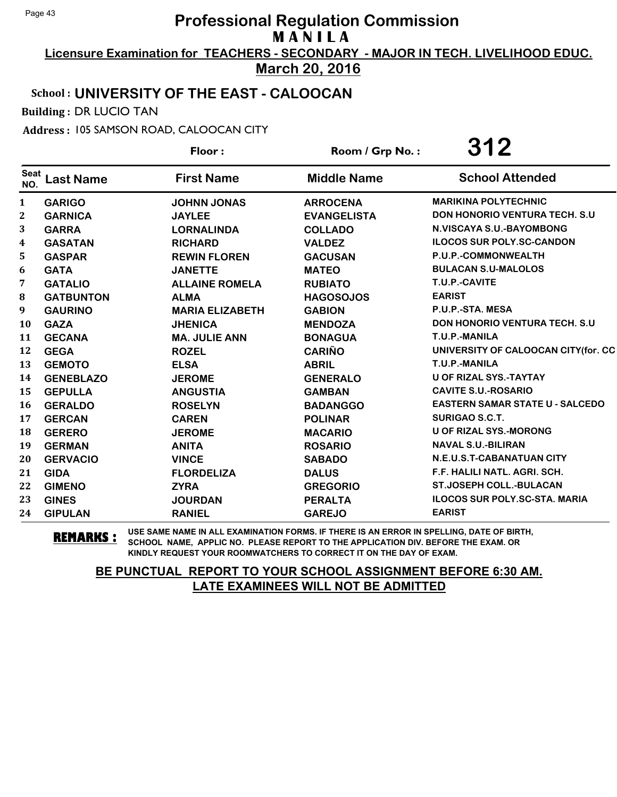**Licensure Examination for TEACHERS - SECONDARY - MAJOR IN TECH. LIVELIHOOD EDUC. March 20, 2016**

## School : **UNIVERSITY OF THE EAST - CALOOCAN**

Building : DR LUCIO TAN

Address : 105 SAMSON ROAD, CALOOCAN CITY

|                    |                  | Floor:                 | Room / Grp No.:    | 312                                    |
|--------------------|------------------|------------------------|--------------------|----------------------------------------|
| <b>Seat</b><br>NO. | <b>Last Name</b> | <b>First Name</b>      | <b>Middle Name</b> | <b>School Attended</b>                 |
| 1                  | <b>GARIGO</b>    | <b>JOHNN JONAS</b>     | <b>ARROCENA</b>    | <b>MARIKINA POLYTECHNIC</b>            |
| $\mathbf 2$        | <b>GARNICA</b>   | <b>JAYLEE</b>          | <b>EVANGELISTA</b> | <b>DON HONORIO VENTURA TECH. S.U.</b>  |
| 3                  | <b>GARRA</b>     | <b>LORNALINDA</b>      | <b>COLLADO</b>     | <b>N.VISCAYA S.U.-BAYOMBONG</b>        |
| 4                  | <b>GASATAN</b>   | <b>RICHARD</b>         | <b>VALDEZ</b>      | <b>ILOCOS SUR POLY.SC-CANDON</b>       |
| 5                  | <b>GASPAR</b>    | <b>REWIN FLOREN</b>    | <b>GACUSAN</b>     | P.U.P.-COMMONWEALTH                    |
| 6                  | <b>GATA</b>      | <b>JANETTE</b>         | <b>MATEO</b>       | <b>BULACAN S.U-MALOLOS</b>             |
| 7                  | <b>GATALIO</b>   | <b>ALLAINE ROMELA</b>  | <b>RUBIATO</b>     | T.U.P.-CAVITE                          |
| 8                  | <b>GATBUNTON</b> | <b>ALMA</b>            | <b>HAGOSOJOS</b>   | <b>EARIST</b>                          |
| 9                  | <b>GAURINO</b>   | <b>MARIA ELIZABETH</b> | <b>GABION</b>      | P.U.P.-STA. MESA                       |
| 10                 | <b>GAZA</b>      | <b>JHENICA</b>         | <b>MENDOZA</b>     | <b>DON HONORIO VENTURA TECH. S.U.</b>  |
| 11                 | <b>GECANA</b>    | <b>MA. JULIE ANN</b>   | <b>BONAGUA</b>     | T.U.P.-MANILA                          |
| 12                 | <b>GEGA</b>      | <b>ROZEL</b>           | <b>CARIÑO</b>      | UNIVERSITY OF CALOOCAN CITY(for. CC    |
| 13                 | <b>GEMOTO</b>    | <b>ELSA</b>            | <b>ABRIL</b>       | T.U.P.-MANILA                          |
| 14                 | <b>GENEBLAZO</b> | <b>JEROME</b>          | <b>GENERALO</b>    | <b>U OF RIZAL SYS.-TAYTAY</b>          |
| 15                 | <b>GEPULLA</b>   | <b>ANGUSTIA</b>        | <b>GAMBAN</b>      | <b>CAVITE S.U.-ROSARIO</b>             |
| 16                 | <b>GERALDO</b>   | <b>ROSELYN</b>         | <b>BADANGGO</b>    | <b>EASTERN SAMAR STATE U - SALCEDO</b> |
| 17                 | <b>GERCAN</b>    | <b>CAREN</b>           | <b>POLINAR</b>     | <b>SURIGAO S.C.T.</b>                  |
| 18                 | <b>GERERO</b>    | <b>JEROME</b>          | <b>MACARIO</b>     | <b>U OF RIZAL SYS.-MORONG</b>          |
| 19                 | <b>GERMAN</b>    | <b>ANITA</b>           | <b>ROSARIO</b>     | <b>NAVAL S.U.-BILIRAN</b>              |
| 20                 | <b>GERVACIO</b>  | <b>VINCE</b>           | <b>SABADO</b>      | N.E.U.S.T-CABANATUAN CITY              |
| 21                 | <b>GIDA</b>      | <b>FLORDELIZA</b>      | <b>DALUS</b>       | F.F. HALILI NATL. AGRI. SCH.           |
| 22                 | <b>GIMENO</b>    | <b>ZYRA</b>            | <b>GREGORIO</b>    | ST.JOSEPH COLL.-BULACAN                |
| 23                 | <b>GINES</b>     | <b>JOURDAN</b>         | <b>PERALTA</b>     | <b>ILOCOS SUR POLY.SC-STA. MARIA</b>   |
| 24                 | <b>GIPULAN</b>   | <b>RANIEL</b>          | <b>GAREJO</b>      | <b>EARIST</b>                          |

**REMARKS :** USE SAME NAME IN ALL EXAMINATION FORMS. IF THERE IS AN ERROR IN SPELLING, DATE OF BIRTH, SCHOOL NAME, APPLIC NO. PLEASE REPORT TO THE APPLICATION DIV. BEFORE THE EXAM. OR KINDLY REQUEST YOUR ROOMWATCHERS TO CORRECT IT ON THE DAY OF EXAM.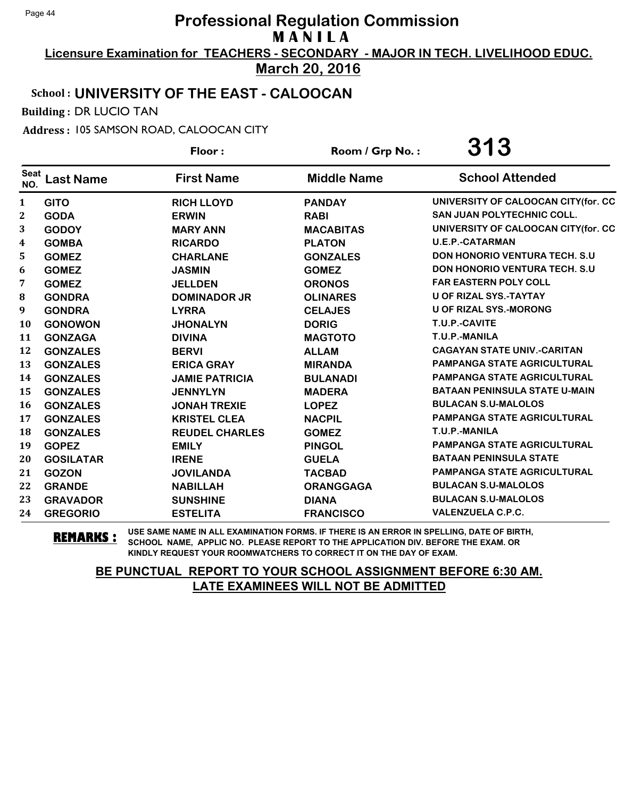**Licensure Examination for TEACHERS - SECONDARY - MAJOR IN TECH. LIVELIHOOD EDUC.**

**March 20, 2016**

## School : **UNIVERSITY OF THE EAST - CALOOCAN**

Building : DR LUCIO TAN

Address : 105 SAMSON ROAD, CALOOCAN CITY

|                    |                  | Floor:                | Room / Grp No.:    | 313                                   |
|--------------------|------------------|-----------------------|--------------------|---------------------------------------|
| <b>Seat</b><br>NO. | <b>Last Name</b> | <b>First Name</b>     | <b>Middle Name</b> | <b>School Attended</b>                |
| 1                  | <b>GITO</b>      | <b>RICH LLOYD</b>     | <b>PANDAY</b>      | UNIVERSITY OF CALOOCAN CITY(for. CC   |
| 2                  | <b>GODA</b>      | <b>ERWIN</b>          | <b>RABI</b>        | <b>SAN JUAN POLYTECHNIC COLL.</b>     |
| 3                  | <b>GODOY</b>     | <b>MARY ANN</b>       | <b>MACABITAS</b>   | UNIVERSITY OF CALOOCAN CITY(for. CC   |
| 4                  | <b>GOMBA</b>     | <b>RICARDO</b>        | <b>PLATON</b>      | <b>U.E.P.-CATARMAN</b>                |
| 5.                 | <b>GOMEZ</b>     | <b>CHARLANE</b>       | <b>GONZALES</b>    | <b>DON HONORIO VENTURA TECH. S.U.</b> |
| 6                  | <b>GOMEZ</b>     | <b>JASMIN</b>         | <b>GOMEZ</b>       | <b>DON HONORIO VENTURA TECH. S.U.</b> |
| 7                  | <b>GOMEZ</b>     | <b>JELLDEN</b>        | <b>ORONOS</b>      | <b>FAR EASTERN POLY COLL</b>          |
| 8                  | <b>GONDRA</b>    | <b>DOMINADOR JR</b>   | <b>OLINARES</b>    | U OF RIZAL SYS.-TAYTAY                |
| 9                  | <b>GONDRA</b>    | <b>LYRRA</b>          | <b>CELAJES</b>     | <b>U OF RIZAL SYS.-MORONG</b>         |
| 10                 | <b>GONOWON</b>   | <b>JHONALYN</b>       | <b>DORIG</b>       | T.U.P.-CAVITE                         |
| 11                 | <b>GONZAGA</b>   | <b>DIVINA</b>         | <b>MAGTOTO</b>     | T.U.P.-MANILA                         |
| 12                 | <b>GONZALES</b>  | <b>BERVI</b>          | <b>ALLAM</b>       | <b>CAGAYAN STATE UNIV.-CARITAN</b>    |
| 13                 | <b>GONZALES</b>  | <b>ERICA GRAY</b>     | <b>MIRANDA</b>     | <b>PAMPANGA STATE AGRICULTURAL</b>    |
| 14                 | <b>GONZALES</b>  | <b>JAMIE PATRICIA</b> | <b>BULANADI</b>    | <b>PAMPANGA STATE AGRICULTURAL</b>    |
| 15                 | <b>GONZALES</b>  | <b>JENNYLYN</b>       | <b>MADERA</b>      | <b>BATAAN PENINSULA STATE U-MAIN</b>  |
| <b>16</b>          | <b>GONZALES</b>  | <b>JONAH TREXIE</b>   | <b>LOPEZ</b>       | <b>BULACAN S.U-MALOLOS</b>            |
| 17                 | <b>GONZALES</b>  | <b>KRISTEL CLEA</b>   | <b>NACPIL</b>      | <b>PAMPANGA STATE AGRICULTURAL</b>    |
| 18                 | <b>GONZALES</b>  | <b>REUDEL CHARLES</b> | <b>GOMEZ</b>       | T.U.P.-MANILA                         |
| 19                 | <b>GOPEZ</b>     | <b>EMILY</b>          | <b>PINGOL</b>      | <b>PAMPANGA STATE AGRICULTURAL</b>    |
| 20                 | <b>GOSILATAR</b> | <b>IRENE</b>          | <b>GUELA</b>       | <b>BATAAN PENINSULA STATE</b>         |
| 21                 | <b>GOZON</b>     | <b>JOVILANDA</b>      | <b>TACBAD</b>      | <b>PAMPANGA STATE AGRICULTURAL</b>    |
| 22                 | <b>GRANDE</b>    | <b>NABILLAH</b>       | <b>ORANGGAGA</b>   | <b>BULACAN S.U-MALOLOS</b>            |
| 23                 | <b>GRAVADOR</b>  | <b>SUNSHINE</b>       | <b>DIANA</b>       | <b>BULACAN S.U-MALOLOS</b>            |
| 24                 | <b>GREGORIO</b>  | <b>ESTELITA</b>       | <b>FRANCISCO</b>   | <b>VALENZUELA C.P.C.</b>              |

**REMARKS :** USE SAME NAME IN ALL EXAMINATION FORMS. IF THERE IS AN ERROR IN SPELLING, DATE OF BIRTH, SCHOOL NAME, APPLIC NO. PLEASE REPORT TO THE APPLICATION DIV. BEFORE THE EXAM. OR KINDLY REQUEST YOUR ROOMWATCHERS TO CORRECT IT ON THE DAY OF EXAM.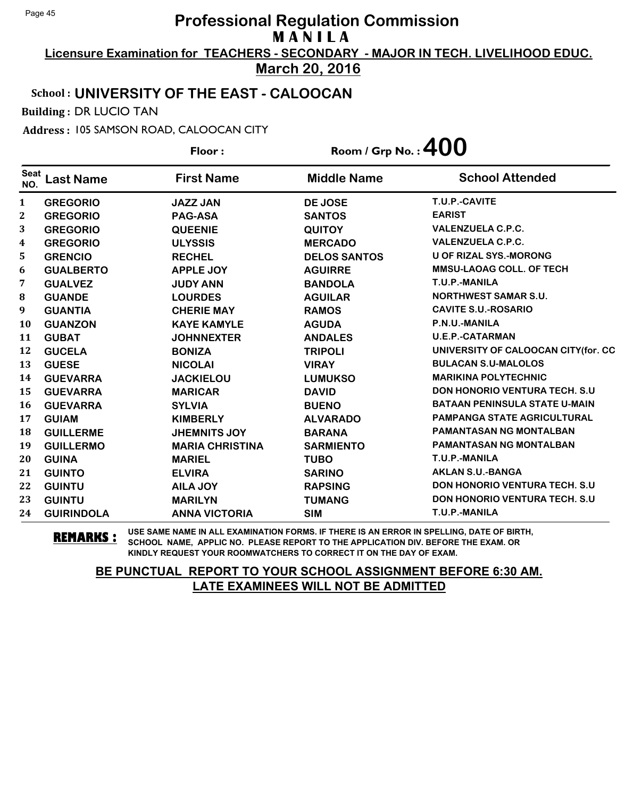**Licensure Examination for TEACHERS - SECONDARY - MAJOR IN TECH. LIVELIHOOD EDUC. March 20, 2016**

## School : **UNIVERSITY OF THE EAST - CALOOCAN**

Building : DR LUCIO TAN

Address : 105 SAMSON ROAD, CALOOCAN CITY

|                    |                   | Floor:                 | Room / Grp No. : $400$ |                                       |
|--------------------|-------------------|------------------------|------------------------|---------------------------------------|
| <b>Seat</b><br>NO. | <b>Last Name</b>  | <b>First Name</b>      | <b>Middle Name</b>     | <b>School Attended</b>                |
| $\mathbf{1}$       | <b>GREGORIO</b>   | <b>JAZZ JAN</b>        | <b>DE JOSE</b>         | T.U.P.-CAVITE                         |
| 2                  | <b>GREGORIO</b>   | <b>PAG-ASA</b>         | <b>SANTOS</b>          | <b>EARIST</b>                         |
| 3                  | <b>GREGORIO</b>   | <b>QUEENIE</b>         | <b>QUITOY</b>          | <b>VALENZUELA C.P.C.</b>              |
| 4                  | <b>GREGORIO</b>   | <b>ULYSSIS</b>         | <b>MERCADO</b>         | <b>VALENZUELA C.P.C.</b>              |
| 5                  | <b>GRENCIO</b>    | <b>RECHEL</b>          | <b>DELOS SANTOS</b>    | <b>U OF RIZAL SYS.-MORONG</b>         |
| 6                  | <b>GUALBERTO</b>  | <b>APPLE JOY</b>       | <b>AGUIRRE</b>         | <b>MMSU-LAOAG COLL. OF TECH</b>       |
| 7                  | <b>GUALVEZ</b>    | <b>JUDY ANN</b>        | <b>BANDOLA</b>         | T.U.P.-MANILA                         |
| 8                  | <b>GUANDE</b>     | <b>LOURDES</b>         | <b>AGUILAR</b>         | <b>NORTHWEST SAMAR S.U.</b>           |
| 9                  | <b>GUANTIA</b>    | <b>CHERIE MAY</b>      | <b>RAMOS</b>           | <b>CAVITE S.U.-ROSARIO</b>            |
| 10                 | <b>GUANZON</b>    | <b>KAYE KAMYLE</b>     | <b>AGUDA</b>           | P.N.U.-MANILA                         |
| 11                 | <b>GUBAT</b>      | <b>JOHNNEXTER</b>      | <b>ANDALES</b>         | <b>U.E.P.-CATARMAN</b>                |
| 12                 | <b>GUCELA</b>     | <b>BONIZA</b>          | <b>TRIPOLI</b>         | UNIVERSITY OF CALOOCAN CITY(for. CC   |
| 13                 | <b>GUESE</b>      | <b>NICOLAI</b>         | <b>VIRAY</b>           | <b>BULACAN S.U-MALOLOS</b>            |
| 14                 | <b>GUEVARRA</b>   | <b>JACKIELOU</b>       | <b>LUMUKSO</b>         | <b>MARIKINA POLYTECHNIC</b>           |
| 15                 | <b>GUEVARRA</b>   | <b>MARICAR</b>         | <b>DAVID</b>           | <b>DON HONORIO VENTURA TECH. S.U.</b> |
| <b>16</b>          | <b>GUEVARRA</b>   | <b>SYLVIA</b>          | <b>BUENO</b>           | <b>BATAAN PENINSULA STATE U-MAIN</b>  |
| 17                 | <b>GUIAM</b>      | <b>KIMBERLY</b>        | <b>ALVARADO</b>        | <b>PAMPANGA STATE AGRICULTURAL</b>    |
| 18                 | <b>GUILLERME</b>  | <b>JHEMNITS JOY</b>    | <b>BARANA</b>          | <b>PAMANTASAN NG MONTALBAN</b>        |
| 19                 | <b>GUILLERMO</b>  | <b>MARIA CHRISTINA</b> | <b>SARMIENTO</b>       | <b>PAMANTASAN NG MONTALBAN</b>        |
| 20                 | <b>GUINA</b>      | <b>MARIEL</b>          | <b>TUBO</b>            | T.U.P.-MANILA                         |
| 21                 | <b>GUINTO</b>     | <b>ELVIRA</b>          | <b>SARINO</b>          | <b>AKLAN S.U.-BANGA</b>               |
| 22                 | <b>GUINTU</b>     | <b>AILA JOY</b>        | <b>RAPSING</b>         | <b>DON HONORIO VENTURA TECH. S.U</b>  |
| 23                 | <b>GUINTU</b>     | <b>MARILYN</b>         | <b>TUMANG</b>          | <b>DON HONORIO VENTURA TECH. S.U.</b> |
| 24                 | <b>GUIRINDOLA</b> | <b>ANNA VICTORIA</b>   | <b>SIM</b>             | T.U.P.-MANILA                         |

**REMARKS :** USE SAME NAME IN ALL EXAMINATION FORMS. IF THERE IS AN ERROR IN SPELLING, DATE OF BIRTH, SCHOOL NAME, APPLIC NO. PLEASE REPORT TO THE APPLICATION DIV. BEFORE THE EXAM. OR KINDLY REQUEST YOUR ROOMWATCHERS TO CORRECT IT ON THE DAY OF EXAM.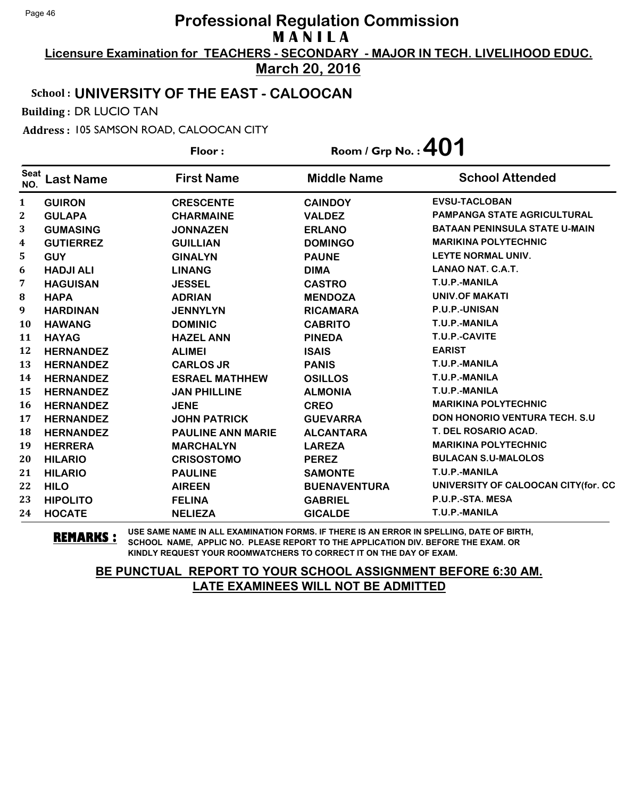**Licensure Examination for TEACHERS - SECONDARY - MAJOR IN TECH. LIVELIHOOD EDUC. March 20, 2016**

#### School : **UNIVERSITY OF THE EAST - CALOOCAN**

Building : DR LUCIO TAN

Address : 105 SAMSON ROAD, CALOOCAN CITY

**Last Name First Name Middle Name** Floor : Room / Grp No. :**401** Seat <sup>seat</sup> Last Name First Name Middle Name School Attended **GUIRON CRESCENTE CAINDOY EVSU-TACLOBAN GULAPA CHARMAINE VALDEZ PAMPANGA STATE AGRICULTURAL GUMASING JONNAZEN ERLANO BATAAN PENINSULA STATE U-MAIN GUTIERREZ GUILLIAN DOMINGO MARIKINA POLYTECHNIC GUY GINALYN PAUNE LEYTE NORMAL UNIV. HADJI ALI LINANG DIMA LANAO NAT. C.A.T. HAGUISAN JESSEL CASTRO T.U.P.-MANILA HAPA ADRIAN MENDOZA UNIV.OF MAKATI HARDINAN JENNYLYN RICAMARA P.U.P.-UNISAN HAWANG DOMINIC CABRITO T.U.P.-MANILA HAYAG HAZEL ANN PINEDA T.U.P.-CAVITE HERNANDEZ ALIMEI ISAIS EARIST HERNANDEZ CARLOS JR PANIS T.U.P.-MANILA HERNANDEZ ESRAEL MATHHEW OSILLOS T.U.P.-MANILA HERNANDEZ JAN PHILLINE ALMONIA T.U.P.-MANILA HERNANDEZ JENE CREO MARIKINA POLYTECHNIC HERNANDEZ JOHN PATRICK GUEVARRA DON HONORIO VENTURA TECH. S.U HERNANDEZ PAULINE ANN MARIE ALCANTARA T. DEL ROSARIO ACAD. HERRERA MARCHALYN LAREZA MARIKINA POLYTECHNIC HILARIO CRISOSTOMO PEREZ BULACAN S.U-MALOLOS HILARIO PAULINE SAMONTE T.U.P.-MANILA HILO AIREEN BUENAVENTURA UNIVERSITY OF CALOOCAN CITY(for. CC HIPOLITO FELINA GABRIEL P.U.P.-STA. MESA HOCATE NELIEZA GICALDE T.U.P.-MANILA**

**REMARKS :** USE SAME NAME IN ALL EXAMINATION FORMS. IF THERE IS AN ERROR IN SPELLING, DATE OF BIRTH, SCHOOL NAME, APPLIC NO. PLEASE REPORT TO THE APPLICATION DIV. BEFORE THE EXAM. OR KINDLY REQUEST YOUR ROOMWATCHERS TO CORRECT IT ON THE DAY OF EXAM.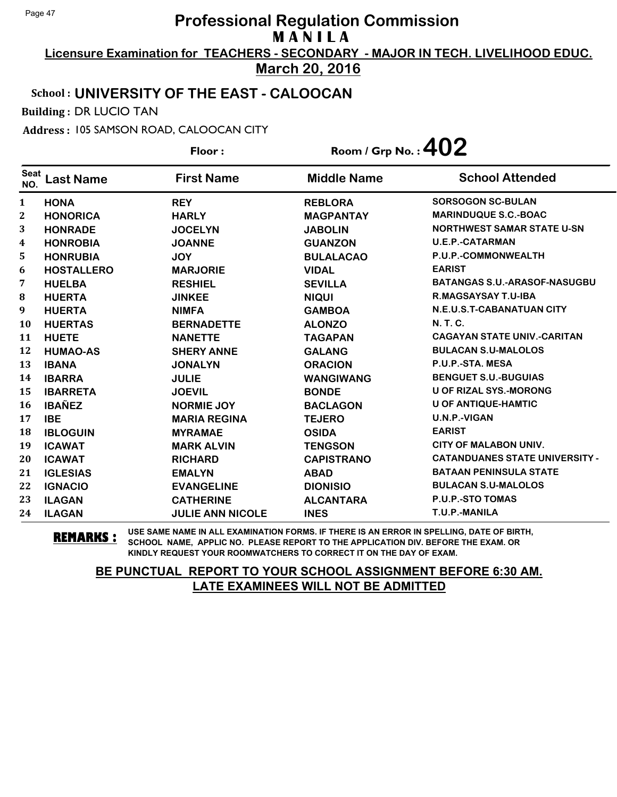**Licensure Examination for TEACHERS - SECONDARY - MAJOR IN TECH. LIVELIHOOD EDUC. March 20, 2016**

### School : **UNIVERSITY OF THE EAST - CALOOCAN**

Building : DR LUCIO TAN

Address : 105 SAMSON ROAD, CALOOCAN CITY

**Last Name First Name Middle Name** Floor : Room / Grp No. :**402** Seat <sup>seat</sup> Last Name First Name Middle Name School Attended **HONA REY REBLORA SORSOGON SC-BULAN HONORICA HARLY MAGPANTAY MARINDUQUE S.C.-BOAC HONRADE JOCELYN JABOLIN NORTHWEST SAMAR STATE U-SN HONROBIA JOANNE GUANZON U.E.P.-CATARMAN HONRUBIA JOY BULALACAO P.U.P.-COMMONWEALTH HOSTALLERO MARJORIE VIDAL EARIST HUELBA RESHIEL SEVILLA BATANGAS S.U.-ARASOF-NASUGBU HUERTA JINKEE NIQUI R.MAGSAYSAY T.U-IBA HUERTA NIMFA GAMBOA N.E.U.S.T-CABANATUAN CITY HUERTAS BERNADETTE ALONZO N. T. C. HUETE NANETTE TAGAPAN CAGAYAN STATE UNIV.-CARITAN HUMAO-AS SHERY ANNE GALANG BULACAN S.U-MALOLOS IBANA JONALYN ORACION P.U.P.-STA. MESA IBARRA JULIE WANGIWANG BENGUET S.U.-BUGUIAS IBARRETA JOEVIL BONDE U OF RIZAL SYS.-MORONG IBAÑEZ NORMIE JOY BACLAGON U OF ANTIQUE-HAMTIC IBE MARIA REGINA TEJERO U.N.P.-VIGAN IBLOGUIN MYRAMAE OSIDA EARIST ICAWAT MARK ALVIN TENGSON CITY OF MALABON UNIV. ICAWAT RICHARD CAPISTRANO CATANDUANES STATE UNIVERSITY - IGLESIAS EMALYN ABAD BATAAN PENINSULA STATE IGNACIO EVANGELINE DIONISIO BULACAN S.U-MALOLOS ILAGAN CATHERINE ALCANTARA P.U.P.-STO TOMAS ILAGAN JULIE ANN NICOLE INES T.U.P.-MANILA**

**REMARKS :** USE SAME NAME IN ALL EXAMINATION FORMS. IF THERE IS AN ERROR IN SPELLING, DATE OF BIRTH, SCHOOL NAME, APPLIC NO. PLEASE REPORT TO THE APPLICATION DIV. BEFORE THE EXAM. OR KINDLY REQUEST YOUR ROOMWATCHERS TO CORRECT IT ON THE DAY OF EXAM.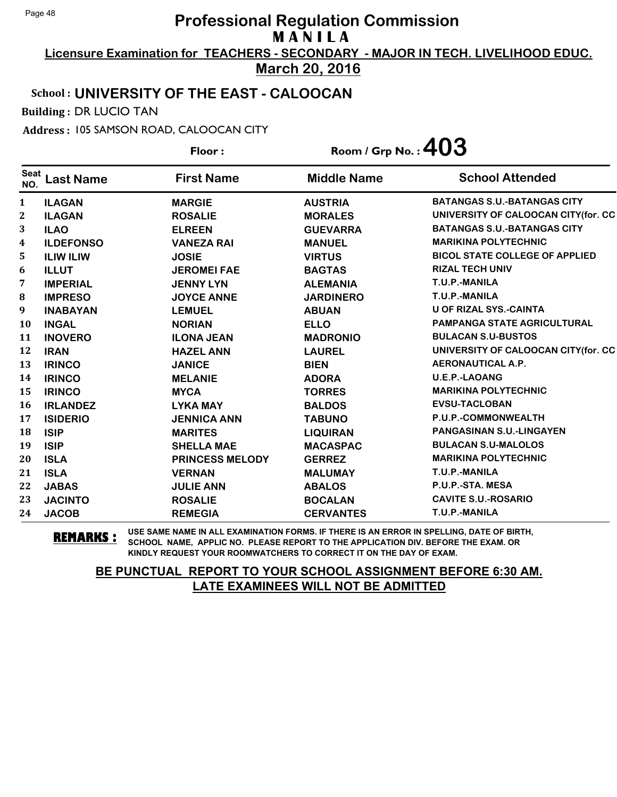**Licensure Examination for TEACHERS - SECONDARY - MAJOR IN TECH. LIVELIHOOD EDUC.**

**March 20, 2016**

## School : **UNIVERSITY OF THE EAST - CALOOCAN**

Building : DR LUCIO TAN

Address : 105 SAMSON ROAD, CALOOCAN CITY

**Last Name First Name Middle Name** Floor : Room / Grp No. :**403** Seat <sup>seat</sup> Last Name First Name Middle Name School Attended **ILAGAN MARGIE AUSTRIA BATANGAS S.U.-BATANGAS CITY ILAGAN ROSALIE MORALES UNIVERSITY OF CALOOCAN CITY(for. CC ILAO ELREEN GUEVARRA BATANGAS S.U.-BATANGAS CITY ILDEFONSO VANEZA RAI MANUEL MARIKINA POLYTECHNIC ILIW ILIW JOSIE VIRTUS BICOL STATE COLLEGE OF APPLIED ILLUT JEROMEI FAE BAGTAS RIZAL TECH UNIV IMPERIAL JENNY LYN ALEMANIA T.U.P.-MANILA IMPRESO JOYCE ANNE JARDINERO T.U.P.-MANILA INABAYAN LEMUEL ABUAN U OF RIZAL SYS.-CAINTA INGAL NORIAN ELLO PAMPANGA STATE AGRICULTURAL INOVERO ILONA JEAN MADRONIO BULACAN S.U-BUSTOS IRAN HAZEL ANN LAUREL UNIVERSITY OF CALOOCAN CITY(for. CC IRINCO JANICE BIEN AERONAUTICAL A.P. IRINCO MELANIE ADORA U.E.P.-LAOANG IRINCO MYCA TORRES MARIKINA POLYTECHNIC IRLANDEZ LYKA MAY BALDOS EVSU-TACLOBAN ISIDERIO JENNICA ANN TABUNO P.U.P.-COMMONWEALTH ISIP MARITES LIQUIRAN PANGASINAN S.U.-LINGAYEN ISIP SHELLA MAE MACASPAC BULACAN S.U-MALOLOS ISLA PRINCESS MELODY GERREZ MARIKINA POLYTECHNIC ISLA VERNAN MALUMAY T.U.P.-MANILA JABAS JULIE ANN ABALOS P.U.P.-STA. MESA JACINTO ROSALIE BOCALAN CAVITE S.U.-ROSARIO JACOB REMEGIA CERVANTES T.U.P.-MANILA**

**REMARKS :** USE SAME NAME IN ALL EXAMINATION FORMS. IF THERE IS AN ERROR IN SPELLING, DATE OF BIRTH, SCHOOL NAME, APPLIC NO. PLEASE REPORT TO THE APPLICATION DIV. BEFORE THE EXAM. OR KINDLY REQUEST YOUR ROOMWATCHERS TO CORRECT IT ON THE DAY OF EXAM.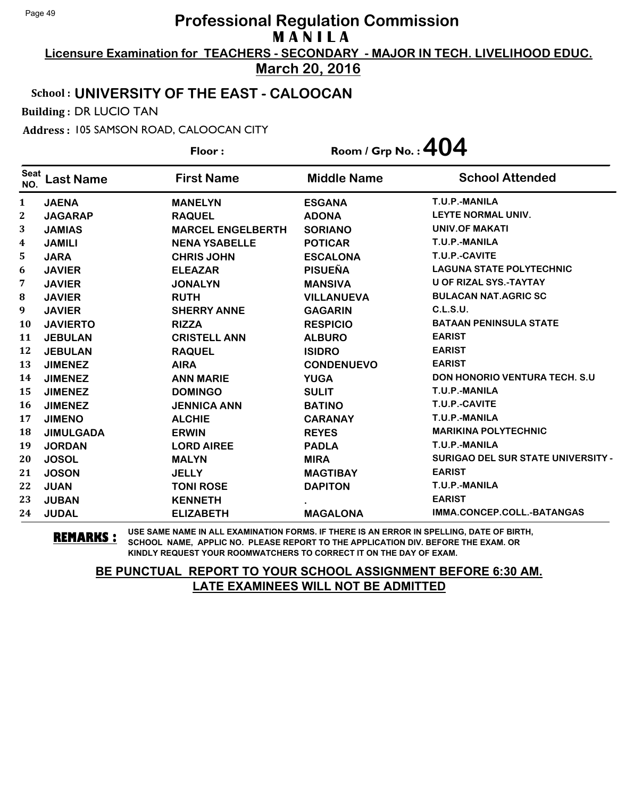**Licensure Examination for TEACHERS - SECONDARY - MAJOR IN TECH. LIVELIHOOD EDUC. March 20, 2016**

## School : **UNIVERSITY OF THE EAST - CALOOCAN**

Building : DR LUCIO TAN

Address : 105 SAMSON ROAD, CALOOCAN CITY

|                    |                  | Floor:                   | Room / Grp No.: $404$ |                                           |
|--------------------|------------------|--------------------------|-----------------------|-------------------------------------------|
| <b>Seat</b><br>NO. | <b>Last Name</b> | <b>First Name</b>        | <b>Middle Name</b>    | <b>School Attended</b>                    |
| 1                  | <b>JAENA</b>     | <b>MANELYN</b>           | <b>ESGANA</b>         | T.U.P.-MANILA                             |
| $\mathbf 2$        | <b>JAGARAP</b>   | <b>RAQUEL</b>            | <b>ADONA</b>          | <b>LEYTE NORMAL UNIV.</b>                 |
| 3                  | <b>JAMIAS</b>    | <b>MARCEL ENGELBERTH</b> | <b>SORIANO</b>        | <b>UNIV.OF MAKATI</b>                     |
| 4                  | <b>JAMILI</b>    | <b>NENA YSABELLE</b>     | <b>POTICAR</b>        | T.U.P.-MANILA                             |
| 5                  | <b>JARA</b>      | <b>CHRIS JOHN</b>        | <b>ESCALONA</b>       | T.U.P.-CAVITE                             |
| 6                  | <b>JAVIER</b>    | <b>ELEAZAR</b>           | <b>PISUEÑA</b>        | <b>LAGUNA STATE POLYTECHNIC</b>           |
| 7                  | <b>JAVIER</b>    | <b>JONALYN</b>           | <b>MANSIVA</b>        | <b>U OF RIZAL SYS.-TAYTAY</b>             |
| 8                  | <b>JAVIER</b>    | <b>RUTH</b>              | <b>VILLANUEVA</b>     | <b>BULACAN NAT.AGRIC SC</b>               |
| 9                  | <b>JAVIER</b>    | <b>SHERRY ANNE</b>       | <b>GAGARIN</b>        | C.L.S.U.                                  |
| 10                 | <b>JAVIERTO</b>  | <b>RIZZA</b>             | <b>RESPICIO</b>       | <b>BATAAN PENINSULA STATE</b>             |
| 11                 | <b>JEBULAN</b>   | <b>CRISTELL ANN</b>      | <b>ALBURO</b>         | <b>EARIST</b>                             |
| 12                 | <b>JEBULAN</b>   | <b>RAQUEL</b>            | <b>ISIDRO</b>         | <b>EARIST</b>                             |
| 13                 | <b>JIMENEZ</b>   | <b>AIRA</b>              | <b>CONDENUEVO</b>     | <b>EARIST</b>                             |
| 14                 | <b>JIMENEZ</b>   | <b>ANN MARIE</b>         | <b>YUGA</b>           | <b>DON HONORIO VENTURA TECH. S.U</b>      |
| 15                 | <b>JIMENEZ</b>   | <b>DOMINGO</b>           | <b>SULIT</b>          | T.U.P.-MANILA                             |
| 16                 | <b>JIMENEZ</b>   | <b>JENNICA ANN</b>       | <b>BATINO</b>         | T.U.P.-CAVITE                             |
| 17                 | <b>JIMENO</b>    | <b>ALCHIE</b>            | <b>CARANAY</b>        | T.U.P.-MANILA                             |
| 18                 | <b>JIMULGADA</b> | <b>ERWIN</b>             | <b>REYES</b>          | <b>MARIKINA POLYTECHNIC</b>               |
| 19                 | <b>JORDAN</b>    | <b>LORD AIREE</b>        | <b>PADLA</b>          | T.U.P.-MANILA                             |
| 20                 | <b>JOSOL</b>     | <b>MALYN</b>             | <b>MIRA</b>           | <b>SURIGAO DEL SUR STATE UNIVERSITY -</b> |
| 21                 | <b>JOSON</b>     | <b>JELLY</b>             | <b>MAGTIBAY</b>       | <b>EARIST</b>                             |
| 22                 | <b>JUAN</b>      | <b>TONI ROSE</b>         | <b>DAPITON</b>        | T.U.P.-MANILA                             |
| 23                 | <b>JUBAN</b>     | <b>KENNETH</b>           |                       | <b>EARIST</b>                             |
| 24                 | <b>JUDAL</b>     | <b>ELIZABETH</b>         | <b>MAGALONA</b>       | IMMA.CONCEP.COLL.-BATANGAS                |

**REMARKS :** USE SAME NAME IN ALL EXAMINATION FORMS. IF THERE IS AN ERROR IN SPELLING, DATE OF BIRTH, SCHOOL NAME, APPLIC NO. PLEASE REPORT TO THE APPLICATION DIV. BEFORE THE EXAM. OR KINDLY REQUEST YOUR ROOMWATCHERS TO CORRECT IT ON THE DAY OF EXAM.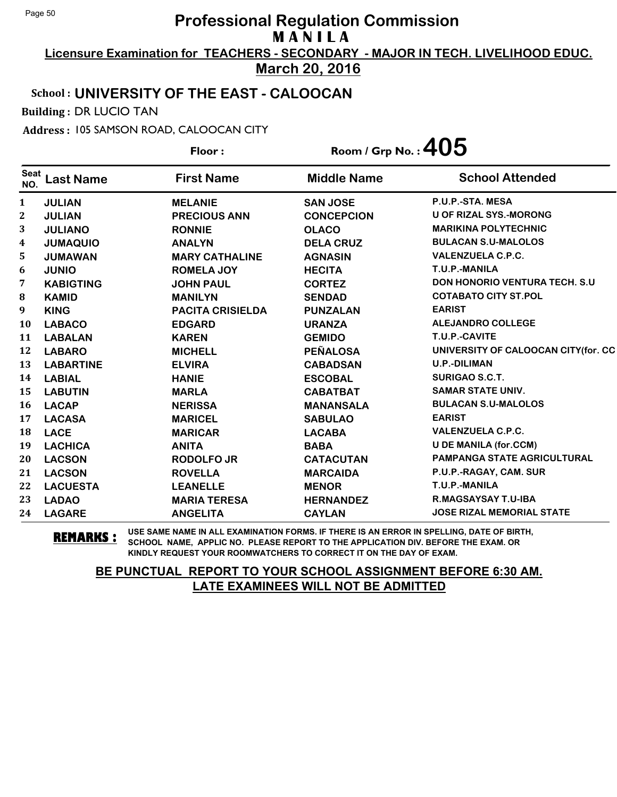**Licensure Examination for TEACHERS - SECONDARY - MAJOR IN TECH. LIVELIHOOD EDUC. March 20, 2016**

## School : **UNIVERSITY OF THE EAST - CALOOCAN**

Building : DR LUCIO TAN

Address : 105 SAMSON ROAD, CALOOCAN CITY

|                    |                  | Floor:                  | Room / Grp No. : $405$ |                                      |
|--------------------|------------------|-------------------------|------------------------|--------------------------------------|
| <b>Seat</b><br>NO. | <b>Last Name</b> | <b>First Name</b>       | <b>Middle Name</b>     | <b>School Attended</b>               |
| 1                  | <b>JULIAN</b>    | <b>MELANIE</b>          | <b>SAN JOSE</b>        | P.U.P.-STA, MESA                     |
| $\mathbf{2}$       | <b>JULIAN</b>    | <b>PRECIOUS ANN</b>     | <b>CONCEPCION</b>      | <b>U OF RIZAL SYS.-MORONG</b>        |
| 3                  | <b>JULIANO</b>   | <b>RONNIE</b>           | <b>OLACO</b>           | <b>MARIKINA POLYTECHNIC</b>          |
| 4                  | <b>JUMAQUIO</b>  | <b>ANALYN</b>           | <b>DELA CRUZ</b>       | <b>BULACAN S.U-MALOLOS</b>           |
| 5                  | <b>JUMAWAN</b>   | <b>MARY CATHALINE</b>   | <b>AGNASIN</b>         | <b>VALENZUELA C.P.C.</b>             |
| 6                  | <b>JUNIO</b>     | <b>ROMELA JOY</b>       | <b>HECITA</b>          | T.U.P.-MANILA                        |
| 7                  | <b>KABIGTING</b> | <b>JOHN PAUL</b>        | <b>CORTEZ</b>          | <b>DON HONORIO VENTURA TECH. S.U</b> |
| 8                  | <b>KAMID</b>     | <b>MANILYN</b>          | <b>SENDAD</b>          | <b>COTABATO CITY ST.POL</b>          |
| 9                  | <b>KING</b>      | <b>PACITA CRISIELDA</b> | <b>PUNZALAN</b>        | <b>EARIST</b>                        |
| 10                 | <b>LABACO</b>    | <b>EDGARD</b>           | <b>URANZA</b>          | <b>ALEJANDRO COLLEGE</b>             |
| 11                 | <b>LABALAN</b>   | <b>KAREN</b>            | <b>GEMIDO</b>          | T.U.P.-CAVITE                        |
| 12                 | <b>LABARO</b>    | <b>MICHELL</b>          | <b>PEÑALOSA</b>        | UNIVERSITY OF CALOOCAN CITY(for. CC  |
| 13                 | <b>LABARTINE</b> | <b>ELVIRA</b>           | <b>CABADSAN</b>        | <b>U.P.-DILIMAN</b>                  |
| 14                 | <b>LABIAL</b>    | <b>HANIE</b>            | <b>ESCOBAL</b>         | <b>SURIGAO S.C.T.</b>                |
| 15                 | <b>LABUTIN</b>   | <b>MARLA</b>            | <b>CABATBAT</b>        | <b>SAMAR STATE UNIV.</b>             |
| 16                 | <b>LACAP</b>     | <b>NERISSA</b>          | <b>MANANSALA</b>       | <b>BULACAN S.U-MALOLOS</b>           |
| 17                 | <b>LACASA</b>    | <b>MARICEL</b>          | <b>SABULAO</b>         | <b>EARIST</b>                        |
| 18                 | <b>LACE</b>      | <b>MARICAR</b>          | <b>LACABA</b>          | <b>VALENZUELA C.P.C.</b>             |
| 19                 | <b>LACHICA</b>   | <b>ANITA</b>            | <b>BABA</b>            | <b>U DE MANILA (for.CCM)</b>         |
| 20                 | <b>LACSON</b>    | <b>RODOLFO JR</b>       | <b>CATACUTAN</b>       | PAMPANGA STATE AGRICULTURAL          |
| 21                 | <b>LACSON</b>    | <b>ROVELLA</b>          | <b>MARCAIDA</b>        | P.U.P.-RAGAY, CAM. SUR               |
| 22                 | <b>LACUESTA</b>  | <b>LEANELLE</b>         | <b>MENOR</b>           | T.U.P.-MANILA                        |
| 23                 | <b>LADAO</b>     | <b>MARIA TERESA</b>     | <b>HERNANDEZ</b>       | <b>R.MAGSAYSAY T.U-IBA</b>           |
| 24                 | <b>LAGARE</b>    | <b>ANGELITA</b>         | <b>CAYLAN</b>          | <b>JOSE RIZAL MEMORIAL STATE</b>     |

**REMARKS :** USE SAME NAME IN ALL EXAMINATION FORMS. IF THERE IS AN ERROR IN SPELLING, DATE OF BIRTH, SCHOOL NAME, APPLIC NO. PLEASE REPORT TO THE APPLICATION DIV. BEFORE THE EXAM. OR KINDLY REQUEST YOUR ROOMWATCHERS TO CORRECT IT ON THE DAY OF EXAM.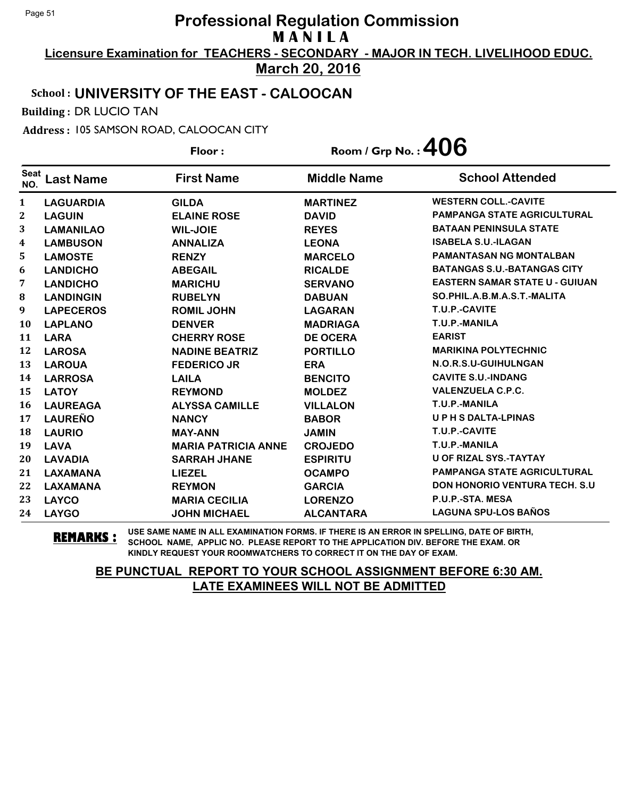**Licensure Examination for TEACHERS - SECONDARY - MAJOR IN TECH. LIVELIHOOD EDUC.**

**March 20, 2016**

## School : **UNIVERSITY OF THE EAST - CALOOCAN**

Building : DR LUCIO TAN

Address : 105 SAMSON ROAD, CALOOCAN CITY

**Last Name First Name Middle Name** Floor : Room / Grp No. : 406 Seat <sup>seat</sup> Last Name First Name Middle Name School Attended **LAGUARDIA GILDA MARTINEZ WESTERN COLL.-CAVITE LAGUIN ELAINE ROSE DAVID PAMPANGA STATE AGRICULTURAL LAMANILAO WIL-JOIE REYES BATAAN PENINSULA STATE LAMBUSON ANNALIZA LEONA ISABELA S.U.-ILAGAN LAMOSTE RENZY MARCELO PAMANTASAN NG MONTALBAN LANDICHO ABEGAIL RICALDE BATANGAS S.U.-BATANGAS CITY LANDICHO MARICHU SERVANO EASTERN SAMAR STATE U - GUIUAN LANDINGIN RUBELYN DABUAN SO.PHIL.A.B.M.A.S.T.-MALITA LAPECEROS ROMIL JOHN LAGARAN T.U.P.-CAVITE LAPLANO DENVER MADRIAGA T.U.P.-MANILA LARA CHERRY ROSE DE OCERA EARIST LAROSA NADINE BEATRIZ PORTILLO MARIKINA POLYTECHNIC LAROUA FEDERICO JR ERA N.O.R.S.U-GUIHULNGAN LARROSA LAILA BENCITO CAVITE S.U.-INDANG LATOY REYMOND MOLDEZ VALENZUELA C.P.C. LAUREAGA ALYSSA CAMILLE VILLALON T.U.P.-MANILA LAUREÑO NANCY BABOR U P H S DALTA-LPINAS LAURIO MAY-ANN JAMIN T.U.P.-CAVITE LAVA MARIA PATRICIA ANNE CROJEDO T.U.P.-MANILA LAVADIA SARRAH JHANE ESPIRITU U OF RIZAL SYS.-TAYTAY LAXAMANA LIEZEL OCAMPO PAMPANGA STATE AGRICULTURAL LAXAMANA REYMON GARCIA DON HONORIO VENTURA TECH. S.U LAYCO MARIA CECILIA LORENZO P.U.P.-STA. MESA LAYGO JOHN MICHAEL ALCANTARA LAGUNA SPU-LOS BAÑOS**

**REMARKS :** USE SAME NAME IN ALL EXAMINATION FORMS. IF THERE IS AN ERROR IN SPELLING, DATE OF BIRTH, SCHOOL NAME, APPLIC NO. PLEASE REPORT TO THE APPLICATION DIV. BEFORE THE EXAM. OR KINDLY REQUEST YOUR ROOMWATCHERS TO CORRECT IT ON THE DAY OF EXAM.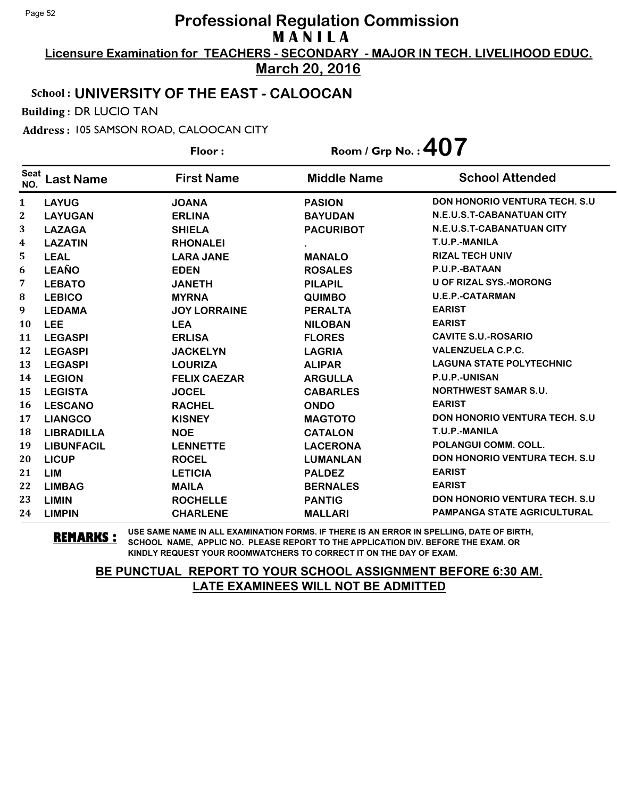**Licensure Examination for TEACHERS - SECONDARY - MAJOR IN TECH. LIVELIHOOD EDUC. March 20, 2016**

#### School : **UNIVERSITY OF THE EAST - CALOOCAN**

Building : DR LUCIO TAN

Address : 105 SAMSON ROAD, CALOOCAN CITY

**Last Name First Name Middle Name** Floor : Room / Grp No. :**407** Seat <sup>seat</sup> Last Name First Name Middle Name School Attended **LAYUG JOANA PASION DON HONORIO VENTURA TECH. S.U LAYUGAN ERLINA BAYUDAN N.E.U.S.T-CABANATUAN CITY LAZAGA SHIELA PACURIBOT N.E.U.S.T-CABANATUAN CITY LAZATIN RHONALEI . T.U.P.-MANILA LEAL LARA JANE MANALO RIZAL TECH UNIV LEAÑO EDEN ROSALES P.U.P.-BATAAN LEBATO JANETH PILAPIL U OF RIZAL SYS.-MORONG LEBICO MYRNA QUIMBO U.E.P.-CATARMAN LEDAMA JOY LORRAINE PERALTA EARIST LEE LEA NILOBAN EARIST LEGASPI ERLISA FLORES CAVITE S.U.-ROSARIO LEGASPI JACKELYN LAGRIA VALENZUELA C.P.C. LEGASPI LOURIZA ALIPAR LAGUNA STATE POLYTECHNIC LEGION FELIX CAEZAR ARGULLA P.U.P.-UNISAN LEGISTA JOCEL CABARLES NORTHWEST SAMAR S.U. LESCANO RACHEL ONDO EARIST LIANGCO KISNEY MAGTOTO DON HONORIO VENTURA TECH. S.U LIBRADILLA NOE CATALON T.U.P.-MANILA LIBUNFACIL LENNETTE LACERONA POLANGUI COMM. COLL. LICUP ROCEL LUMANLAN DON HONORIO VENTURA TECH. S.U LIM LETICIA PALDEZ EARIST LIMBAG MAILA BERNALES EARIST LIMIN ROCHELLE PANTIG DON HONORIO VENTURA TECH. S.U LIMPIN CHARLENE MALLARI PAMPANGA STATE AGRICULTURAL**

**REMARKS :** USE SAME NAME IN ALL EXAMINATION FORMS. IF THERE IS AN ERROR IN SPELLING, DATE OF BIRTH, SCHOOL NAME, APPLIC NO. PLEASE REPORT TO THE APPLICATION DIV. BEFORE THE EXAM. OR KINDLY REQUEST YOUR ROOMWATCHERS TO CORRECT IT ON THE DAY OF EXAM.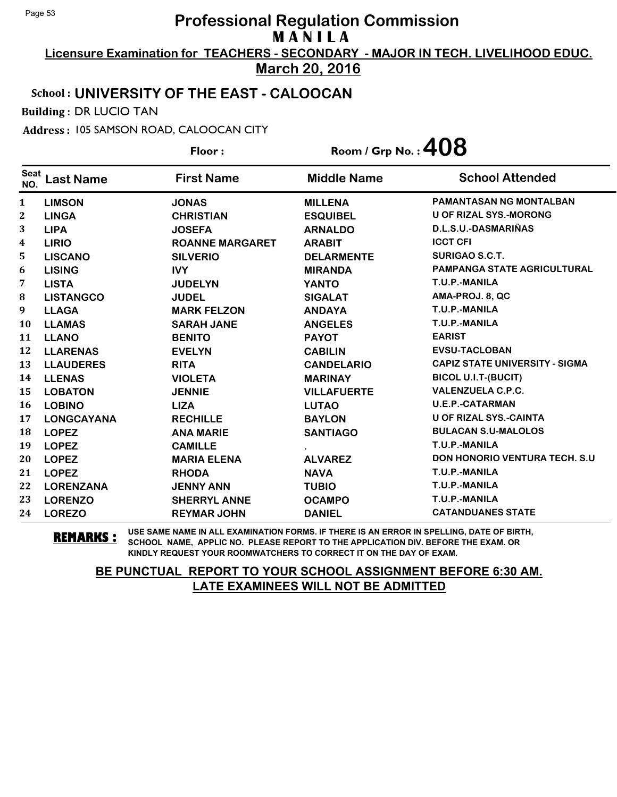**Licensure Examination for TEACHERS - SECONDARY - MAJOR IN TECH. LIVELIHOOD EDUC. March 20, 2016**

### School : **UNIVERSITY OF THE EAST - CALOOCAN**

Building : DR LUCIO TAN

Address : 105 SAMSON ROAD, CALOOCAN CITY

|                    |                   | Floor:                 | Room / Grp No.: $408$ |                                       |
|--------------------|-------------------|------------------------|-----------------------|---------------------------------------|
| <b>Seat</b><br>NO. | <b>Last Name</b>  | <b>First Name</b>      | <b>Middle Name</b>    | <b>School Attended</b>                |
| 1                  | <b>LIMSON</b>     | <b>JONAS</b>           | <b>MILLENA</b>        | <b>PAMANTASAN NG MONTALBAN</b>        |
| 2                  | <b>LINGA</b>      | <b>CHRISTIAN</b>       | <b>ESQUIBEL</b>       | <b>U OF RIZAL SYS.-MORONG</b>         |
| 3                  | <b>LIPA</b>       | <b>JOSEFA</b>          | <b>ARNALDO</b>        | D.L.S.U.-DASMARIÑAS                   |
| 4                  | <b>LIRIO</b>      | <b>ROANNE MARGARET</b> | <b>ARABIT</b>         | <b>ICCT CFI</b>                       |
| 5                  | <b>LISCANO</b>    | <b>SILVERIO</b>        | <b>DELARMENTE</b>     | <b>SURIGAO S.C.T.</b>                 |
| 6                  | <b>LISING</b>     | <b>IVY</b>             | <b>MIRANDA</b>        | <b>PAMPANGA STATE AGRICULTURAL</b>    |
| 7                  | <b>LISTA</b>      | <b>JUDELYN</b>         | <b>YANTO</b>          | T.U.P.-MANILA                         |
| 8                  | <b>LISTANGCO</b>  | <b>JUDEL</b>           | <b>SIGALAT</b>        | AMA-PROJ. 8, QC                       |
| 9                  | <b>LLAGA</b>      | <b>MARK FELZON</b>     | <b>ANDAYA</b>         | T.U.P.-MANILA                         |
| 10                 | <b>LLAMAS</b>     | <b>SARAH JANE</b>      | <b>ANGELES</b>        | T.U.P.-MANILA                         |
| 11                 | <b>LLANO</b>      | <b>BENITO</b>          | <b>PAYOT</b>          | <b>EARIST</b>                         |
| 12                 | <b>LLARENAS</b>   | <b>EVELYN</b>          | <b>CABILIN</b>        | <b>EVSU-TACLOBAN</b>                  |
| 13                 | <b>LLAUDERES</b>  | <b>RITA</b>            | <b>CANDELARIO</b>     | <b>CAPIZ STATE UNIVERSITY - SIGMA</b> |
| 14                 | <b>LLENAS</b>     | <b>VIOLETA</b>         | <b>MARINAY</b>        | <b>BICOL U.I.T-(BUCIT)</b>            |
| 15                 | <b>LOBATON</b>    | <b>JENNIE</b>          | <b>VILLAFUERTE</b>    | <b>VALENZUELA C.P.C.</b>              |
| 16                 | <b>LOBINO</b>     | <b>LIZA</b>            | <b>LUTAO</b>          | <b>U.E.P.-CATARMAN</b>                |
| 17                 | <b>LONGCAYANA</b> | <b>RECHILLE</b>        | <b>BAYLON</b>         | <b>U OF RIZAL SYS.-CAINTA</b>         |
| 18                 | <b>LOPEZ</b>      | <b>ANA MARIE</b>       | <b>SANTIAGO</b>       | <b>BULACAN S.U-MALOLOS</b>            |
| 19                 | <b>LOPEZ</b>      | <b>CAMILLE</b>         |                       | T.U.P.-MANILA                         |
| 20                 | <b>LOPEZ</b>      | <b>MARIA ELENA</b>     | <b>ALVAREZ</b>        | <b>DON HONORIO VENTURA TECH. S.U.</b> |
| 21                 | <b>LOPEZ</b>      | <b>RHODA</b>           | <b>NAVA</b>           | T.U.P.-MANILA                         |
| 22                 | <b>LORENZANA</b>  | <b>JENNY ANN</b>       | <b>TUBIO</b>          | T.U.P.-MANILA                         |
| 23                 | <b>LORENZO</b>    | <b>SHERRYL ANNE</b>    | <b>OCAMPO</b>         | T.U.P.-MANILA                         |
| 24                 | <b>LOREZO</b>     | <b>REYMAR JOHN</b>     | <b>DANIEL</b>         | <b>CATANDUANES STATE</b>              |

**REMARKS :** USE SAME NAME IN ALL EXAMINATION FORMS. IF THERE IS AN ERROR IN SPELLING, DATE OF BIRTH, SCHOOL NAME, APPLIC NO. PLEASE REPORT TO THE APPLICATION DIV. BEFORE THE EXAM. OR KINDLY REQUEST YOUR ROOMWATCHERS TO CORRECT IT ON THE DAY OF EXAM.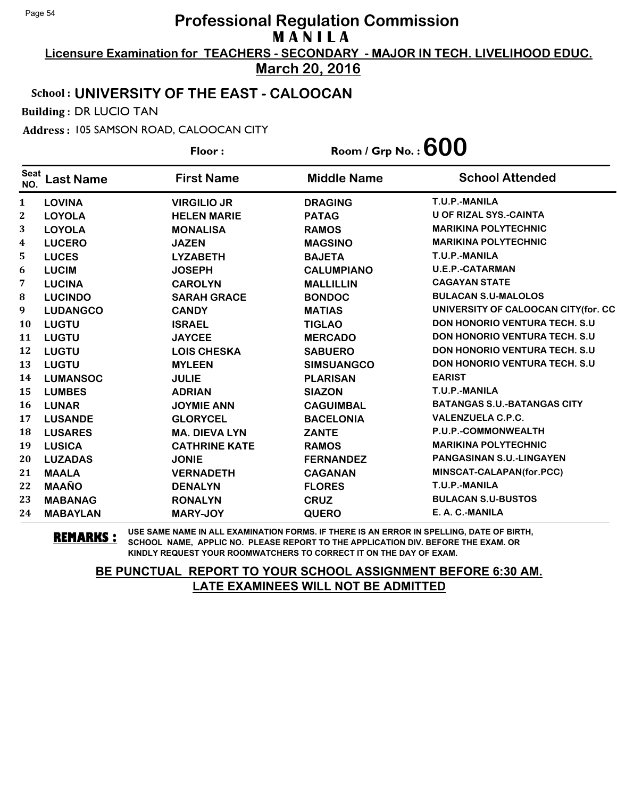**Licensure Examination for TEACHERS - SECONDARY - MAJOR IN TECH. LIVELIHOOD EDUC. March 20, 2016**

### School : **UNIVERSITY OF THE EAST - CALOOCAN**

Building : DR LUCIO TAN

Address : 105 SAMSON ROAD, CALOOCAN CITY

**Last Name First Name Middle Name** Floor : Room / Grp No. :**600** Seat <sup>seat</sup> Last Name First Name Middle Name School Attended **LOVINA VIRGILIO JR DRAGING T.U.P.-MANILA LOYOLA HELEN MARIE PATAG U OF RIZAL SYS.-CAINTA LOYOLA MONALISA RAMOS MARIKINA POLYTECHNIC LUCERO JAZEN MAGSINO MARIKINA POLYTECHNIC LUCES LYZABETH BAJETA T.U.P.-MANILA LUCIM JOSEPH CALUMPIANO U.E.P.-CATARMAN LUCINA CAROLYN MALLILLIN CAGAYAN STATE LUCINDO SARAH GRACE BONDOC BULACAN S.U-MALOLOS LUDANGCO CANDY MATIAS UNIVERSITY OF CALOOCAN CITY(for. CC LUGTU ISRAEL TIGLAO DON HONORIO VENTURA TECH. S.U LUGTU JAYCEE MERCADO DON HONORIO VENTURA TECH. S.U LUGTU LOIS CHESKA SABUERO DON HONORIO VENTURA TECH. S.U LUGTU MYLEEN SIMSUANGCO DON HONORIO VENTURA TECH. S.U LUMANSOC JULIE PLARISAN EARIST LUMBES ADRIAN SIAZON T.U.P.-MANILA LUNAR JOYMIE ANN CAGUIMBAL BATANGAS S.U.-BATANGAS CITY LUSANDE GLORYCEL BACELONIA VALENZUELA C.P.C. LUSARES MA. DIEVA LYN ZANTE P.U.P.-COMMONWEALTH LUSICA CATHRINE KATE RAMOS MARIKINA POLYTECHNIC LUZADAS JONIE FERNANDEZ PANGASINAN S.U.-LINGAYEN MAALA VERNADETH CAGANAN MINSCAT-CALAPAN(for.PCC) MAAÑO DENALYN FLORES T.U.P.-MANILA MABANAG RONALYN CRUZ BULACAN S.U-BUSTOS MABAYLAN MARY-JOY QUERO E. A. C.-MANILA**

**REMARKS :** USE SAME NAME IN ALL EXAMINATION FORMS. IF THERE IS AN ERROR IN SPELLING, DATE OF BIRTH, SCHOOL NAME, APPLIC NO. PLEASE REPORT TO THE APPLICATION DIV. BEFORE THE EXAM. OR KINDLY REQUEST YOUR ROOMWATCHERS TO CORRECT IT ON THE DAY OF EXAM.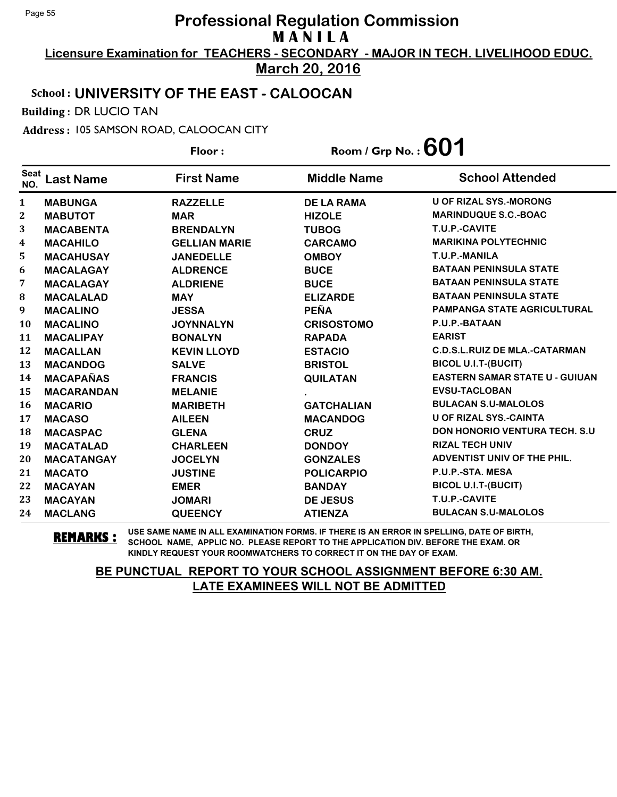**Licensure Examination for TEACHERS - SECONDARY - MAJOR IN TECH. LIVELIHOOD EDUC. March 20, 2016**

### School : **UNIVERSITY OF THE EAST - CALOOCAN**

Building : DR LUCIO TAN

Address : 105 SAMSON ROAD, CALOOCAN CITY

**Last Name First Name Middle Name** Floor : Room / Grp No. :**601** Seat <sup>seat</sup> Last Name First Name Middle Name School Attended **MABUNGA RAZZELLE DE LA RAMA U OF RIZAL SYS.-MORONG MABUTOT MAR HIZOLE MARINDUQUE S.C.-BOAC MACABENTA BRENDALYN TUBOG T.U.P.-CAVITE MACAHILO GELLIAN MARIE CARCAMO MARIKINA POLYTECHNIC MACAHUSAY JANEDELLE OMBOY T.U.P.-MANILA MACALAGAY ALDRENCE BUCE BATAAN PENINSULA STATE MACALAGAY ALDRIENE BUCE BATAAN PENINSULA STATE MACALALAD MAY ELIZARDE BATAAN PENINSULA STATE MACALINO JESSA PEÑA PAMPANGA STATE AGRICULTURAL MACALINO JOYNNALYN CRISOSTOMO P.U.P.-BATAAN MACALIPAY BONALYN RAPADA EARIST MACALLAN KEVIN LLOYD ESTACIO C.D.S.L.RUIZ DE MLA.-CATARMAN MACANDOG SALVE BRISTOL BICOL U.I.T-(BUCIT) MACAPAÑAS FRANCIS QUILATAN EASTERN SAMAR STATE U - GUIUAN MACARANDAN MELANIE . EVSU-TACLOBAN MACARIO MARIBETH GATCHALIAN BULACAN S.U-MALOLOS MACASO AILEEN MACANDOG U OF RIZAL SYS.-CAINTA MACASPAC GLENA CRUZ DON HONORIO VENTURA TECH. S.U MACATALAD CHARLEEN DONDOY RIZAL TECH UNIV MACATANGAY JOCELYN GONZALES ADVENTIST UNIV OF THE PHIL. MACATO JUSTINE POLICARPIO P.U.P.-STA. MESA MACAYAN EMER BANDAY BICOL U.I.T-(BUCIT) MACAYAN JOMARI DE JESUS T.U.P.-CAVITE MACLANG QUEENCY ATIENZA BULACAN S.U-MALOLOS**

**REMARKS :** USE SAME NAME IN ALL EXAMINATION FORMS. IF THERE IS AN ERROR IN SPELLING, DATE OF BIRTH, SCHOOL NAME, APPLIC NO. PLEASE REPORT TO THE APPLICATION DIV. BEFORE THE EXAM. OR KINDLY REQUEST YOUR ROOMWATCHERS TO CORRECT IT ON THE DAY OF EXAM.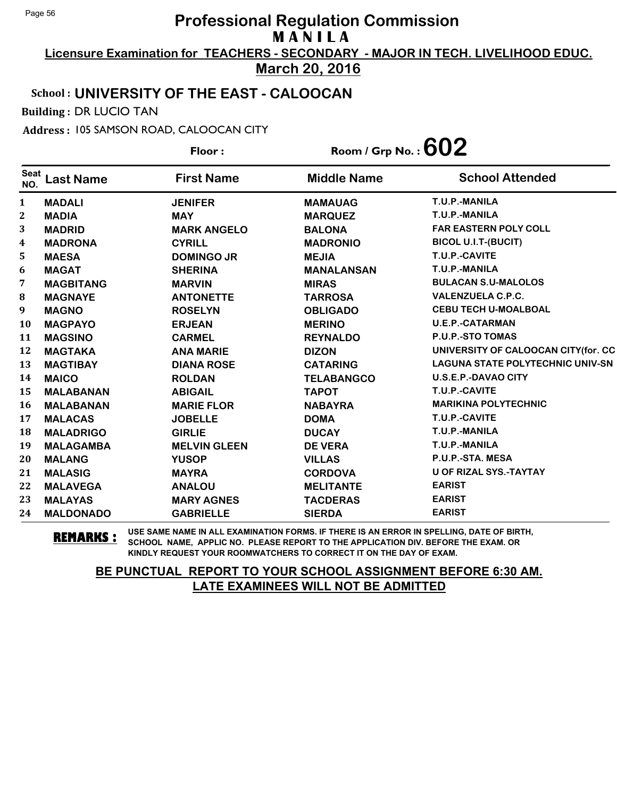**Licensure Examination for TEACHERS - SECONDARY - MAJOR IN TECH. LIVELIHOOD EDUC. March 20, 2016**

## School : **UNIVERSITY OF THE EAST - CALOOCAN**

Building : DR LUCIO TAN

Address : 105 SAMSON ROAD, CALOOCAN CITY

|                    |                  | Floor:              | Room / Grp No. : $602$ |                                         |  |
|--------------------|------------------|---------------------|------------------------|-----------------------------------------|--|
| <b>Seat</b><br>NO. | <b>Last Name</b> | <b>First Name</b>   | <b>Middle Name</b>     | <b>School Attended</b>                  |  |
| 1                  | <b>MADALI</b>    | <b>JENIFER</b>      | <b>MAMAUAG</b>         | T.U.P.-MANILA                           |  |
| $\boldsymbol{2}$   | <b>MADIA</b>     | <b>MAY</b>          | <b>MARQUEZ</b>         | T.U.P.-MANILA                           |  |
| 3                  | <b>MADRID</b>    | <b>MARK ANGELO</b>  | <b>BALONA</b>          | <b>FAR EASTERN POLY COLL</b>            |  |
| 4                  | <b>MADRONA</b>   | <b>CYRILL</b>       | <b>MADRONIO</b>        | <b>BICOL U.I.T-(BUCIT)</b>              |  |
| 5                  | <b>MAESA</b>     | <b>DOMINGO JR</b>   | <b>MEJIA</b>           | T.U.P.-CAVITE                           |  |
| 6                  | <b>MAGAT</b>     | <b>SHERINA</b>      | <b>MANALANSAN</b>      | T.U.P.-MANILA                           |  |
| 7                  | <b>MAGBITANG</b> | <b>MARVIN</b>       | <b>MIRAS</b>           | <b>BULACAN S.U-MALOLOS</b>              |  |
| 8                  | <b>MAGNAYE</b>   | <b>ANTONETTE</b>    | <b>TARROSA</b>         | <b>VALENZUELA C.P.C.</b>                |  |
| 9                  | <b>MAGNO</b>     | <b>ROSELYN</b>      | <b>OBLIGADO</b>        | <b>CEBU TECH U-MOALBOAL</b>             |  |
| 10                 | <b>MAGPAYO</b>   | <b>ERJEAN</b>       | <b>MERINO</b>          | <b>U.E.P.-CATARMAN</b>                  |  |
| 11                 | <b>MAGSINO</b>   | <b>CARMEL</b>       | <b>REYNALDO</b>        | P.U.P.-STO TOMAS                        |  |
| 12                 | <b>MAGTAKA</b>   | <b>ANA MARIE</b>    | <b>DIZON</b>           | UNIVERSITY OF CALOOCAN CITY(for. CC     |  |
| 13                 | <b>MAGTIBAY</b>  | <b>DIANA ROSE</b>   | <b>CATARING</b>        | <b>LAGUNA STATE POLYTECHNIC UNIV-SN</b> |  |
| 14                 | <b>MAICO</b>     | <b>ROLDAN</b>       | <b>TELABANGCO</b>      | <b>U.S.E.P.-DAVAO CITY</b>              |  |
| 15                 | <b>MALABANAN</b> | <b>ABIGAIL</b>      | <b>TAPOT</b>           | T.U.P.-CAVITE                           |  |
| 16                 | <b>MALABANAN</b> | <b>MARIE FLOR</b>   | <b>NABAYRA</b>         | <b>MARIKINA POLYTECHNIC</b>             |  |
| 17                 | <b>MALACAS</b>   | <b>JOBELLE</b>      | <b>DOMA</b>            | T.U.P.-CAVITE                           |  |
| 18                 | <b>MALADRIGO</b> | <b>GIRLIE</b>       | <b>DUCAY</b>           | T.U.P.-MANILA                           |  |
| 19                 | <b>MALAGAMBA</b> | <b>MELVIN GLEEN</b> | <b>DE VERA</b>         | T.U.P.-MANILA                           |  |
| 20                 | <b>MALANG</b>    | <b>YUSOP</b>        | <b>VILLAS</b>          | P.U.P.-STA. MESA                        |  |
| 21                 | <b>MALASIG</b>   | <b>MAYRA</b>        | <b>CORDOVA</b>         | <b>U OF RIZAL SYS.-TAYTAY</b>           |  |
| 22                 | <b>MALAVEGA</b>  | <b>ANALOU</b>       | <b>MELITANTE</b>       | <b>EARIST</b>                           |  |
| 23                 | <b>MALAYAS</b>   | <b>MARY AGNES</b>   | <b>TACDERAS</b>        | <b>EARIST</b>                           |  |
| 24                 | <b>MALDONADO</b> | <b>GABRIELLE</b>    | <b>SIERDA</b>          | <b>EARIST</b>                           |  |

**REMARKS :** USE SAME NAME IN ALL EXAMINATION FORMS. IF THERE IS AN ERROR IN SPELLING, DATE OF BIRTH, SCHOOL NAME, APPLIC NO. PLEASE REPORT TO THE APPLICATION DIV. BEFORE THE EXAM. OR KINDLY REQUEST YOUR ROOMWATCHERS TO CORRECT IT ON THE DAY OF EXAM.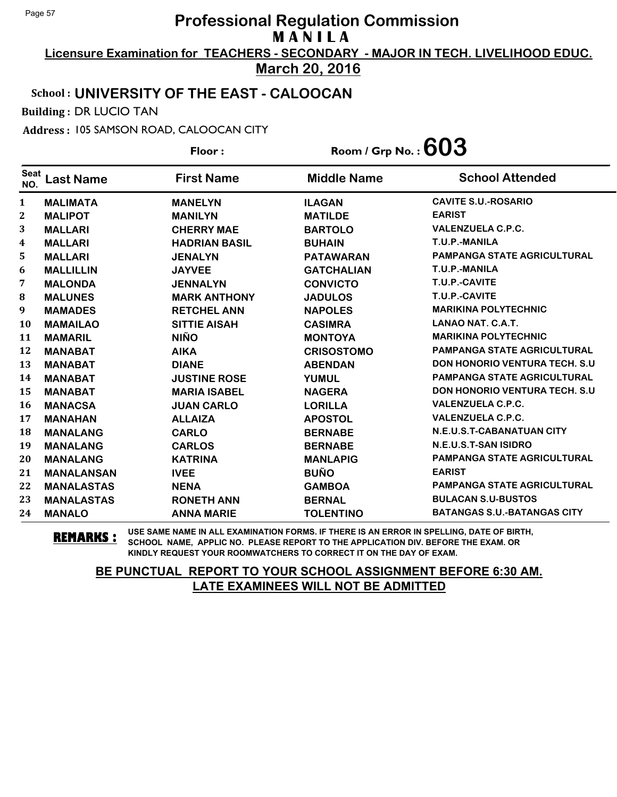**Licensure Examination for TEACHERS - SECONDARY - MAJOR IN TECH. LIVELIHOOD EDUC. March 20, 2016**

### School : **UNIVERSITY OF THE EAST - CALOOCAN**

Building : DR LUCIO TAN

Address : 105 SAMSON ROAD, CALOOCAN CITY

**Last Name First Name Middle Name** Floor : Room / Grp No. :**603** Seat <sup>Seat</sup> Last Name First Name Middle Name School Attended **MALIMATA MANELYN ILAGAN CAVITE S.U.-ROSARIO MALIPOT MANILYN MATILDE EARIST MALLARI CHERRY MAE BARTOLO VALENZUELA C.P.C. MALLARI HADRIAN BASIL BUHAIN T.U.P.-MANILA MALLARI JENALYN PATAWARAN PAMPANGA STATE AGRICULTURAL MALLILLIN JAYVEE GATCHALIAN T.U.P.-MANILA MALONDA JENNALYN CONVICTO T.U.P.-CAVITE MALUNES MARK ANTHONY JADULOS T.U.P.-CAVITE MAMADES RETCHEL ANN NAPOLES MARIKINA POLYTECHNIC MAMAILAO SITTIE AISAH CASIMRA LANAO NAT. C.A.T. MAMARIL NIÑO MONTOYA MARIKINA POLYTECHNIC MANABAT AIKA CRISOSTOMO PAMPANGA STATE AGRICULTURAL MANABAT DIANE ABENDAN DON HONORIO VENTURA TECH. S.U MANABAT JUSTINE ROSE YUMUL PAMPANGA STATE AGRICULTURAL MANABAT MARIA ISABEL NAGERA DON HONORIO VENTURA TECH. S.U MANACSA JUAN CARLO LORILLA VALENZUELA C.P.C. MANAHAN ALLAIZA APOSTOL VALENZUELA C.P.C. MANALANG CARLO BERNABE N.E.U.S.T-CABANATUAN CITY MANALANG CARLOS BERNABE N.E.U.S.T-SAN ISIDRO MANALANG KATRINA MANLAPIG PAMPANGA STATE AGRICULTURAL MANALANSAN IVEE BUÑO EARIST MANALASTAS NENA GAMBOA PAMPANGA STATE AGRICULTURAL MANALASTAS RONETH ANN BERNAL BULACAN S.U-BUSTOS MANALO ANNA MARIE TOLENTINO BATANGAS S.U.-BATANGAS CITY**

**REMARKS :** USE SAME NAME IN ALL EXAMINATION FORMS. IF THERE IS AN ERROR IN SPELLING, DATE OF BIRTH, SCHOOL NAME, APPLIC NO. PLEASE REPORT TO THE APPLICATION DIV. BEFORE THE EXAM. OR KINDLY REQUEST YOUR ROOMWATCHERS TO CORRECT IT ON THE DAY OF EXAM.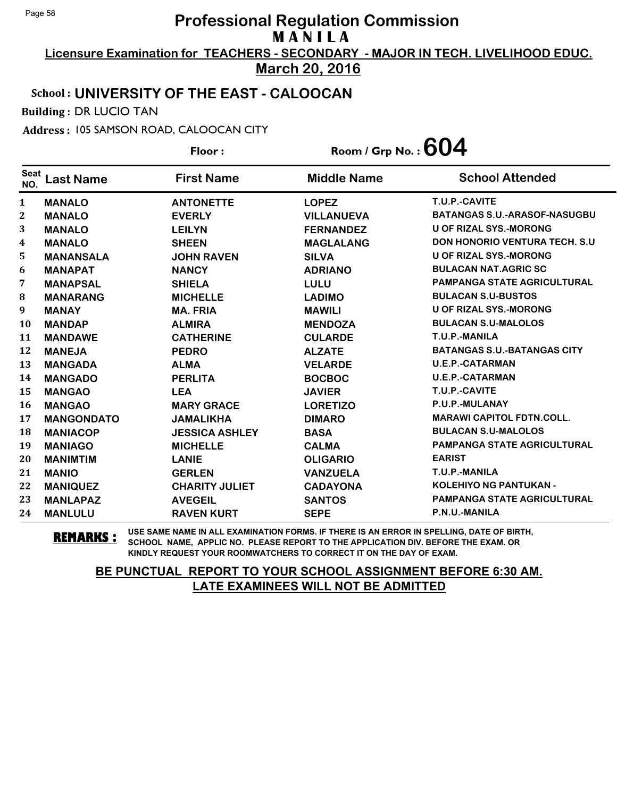**Licensure Examination for TEACHERS - SECONDARY - MAJOR IN TECH. LIVELIHOOD EDUC.**

## **March 20, 2016**

## School : **UNIVERSITY OF THE EAST - CALOOCAN**

Building : DR LUCIO TAN

Address : 105 SAMSON ROAD, CALOOCAN CITY

**Last Name First Name Middle Name** Floor : Room / Grp No. :**604** Seat <sup>seat</sup> Last Name First Name Middle Name School Attended **MANALO ANTONETTE LOPEZ T.U.P.-CAVITE MANALO EVERLY VILLANUEVA BATANGAS S.U.-ARASOF-NASUGBU MANALO LEILYN FERNANDEZ U OF RIZAL SYS.-MORONG MANALO SHEEN MAGLALANG DON HONORIO VENTURA TECH. S.U MANANSALA JOHN RAVEN SILVA U OF RIZAL SYS.-MORONG MANAPAT NANCY ADRIANO BULACAN NAT.AGRIC SC MANAPSAL SHIELA LULU PAMPANGA STATE AGRICULTURAL MANARANG MICHELLE LADIMO BULACAN S.U-BUSTOS MANAY MA. FRIA MAWILI U OF RIZAL SYS.-MORONG MANDAP ALMIRA MENDOZA BULACAN S.U-MALOLOS MANDAWE CATHERINE CULARDE T.U.P.-MANILA MANEJA PEDRO ALZATE BATANGAS S.U.-BATANGAS CITY MANGADA ALMA VELARDE U.E.P.-CATARMAN MANGADO PERLITA BOCBOC U.E.P.-CATARMAN MANGAO LEA JAVIER T.U.P.-CAVITE MANGAO MARY GRACE LORETIZO P.U.P.-MULANAY MANGONDATO JAMALIKHA DIMARO MARAWI CAPITOL FDTN.COLL. MANIACOP JESSICA ASHLEY BASA BULACAN S.U-MALOLOS MANIAGO MICHELLE CALMA PAMPANGA STATE AGRICULTURAL MANIMTIM LANIE OLIGARIO EARIST MANIO GERLEN VANZUELA T.U.P.-MANILA MANIQUEZ CHARITY JULIET CADAYONA KOLEHIYO NG PANTUKAN - MANLAPAZ AVEGEIL SANTOS PAMPANGA STATE AGRICULTURAL MANLULU RAVEN KURT SEPE P.N.U.-MANILA**

**REMARKS :** USE SAME NAME IN ALL EXAMINATION FORMS. IF THERE IS AN ERROR IN SPELLING, DATE OF BIRTH, SCHOOL NAME, APPLIC NO. PLEASE REPORT TO THE APPLICATION DIV. BEFORE THE EXAM. OR KINDLY REQUEST YOUR ROOMWATCHERS TO CORRECT IT ON THE DAY OF EXAM.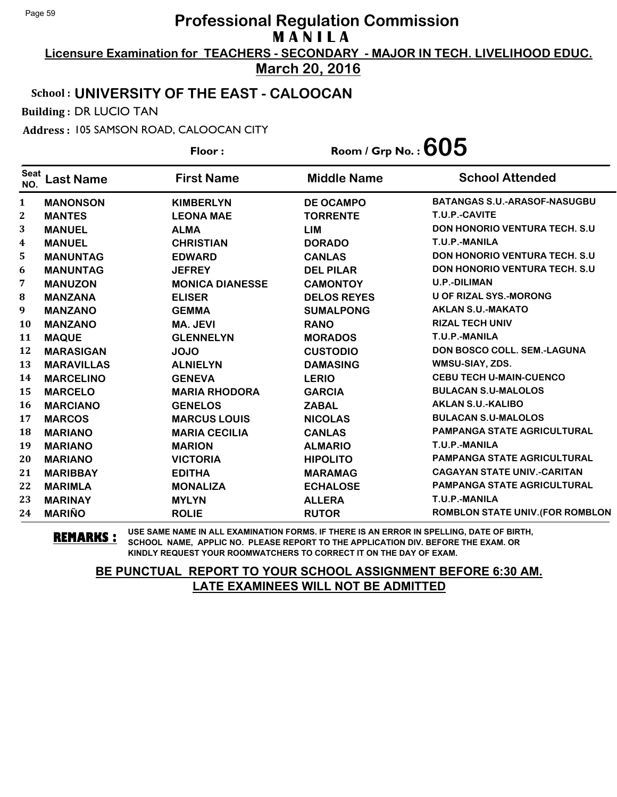**Licensure Examination for TEACHERS - SECONDARY - MAJOR IN TECH. LIVELIHOOD EDUC. March 20, 2016**

#### School : **UNIVERSITY OF THE EAST - CALOOCAN**

Building : DR LUCIO TAN

Address : 105 SAMSON ROAD, CALOOCAN CITY

**Last Name First Name Middle Name** Floor : Room / Grp No. : **605** Seat <sup>Seat</sup> Last Name First Name Middle Name School Attended **MANONSON KIMBERLYN DE OCAMPO BATANGAS S.U.-ARASOF-NASUGBU MANTES LEONA MAE TORRENTE T.U.P.-CAVITE MANUEL ALMA LIM DON HONORIO VENTURA TECH. S.U MANUEL CHRISTIAN DORADO T.U.P.-MANILA MANUNTAG EDWARD CANLAS DON HONORIO VENTURA TECH. S.U MANUNTAG JEFREY DEL PILAR DON HONORIO VENTURA TECH. S.U MANUZON MONICA DIANESSE CAMONTOY U.P.-DILIMAN MANZANA ELISER DELOS REYES U OF RIZAL SYS.-MORONG MANZANO GEMMA SUMALPONG AKLAN S.U.-MAKATO MANZANO MA. JEVI RANO RIZAL TECH UNIV MAQUE GLENNELYN MORADOS T.U.P.-MANILA MARASIGAN JOJO CUSTODIO DON BOSCO COLL. SEM.-LAGUNA MARAVILLAS ALNIELYN DAMASING WMSU-SIAY, ZDS. MARCELINO GENEVA LERIO CEBU TECH U-MAIN-CUENCO MARCELO MARIA RHODORA GARCIA BULACAN S.U-MALOLOS MARCIANO GENELOS ZABAL AKLAN S.U.-KALIBO MARCOS MARCUS LOUIS NICOLAS BULACAN S.U-MALOLOS MARIANO MARIA CECILIA CANLAS PAMPANGA STATE AGRICULTURAL MARIANO MARION ALMARIO T.U.P.-MANILA MARIANO VICTORIA HIPOLITO PAMPANGA STATE AGRICULTURAL MARIBBAY EDITHA MARAMAG CAGAYAN STATE UNIV.-CARITAN MARIMLA MONALIZA ECHALOSE PAMPANGA STATE AGRICULTURAL MARINAY MYLYN ALLERA T.U.P.-MANILA MARIÑO ROLIE RUTOR ROMBLON STATE UNIV.(FOR ROMBLON**

**REMARKS :** USE SAME NAME IN ALL EXAMINATION FORMS. IF THERE IS AN ERROR IN SPELLING, DATE OF BIRTH, SCHOOL NAME, APPLIC NO. PLEASE REPORT TO THE APPLICATION DIV. BEFORE THE EXAM. OR KINDLY REQUEST YOUR ROOMWATCHERS TO CORRECT IT ON THE DAY OF EXAM.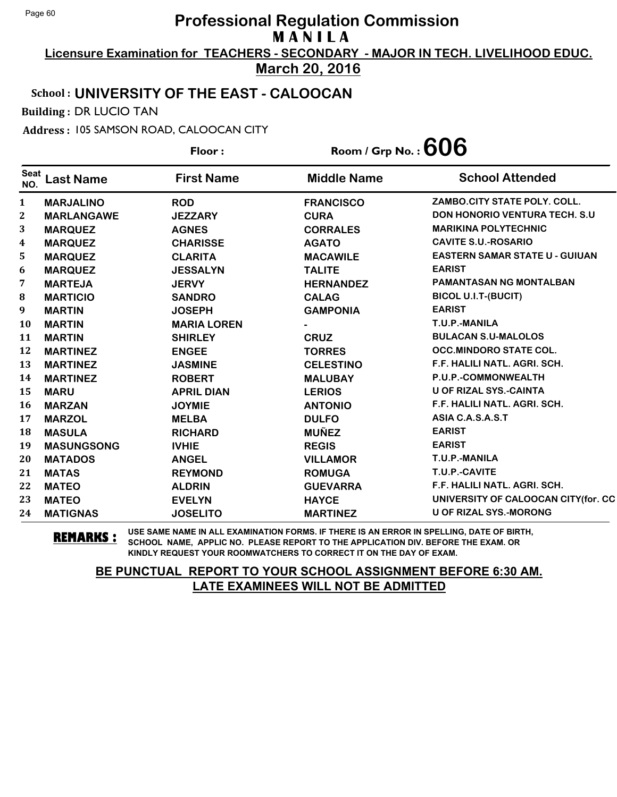**Licensure Examination for TEACHERS - SECONDARY - MAJOR IN TECH. LIVELIHOOD EDUC. March 20, 2016**

#### School : **UNIVERSITY OF THE EAST - CALOOCAN**

Building : DR LUCIO TAN

Address : 105 SAMSON ROAD, CALOOCAN CITY

**Last Name First Name Middle Name** Floor : Room / Grp No. : **606** Seat <sup>seat</sup> Last Name First Name Middle Name School Attended **MARJALINO ROD FRANCISCO ZAMBO.CITY STATE POLY. COLL. MARLANGAWE JEZZARY CURA DON HONORIO VENTURA TECH. S.U MARQUEZ AGNES CORRALES MARIKINA POLYTECHNIC MARQUEZ CHARISSE AGATO CAVITE S.U.-ROSARIO MARQUEZ CLARITA MACAWILE EASTERN SAMAR STATE U - GUIUAN MARQUEZ JESSALYN TALITE EARIST MARTEJA JERVY HERNANDEZ PAMANTASAN NG MONTALBAN MARTICIO SANDRO CALAG BICOL U.I.T-(BUCIT) MARTIN JOSEPH GAMPONIA EARIST MARTIN MARIA LOREN - T.U.P.-MANILA MARTIN SHIRLEY CRUZ BULACAN S.U-MALOLOS MARTINEZ ENGEE TORRES OCC.MINDORO STATE COL. MARTINEZ JASMINE CELESTINO F.F. HALILI NATL. AGRI. SCH. MARTINEZ ROBERT MALUBAY P.U.P.-COMMONWEALTH MARU APRIL DIAN LERIOS U OF RIZAL SYS.-CAINTA MARZAN JOYMIE ANTONIO F.F. HALILI NATL. AGRI. SCH. MARZOL MELBA DULFO ASIA C.A.S.A.S.T MASULA RICHARD MUÑEZ EARIST MASUNGSONG IVHIE REGIS EARIST MATADOS ANGEL VILLAMOR T.U.P.-MANILA MATAS REYMOND ROMUGA T.U.P.-CAVITE MATEO ALDRIN GUEVARRA F.F. HALILI NATL. AGRI. SCH. MATEO EVELYN HAYCE UNIVERSITY OF CALOOCAN CITY(for. CC MATIGNAS JOSELITO MARTINEZ U OF RIZAL SYS.-MORONG**

**REMARKS :** USE SAME NAME IN ALL EXAMINATION FORMS. IF THERE IS AN ERROR IN SPELLING, DATE OF BIRTH, SCHOOL NAME, APPLIC NO. PLEASE REPORT TO THE APPLICATION DIV. BEFORE THE EXAM. OR KINDLY REQUEST YOUR ROOMWATCHERS TO CORRECT IT ON THE DAY OF EXAM.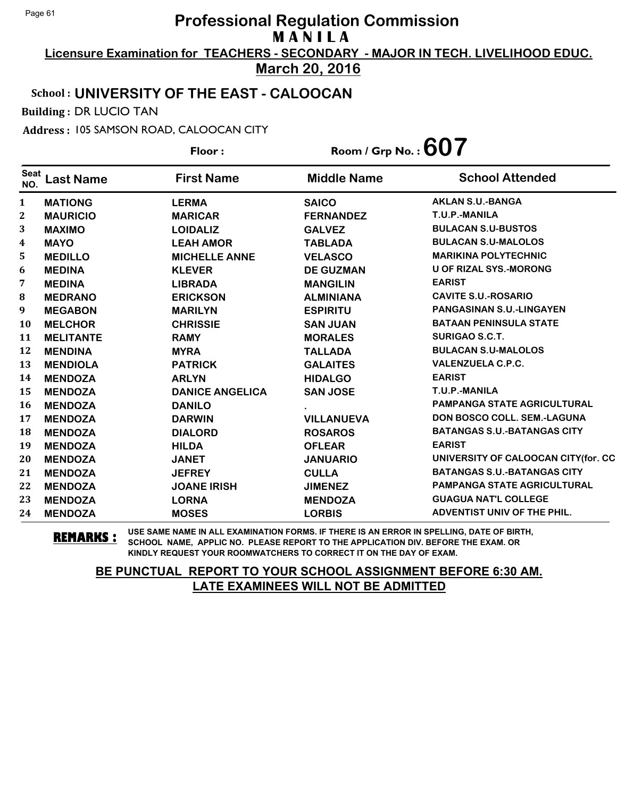**Licensure Examination for TEACHERS - SECONDARY - MAJOR IN TECH. LIVELIHOOD EDUC. March 20, 2016**

## School : **UNIVERSITY OF THE EAST - CALOOCAN**

Building : DR LUCIO TAN

Address : 105 SAMSON ROAD, CALOOCAN CITY

**Last Name First Name Middle Name** Floor : Room / Grp No. :**607** Seat <sup>seat</sup> Last Name First Name Middle Name School Attended **MATIONG LERMA SAICO AKLAN S.U.-BANGA MAURICIO MARICAR FERNANDEZ T.U.P.-MANILA MAXIMO LOIDALIZ GALVEZ BULACAN S.U-BUSTOS MAYO LEAH AMOR TABLADA BULACAN S.U-MALOLOS MEDILLO MICHELLE ANNE VELASCO MARIKINA POLYTECHNIC MEDINA KLEVER DE GUZMAN U OF RIZAL SYS.-MORONG MEDINA LIBRADA MANGILIN EARIST MEDRANO ERICKSON ALMINIANA CAVITE S.U.-ROSARIO MEGABON MARILYN ESPIRITU PANGASINAN S.U.-LINGAYEN MELCHOR CHRISSIE SAN JUAN BATAAN PENINSULA STATE MELITANTE RAMY MORALES SURIGAO S.C.T. MENDINA MYRA TALLADA BULACAN S.U-MALOLOS MENDIOLA PATRICK GALAITES VALENZUELA C.P.C. MENDOZA ARLYN HIDALGO EARIST MENDOZA DANICE ANGELICA SAN JOSE T.U.P.-MANILA MENDOZA DANILO . PAMPANGA STATE AGRICULTURAL MENDOZA DARWIN VILLANUEVA DON BOSCO COLL. SEM.-LAGUNA MENDOZA DIALORD ROSAROS BATANGAS S.U.-BATANGAS CITY MENDOZA HILDA OFLEAR EARIST MENDOZA JANET JANUARIO UNIVERSITY OF CALOOCAN CITY(for. CC MENDOZA JEFREY CULLA BATANGAS S.U.-BATANGAS CITY MENDOZA JOANE IRISH JIMENEZ PAMPANGA STATE AGRICULTURAL MENDOZA LORNA MENDOZA GUAGUA NAT'L COLLEGE MENDOZA MOSES LORBIS ADVENTIST UNIV OF THE PHIL.**

**REMARKS :** USE SAME NAME IN ALL EXAMINATION FORMS. IF THERE IS AN ERROR IN SPELLING, DATE OF BIRTH, SCHOOL NAME, APPLIC NO. PLEASE REPORT TO THE APPLICATION DIV. BEFORE THE EXAM. OR KINDLY REQUEST YOUR ROOMWATCHERS TO CORRECT IT ON THE DAY OF EXAM.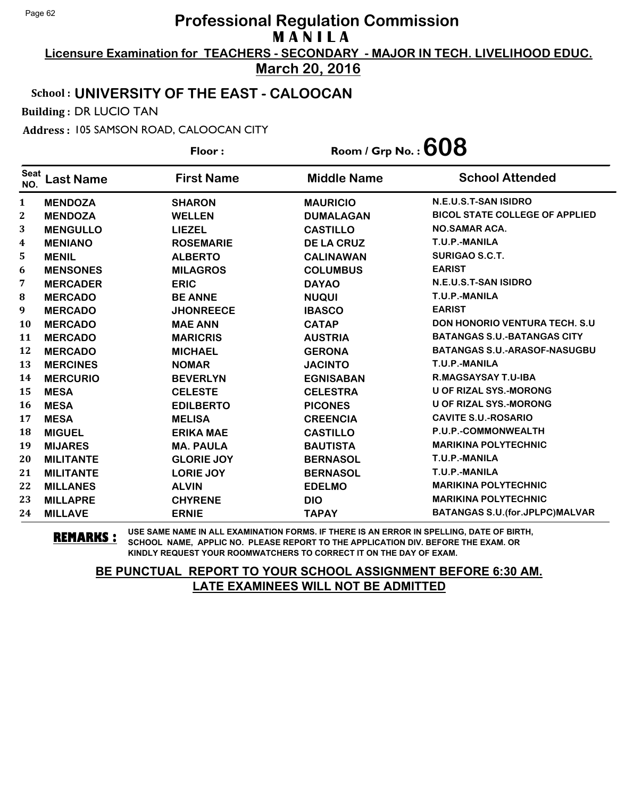**Licensure Examination for TEACHERS - SECONDARY - MAJOR IN TECH. LIVELIHOOD EDUC. March 20, 2016**

#### School : **UNIVERSITY OF THE EAST - CALOOCAN**

Building : DR LUCIO TAN

Address : 105 SAMSON ROAD, CALOOCAN CITY

**Last Name First Name Middle Name** Floor : Room / Grp No. :**608** Seat <sup>seat</sup> Last Name First Name Middle Name School Attended **MENDOZA SHARON MAURICIO N.E.U.S.T-SAN ISIDRO MENDOZA WELLEN DUMALAGAN BICOL STATE COLLEGE OF APPLIED MENGULLO LIEZEL CASTILLO NO.SAMAR ACA. MENIANO ROSEMARIE DE LA CRUZ T.U.P.-MANILA MENIL ALBERTO CALINAWAN SURIGAO S.C.T. MENSONES MILAGROS COLUMBUS EARIST MERCADER ERIC DAYAO N.E.U.S.T-SAN ISIDRO MERCADO BE ANNE NUQUI T.U.P.-MANILA MERCADO JHONREECE IBASCO EARIST MERCADO MAE ANN CATAP DON HONORIO VENTURA TECH. S.U MERCADO MARICRIS AUSTRIA BATANGAS S.U.-BATANGAS CITY MERCADO MICHAEL GERONA BATANGAS S.U.-ARASOF-NASUGBU MERCINES NOMAR JACINTO T.U.P.-MANILA MERCURIO BEVERLYN EGNISABAN R.MAGSAYSAY T.U-IBA MESA CELESTE CELESTRA U OF RIZAL SYS.-MORONG MESA EDILBERTO PICONES U OF RIZAL SYS.-MORONG MESA MELISA CREENCIA CAVITE S.U.-ROSARIO MIGUEL ERIKA MAE CASTILLO P.U.P.-COMMONWEALTH MIJARES MA. PAULA BAUTISTA MARIKINA POLYTECHNIC MILITANTE GLORIE JOY BERNASOL T.U.P.-MANILA MILITANTE LORIE JOY BERNASOL T.U.P.-MANILA MILLANES ALVIN EDELMO MARIKINA POLYTECHNIC MILLAPRE CHYRENE DIO MARIKINA POLYTECHNIC MILLAVE ERNIE TAPAY BATANGAS S.U.(for.JPLPC)MALVAR**

**REMARKS :** USE SAME NAME IN ALL EXAMINATION FORMS. IF THERE IS AN ERROR IN SPELLING, DATE OF BIRTH, SCHOOL NAME, APPLIC NO. PLEASE REPORT TO THE APPLICATION DIV. BEFORE THE EXAM. OR KINDLY REQUEST YOUR ROOMWATCHERS TO CORRECT IT ON THE DAY OF EXAM.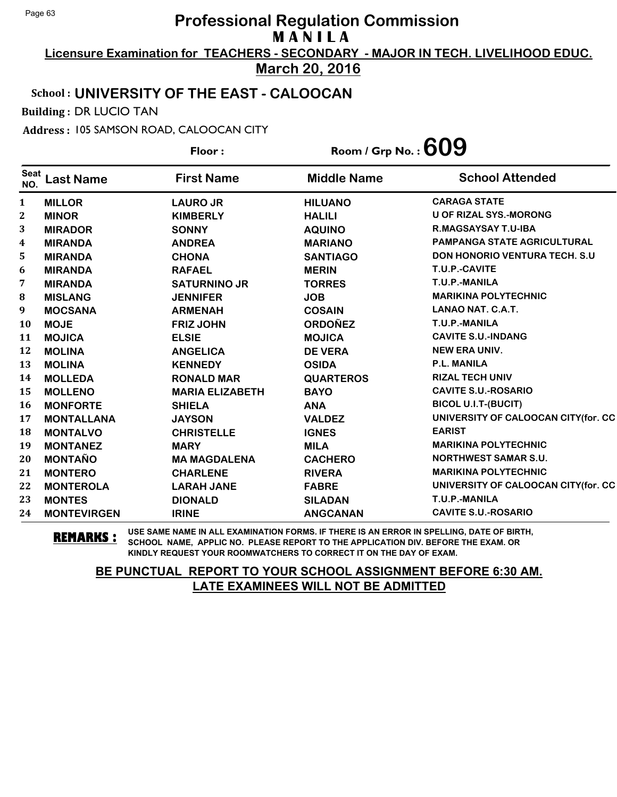**Licensure Examination for TEACHERS - SECONDARY - MAJOR IN TECH. LIVELIHOOD EDUC.**

**March 20, 2016**

#### School : **UNIVERSITY OF THE EAST - CALOOCAN**

Building : DR LUCIO TAN

Address : 105 SAMSON ROAD, CALOOCAN CITY

**Last Name First Name Middle Name** Floor : Room / Grp No. :**609** Seat <sup>seat</sup> Last Name First Name Middle Name School Attended **MILLOR LAURO JR HILUANO CARAGA STATE MINOR KIMBERLY HALILI U OF RIZAL SYS.-MORONG MIRADOR SONNY AQUINO R.MAGSAYSAY T.U-IBA MIRANDA ANDREA MARIANO PAMPANGA STATE AGRICULTURAL MIRANDA CHONA SANTIAGO DON HONORIO VENTURA TECH. S.U MIRANDA RAFAEL MERIN T.U.P.-CAVITE MIRANDA SATURNINO JR TORRES T.U.P.-MANILA MISLANG JENNIFER JOB MARIKINA POLYTECHNIC MOCSANA ARMENAH COSAIN LANAO NAT. C.A.T. MOJE FRIZ JOHN ORDOÑEZ T.U.P.-MANILA MOJICA ELSIE MOJICA CAVITE S.U.-INDANG MOLINA ANGELICA DE VERA NEW ERA UNIV. MOLINA KENNEDY OSIDA P.L. MANILA MOLLEDA RONALD MAR QUARTEROS RIZAL TECH UNIV MOLLENO MARIA ELIZABETH BAYO CAVITE S.U.-ROSARIO MONFORTE SHIELA ANA BICOL U.I.T-(BUCIT) MONTALLANA JAYSON VALDEZ UNIVERSITY OF CALOOCAN CITY(for. CC MONTALVO CHRISTELLE IGNES EARIST MONTANEZ MARY MILA MARIKINA POLYTECHNIC MONTAÑO MA MAGDALENA CACHERO NORTHWEST SAMAR S.U. MONTERO CHARLENE RIVERA MARIKINA POLYTECHNIC MONTEROLA LARAH JANE FABRE UNIVERSITY OF CALOOCAN CITY(for. CC MONTES DIONALD SILADAN T.U.P.-MANILA MONTEVIRGEN IRINE ANGCANAN CAVITE S.U.-ROSARIO**

**REMARKS :** USE SAME NAME IN ALL EXAMINATION FORMS. IF THERE IS AN ERROR IN SPELLING, DATE OF BIRTH, SCHOOL NAME, APPLIC NO. PLEASE REPORT TO THE APPLICATION DIV. BEFORE THE EXAM. OR KINDLY REQUEST YOUR ROOMWATCHERS TO CORRECT IT ON THE DAY OF EXAM.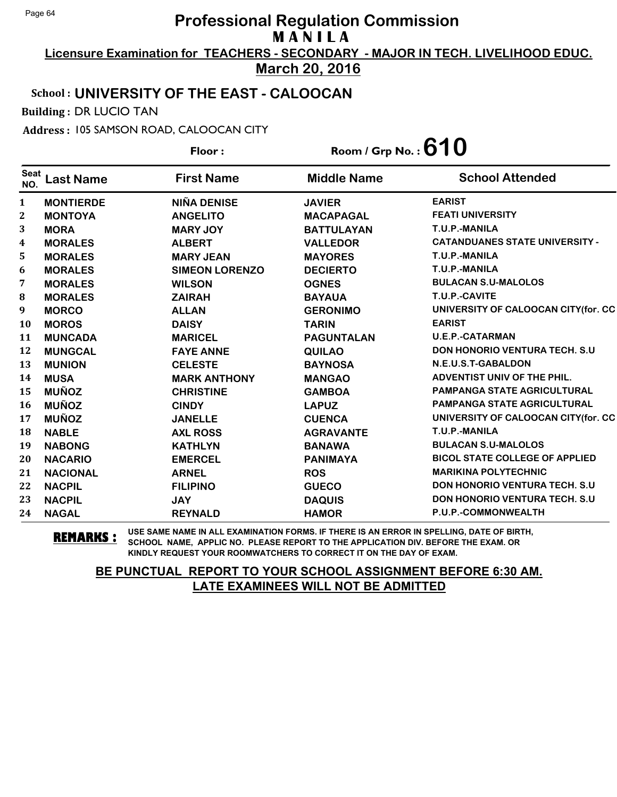**Licensure Examination for TEACHERS - SECONDARY - MAJOR IN TECH. LIVELIHOOD EDUC. March 20, 2016**

## School : **UNIVERSITY OF THE EAST - CALOOCAN**

Building : DR LUCIO TAN

Address : 105 SAMSON ROAD, CALOOCAN CITY

|                    |                  | Floor:                | Room / Grp No. : $610$ |                                       |
|--------------------|------------------|-----------------------|------------------------|---------------------------------------|
| <b>Seat</b><br>NO. | <b>Last Name</b> | <b>First Name</b>     | <b>Middle Name</b>     | <b>School Attended</b>                |
| $\mathbf{1}$       | <b>MONTIERDE</b> | <b>NIÑA DENISE</b>    | <b>JAVIER</b>          | <b>EARIST</b>                         |
| $\mathbf 2$        | <b>MONTOYA</b>   | <b>ANGELITO</b>       | <b>MACAPAGAL</b>       | <b>FEATI UNIVERSITY</b>               |
| 3                  | <b>MORA</b>      | <b>MARY JOY</b>       | <b>BATTULAYAN</b>      | T.U.P.-MANILA                         |
| 4                  | <b>MORALES</b>   | <b>ALBERT</b>         | <b>VALLEDOR</b>        | <b>CATANDUANES STATE UNIVERSITY -</b> |
| 5                  | <b>MORALES</b>   | <b>MARY JEAN</b>      | <b>MAYORES</b>         | T.U.P.-MANILA                         |
| 6                  | <b>MORALES</b>   | <b>SIMEON LORENZO</b> | <b>DECIERTO</b>        | T.U.P.-MANILA                         |
| 7                  | <b>MORALES</b>   | <b>WILSON</b>         | <b>OGNES</b>           | <b>BULACAN S.U-MALOLOS</b>            |
| 8                  | <b>MORALES</b>   | <b>ZAIRAH</b>         | <b>BAYAUA</b>          | T.U.P.-CAVITE                         |
| 9                  | <b>MORCO</b>     | <b>ALLAN</b>          | <b>GERONIMO</b>        | UNIVERSITY OF CALOOCAN CITY(for. CC   |
| <b>10</b>          | <b>MOROS</b>     | <b>DAISY</b>          | <b>TARIN</b>           | <b>EARIST</b>                         |
| 11                 | <b>MUNCADA</b>   | <b>MARICEL</b>        | <b>PAGUNTALAN</b>      | <b>U.E.P.-CATARMAN</b>                |
| 12                 | <b>MUNGCAL</b>   | <b>FAYE ANNE</b>      | <b>QUILAO</b>          | <b>DON HONORIO VENTURA TECH. S.U.</b> |
| 13                 | <b>MUNION</b>    | <b>CELESTE</b>        | <b>BAYNOSA</b>         | N.E.U.S.T-GABALDON                    |
| 14                 | <b>MUSA</b>      | <b>MARK ANTHONY</b>   | <b>MANGAO</b>          | ADVENTIST UNIV OF THE PHIL.           |
| 15                 | <b>MUÑOZ</b>     | <b>CHRISTINE</b>      | <b>GAMBOA</b>          | <b>PAMPANGA STATE AGRICULTURAL</b>    |
| <b>16</b>          | <b>MUÑOZ</b>     | <b>CINDY</b>          | <b>LAPUZ</b>           | <b>PAMPANGA STATE AGRICULTURAL</b>    |
| 17                 | <b>MUÑOZ</b>     | <b>JANELLE</b>        | <b>CUENCA</b>          | UNIVERSITY OF CALOOCAN CITY(for. CC   |
| 18                 | <b>NABLE</b>     | <b>AXL ROSS</b>       | <b>AGRAVANTE</b>       | T.U.P.-MANILA                         |
| 19                 | <b>NABONG</b>    | <b>KATHLYN</b>        | <b>BANAWA</b>          | <b>BULACAN S.U-MALOLOS</b>            |
| 20                 | <b>NACARIO</b>   | <b>EMERCEL</b>        | <b>PANIMAYA</b>        | <b>BICOL STATE COLLEGE OF APPLIED</b> |
| 21                 | <b>NACIONAL</b>  | <b>ARNEL</b>          | <b>ROS</b>             | <b>MARIKINA POLYTECHNIC</b>           |
| 22                 | <b>NACPIL</b>    | <b>FILIPINO</b>       | <b>GUECO</b>           | <b>DON HONORIO VENTURA TECH. S.U.</b> |
| 23                 | <b>NACPIL</b>    | <b>JAY</b>            | <b>DAQUIS</b>          | <b>DON HONORIO VENTURA TECH. S.U.</b> |
| 24                 | <b>NAGAL</b>     | <b>REYNALD</b>        | <b>HAMOR</b>           | P.U.P.-COMMONWEALTH                   |

**REMARKS :** USE SAME NAME IN ALL EXAMINATION FORMS. IF THERE IS AN ERROR IN SPELLING, DATE OF BIRTH, SCHOOL NAME, APPLIC NO. PLEASE REPORT TO THE APPLICATION DIV. BEFORE THE EXAM. OR KINDLY REQUEST YOUR ROOMWATCHERS TO CORRECT IT ON THE DAY OF EXAM.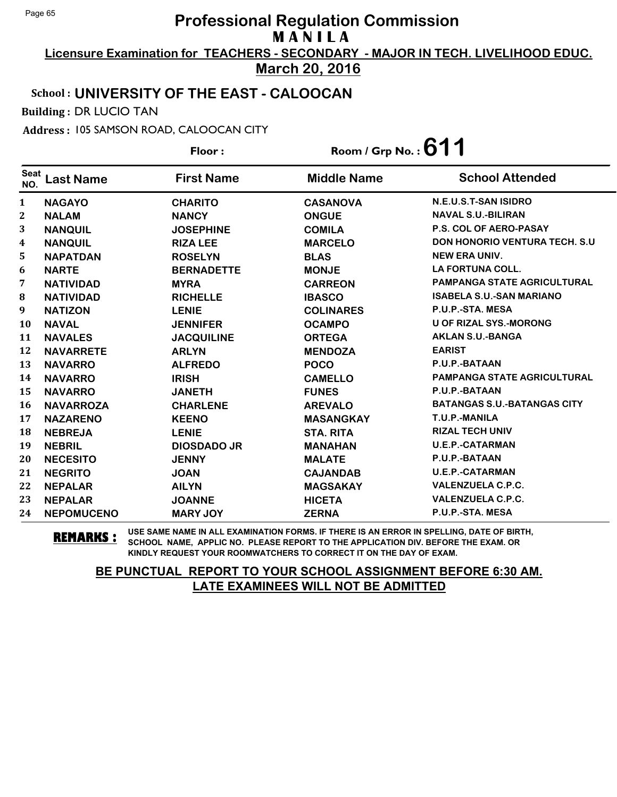**Licensure Examination for TEACHERS - SECONDARY - MAJOR IN TECH. LIVELIHOOD EDUC. March 20, 2016**

### School : **UNIVERSITY OF THE EAST - CALOOCAN**

Building : DR LUCIO TAN

Address : 105 SAMSON ROAD, CALOOCAN CITY

**Last Name First Name Middle Name** Floor : Room / Grp No. :**611** Seat <sup>seat</sup> Last Name First Name Middle Name School Attended **NAGAYO CHARITO CASANOVA N.E.U.S.T-SAN ISIDRO NALAM NANCY ONGUE NAVAL S.U.-BILIRAN NANQUIL JOSEPHINE COMILA P.S. COL OF AERO-PASAY NANQUIL RIZA LEE MARCELO DON HONORIO VENTURA TECH. S.U NAPATDAN ROSELYN BLAS NEW ERA UNIV. NARTE BERNADETTE MONJE LA FORTUNA COLL. NATIVIDAD MYRA CARREON PAMPANGA STATE AGRICULTURAL NATIVIDAD RICHELLE IBASCO ISABELA S.U.-SAN MARIANO NATIZON LENIE COLINARES P.U.P.-STA. MESA NAVAL JENNIFER OCAMPO U OF RIZAL SYS.-MORONG NAVALES JACQUILINE ORTEGA AKLAN S.U.-BANGA NAVARRETE ARLYN MENDOZA EARIST NAVARRO ALFREDO POCO P.U.P.-BATAAN NAVARRO IRISH CAMELLO PAMPANGA STATE AGRICULTURAL NAVARRO JANETH FUNES P.U.P.-BATAAN NAVARROZA CHARLENE AREVALO BATANGAS S.U.-BATANGAS CITY NAZARENO KEENO MASANGKAY T.U.P.-MANILA NEBREJA LENIE STA. RITA RIZAL TECH UNIV NEBRIL DIOSDADO JR MANAHAN U.E.P.-CATARMAN NECESITO JENNY MALATE P.U.P.-BATAAN NEGRITO JOAN CAJANDAB U.E.P.-CATARMAN NEPALAR AILYN MAGSAKAY VALENZUELA C.P.C. NEPALAR JOANNE HICETA VALENZUELA C.P.C. NEPOMUCENO MARY JOY ZERNA P.U.P.-STA. MESA**

**REMARKS :** USE SAME NAME IN ALL EXAMINATION FORMS. IF THERE IS AN ERROR IN SPELLING, DATE OF BIRTH, SCHOOL NAME, APPLIC NO. PLEASE REPORT TO THE APPLICATION DIV. BEFORE THE EXAM. OR KINDLY REQUEST YOUR ROOMWATCHERS TO CORRECT IT ON THE DAY OF EXAM.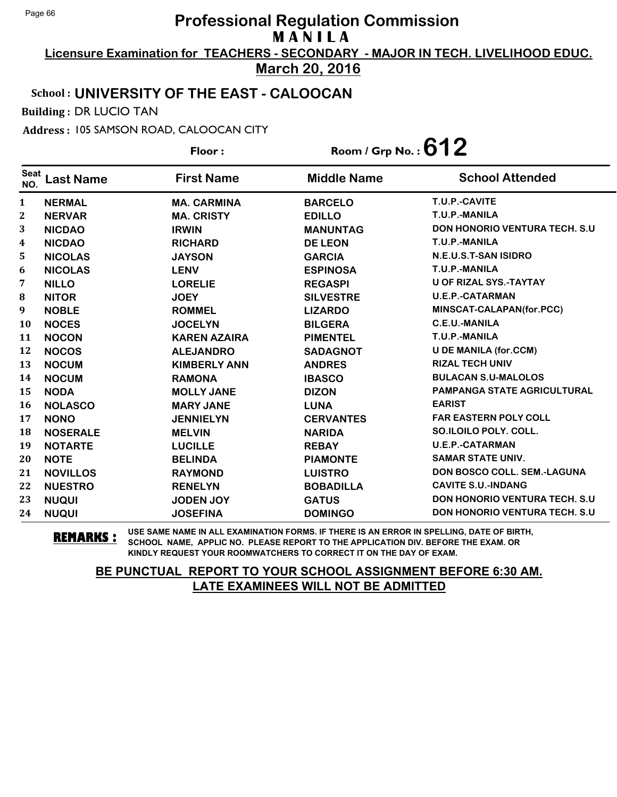**Licensure Examination for TEACHERS - SECONDARY - MAJOR IN TECH. LIVELIHOOD EDUC. March 20, 2016**

### School : **UNIVERSITY OF THE EAST - CALOOCAN**

Building : DR LUCIO TAN

Address : 105 SAMSON ROAD, CALOOCAN CITY

**Last Name First Name Middle Name** Floor : Room / Grp No. :**612** Seat <sup>seat</sup> Last Name First Name Middle Name School Attended **NERMAL MA. CARMINA BARCELO T.U.P.-CAVITE NERVAR MA. CRISTY EDILLO T.U.P.-MANILA NICDAO IRWIN MANUNTAG DON HONORIO VENTURA TECH. S.U NICDAO RICHARD DE LEON T.U.P.-MANILA NICOLAS JAYSON GARCIA N.E.U.S.T-SAN ISIDRO NICOLAS LENV ESPINOSA T.U.P.-MANILA NILLO LORELIE REGASPI U OF RIZAL SYS.-TAYTAY NITOR JOEY SILVESTRE U.E.P.-CATARMAN NOBLE ROMMEL LIZARDO MINSCAT-CALAPAN(for.PCC) NOCES JOCELYN BILGERA C.E.U.-MANILA NOCON KAREN AZAIRA PIMENTEL T.U.P.-MANILA NOCOS ALEJANDRO SADAGNOT U DE MANILA (for.CCM) NOCUM KIMBERLY ANN ANDRES RIZAL TECH UNIV NOCUM RAMONA IBASCO BULACAN S.U-MALOLOS NODA MOLLY JANE DIZON PAMPANGA STATE AGRICULTURAL NOLASCO MARY JANE LUNA EARIST NONO JENNIELYN CERVANTES FAR EASTERN POLY COLL NOSERALE MELVIN NARIDA SO.ILOILO POLY. COLL. NOTARTE LUCILLE REBAY U.E.P.-CATARMAN NOTE BELINDA PIAMONTE SAMAR STATE UNIV. NOVILLOS RAYMOND LUISTRO DON BOSCO COLL. SEM.-LAGUNA NUESTRO RENELYN BOBADILLA CAVITE S.U.-INDANG NUQUI JODEN JOY GATUS DON HONORIO VENTURA TECH. S.U NUQUI JOSEFINA DOMINGO DON HONORIO VENTURA TECH. S.U**

**REMARKS :** USE SAME NAME IN ALL EXAMINATION FORMS. IF THERE IS AN ERROR IN SPELLING, DATE OF BIRTH, SCHOOL NAME, APPLIC NO. PLEASE REPORT TO THE APPLICATION DIV. BEFORE THE EXAM. OR KINDLY REQUEST YOUR ROOMWATCHERS TO CORRECT IT ON THE DAY OF EXAM.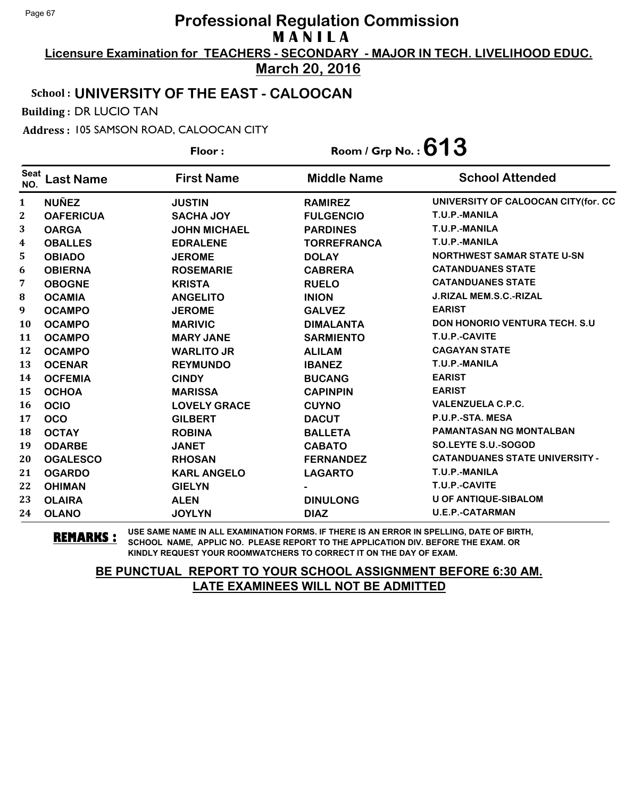**Licensure Examination for TEACHERS - SECONDARY - MAJOR IN TECH. LIVELIHOOD EDUC.**

**March 20, 2016**

## School : **UNIVERSITY OF THE EAST - CALOOCAN**

Building : DR LUCIO TAN

Address : 105 SAMSON ROAD, CALOOCAN CITY

|                    |                  | Floor:              | Room / Grp No. : $613$ |                                       |  |
|--------------------|------------------|---------------------|------------------------|---------------------------------------|--|
| <b>Seat</b><br>NO. | Last Name        | <b>First Name</b>   | <b>Middle Name</b>     | <b>School Attended</b>                |  |
| $\mathbf{1}$       | <b>NUÑEZ</b>     | <b>JUSTIN</b>       | <b>RAMIREZ</b>         | UNIVERSITY OF CALOOCAN CITY(for. CC   |  |
| $\mathbf{2}$       | <b>OAFERICUA</b> | <b>SACHA JOY</b>    | <b>FULGENCIO</b>       | T.U.P.-MANILA                         |  |
| 3                  | <b>OARGA</b>     | <b>JOHN MICHAEL</b> | <b>PARDINES</b>        | T.U.P.-MANILA                         |  |
| 4                  | <b>OBALLES</b>   | <b>EDRALENE</b>     | <b>TORREFRANCA</b>     | T.U.P.-MANILA                         |  |
| 5                  | <b>OBIADO</b>    | <b>JEROME</b>       | <b>DOLAY</b>           | <b>NORTHWEST SAMAR STATE U-SN</b>     |  |
| 6                  | <b>OBIERNA</b>   | <b>ROSEMARIE</b>    | <b>CABRERA</b>         | <b>CATANDUANES STATE</b>              |  |
| 7                  | <b>OBOGNE</b>    | <b>KRISTA</b>       | <b>RUELO</b>           | <b>CATANDUANES STATE</b>              |  |
| 8                  | <b>OCAMIA</b>    | <b>ANGELITO</b>     | <b>INION</b>           | <b>J.RIZAL MEM.S.C.-RIZAL</b>         |  |
| 9                  | <b>OCAMPO</b>    | <b>JEROME</b>       | <b>GALVEZ</b>          | <b>EARIST</b>                         |  |
| 10                 | <b>OCAMPO</b>    | <b>MARIVIC</b>      | <b>DIMALANTA</b>       | <b>DON HONORIO VENTURA TECH. S.U</b>  |  |
| 11                 | <b>OCAMPO</b>    | <b>MARY JANE</b>    | <b>SARMIENTO</b>       | T.U.P.-CAVITE                         |  |
| 12                 | <b>OCAMPO</b>    | <b>WARLITO JR</b>   | <b>ALILAM</b>          | <b>CAGAYAN STATE</b>                  |  |
| 13                 | <b>OCENAR</b>    | <b>REYMUNDO</b>     | <b>IBANEZ</b>          | T.U.P.-MANILA                         |  |
| 14                 | <b>OCFEMIA</b>   | <b>CINDY</b>        | <b>BUCANG</b>          | <b>EARIST</b>                         |  |
| 15                 | <b>OCHOA</b>     | <b>MARISSA</b>      | <b>CAPINPIN</b>        | <b>EARIST</b>                         |  |
| 16                 | <b>OCIO</b>      | <b>LOVELY GRACE</b> | <b>CUYNO</b>           | <b>VALENZUELA C.P.C.</b>              |  |
| 17                 | <b>OCO</b>       | <b>GILBERT</b>      | <b>DACUT</b>           | P.U.P.-STA. MESA                      |  |
| 18                 | <b>OCTAY</b>     | <b>ROBINA</b>       | <b>BALLETA</b>         | <b>PAMANTASAN NG MONTALBAN</b>        |  |
| 19                 | <b>ODARBE</b>    | <b>JANET</b>        | <b>CABATO</b>          | <b>SO.LEYTE S.U.-SOGOD</b>            |  |
| 20                 | <b>OGALESCO</b>  | <b>RHOSAN</b>       | <b>FERNANDEZ</b>       | <b>CATANDUANES STATE UNIVERSITY -</b> |  |
| 21                 | <b>OGARDO</b>    | <b>KARL ANGELO</b>  | <b>LAGARTO</b>         | T.U.P.-MANILA                         |  |
| 22                 | <b>OHIMAN</b>    | <b>GIELYN</b>       |                        | T.U.P.-CAVITE                         |  |
| 23                 | <b>OLAIRA</b>    | <b>ALEN</b>         | <b>DINULONG</b>        | <b>U OF ANTIQUE-SIBALOM</b>           |  |
| 24                 | <b>OLANO</b>     | <b>JOYLYN</b>       | <b>DIAZ</b>            | <b>U.E.P.-CATARMAN</b>                |  |

**REMARKS :** USE SAME NAME IN ALL EXAMINATION FORMS. IF THERE IS AN ERROR IN SPELLING, DATE OF BIRTH, SCHOOL NAME, APPLIC NO. PLEASE REPORT TO THE APPLICATION DIV. BEFORE THE EXAM. OR KINDLY REQUEST YOUR ROOMWATCHERS TO CORRECT IT ON THE DAY OF EXAM.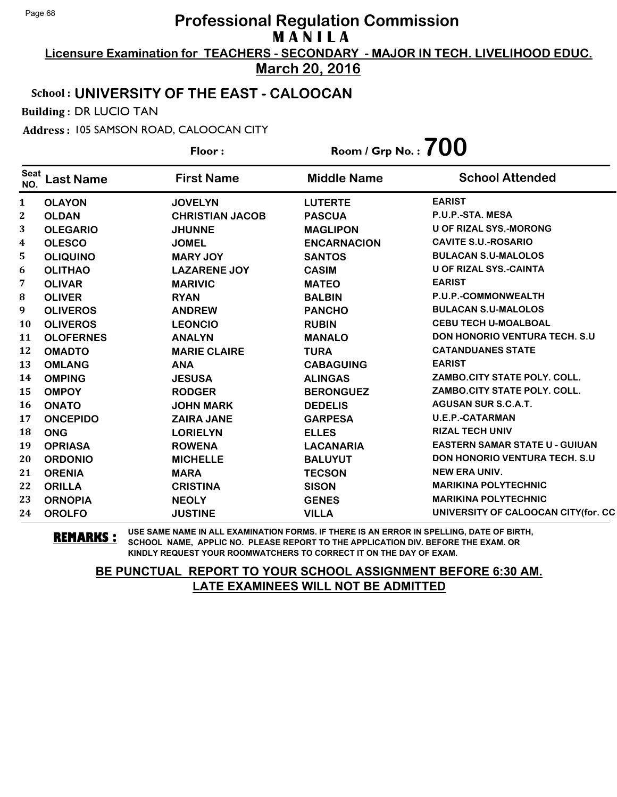**Licensure Examination for TEACHERS - SECONDARY - MAJOR IN TECH. LIVELIHOOD EDUC. March 20, 2016**

## School : **UNIVERSITY OF THE EAST - CALOOCAN**

Building : DR LUCIO TAN

Address : 105 SAMSON ROAD, CALOOCAN CITY

|                    |                  | Floor:                 | Room / Grp No. : $700$ |                                       |
|--------------------|------------------|------------------------|------------------------|---------------------------------------|
| <b>Seat</b><br>NO. | <b>Last Name</b> | <b>First Name</b>      | <b>Middle Name</b>     | <b>School Attended</b>                |
| $\mathbf{1}$       | <b>OLAYON</b>    | <b>JOVELYN</b>         | <b>LUTERTE</b>         | <b>EARIST</b>                         |
| 2                  | <b>OLDAN</b>     | <b>CHRISTIAN JACOB</b> | <b>PASCUA</b>          | P.U.P.-STA. MESA                      |
| 3                  | <b>OLEGARIO</b>  | <b>JHUNNE</b>          | <b>MAGLIPON</b>        | <b>U OF RIZAL SYS.-MORONG</b>         |
| 4                  | <b>OLESCO</b>    | <b>JOMEL</b>           | <b>ENCARNACION</b>     | <b>CAVITE S.U.-ROSARIO</b>            |
| 5.                 | <b>OLIQUINO</b>  | <b>MARY JOY</b>        | <b>SANTOS</b>          | <b>BULACAN S.U-MALOLOS</b>            |
| 6                  | <b>OLITHAO</b>   | <b>LAZARENE JOY</b>    | <b>CASIM</b>           | U OF RIZAL SYS.-CAINTA                |
| 7                  | <b>OLIVAR</b>    | <b>MARIVIC</b>         | <b>MATEO</b>           | <b>EARIST</b>                         |
| 8                  | <b>OLIVER</b>    | <b>RYAN</b>            | <b>BALBIN</b>          | P.U.P.-COMMONWEALTH                   |
| 9                  | <b>OLIVEROS</b>  | <b>ANDREW</b>          | <b>PANCHO</b>          | <b>BULACAN S.U-MALOLOS</b>            |
| <b>10</b>          | <b>OLIVEROS</b>  | <b>LEONCIO</b>         | <b>RUBIN</b>           | <b>CEBU TECH U-MOALBOAL</b>           |
| 11                 | <b>OLOFERNES</b> | <b>ANALYN</b>          | <b>MANALO</b>          | <b>DON HONORIO VENTURA TECH. S.U.</b> |
| 12                 | <b>OMADTO</b>    | <b>MARIE CLAIRE</b>    | <b>TURA</b>            | <b>CATANDUANES STATE</b>              |
| 13                 | <b>OMLANG</b>    | <b>ANA</b>             | <b>CABAGUING</b>       | <b>EARIST</b>                         |
| 14                 | <b>OMPING</b>    | <b>JESUSA</b>          | <b>ALINGAS</b>         | ZAMBO.CITY STATE POLY. COLL.          |
| 15                 | <b>OMPOY</b>     | <b>RODGER</b>          | <b>BERONGUEZ</b>       | ZAMBO.CITY STATE POLY. COLL.          |
| <b>16</b>          | <b>ONATO</b>     | <b>JOHN MARK</b>       | <b>DEDELIS</b>         | <b>AGUSAN SUR S.C.A.T.</b>            |
| 17                 | <b>ONCEPIDO</b>  | <b>ZAIRA JANE</b>      | <b>GARPESA</b>         | <b>U.E.P.-CATARMAN</b>                |
| 18                 | <b>ONG</b>       | <b>LORIELYN</b>        | <b>ELLES</b>           | <b>RIZAL TECH UNIV</b>                |
| 19                 | <b>OPRIASA</b>   | <b>ROWENA</b>          | <b>LACANARIA</b>       | <b>EASTERN SAMAR STATE U - GUIUAN</b> |
| 20                 | <b>ORDONIO</b>   | <b>MICHELLE</b>        | <b>BALUYUT</b>         | <b>DON HONORIO VENTURA TECH. S.U.</b> |
| 21                 | <b>ORENIA</b>    | <b>MARA</b>            | <b>TECSON</b>          | <b>NEW ERA UNIV.</b>                  |
| 22                 | <b>ORILLA</b>    | <b>CRISTINA</b>        | <b>SISON</b>           | <b>MARIKINA POLYTECHNIC</b>           |
| 23                 | <b>ORNOPIA</b>   | <b>NEOLY</b>           | <b>GENES</b>           | <b>MARIKINA POLYTECHNIC</b>           |
| 24                 | <b>OROLFO</b>    | <b>JUSTINE</b>         | <b>VILLA</b>           | UNIVERSITY OF CALOOCAN CITY (for. CC  |

**REMARKS :** USE SAME NAME IN ALL EXAMINATION FORMS. IF THERE IS AN ERROR IN SPELLING, DATE OF BIRTH, SCHOOL NAME, APPLIC NO. PLEASE REPORT TO THE APPLICATION DIV. BEFORE THE EXAM. OR KINDLY REQUEST YOUR ROOMWATCHERS TO CORRECT IT ON THE DAY OF EXAM.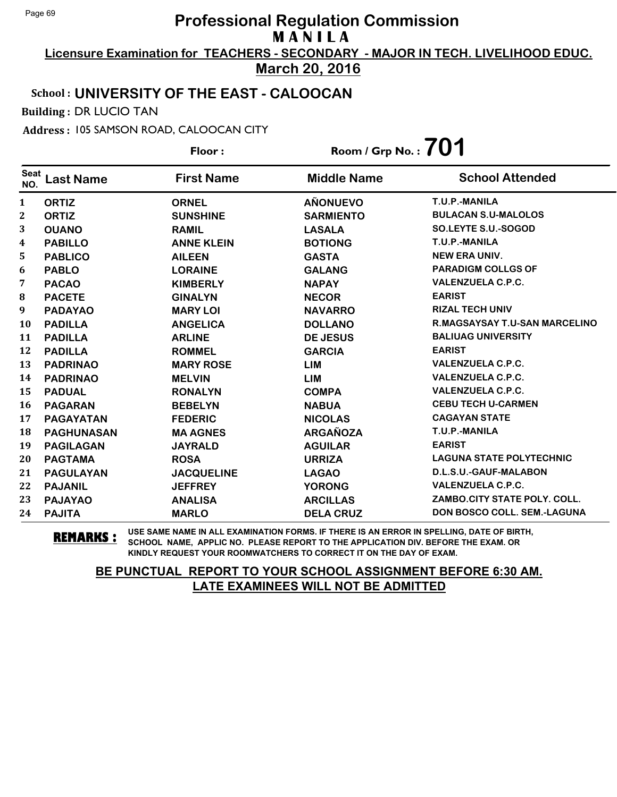**Licensure Examination for TEACHERS - SECONDARY - MAJOR IN TECH. LIVELIHOOD EDUC. March 20, 2016**

## School : **UNIVERSITY OF THE EAST - CALOOCAN**

Building : DR LUCIO TAN

Address : 105 SAMSON ROAD, CALOOCAN CITY

|                    |                   | Floor:            | Room / Grp No. : $701$ |                                      |
|--------------------|-------------------|-------------------|------------------------|--------------------------------------|
| <b>Seat</b><br>NO. | <b>Last Name</b>  | <b>First Name</b> | <b>Middle Name</b>     | <b>School Attended</b>               |
| 1                  | <b>ORTIZ</b>      | <b>ORNEL</b>      | <b>AÑONUEVO</b>        | T.U.P.-MANILA                        |
| $\boldsymbol{2}$   | <b>ORTIZ</b>      | <b>SUNSHINE</b>   | <b>SARMIENTO</b>       | <b>BULACAN S.U-MALOLOS</b>           |
| 3                  | <b>OUANO</b>      | <b>RAMIL</b>      | <b>LASALA</b>          | SO.LEYTE S.U.-SOGOD                  |
| 4                  | <b>PABILLO</b>    | <b>ANNE KLEIN</b> | <b>BOTIONG</b>         | T.U.P.-MANILA                        |
| 5                  | <b>PABLICO</b>    | <b>AILEEN</b>     | <b>GASTA</b>           | <b>NEW ERA UNIV.</b>                 |
| 6                  | <b>PABLO</b>      | <b>LORAINE</b>    | <b>GALANG</b>          | <b>PARADIGM COLLGS OF</b>            |
| 7                  | <b>PACAO</b>      | <b>KIMBERLY</b>   | <b>NAPAY</b>           | <b>VALENZUELA C.P.C.</b>             |
| 8                  | <b>PACETE</b>     | <b>GINALYN</b>    | <b>NECOR</b>           | <b>EARIST</b>                        |
| 9                  | <b>PADAYAO</b>    | <b>MARY LOI</b>   | <b>NAVARRO</b>         | <b>RIZAL TECH UNIV</b>               |
| 10                 | <b>PADILLA</b>    | <b>ANGELICA</b>   | <b>DOLLANO</b>         | <b>R.MAGSAYSAY T.U-SAN MARCELINO</b> |
| 11                 | <b>PADILLA</b>    | <b>ARLINE</b>     | <b>DE JESUS</b>        | <b>BALIUAG UNIVERSITY</b>            |
| 12                 | <b>PADILLA</b>    | <b>ROMMEL</b>     | <b>GARCIA</b>          | <b>EARIST</b>                        |
| 13                 | <b>PADRINAO</b>   | <b>MARY ROSE</b>  | <b>LIM</b>             | <b>VALENZUELA C.P.C.</b>             |
| 14                 | <b>PADRINAO</b>   | <b>MELVIN</b>     | <b>LIM</b>             | <b>VALENZUELA C.P.C.</b>             |
| 15                 | <b>PADUAL</b>     | <b>RONALYN</b>    | <b>COMPA</b>           | <b>VALENZUELA C.P.C.</b>             |
| 16                 | <b>PAGARAN</b>    | <b>BEBELYN</b>    | <b>NABUA</b>           | <b>CEBU TECH U-CARMEN</b>            |
| 17                 | <b>PAGAYATAN</b>  | <b>FEDERIC</b>    | <b>NICOLAS</b>         | <b>CAGAYAN STATE</b>                 |
| 18                 | <b>PAGHUNASAN</b> | <b>MA AGNES</b>   | <b>ARGAÑOZA</b>        | T.U.P.-MANILA                        |
| 19                 | <b>PAGILAGAN</b>  | <b>JAYRALD</b>    | <b>AGUILAR</b>         | <b>EARIST</b>                        |
| 20                 | <b>PAGTAMA</b>    | <b>ROSA</b>       | <b>URRIZA</b>          | <b>LAGUNA STATE POLYTECHNIC</b>      |
| 21                 | <b>PAGULAYAN</b>  | <b>JACQUELINE</b> | <b>LAGAO</b>           | D.L.S.U.-GAUF-MALABON                |
| 22                 | <b>PAJANIL</b>    | <b>JEFFREY</b>    | <b>YORONG</b>          | <b>VALENZUELA C.P.C.</b>             |
| 23                 | <b>PAJAYAO</b>    | <b>ANALISA</b>    | <b>ARCILLAS</b>        | ZAMBO.CITY STATE POLY, COLL.         |
| 24                 | <b>PAJITA</b>     | <b>MARLO</b>      | <b>DELA CRUZ</b>       | <b>DON BOSCO COLL. SEM.-LAGUNA</b>   |

**REMARKS :** USE SAME NAME IN ALL EXAMINATION FORMS. IF THERE IS AN ERROR IN SPELLING, DATE OF BIRTH, SCHOOL NAME, APPLIC NO. PLEASE REPORT TO THE APPLICATION DIV. BEFORE THE EXAM. OR KINDLY REQUEST YOUR ROOMWATCHERS TO CORRECT IT ON THE DAY OF EXAM.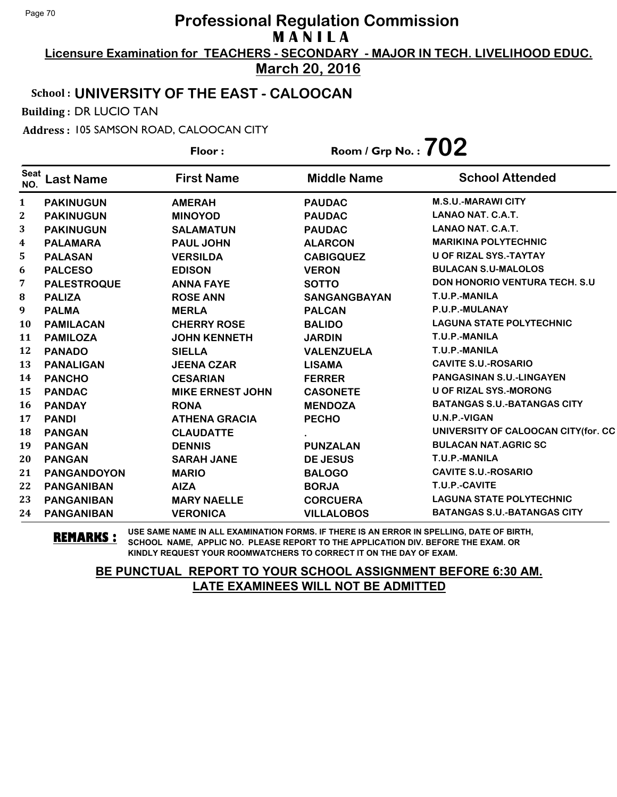**Licensure Examination for TEACHERS - SECONDARY - MAJOR IN TECH. LIVELIHOOD EDUC. March 20, 2016**

### School : **UNIVERSITY OF THE EAST - CALOOCAN**

Building : DR LUCIO TAN

Address : 105 SAMSON ROAD, CALOOCAN CITY

**Last Name First Name Middle Name** Floor : Room / Grp No. :**702** Seat <sup>seat</sup> Last Name First Name Middle Name School Attended **PAKINUGUN AMERAH PAUDAC M.S.U.-MARAWI CITY PAKINUGUN MINOYOD PAUDAC LANAO NAT. C.A.T. PAKINUGUN SALAMATUN PAUDAC LANAO NAT. C.A.T. PALAMARA PAUL JOHN ALARCON MARIKINA POLYTECHNIC PALASAN VERSILDA CABIGQUEZ U OF RIZAL SYS.-TAYTAY PALCESO EDISON VERON BULACAN S.U-MALOLOS PALESTROQUE ANNA FAYE SOTTO DON HONORIO VENTURA TECH. S.U PALIZA ROSE ANN SANGANGBAYAN T.U.P.-MANILA PALMA MERLA PALCAN P.U.P.-MULANAY PAMILACAN CHERRY ROSE BALIDO LAGUNA STATE POLYTECHNIC PAMILOZA JOHN KENNETH JARDIN T.U.P.-MANILA PANADO SIELLA VALENZUELA T.U.P.-MANILA PANALIGAN JEENA CZAR LISAMA CAVITE S.U.-ROSARIO PANCHO CESARIAN FERRER PANGASINAN S.U.-LINGAYEN PANDAC MIKE ERNEST JOHN CASONETE U OF RIZAL SYS.-MORONG PANDAY RONA MENDOZA BATANGAS S.U.-BATANGAS CITY PANDI ATHENA GRACIA PECHO U.N.P.-VIGAN PANGAN CLAUDATTE . UNIVERSITY OF CALOOCAN CITY(for. CC PANGAN DENNIS PUNZALAN BULACAN NAT.AGRIC SC PANGAN SARAH JANE DE JESUS T.U.P.-MANILA PANGANDOYON MARIO BALOGO CAVITE S.U.-ROSARIO PANGANIBAN AIZA BORJA T.U.P.-CAVITE PANGANIBAN MARY NAELLE CORCUERA LAGUNA STATE POLYTECHNIC PANGANIBAN VERONICA VILLALOBOS BATANGAS S.U.-BATANGAS CITY**

**REMARKS :** USE SAME NAME IN ALL EXAMINATION FORMS. IF THERE IS AN ERROR IN SPELLING, DATE OF BIRTH, SCHOOL NAME, APPLIC NO. PLEASE REPORT TO THE APPLICATION DIV. BEFORE THE EXAM. OR KINDLY REQUEST YOUR ROOMWATCHERS TO CORRECT IT ON THE DAY OF EXAM.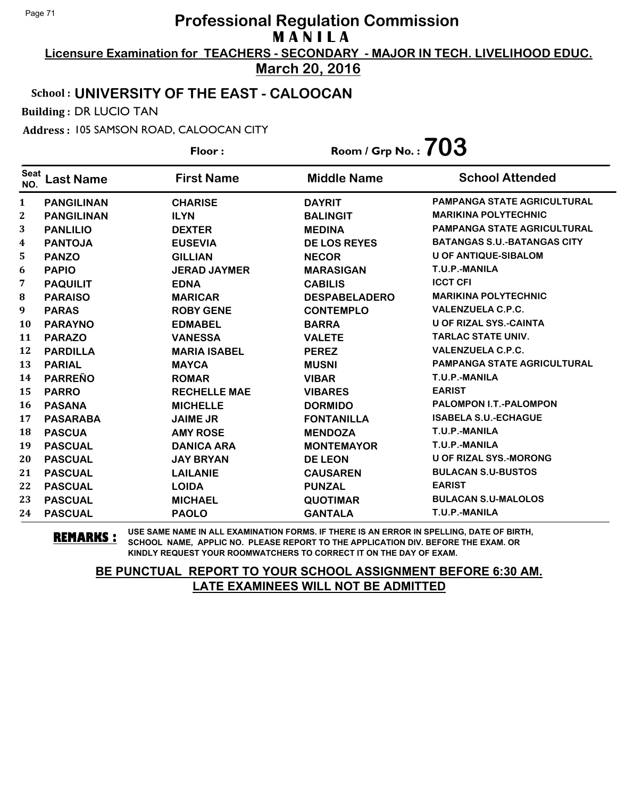**Licensure Examination for TEACHERS - SECONDARY - MAJOR IN TECH. LIVELIHOOD EDUC. March 20, 2016**

#### School : **UNIVERSITY OF THE EAST - CALOOCAN**

Building : DR LUCIO TAN

Address : 105 SAMSON ROAD, CALOOCAN CITY

**Last Name First Name Middle Name** Floor : Room / Grp No. :**703** Seat <sup>seat</sup> Last Name First Name Middle Name School Attended **PANGILINAN CHARISE DAYRIT PAMPANGA STATE AGRICULTURAL PANGILINAN ILYN BALINGIT MARIKINA POLYTECHNIC PANLILIO DEXTER MEDINA PAMPANGA STATE AGRICULTURAL PANTOJA EUSEVIA DE LOS REYES BATANGAS S.U.-BATANGAS CITY PANZO GILLIAN NECOR U OF ANTIQUE-SIBALOM PAPIO JERAD JAYMER MARASIGAN T.U.P.-MANILA PAQUILIT EDNA CABILIS ICCT CFI PARAISO MARICAR DESPABELADERO MARIKINA POLYTECHNIC PARAS ROBY GENE CONTEMPLO VALENZUELA C.P.C. PARAYNO EDMABEL BARRA U OF RIZAL SYS.-CAINTA PARAZO VANESSA VALETE TARLAC STATE UNIV. PARDILLA MARIA ISABEL PEREZ VALENZUELA C.P.C. PARIAL MAYCA MUSNI PAMPANGA STATE AGRICULTURAL PARREÑO ROMAR VIBAR T.U.P.-MANILA PARRO RECHELLE MAE VIBARES EARIST PASANA MICHELLE DORMIDO PALOMPON I.T.-PALOMPON PASARABA JAIME JR FONTANILLA ISABELA S.U.-ECHAGUE PASCUA AMY ROSE MENDOZA T.U.P.-MANILA PASCUAL DANICA ARA MONTEMAYOR T.U.P.-MANILA PASCUAL JAY BRYAN DE LEON U OF RIZAL SYS.-MORONG PASCUAL LAILANIE CAUSAREN BULACAN S.U-BUSTOS PASCUAL LOIDA PUNZAL EARIST PASCUAL MICHAEL QUOTIMAR BULACAN S.U-MALOLOS PASCUAL PAOLO GANTALA T.U.P.-MANILA**

**REMARKS :** USE SAME NAME IN ALL EXAMINATION FORMS. IF THERE IS AN ERROR IN SPELLING, DATE OF BIRTH, SCHOOL NAME, APPLIC NO. PLEASE REPORT TO THE APPLICATION DIV. BEFORE THE EXAM. OR KINDLY REQUEST YOUR ROOMWATCHERS TO CORRECT IT ON THE DAY OF EXAM.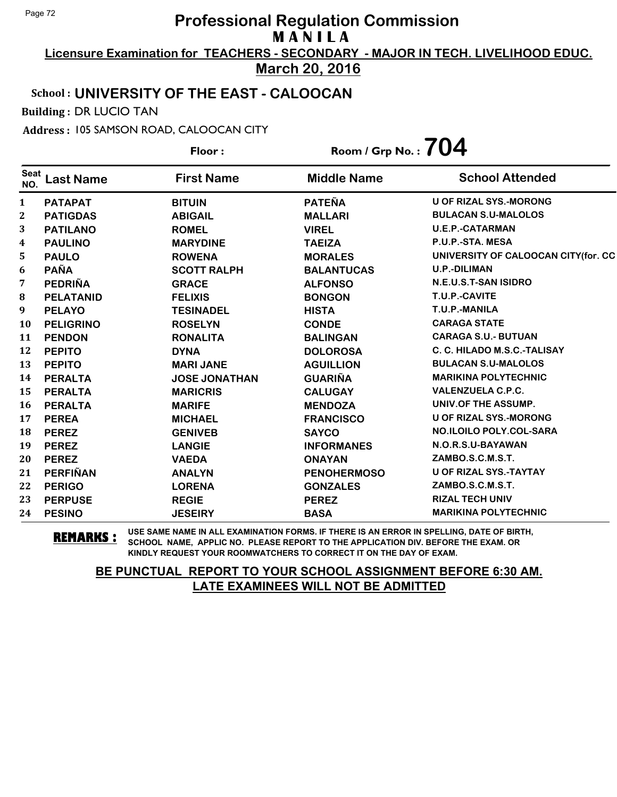**Licensure Examination for TEACHERS - SECONDARY - MAJOR IN TECH. LIVELIHOOD EDUC.**

**March 20, 2016**

#### School : **UNIVERSITY OF THE EAST - CALOOCAN**

Building : DR LUCIO TAN

Address : 105 SAMSON ROAD, CALOOCAN CITY

**Last Name First Name Middle Name** Floor : Room / Grp No. :**704** Seat <sup>seat</sup> Last Name First Name Middle Name School Attended **PATAPAT BITUIN PATEÑA U OF RIZAL SYS.-MORONG PATIGDAS ABIGAIL MALLARI BULACAN S.U-MALOLOS PATILANO ROMEL VIREL U.E.P.-CATARMAN PAULINO MARYDINE TAEIZA P.U.P.-STA. MESA PAULO ROWENA MORALES UNIVERSITY OF CALOOCAN CITY(for. CC PAÑA SCOTT RALPH BALANTUCAS U.P.-DILIMAN PEDRIÑA GRACE ALFONSO N.E.U.S.T-SAN ISIDRO PELATANID FELIXIS BONGON T.U.P.-CAVITE PELAYO TESINADEL HISTA T.U.P.-MANILA PELIGRINO ROSELYN CONDE CARAGA STATE PENDON RONALITA BALINGAN CARAGA S.U.- BUTUAN PEPITO DYNA DOLOROSA C. C. HILADO M.S.C.-TALISAY PEPITO MARI JANE AGUILLION BULACAN S.U-MALOLOS PERALTA JOSE JONATHAN GUARIÑA MARIKINA POLYTECHNIC PERALTA MARICRIS CALUGAY VALENZUELA C.P.C. PERALTA MARIFE MENDOZA UNIV.OF THE ASSUMP. PEREA MICHAEL FRANCISCO U OF RIZAL SYS.-MORONG PEREZ GENIVEB SAYCO NO.ILOILO POLY.COL-SARA PEREZ LANGIE INFORMANES N.O.R.S.U-BAYAWAN PEREZ VAEDA ONAYAN ZAMBO.S.C.M.S.T. PERFIÑAN ANALYN PENOHERMOSO U OF RIZAL SYS.-TAYTAY PERIGO LORENA GONZALES ZAMBO.S.C.M.S.T. PERPUSE REGIE PEREZ RIZAL TECH UNIV PESINO JESEIRY BASA MARIKINA POLYTECHNIC**

**REMARKS :** USE SAME NAME IN ALL EXAMINATION FORMS. IF THERE IS AN ERROR IN SPELLING, DATE OF BIRTH, SCHOOL NAME, APPLIC NO. PLEASE REPORT TO THE APPLICATION DIV. BEFORE THE EXAM. OR KINDLY REQUEST YOUR ROOMWATCHERS TO CORRECT IT ON THE DAY OF EXAM.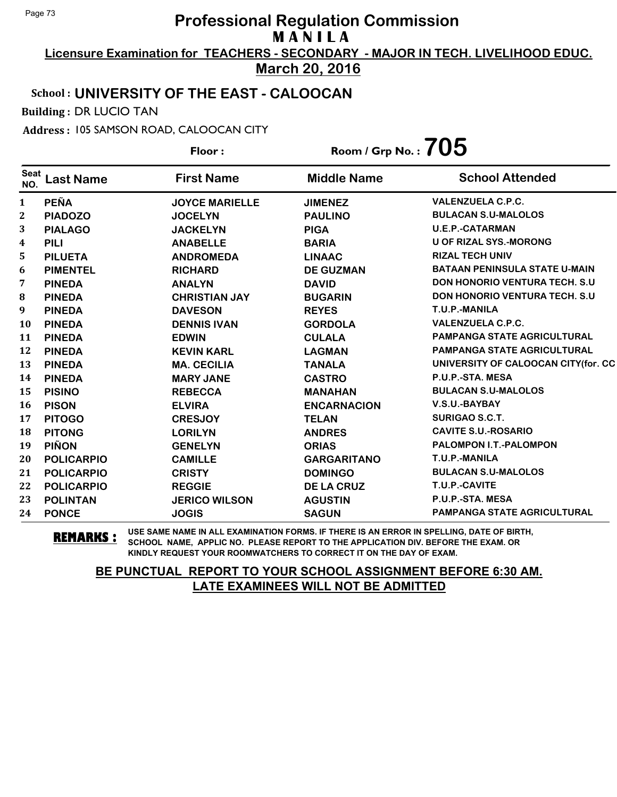**Licensure Examination for TEACHERS - SECONDARY - MAJOR IN TECH. LIVELIHOOD EDUC. March 20, 2016**

# School : **UNIVERSITY OF THE EAST - CALOOCAN**

Building : DR LUCIO TAN

Address : 105 SAMSON ROAD, CALOOCAN CITY

| Floor:             |                   |                       | Room / Grp No. : $705$ |                                       |
|--------------------|-------------------|-----------------------|------------------------|---------------------------------------|
| <b>Seat</b><br>NO. | <b>Last Name</b>  | <b>First Name</b>     | <b>Middle Name</b>     | <b>School Attended</b>                |
| 1                  | <b>PEÑA</b>       | <b>JOYCE MARIELLE</b> | <b>JIMENEZ</b>         | <b>VALENZUELA C.P.C.</b>              |
| $\boldsymbol{2}$   | <b>PIADOZO</b>    | <b>JOCELYN</b>        | <b>PAULINO</b>         | <b>BULACAN S.U-MALOLOS</b>            |
| 3                  | <b>PIALAGO</b>    | <b>JACKELYN</b>       | <b>PIGA</b>            | <b>U.E.P.-CATARMAN</b>                |
| 4                  | <b>PILI</b>       | <b>ANABELLE</b>       | <b>BARIA</b>           | <b>U OF RIZAL SYS.-MORONG</b>         |
| 5                  | <b>PILUETA</b>    | <b>ANDROMEDA</b>      | <b>LINAAC</b>          | <b>RIZAL TECH UNIV</b>                |
| 6                  | <b>PIMENTEL</b>   | <b>RICHARD</b>        | <b>DE GUZMAN</b>       | <b>BATAAN PENINSULA STATE U-MAIN</b>  |
| 7                  | <b>PINEDA</b>     | <b>ANALYN</b>         | <b>DAVID</b>           | <b>DON HONORIO VENTURA TECH. S.U.</b> |
| 8                  | <b>PINEDA</b>     | <b>CHRISTIAN JAY</b>  | <b>BUGARIN</b>         | <b>DON HONORIO VENTURA TECH. S.U.</b> |
| 9                  | <b>PINEDA</b>     | <b>DAVESON</b>        | <b>REYES</b>           | T.U.P.-MANILA                         |
| 10                 | <b>PINEDA</b>     | <b>DENNIS IVAN</b>    | <b>GORDOLA</b>         | <b>VALENZUELA C.P.C.</b>              |
| 11                 | <b>PINEDA</b>     | <b>EDWIN</b>          | <b>CULALA</b>          | <b>PAMPANGA STATE AGRICULTURAL</b>    |
| 12                 | <b>PINEDA</b>     | <b>KEVIN KARL</b>     | <b>LAGMAN</b>          | <b>PAMPANGA STATE AGRICULTURAL</b>    |
| 13                 | <b>PINEDA</b>     | <b>MA. CECILIA</b>    | <b>TANALA</b>          | UNIVERSITY OF CALOOCAN CITY(for. CC   |
| 14                 | <b>PINEDA</b>     | <b>MARY JANE</b>      | <b>CASTRO</b>          | P.U.P.-STA. MESA                      |
| 15                 | <b>PISINO</b>     | <b>REBECCA</b>        | <b>MANAHAN</b>         | <b>BULACAN S.U-MALOLOS</b>            |
| 16                 | <b>PISON</b>      | <b>ELVIRA</b>         | <b>ENCARNACION</b>     | V.S.U.-BAYBAY                         |
| 17                 | <b>PITOGO</b>     | <b>CRESJOY</b>        | <b>TELAN</b>           | SURIGAO S.C.T.                        |
| 18                 | <b>PITONG</b>     | <b>LORILYN</b>        | <b>ANDRES</b>          | <b>CAVITE S.U.-ROSARIO</b>            |
| 19                 | <b>PIÑON</b>      | <b>GENELYN</b>        | <b>ORIAS</b>           | <b>PALOMPON I.T.-PALOMPON</b>         |
| 20                 | <b>POLICARPIO</b> | <b>CAMILLE</b>        | <b>GARGARITANO</b>     | T.U.P.-MANILA                         |
| 21                 | <b>POLICARPIO</b> | <b>CRISTY</b>         | <b>DOMINGO</b>         | <b>BULACAN S.U-MALOLOS</b>            |
| 22                 | <b>POLICARPIO</b> | <b>REGGIE</b>         | <b>DE LA CRUZ</b>      | T.U.P.-CAVITE                         |
| 23                 | <b>POLINTAN</b>   | <b>JERICO WILSON</b>  | <b>AGUSTIN</b>         | P.U.P.-STA. MESA                      |
| 24                 | <b>PONCE</b>      | <b>JOGIS</b>          | <b>SAGUN</b>           | <b>PAMPANGA STATE AGRICULTURAL</b>    |

**REMARKS :** USE SAME NAME IN ALL EXAMINATION FORMS. IF THERE IS AN ERROR IN SPELLING, DATE OF BIRTH, SCHOOL NAME, APPLIC NO. PLEASE REPORT TO THE APPLICATION DIV. BEFORE THE EXAM. OR KINDLY REQUEST YOUR ROOMWATCHERS TO CORRECT IT ON THE DAY OF EXAM.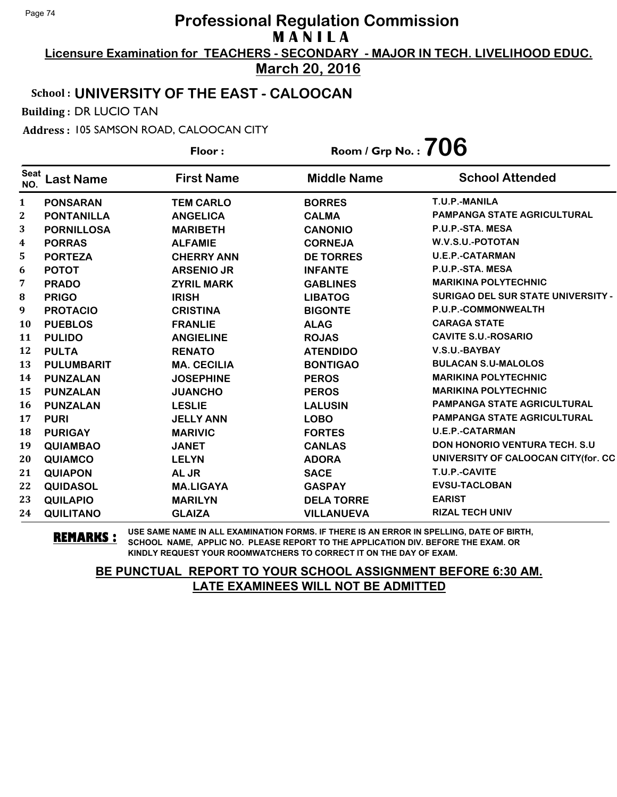**Licensure Examination for TEACHERS - SECONDARY - MAJOR IN TECH. LIVELIHOOD EDUC.**

# **March 20, 2016**

# School : **UNIVERSITY OF THE EAST - CALOOCAN**

Building : DR LUCIO TAN

Address : 105 SAMSON ROAD, CALOOCAN CITY

**Last Name First Name Middle Name** Floor : Room / Grp No. :**706** Seat <sup>seat</sup> Last Name First Name Middle Name School Attended **PONSARAN TEM CARLO BORRES T.U.P.-MANILA PONTANILLA ANGELICA CALMA PAMPANGA STATE AGRICULTURAL PORNILLOSA MARIBETH CANONIO P.U.P.-STA. MESA PORRAS ALFAMIE CORNEJA W.V.S.U.-POTOTAN PORTEZA CHERRY ANN DE TORRES U.E.P.-CATARMAN POTOT ARSENIO JR INFANTE P.U.P.-STA. MESA PRADO ZYRIL MARK GABLINES MARIKINA POLYTECHNIC PRIGO IRISH LIBATOG SURIGAO DEL SUR STATE UNIVERSITY - PROTACIO CRISTINA BIGONTE P.U.P.-COMMONWEALTH PUEBLOS FRANLIE ALAG CARAGA STATE PULIDO ANGIELINE ROJAS CAVITE S.U.-ROSARIO PULTA RENATO ATENDIDO V.S.U.-BAYBAY PULUMBARIT MA. CECILIA BONTIGAO BULACAN S.U-MALOLOS PUNZALAN JOSEPHINE PEROS MARIKINA POLYTECHNIC PUNZALAN JUANCHO PEROS MARIKINA POLYTECHNIC PUNZALAN LESLIE LALUSIN PAMPANGA STATE AGRICULTURAL PURI JELLY ANN LOBO PAMPANGA STATE AGRICULTURAL PURIGAY MARIVIC FORTES U.E.P.-CATARMAN QUIAMBAO JANET CANLAS DON HONORIO VENTURA TECH. S.U QUIAMCO LELYN ADORA UNIVERSITY OF CALOOCAN CITY(for. CC QUIAPON AL JR SACE T.U.P.-CAVITE QUIDASOL MA.LIGAYA GASPAY EVSU-TACLOBAN QUILAPIO MARILYN DELA TORRE EARIST QUILITANO GLAIZA VILLANUEVA RIZAL TECH UNIV**

**REMARKS :** USE SAME NAME IN ALL EXAMINATION FORMS. IF THERE IS AN ERROR IN SPELLING, DATE OF BIRTH, SCHOOL NAME, APPLIC NO. PLEASE REPORT TO THE APPLICATION DIV. BEFORE THE EXAM. OR KINDLY REQUEST YOUR ROOMWATCHERS TO CORRECT IT ON THE DAY OF EXAM.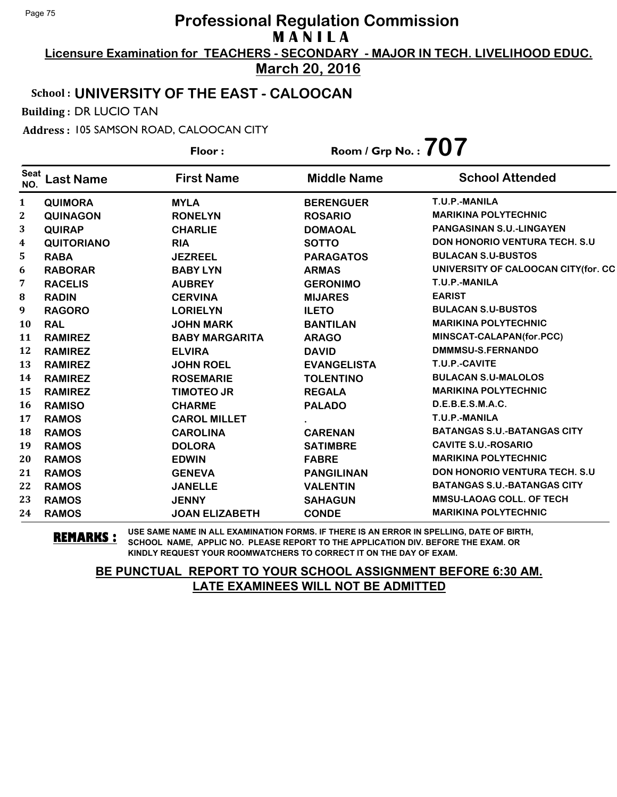**Licensure Examination for TEACHERS - SECONDARY - MAJOR IN TECH. LIVELIHOOD EDUC.**

**March 20, 2016**

# School : **UNIVERSITY OF THE EAST - CALOOCAN**

Building : DR LUCIO TAN

Address : 105 SAMSON ROAD, CALOOCAN CITY

|                    |                   | Floor:                | Room / Grp No.: $707$ |                                       |  |
|--------------------|-------------------|-----------------------|-----------------------|---------------------------------------|--|
| <b>Seat</b><br>NO. | Last Name         | <b>First Name</b>     | <b>Middle Name</b>    | <b>School Attended</b>                |  |
| $\mathbf{1}$       | <b>QUIMORA</b>    | <b>MYLA</b>           | <b>BERENGUER</b>      | T.U.P.-MANILA                         |  |
| 2                  | <b>QUINAGON</b>   | <b>RONELYN</b>        | <b>ROSARIO</b>        | <b>MARIKINA POLYTECHNIC</b>           |  |
| 3                  | <b>QUIRAP</b>     | <b>CHARLIE</b>        | <b>DOMAOAL</b>        | <b>PANGASINAN S.U.-LINGAYEN</b>       |  |
| 4                  | <b>QUITORIANO</b> | <b>RIA</b>            | <b>SOTTO</b>          | <b>DON HONORIO VENTURA TECH. S.U.</b> |  |
| 5                  | <b>RABA</b>       | <b>JEZREEL</b>        | <b>PARAGATOS</b>      | <b>BULACAN S.U-BUSTOS</b>             |  |
| 6                  | <b>RABORAR</b>    | <b>BABY LYN</b>       | <b>ARMAS</b>          | UNIVERSITY OF CALOOCAN CITY(for. CC   |  |
| 7                  | <b>RACELIS</b>    | <b>AUBREY</b>         | <b>GERONIMO</b>       | T.U.P.-MANILA                         |  |
| 8                  | <b>RADIN</b>      | <b>CERVINA</b>        | <b>MIJARES</b>        | <b>EARIST</b>                         |  |
| 9                  | <b>RAGORO</b>     | <b>LORIELYN</b>       | <b>ILETO</b>          | <b>BULACAN S.U-BUSTOS</b>             |  |
| 10                 | <b>RAL</b>        | <b>JOHN MARK</b>      | <b>BANTILAN</b>       | <b>MARIKINA POLYTECHNIC</b>           |  |
| 11                 | <b>RAMIREZ</b>    | <b>BABY MARGARITA</b> | <b>ARAGO</b>          | MINSCAT-CALAPAN(for.PCC)              |  |
| 12                 | <b>RAMIREZ</b>    | <b>ELVIRA</b>         | <b>DAVID</b>          | DMMMSU-S.FERNANDO                     |  |
| 13                 | <b>RAMIREZ</b>    | <b>JOHN ROEL</b>      | <b>EVANGELISTA</b>    | T.U.P.-CAVITE                         |  |
| 14                 | <b>RAMIREZ</b>    | <b>ROSEMARIE</b>      | <b>TOLENTINO</b>      | <b>BULACAN S.U-MALOLOS</b>            |  |
| 15                 | <b>RAMIREZ</b>    | <b>TIMOTEO JR</b>     | <b>REGALA</b>         | <b>MARIKINA POLYTECHNIC</b>           |  |
| 16                 | <b>RAMISO</b>     | <b>CHARME</b>         | <b>PALADO</b>         | D.E.B.E.S.M.A.C.                      |  |
| 17                 | <b>RAMOS</b>      | <b>CAROL MILLET</b>   |                       | T.U.P.-MANILA                         |  |
| 18                 | <b>RAMOS</b>      | <b>CAROLINA</b>       | <b>CARENAN</b>        | <b>BATANGAS S.U.-BATANGAS CITY</b>    |  |
| 19                 | <b>RAMOS</b>      | <b>DOLORA</b>         | <b>SATIMBRE</b>       | <b>CAVITE S.U.-ROSARIO</b>            |  |
| 20                 | <b>RAMOS</b>      | <b>EDWIN</b>          | <b>FABRE</b>          | <b>MARIKINA POLYTECHNIC</b>           |  |
| 21                 | <b>RAMOS</b>      | <b>GENEVA</b>         | <b>PANGILINAN</b>     | <b>DON HONORIO VENTURA TECH. S.U.</b> |  |
| 22                 | <b>RAMOS</b>      | <b>JANELLE</b>        | <b>VALENTIN</b>       | <b>BATANGAS S.U.-BATANGAS CITY</b>    |  |
| 23                 | <b>RAMOS</b>      | <b>JENNY</b>          | <b>SAHAGUN</b>        | <b>MMSU-LAOAG COLL. OF TECH</b>       |  |
| 24                 | <b>RAMOS</b>      | <b>JOAN ELIZABETH</b> | <b>CONDE</b>          | <b>MARIKINA POLYTECHNIC</b>           |  |

**REMARKS :** USE SAME NAME IN ALL EXAMINATION FORMS. IF THERE IS AN ERROR IN SPELLING, DATE OF BIRTH, SCHOOL NAME, APPLIC NO. PLEASE REPORT TO THE APPLICATION DIV. BEFORE THE EXAM. OR KINDLY REQUEST YOUR ROOMWATCHERS TO CORRECT IT ON THE DAY OF EXAM.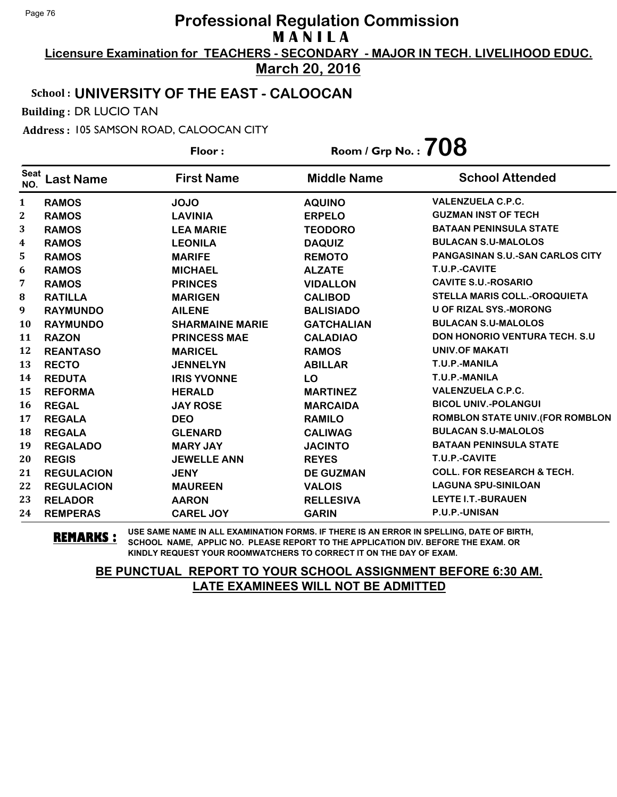**Licensure Examination for TEACHERS - SECONDARY - MAJOR IN TECH. LIVELIHOOD EDUC. March 20, 2016**

# School : **UNIVERSITY OF THE EAST - CALOOCAN**

Building : DR LUCIO TAN

Address : 105 SAMSON ROAD, CALOOCAN CITY

**Last Name First Name Middle Name** Floor : Room / Grp No. :**708** Seat <sup>seat</sup> Last Name First Name Middle Name School Attended **RAMOS JOJO AQUINO VALENZUELA C.P.C. RAMOS LAVINIA ERPELO GUZMAN INST OF TECH RAMOS LEA MARIE TEODORO BATAAN PENINSULA STATE RAMOS LEONILA DAQUIZ BULACAN S.U-MALOLOS RAMOS MARIFE REMOTO PANGASINAN S.U.-SAN CARLOS CITY RAMOS MICHAEL ALZATE T.U.P.-CAVITE RAMOS PRINCES VIDALLON CAVITE S.U.-ROSARIO RATILLA MARIGEN CALIBOD STELLA MARIS COLL.-OROQUIETA RAYMUNDO AILENE BALISIADO U OF RIZAL SYS.-MORONG RAYMUNDO SHARMAINE MARIE GATCHALIAN BULACAN S.U-MALOLOS RAZON PRINCESS MAE CALADIAO DON HONORIO VENTURA TECH. S.U REANTASO MARICEL RAMOS UNIV.OF MAKATI RECTO JENNELYN ABILLAR T.U.P.-MANILA REDUTA IRIS YVONNE LO T.U.P.-MANILA REFORMA HERALD MARTINEZ VALENZUELA C.P.C. REGAL JAY ROSE MARCAIDA BICOL UNIV.-POLANGUI REGALA DEO RAMILO ROMBLON STATE UNIV.(FOR ROMBLON REGALA GLENARD CALIWAG BULACAN S.U-MALOLOS REGALADO MARY JAY JACINTO BATAAN PENINSULA STATE REGIS JEWELLE ANN REYES T.U.P.-CAVITE REGULACION JENY DE GUZMAN COLL. FOR RESEARCH & TECH. REGULACION MAUREEN VALOIS LAGUNA SPU-SINILOAN RELADOR AARON RELLESIVA LEYTE I.T.-BURAUEN REMPERAS CAREL JOY GARIN P.U.P.-UNISAN**

**REMARKS :** USE SAME NAME IN ALL EXAMINATION FORMS. IF THERE IS AN ERROR IN SPELLING, DATE OF BIRTH, SCHOOL NAME, APPLIC NO. PLEASE REPORT TO THE APPLICATION DIV. BEFORE THE EXAM. OR KINDLY REQUEST YOUR ROOMWATCHERS TO CORRECT IT ON THE DAY OF EXAM.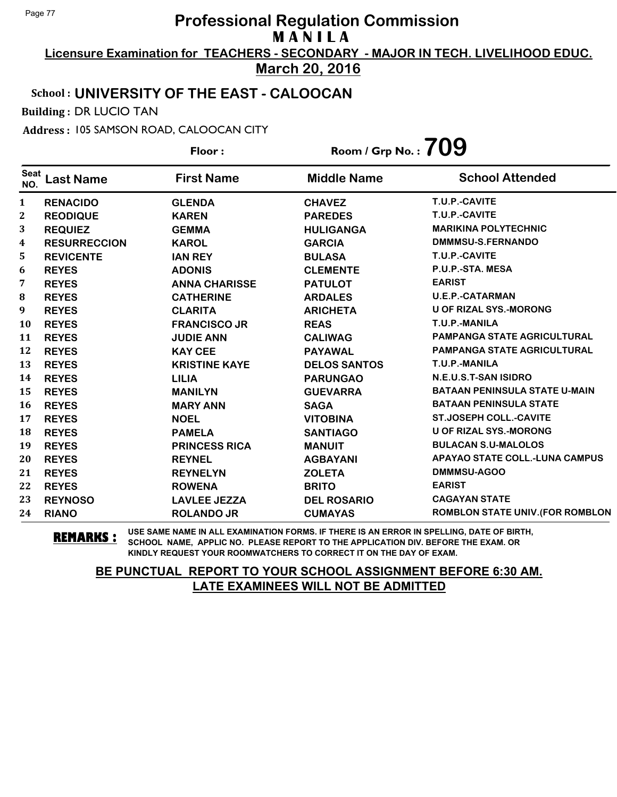**Licensure Examination for TEACHERS - SECONDARY - MAJOR IN TECH. LIVELIHOOD EDUC. March 20, 2016**

### School : **UNIVERSITY OF THE EAST - CALOOCAN**

Building : DR LUCIO TAN

Address : 105 SAMSON ROAD, CALOOCAN CITY

**Last Name First Name Middle Name** Floor : Room / Grp No. :**709** Seat <sup>Seat</sup> Last Name First Name Middle Name School Attended **RENACIDO GLENDA CHAVEZ T.U.P.-CAVITE REODIQUE KAREN PAREDES T.U.P.-CAVITE REQUIEZ GEMMA HULIGANGA MARIKINA POLYTECHNIC RESURRECCION KAROL GARCIA DMMMSU-S.FERNANDO REVICENTE IAN REY BULASA T.U.P.-CAVITE REYES ADONIS CLEMENTE P.U.P.-STA. MESA REYES ANNA CHARISSE PATULOT EARIST** 8 REYES **CATHERINE ARDALES** U.E.P.-CATARMAN **REYES CLARITA ARICHETA U OF RIZAL SYS.-MORONG REYES FRANCISCO JR REAS T.U.P.-MANILA REYES JUDIE ANN CALIWAG PAMPANGA STATE AGRICULTURAL REYES KAY CEE PAYAWAL PAMPANGA STATE AGRICULTURAL REYES KRISTINE KAYE DELOS SANTOS T.U.P.-MANILA REYES LILIA PARUNGAO N.E.U.S.T-SAN ISIDRO REYES MANILYN GUEVARRA BATAAN PENINSULA STATE U-MAIN REYES MARY ANN SAGA BATAAN PENINSULA STATE REYES NOEL VITOBINA ST.JOSEPH COLL.-CAVITE REYES PAMELA SANTIAGO U OF RIZAL SYS.-MORONG REYES PRINCESS RICA MANUIT BULACAN S.U-MALOLOS REYES REYNEL AGBAYANI APAYAO STATE COLL.-LUNA CAMPUS REYES REYNELYN ZOLETA DMMMSU-AGOO REYES ROWENA BRITO EARIST REYNOSO LAVLEE JEZZA DEL ROSARIO CAGAYAN STATE RIANO ROLANDO JR CUMAYAS ROMBLON STATE UNIV.(FOR ROMBLON**

**REMARKS :** USE SAME NAME IN ALL EXAMINATION FORMS. IF THERE IS AN ERROR IN SPELLING, DATE OF BIRTH, SCHOOL NAME, APPLIC NO. PLEASE REPORT TO THE APPLICATION DIV. BEFORE THE EXAM. OR KINDLY REQUEST YOUR ROOMWATCHERS TO CORRECT IT ON THE DAY OF EXAM.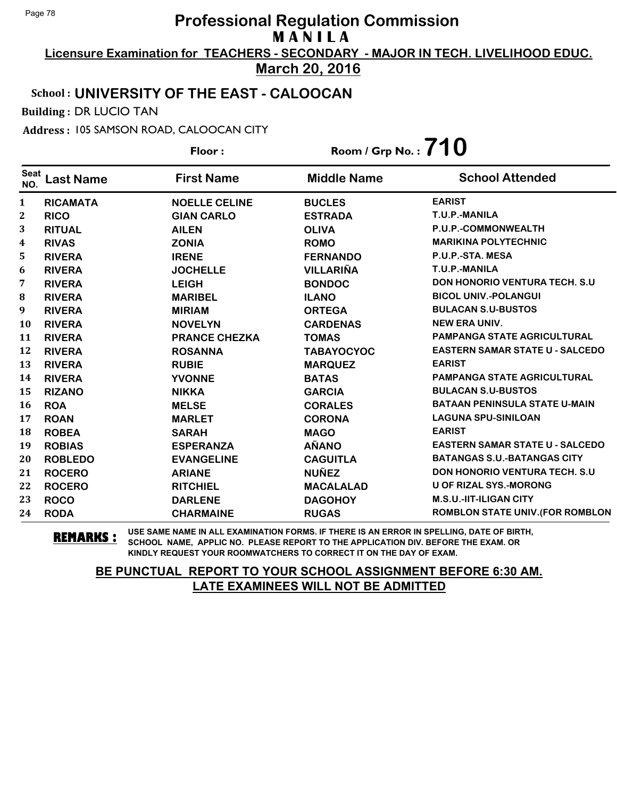**Licensure Examination for TEACHERS - SECONDARY - MAJOR IN TECH. LIVELIHOOD EDUC. March 20, 2016**

### School : **UNIVERSITY OF THE EAST - CALOOCAN**

Building : DR LUCIO TAN

Address : 105 SAMSON ROAD, CALOOCAN CITY

|                    |                  | Floor:               | Room / Grp No.: $710$ |                                         |
|--------------------|------------------|----------------------|-----------------------|-----------------------------------------|
| <b>Seat</b><br>NO. | <b>Last Name</b> | <b>First Name</b>    | <b>Middle Name</b>    | <b>School Attended</b>                  |
| 1                  | <b>RICAMATA</b>  | <b>NOELLE CELINE</b> | <b>BUCLES</b>         | <b>EARIST</b>                           |
| $\boldsymbol{2}$   | <b>RICO</b>      | <b>GIAN CARLO</b>    | <b>ESTRADA</b>        | T.U.P.-MANILA                           |
| 3                  | <b>RITUAL</b>    | <b>AILEN</b>         | <b>OLIVA</b>          | P.U.P.-COMMONWEALTH                     |
| 4                  | <b>RIVAS</b>     | <b>ZONIA</b>         | <b>ROMO</b>           | <b>MARIKINA POLYTECHNIC</b>             |
| 5                  | <b>RIVERA</b>    | <b>IRENE</b>         | <b>FERNANDO</b>       | P.U.P.-STA. MESA                        |
| 6                  | <b>RIVERA</b>    | <b>JOCHELLE</b>      | <b>VILLARIÑA</b>      | T.U.P.-MANILA                           |
| 7                  | <b>RIVERA</b>    | <b>LEIGH</b>         | <b>BONDOC</b>         | <b>DON HONORIO VENTURA TECH. S.U.</b>   |
| 8                  | <b>RIVERA</b>    | <b>MARIBEL</b>       | <b>ILANO</b>          | <b>BICOL UNIV.-POLANGUI</b>             |
| 9                  | <b>RIVERA</b>    | <b>MIRIAM</b>        | <b>ORTEGA</b>         | <b>BULACAN S.U-BUSTOS</b>               |
| 10                 | <b>RIVERA</b>    | <b>NOVELYN</b>       | <b>CARDENAS</b>       | <b>NEW ERA UNIV.</b>                    |
| 11                 | <b>RIVERA</b>    | <b>PRANCE CHEZKA</b> | <b>TOMAS</b>          | <b>PAMPANGA STATE AGRICULTURAL</b>      |
| 12                 | <b>RIVERA</b>    | <b>ROSANNA</b>       | <b>TABAYOCYOC</b>     | <b>EASTERN SAMAR STATE U - SALCEDO</b>  |
| 13                 | <b>RIVERA</b>    | <b>RUBIE</b>         | <b>MARQUEZ</b>        | <b>EARIST</b>                           |
| 14                 | <b>RIVERA</b>    | <b>YVONNE</b>        | <b>BATAS</b>          | <b>PAMPANGA STATE AGRICULTURAL</b>      |
| 15                 | <b>RIZANO</b>    | <b>NIKKA</b>         | <b>GARCIA</b>         | <b>BULACAN S.U-BUSTOS</b>               |
| 16                 | <b>ROA</b>       | <b>MELSE</b>         | <b>CORALES</b>        | <b>BATAAN PENINSULA STATE U-MAIN</b>    |
| 17                 | <b>ROAN</b>      | <b>MARLET</b>        | <b>CORONA</b>         | <b>LAGUNA SPU-SINILOAN</b>              |
| 18                 | <b>ROBEA</b>     | <b>SARAH</b>         | <b>MAGO</b>           | <b>EARIST</b>                           |
| 19                 | <b>ROBIAS</b>    | <b>ESPERANZA</b>     | <b>AÑANO</b>          | <b>EASTERN SAMAR STATE U - SALCEDO</b>  |
| 20                 | <b>ROBLEDO</b>   | <b>EVANGELINE</b>    | <b>CAGUITLA</b>       | <b>BATANGAS S.U.-BATANGAS CITY</b>      |
| 21                 | <b>ROCERO</b>    | <b>ARIANE</b>        | <b>NUÑEZ</b>          | <b>DON HONORIO VENTURA TECH. S.U.</b>   |
| 22                 | <b>ROCERO</b>    | <b>RITCHIEL</b>      | <b>MACALALAD</b>      | <b>U OF RIZAL SYS.-MORONG</b>           |
| 23                 | <b>ROCO</b>      | <b>DARLENE</b>       | <b>DAGOHOY</b>        | <b>M.S.U.-IIT-ILIGAN CITY</b>           |
| 24                 | <b>RODA</b>      | <b>CHARMAINE</b>     | <b>RUGAS</b>          | <b>ROMBLON STATE UNIV. (FOR ROMBLON</b> |

**REMARKS :** USE SAME NAME IN ALL EXAMINATION FORMS. IF THERE IS AN ERROR IN SPELLING, DATE OF BIRTH, SCHOOL NAME, APPLIC NO. PLEASE REPORT TO THE APPLICATION DIV. BEFORE THE EXAM. OR KINDLY REQUEST YOUR ROOMWATCHERS TO CORRECT IT ON THE DAY OF EXAM.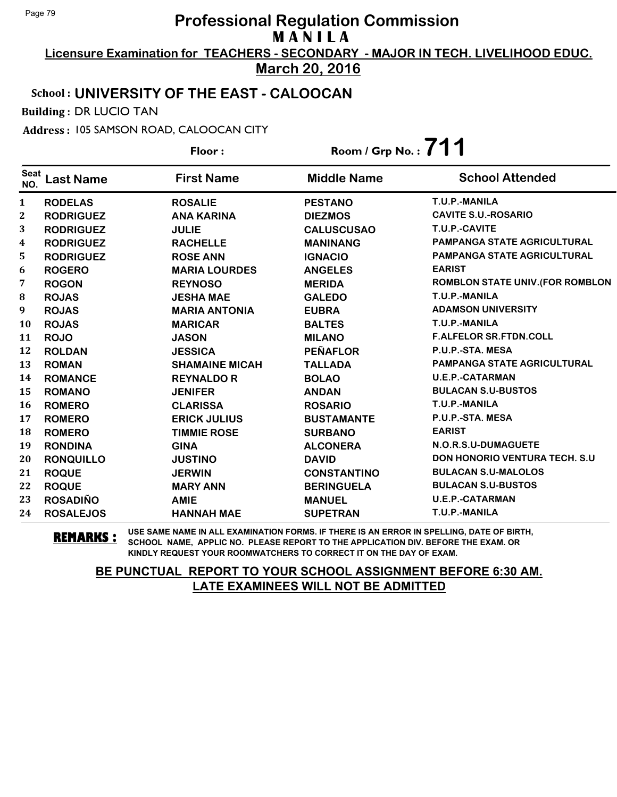**Licensure Examination for TEACHERS - SECONDARY - MAJOR IN TECH. LIVELIHOOD EDUC. March 20, 2016**

# School : **UNIVERSITY OF THE EAST - CALOOCAN**

Building : DR LUCIO TAN

Address : 105 SAMSON ROAD, CALOOCAN CITY

|                    |                  | Floor:                | Room / Grp No. : $711$ |                                         |
|--------------------|------------------|-----------------------|------------------------|-----------------------------------------|
| <b>Seat</b><br>NO. | <b>Last Name</b> | <b>First Name</b>     | <b>Middle Name</b>     | <b>School Attended</b>                  |
| 1                  | <b>RODELAS</b>   | <b>ROSALIE</b>        | <b>PESTANO</b>         | T.U.P.-MANILA                           |
| $\boldsymbol{2}$   | <b>RODRIGUEZ</b> | <b>ANA KARINA</b>     | <b>DIEZMOS</b>         | <b>CAVITE S.U.-ROSARIO</b>              |
| 3                  | <b>RODRIGUEZ</b> | <b>JULIE</b>          | <b>CALUSCUSAO</b>      | T.U.P.-CAVITE                           |
| 4                  | <b>RODRIGUEZ</b> | <b>RACHELLE</b>       | <b>MANINANG</b>        | <b>PAMPANGA STATE AGRICULTURAL</b>      |
| 5                  | <b>RODRIGUEZ</b> | <b>ROSE ANN</b>       | <b>IGNACIO</b>         | <b>PAMPANGA STATE AGRICULTURAL</b>      |
| 6                  | <b>ROGERO</b>    | <b>MARIA LOURDES</b>  | <b>ANGELES</b>         | <b>EARIST</b>                           |
| 7                  | <b>ROGON</b>     | <b>REYNOSO</b>        | <b>MERIDA</b>          | <b>ROMBLON STATE UNIV. (FOR ROMBLON</b> |
| 8                  | <b>ROJAS</b>     | <b>JESHA MAE</b>      | <b>GALEDO</b>          | T.U.P.-MANILA                           |
| 9                  | <b>ROJAS</b>     | <b>MARIA ANTONIA</b>  | <b>EUBRA</b>           | <b>ADAMSON UNIVERSITY</b>               |
| 10                 | <b>ROJAS</b>     | <b>MARICAR</b>        | <b>BALTES</b>          | T.U.P.-MANILA                           |
| 11                 | <b>ROJO</b>      | <b>JASON</b>          | <b>MILANO</b>          | <b>F.ALFELOR SR.FTDN.COLL</b>           |
| 12                 | <b>ROLDAN</b>    | <b>JESSICA</b>        | <b>PEÑAFLOR</b>        | P.U.P.-STA. MESA                        |
| 13                 | <b>ROMAN</b>     | <b>SHAMAINE MICAH</b> | <b>TALLADA</b>         | <b>PAMPANGA STATE AGRICULTURAL</b>      |
| 14                 | <b>ROMANCE</b>   | <b>REYNALDO R</b>     | <b>BOLAO</b>           | <b>U.E.P.-CATARMAN</b>                  |
| 15                 | <b>ROMANO</b>    | <b>JENIFER</b>        | <b>ANDAN</b>           | <b>BULACAN S.U-BUSTOS</b>               |
| 16                 | <b>ROMERO</b>    | <b>CLARISSA</b>       | <b>ROSARIO</b>         | T.U.P.-MANILA                           |
| 17                 | <b>ROMERO</b>    | <b>ERICK JULIUS</b>   | <b>BUSTAMANTE</b>      | P.U.P.-STA. MESA                        |
| 18                 | <b>ROMERO</b>    | <b>TIMMIE ROSE</b>    | <b>SURBANO</b>         | <b>EARIST</b>                           |
| 19                 | <b>RONDINA</b>   | <b>GINA</b>           | <b>ALCONERA</b>        | N.O.R.S.U-DUMAGUETE                     |
| 20                 | <b>RONQUILLO</b> | <b>JUSTINO</b>        | <b>DAVID</b>           | <b>DON HONORIO VENTURA TECH. S.U.</b>   |
| 21                 | <b>ROQUE</b>     | <b>JERWIN</b>         | <b>CONSTANTINO</b>     | <b>BULACAN S.U-MALOLOS</b>              |
| 22                 | <b>ROQUE</b>     | <b>MARY ANN</b>       | <b>BERINGUELA</b>      | <b>BULACAN S.U-BUSTOS</b>               |
| 23                 | <b>ROSADIÑO</b>  | <b>AMIE</b>           | <b>MANUEL</b>          | <b>U.E.P.-CATARMAN</b>                  |
| 24                 | <b>ROSALEJOS</b> | <b>HANNAH MAE</b>     | <b>SUPETRAN</b>        | T.U.P.-MANILA                           |

**REMARKS :** USE SAME NAME IN ALL EXAMINATION FORMS. IF THERE IS AN ERROR IN SPELLING, DATE OF BIRTH, SCHOOL NAME, APPLIC NO. PLEASE REPORT TO THE APPLICATION DIV. BEFORE THE EXAM. OR KINDLY REQUEST YOUR ROOMWATCHERS TO CORRECT IT ON THE DAY OF EXAM.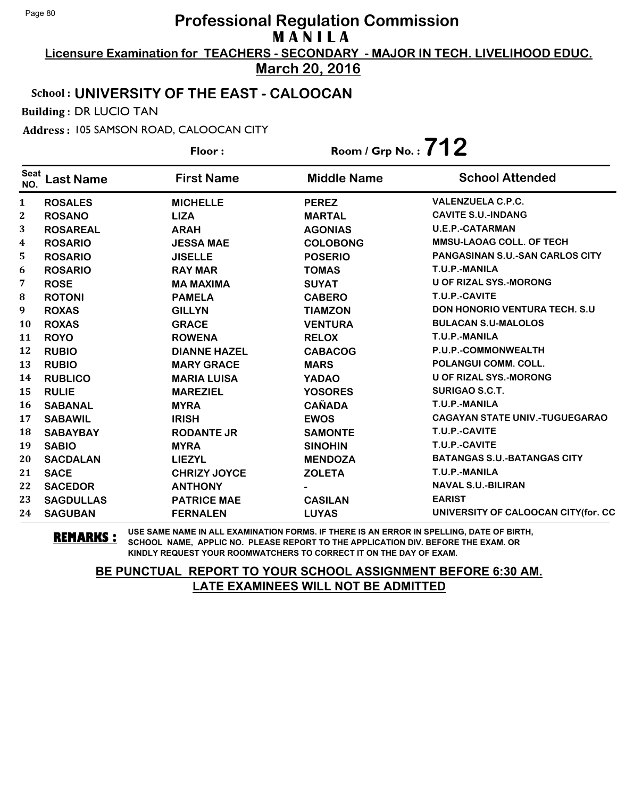**Licensure Examination for TEACHERS - SECONDARY - MAJOR IN TECH. LIVELIHOOD EDUC. March 20, 2016**

### School : **UNIVERSITY OF THE EAST - CALOOCAN**

Building : DR LUCIO TAN

Address : 105 SAMSON ROAD, CALOOCAN CITY

**Last Name First Name Middle Name** Floor : Room / Grp No. :**712** Seat <sup>seat</sup> Last Name First Name Middle Name School Attended **ROSALES MICHELLE PEREZ VALENZUELA C.P.C. ROSANO LIZA MARTAL CAVITE S.U.-INDANG ROSAREAL ARAH AGONIAS U.E.P.-CATARMAN ROSARIO JESSA MAE COLOBONG MMSU-LAOAG COLL. OF TECH ROSARIO JISELLE POSERIO PANGASINAN S.U.-SAN CARLOS CITY ROSARIO RAY MAR TOMAS T.U.P.-MANILA ROSE MA MAXIMA SUYAT U OF RIZAL SYS.-MORONG ROTONI PAMELA CABERO T.U.P.-CAVITE ROXAS GILLYN TIAMZON DON HONORIO VENTURA TECH. S.U ROXAS GRACE VENTURA BULACAN S.U-MALOLOS ROYO ROWENA RELOX T.U.P.-MANILA RUBIO DIANNE HAZEL CABACOG P.U.P.-COMMONWEALTH RUBIO MARY GRACE MARS POLANGUI COMM. COLL. RUBLICO MARIA LUISA YADAO U OF RIZAL SYS.-MORONG RULIE MAREZIEL YOSORES SURIGAO S.C.T. SABANAL MYRA CAÑADA T.U.P.-MANILA SABAWIL IRISH EWOS CAGAYAN STATE UNIV.-TUGUEGARAO SABAYBAY RODANTE JR SAMONTE T.U.P.-CAVITE SABIO MYRA SINOHIN T.U.P.-CAVITE SACDALAN LIEZYL MENDOZA BATANGAS S.U.-BATANGAS CITY SACE CHRIZY JOYCE ZOLETA T.U.P.-MANILA SACEDOR ANTHONY - NAVAL S.U.-BILIRAN SAGDULLAS PATRICE MAE CASILAN EARIST SAGUBAN FERNALEN LUYAS UNIVERSITY OF CALOOCAN CITY(for. CC**

**REMARKS :** USE SAME NAME IN ALL EXAMINATION FORMS. IF THERE IS AN ERROR IN SPELLING, DATE OF BIRTH, SCHOOL NAME, APPLIC NO. PLEASE REPORT TO THE APPLICATION DIV. BEFORE THE EXAM. OR KINDLY REQUEST YOUR ROOMWATCHERS TO CORRECT IT ON THE DAY OF EXAM.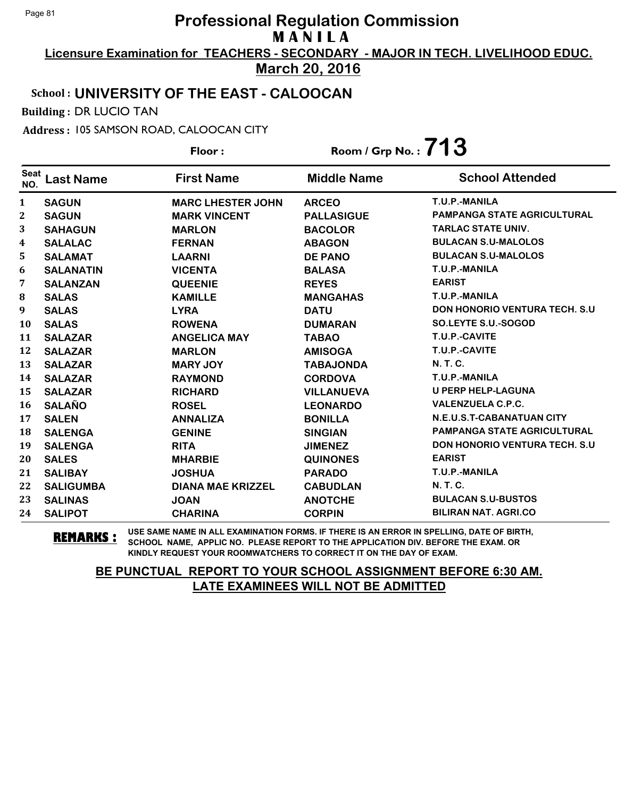**Licensure Examination for TEACHERS - SECONDARY - MAJOR IN TECH. LIVELIHOOD EDUC. March 20, 2016**

# School : **UNIVERSITY OF THE EAST - CALOOCAN**

Building : DR LUCIO TAN

Address : 105 SAMSON ROAD, CALOOCAN CITY

|                    |                  | Floor:                   | Room / Grp No.: $713$ |                                       |
|--------------------|------------------|--------------------------|-----------------------|---------------------------------------|
| <b>Seat</b><br>NO. | <b>Last Name</b> | <b>First Name</b>        | <b>Middle Name</b>    | <b>School Attended</b>                |
| $\mathbf{1}$       | <b>SAGUN</b>     | <b>MARC LHESTER JOHN</b> | <b>ARCEO</b>          | T.U.P.-MANILA                         |
| $\boldsymbol{2}$   | <b>SAGUN</b>     | <b>MARK VINCENT</b>      | <b>PALLASIGUE</b>     | <b>PAMPANGA STATE AGRICULTURAL</b>    |
| 3                  | <b>SAHAGUN</b>   | <b>MARLON</b>            | <b>BACOLOR</b>        | <b>TARLAC STATE UNIV.</b>             |
| 4                  | <b>SALALAC</b>   | <b>FERNAN</b>            | <b>ABAGON</b>         | <b>BULACAN S.U-MALOLOS</b>            |
| 5                  | <b>SALAMAT</b>   | <b>LAARNI</b>            | <b>DE PANO</b>        | <b>BULACAN S.U-MALOLOS</b>            |
| 6                  | <b>SALANATIN</b> | <b>VICENTA</b>           | <b>BALASA</b>         | T.U.P.-MANILA                         |
| 7                  | <b>SALANZAN</b>  | <b>QUEENIE</b>           | <b>REYES</b>          | <b>EARIST</b>                         |
| $\bf{8}$           | <b>SALAS</b>     | <b>KAMILLE</b>           | <b>MANGAHAS</b>       | T.U.P.-MANILA                         |
| 9                  | <b>SALAS</b>     | <b>LYRA</b>              | <b>DATU</b>           | <b>DON HONORIO VENTURA TECH. S.U.</b> |
| 10                 | <b>SALAS</b>     | <b>ROWENA</b>            | <b>DUMARAN</b>        | SO.LEYTE S.U.-SOGOD                   |
| 11                 | <b>SALAZAR</b>   | <b>ANGELICA MAY</b>      | <b>TABAO</b>          | T.U.P.-CAVITE                         |
| 12                 | <b>SALAZAR</b>   | <b>MARLON</b>            | <b>AMISOGA</b>        | T.U.P.-CAVITE                         |
| 13                 | <b>SALAZAR</b>   | <b>MARY JOY</b>          | <b>TABAJONDA</b>      | <b>N.T.C.</b>                         |
| 14                 | <b>SALAZAR</b>   | <b>RAYMOND</b>           | <b>CORDOVA</b>        | T.U.P.-MANILA                         |
| 15                 | <b>SALAZAR</b>   | <b>RICHARD</b>           | <b>VILLANUEVA</b>     | <b>U PERP HELP-LAGUNA</b>             |
| 16                 | <b>SALAÑO</b>    | <b>ROSEL</b>             | <b>LEONARDO</b>       | <b>VALENZUELA C.P.C.</b>              |
| 17                 | <b>SALEN</b>     | <b>ANNALIZA</b>          | <b>BONILLA</b>        | <b>N.E.U.S.T-CABANATUAN CITY</b>      |
| 18                 | <b>SALENGA</b>   | <b>GENINE</b>            | <b>SINGIAN</b>        | <b>PAMPANGA STATE AGRICULTURAL</b>    |
| 19                 | <b>SALENGA</b>   | <b>RITA</b>              | <b>JIMENEZ</b>        | <b>DON HONORIO VENTURA TECH. S.U.</b> |
| 20                 | <b>SALES</b>     | <b>MHARBIE</b>           | <b>QUINONES</b>       | <b>EARIST</b>                         |
| 21                 | <b>SALIBAY</b>   | <b>JOSHUA</b>            | <b>PARADO</b>         | T.U.P.-MANILA                         |
| 22                 | <b>SALIGUMBA</b> | <b>DIANA MAE KRIZZEL</b> | <b>CABUDLAN</b>       | N. T. C.                              |
| 23                 | <b>SALINAS</b>   | <b>JOAN</b>              | <b>ANOTCHE</b>        | <b>BULACAN S.U-BUSTOS</b>             |
| 24                 | <b>SALIPOT</b>   | <b>CHARINA</b>           | <b>CORPIN</b>         | <b>BILIRAN NAT. AGRI.CO</b>           |

**REMARKS :** USE SAME NAME IN ALL EXAMINATION FORMS. IF THERE IS AN ERROR IN SPELLING, DATE OF BIRTH, SCHOOL NAME, APPLIC NO. PLEASE REPORT TO THE APPLICATION DIV. BEFORE THE EXAM. OR KINDLY REQUEST YOUR ROOMWATCHERS TO CORRECT IT ON THE DAY OF EXAM.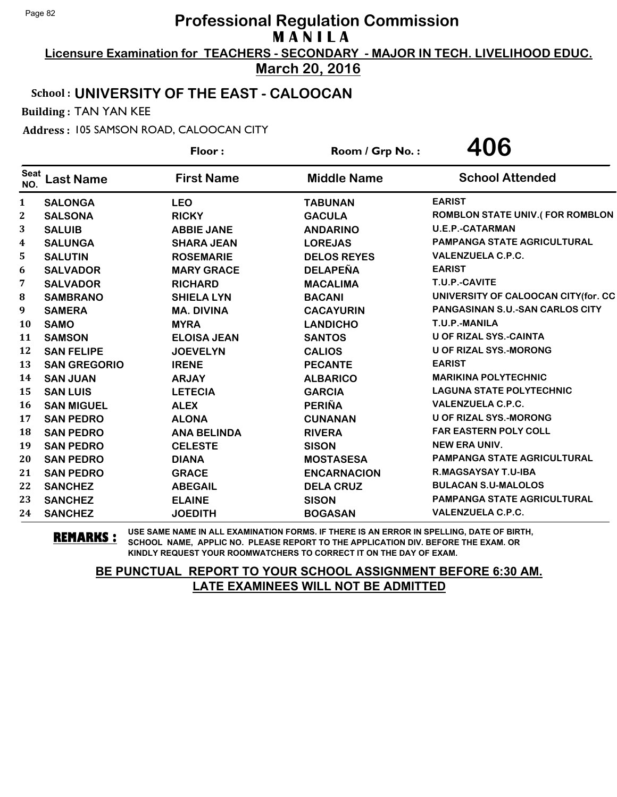**Licensure Examination for TEACHERS - SECONDARY - MAJOR IN TECH. LIVELIHOOD EDUC.**

**March 20, 2016**

# School : **UNIVERSITY OF THE EAST - CALOOCAN**

Building : TAN YAN KEE

Address : 105 SAMSON ROAD, CALOOCAN CITY

|                    |                     | Floor:             | Room / Grp No.:    | 406                                    |
|--------------------|---------------------|--------------------|--------------------|----------------------------------------|
| <b>Seat</b><br>NO. | <b>Last Name</b>    | <b>First Name</b>  | <b>Middle Name</b> | <b>School Attended</b>                 |
| 1                  | <b>SALONGA</b>      | <b>LEO</b>         | <b>TABUNAN</b>     | <b>EARIST</b>                          |
| 2                  | <b>SALSONA</b>      | <b>RICKY</b>       | <b>GACULA</b>      | <b>ROMBLON STATE UNIV.(FOR ROMBLON</b> |
| 3                  | <b>SALUIB</b>       | <b>ABBIE JANE</b>  | <b>ANDARINO</b>    | <b>U.E.P.-CATARMAN</b>                 |
| 4                  | <b>SALUNGA</b>      | <b>SHARA JEAN</b>  | <b>LOREJAS</b>     | <b>PAMPANGA STATE AGRICULTURAL</b>     |
| 5                  | <b>SALUTIN</b>      | <b>ROSEMARIE</b>   | <b>DELOS REYES</b> | <b>VALENZUELA C.P.C.</b>               |
| 6                  | <b>SALVADOR</b>     | <b>MARY GRACE</b>  | <b>DELAPEÑA</b>    | <b>EARIST</b>                          |
| 7                  | <b>SALVADOR</b>     | <b>RICHARD</b>     | <b>MACALIMA</b>    | T.U.P.-CAVITE                          |
| 8                  | <b>SAMBRANO</b>     | <b>SHIELA LYN</b>  | <b>BACANI</b>      | UNIVERSITY OF CALOOCAN CITY(for. CC    |
| 9                  | <b>SAMERA</b>       | <b>MA. DIVINA</b>  | <b>CACAYURIN</b>   | PANGASINAN S.U.-SAN CARLOS CITY        |
| 10                 | <b>SAMO</b>         | <b>MYRA</b>        | <b>LANDICHO</b>    | T.U.P.-MANILA                          |
| 11                 | <b>SAMSON</b>       | <b>ELOISA JEAN</b> | <b>SANTOS</b>      | <b>U OF RIZAL SYS.-CAINTA</b>          |
| 12                 | <b>SAN FELIPE</b>   | <b>JOEVELYN</b>    | <b>CALIOS</b>      | <b>U OF RIZAL SYS.-MORONG</b>          |
| 13                 | <b>SAN GREGORIO</b> | <b>IRENE</b>       | <b>PECANTE</b>     | <b>EARIST</b>                          |
| 14                 | <b>SAN JUAN</b>     | <b>ARJAY</b>       | <b>ALBARICO</b>    | <b>MARIKINA POLYTECHNIC</b>            |
| 15                 | <b>SAN LUIS</b>     | <b>LETECIA</b>     | <b>GARCIA</b>      | <b>LAGUNA STATE POLYTECHNIC</b>        |
| 16                 | <b>SAN MIGUEL</b>   | <b>ALEX</b>        | <b>PERIÑA</b>      | <b>VALENZUELA C.P.C.</b>               |
| 17                 | <b>SAN PEDRO</b>    | <b>ALONA</b>       | <b>CUNANAN</b>     | <b>U OF RIZAL SYS.-MORONG</b>          |
| 18                 | <b>SAN PEDRO</b>    | <b>ANA BELINDA</b> | <b>RIVERA</b>      | <b>FAR EASTERN POLY COLL</b>           |
| 19                 | <b>SAN PEDRO</b>    | <b>CELESTE</b>     | <b>SISON</b>       | <b>NEW ERA UNIV.</b>                   |
| 20                 | <b>SAN PEDRO</b>    | <b>DIANA</b>       | <b>MOSTASESA</b>   | <b>PAMPANGA STATE AGRICULTURAL</b>     |
| 21                 | <b>SAN PEDRO</b>    | <b>GRACE</b>       | <b>ENCARNACION</b> | <b>R.MAGSAYSAY T.U-IBA</b>             |
| 22                 | <b>SANCHEZ</b>      | <b>ABEGAIL</b>     | <b>DELA CRUZ</b>   | <b>BULACAN S.U-MALOLOS</b>             |
| 23                 | <b>SANCHEZ</b>      | <b>ELAINE</b>      | <b>SISON</b>       | PAMPANGA STATE AGRICULTURAL            |
| 24                 | <b>SANCHEZ</b>      | <b>JOEDITH</b>     | <b>BOGASAN</b>     | <b>VALENZUELA C.P.C.</b>               |

**REMARKS :** USE SAME NAME IN ALL EXAMINATION FORMS. IF THERE IS AN ERROR IN SPELLING, DATE OF BIRTH, SCHOOL NAME, APPLIC NO. PLEASE REPORT TO THE APPLICATION DIV. BEFORE THE EXAM. OR KINDLY REQUEST YOUR ROOMWATCHERS TO CORRECT IT ON THE DAY OF EXAM.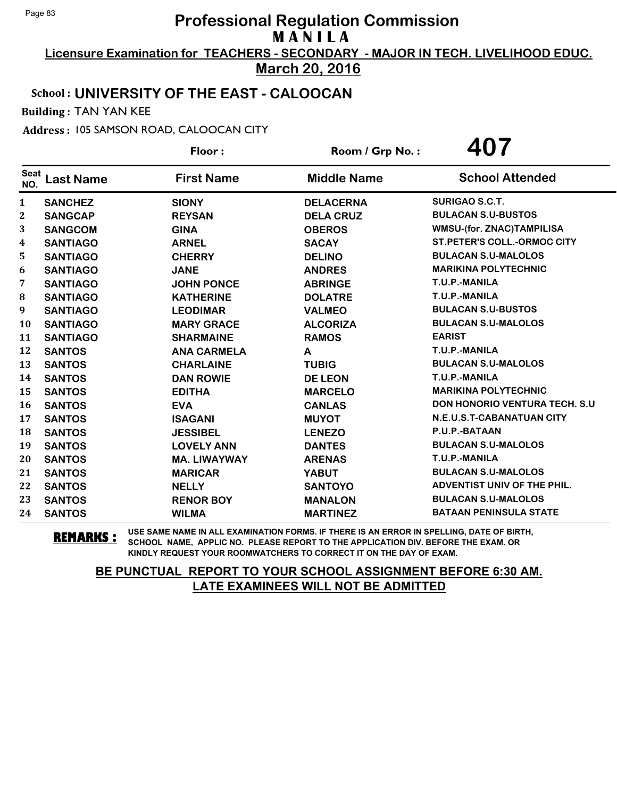**Licensure Examination for TEACHERS - SECONDARY - MAJOR IN TECH. LIVELIHOOD EDUC. March 20, 2016**

## School : **UNIVERSITY OF THE EAST - CALOOCAN**

Building : TAN YAN KEE

Address : 105 SAMSON ROAD, CALOOCAN CITY

|                    |                  | Floor:              | Room / Grp No.:    | 407                                |
|--------------------|------------------|---------------------|--------------------|------------------------------------|
| <b>Seat</b><br>NO. | <b>Last Name</b> | <b>First Name</b>   | <b>Middle Name</b> | <b>School Attended</b>             |
| 1                  | <b>SANCHEZ</b>   | <b>SIONY</b>        | <b>DELACERNA</b>   | <b>SURIGAO S.C.T.</b>              |
| $\mathbf 2$        | <b>SANGCAP</b>   | <b>REYSAN</b>       | <b>DELA CRUZ</b>   | <b>BULACAN S.U-BUSTOS</b>          |
| 3                  | <b>SANGCOM</b>   | <b>GINA</b>         | <b>OBEROS</b>      | <b>WMSU-(for. ZNAC)TAMPILISA</b>   |
| 4                  | <b>SANTIAGO</b>  | <b>ARNEL</b>        | <b>SACAY</b>       | <b>ST.PETER'S COLL.-ORMOC CITY</b> |
| 5                  | <b>SANTIAGO</b>  | <b>CHERRY</b>       | <b>DELINO</b>      | <b>BULACAN S.U-MALOLOS</b>         |
| 6                  | <b>SANTIAGO</b>  | <b>JANE</b>         | <b>ANDRES</b>      | <b>MARIKINA POLYTECHNIC</b>        |
| 7                  | <b>SANTIAGO</b>  | <b>JOHN PONCE</b>   | <b>ABRINGE</b>     | T.U.P.-MANILA                      |
| 8                  | <b>SANTIAGO</b>  | <b>KATHERINE</b>    | <b>DOLATRE</b>     | T.U.P.-MANILA                      |
| 9                  | <b>SANTIAGO</b>  | <b>LEODIMAR</b>     | <b>VALMEO</b>      | <b>BULACAN S.U-BUSTOS</b>          |
| 10                 | <b>SANTIAGO</b>  | <b>MARY GRACE</b>   | <b>ALCORIZA</b>    | <b>BULACAN S.U-MALOLOS</b>         |
| 11                 | <b>SANTIAGO</b>  | <b>SHARMAINE</b>    | <b>RAMOS</b>       | <b>EARIST</b>                      |
| 12                 | <b>SANTOS</b>    | <b>ANA CARMELA</b>  | A                  | T.U.P.-MANILA                      |
| 13                 | <b>SANTOS</b>    | <b>CHARLAINE</b>    | <b>TUBIG</b>       | <b>BULACAN S.U-MALOLOS</b>         |
| 14                 | <b>SANTOS</b>    | <b>DAN ROWIE</b>    | <b>DE LEON</b>     | T.U.P.-MANILA                      |
| 15                 | <b>SANTOS</b>    | <b>EDITHA</b>       | <b>MARCELO</b>     | <b>MARIKINA POLYTECHNIC</b>        |
| 16                 | <b>SANTOS</b>    | <b>EVA</b>          | <b>CANLAS</b>      | DON HONORIO VENTURA TECH. S.U      |
| 17                 | <b>SANTOS</b>    | <b>ISAGANI</b>      | <b>MUYOT</b>       | N.E.U.S.T-CABANATUAN CITY          |
| 18                 | <b>SANTOS</b>    | <b>JESSIBEL</b>     | <b>LENEZO</b>      | P.U.P.-BATAAN                      |
| 19                 | <b>SANTOS</b>    | <b>LOVELY ANN</b>   | <b>DANTES</b>      | <b>BULACAN S.U-MALOLOS</b>         |
| 20                 | <b>SANTOS</b>    | <b>MA. LIWAYWAY</b> | <b>ARENAS</b>      | T.U.P.-MANILA                      |
| 21                 | <b>SANTOS</b>    | <b>MARICAR</b>      | <b>YABUT</b>       | <b>BULACAN S.U-MALOLOS</b>         |
| 22                 | <b>SANTOS</b>    | <b>NELLY</b>        | <b>SANTOYO</b>     | ADVENTIST UNIV OF THE PHIL.        |
| 23                 | <b>SANTOS</b>    | <b>RENOR BOY</b>    | <b>MANALON</b>     | <b>BULACAN S.U-MALOLOS</b>         |
| 24                 | <b>SANTOS</b>    | <b>WILMA</b>        | <b>MARTINEZ</b>    | <b>BATAAN PENINSULA STATE</b>      |

**REMARKS :** USE SAME NAME IN ALL EXAMINATION FORMS. IF THERE IS AN ERROR IN SPELLING, DATE OF BIRTH, SCHOOL NAME, APPLIC NO. PLEASE REPORT TO THE APPLICATION DIV. BEFORE THE EXAM. OR KINDLY REQUEST YOUR ROOMWATCHERS TO CORRECT IT ON THE DAY OF EXAM.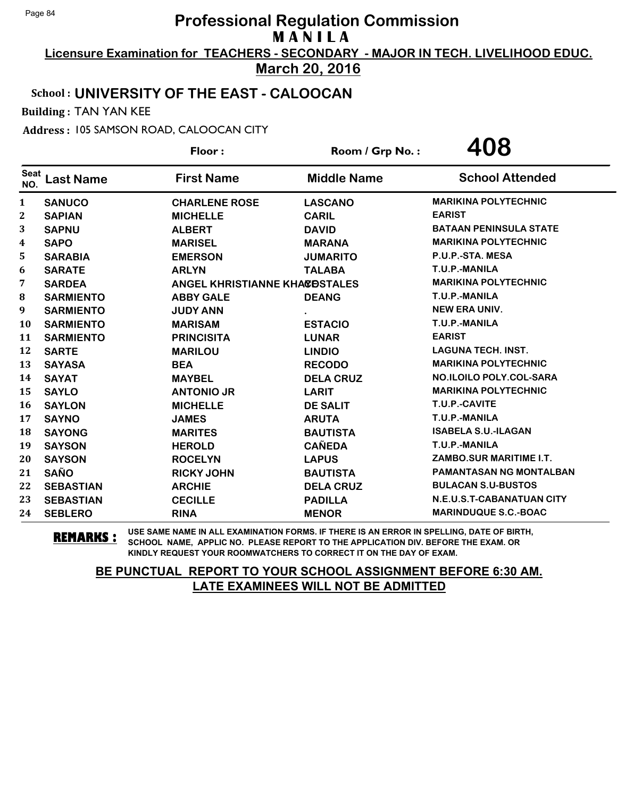**Licensure Examination for TEACHERS - SECONDARY - MAJOR IN TECH. LIVELIHOOD EDUC. March 20, 2016**

### School : **UNIVERSITY OF THE EAST - CALOOCAN**

Building : TAN YAN KEE

Address : 105 SAMSON ROAD, CALOOCAN CITY

|                    |                  | Floor:                               | Room / Grp No.:    | 408                              |
|--------------------|------------------|--------------------------------------|--------------------|----------------------------------|
| <b>Seat</b><br>NO. | <b>Last Name</b> | <b>First Name</b>                    | <b>Middle Name</b> | <b>School Attended</b>           |
| 1                  | <b>SANUCO</b>    | <b>CHARLENE ROSE</b>                 | <b>LASCANO</b>     | <b>MARIKINA POLYTECHNIC</b>      |
| $\mathbf 2$        | <b>SAPIAN</b>    | <b>MICHELLE</b>                      | <b>CARIL</b>       | <b>EARIST</b>                    |
| 3                  | <b>SAPNU</b>     | <b>ALBERT</b>                        | <b>DAVID</b>       | <b>BATAAN PENINSULA STATE</b>    |
| 4                  | <b>SAPO</b>      | <b>MARISEL</b>                       | <b>MARANA</b>      | <b>MARIKINA POLYTECHNIC</b>      |
| 5                  | <b>SARABIA</b>   | <b>EMERSON</b>                       | <b>JUMARITO</b>    | P.U.P.-STA. MESA                 |
| 6                  | <b>SARATE</b>    | <b>ARLYN</b>                         | <b>TALABA</b>      | T.U.P.-MANILA                    |
| 7                  | <b>SARDEA</b>    | <b>ANGEL KHRISTIANNE KHACOSTALES</b> |                    | <b>MARIKINA POLYTECHNIC</b>      |
| 8                  | <b>SARMIENTO</b> | <b>ABBY GALE</b>                     | <b>DEANG</b>       | T.U.P.-MANILA                    |
| 9                  | <b>SARMIENTO</b> | <b>JUDY ANN</b>                      |                    | <b>NEW ERA UNIV.</b>             |
| 10                 | <b>SARMIENTO</b> | <b>MARISAM</b>                       | <b>ESTACIO</b>     | T.U.P.-MANILA                    |
| 11                 | <b>SARMIENTO</b> | <b>PRINCISITA</b>                    | <b>LUNAR</b>       | <b>EARIST</b>                    |
| 12                 | <b>SARTE</b>     | <b>MARILOU</b>                       | <b>LINDIO</b>      | <b>LAGUNA TECH. INST.</b>        |
| 13                 | <b>SAYASA</b>    | <b>BEA</b>                           | <b>RECODO</b>      | <b>MARIKINA POLYTECHNIC</b>      |
| 14                 | <b>SAYAT</b>     | <b>MAYBEL</b>                        | <b>DELA CRUZ</b>   | <b>NO.ILOILO POLY.COL-SARA</b>   |
| 15                 | <b>SAYLO</b>     | <b>ANTONIO JR</b>                    | <b>LARIT</b>       | <b>MARIKINA POLYTECHNIC</b>      |
| 16                 | <b>SAYLON</b>    | <b>MICHELLE</b>                      | <b>DE SALIT</b>    | T.U.P.-CAVITE                    |
| 17                 | <b>SAYNO</b>     | <b>JAMES</b>                         | <b>ARUTA</b>       | T.U.P.-MANILA                    |
| 18                 | <b>SAYONG</b>    | <b>MARITES</b>                       | <b>BAUTISTA</b>    | <b>ISABELA S.U.-ILAGAN</b>       |
| 19                 | <b>SAYSON</b>    | <b>HEROLD</b>                        | <b>CAÑEDA</b>      | T.U.P.-MANILA                    |
| 20                 | <b>SAYSON</b>    | <b>ROCELYN</b>                       | <b>LAPUS</b>       | ZAMBO.SUR MARITIME I.T.          |
| 21                 | <b>SAÑO</b>      | <b>RICKY JOHN</b>                    | <b>BAUTISTA</b>    | <b>PAMANTASAN NG MONTALBAN</b>   |
| 22                 | <b>SEBASTIAN</b> | <b>ARCHIE</b>                        | <b>DELA CRUZ</b>   | <b>BULACAN S.U-BUSTOS</b>        |
| 23                 | <b>SEBASTIAN</b> | <b>CECILLE</b>                       | <b>PADILLA</b>     | <b>N.E.U.S.T-CABANATUAN CITY</b> |
| 24                 | <b>SEBLERO</b>   | <b>RINA</b>                          | <b>MENOR</b>       | <b>MARINDUQUE S.C.-BOAC</b>      |

**REMARKS :** USE SAME NAME IN ALL EXAMINATION FORMS. IF THERE IS AN ERROR IN SPELLING, DATE OF BIRTH, SCHOOL NAME, APPLIC NO. PLEASE REPORT TO THE APPLICATION DIV. BEFORE THE EXAM. OR KINDLY REQUEST YOUR ROOMWATCHERS TO CORRECT IT ON THE DAY OF EXAM.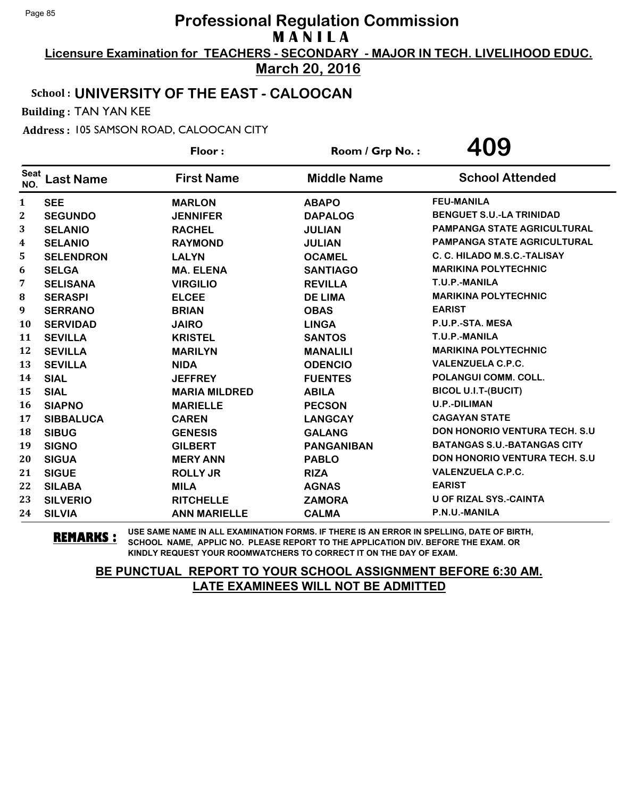**Licensure Examination for TEACHERS - SECONDARY - MAJOR IN TECH. LIVELIHOOD EDUC. March 20, 2016**

### School : **UNIVERSITY OF THE EAST - CALOOCAN**

Building : TAN YAN KEE

Address : 105 SAMSON ROAD, CALOOCAN CITY

|                    |                  | Floor:               | Room / Grp No.:    | 409                                  |
|--------------------|------------------|----------------------|--------------------|--------------------------------------|
| <b>Seat</b><br>NO. | <b>Last Name</b> | <b>First Name</b>    | <b>Middle Name</b> | <b>School Attended</b>               |
| 1                  | <b>SEE</b>       | <b>MARLON</b>        | <b>ABAPO</b>       | <b>FEU-MANILA</b>                    |
| $\mathbf 2$        | <b>SEGUNDO</b>   | <b>JENNIFER</b>      | <b>DAPALOG</b>     | <b>BENGUET S.U.-LA TRINIDAD</b>      |
| 3                  | <b>SELANIO</b>   | <b>RACHEL</b>        | <b>JULIAN</b>      | <b>PAMPANGA STATE AGRICULTURAL</b>   |
| 4                  | <b>SELANIO</b>   | <b>RAYMOND</b>       | <b>JULIAN</b>      | <b>PAMPANGA STATE AGRICULTURAL</b>   |
| 5                  | <b>SELENDRON</b> | <b>LALYN</b>         | <b>OCAMEL</b>      | C. C. HILADO M.S.C.-TALISAY          |
| 6                  | <b>SELGA</b>     | <b>MA. ELENA</b>     | <b>SANTIAGO</b>    | <b>MARIKINA POLYTECHNIC</b>          |
| 7                  | <b>SELISANA</b>  | <b>VIRGILIO</b>      | <b>REVILLA</b>     | T.U.P.-MANILA                        |
| 8                  | <b>SERASPI</b>   | <b>ELCEE</b>         | <b>DE LIMA</b>     | <b>MARIKINA POLYTECHNIC</b>          |
| 9                  | <b>SERRANO</b>   | <b>BRIAN</b>         | <b>OBAS</b>        | <b>EARIST</b>                        |
| 10                 | <b>SERVIDAD</b>  | <b>JAIRO</b>         | <b>LINGA</b>       | P.U.P.-STA. MESA                     |
| 11                 | <b>SEVILLA</b>   | <b>KRISTEL</b>       | <b>SANTOS</b>      | T.U.P.-MANILA                        |
| 12                 | <b>SEVILLA</b>   | <b>MARILYN</b>       | <b>MANALILI</b>    | <b>MARIKINA POLYTECHNIC</b>          |
| 13                 | <b>SEVILLA</b>   | <b>NIDA</b>          | <b>ODENCIO</b>     | <b>VALENZUELA C.P.C.</b>             |
| 14                 | <b>SIAL</b>      | <b>JEFFREY</b>       | <b>FUENTES</b>     | <b>POLANGUI COMM. COLL.</b>          |
| 15                 | <b>SIAL</b>      | <b>MARIA MILDRED</b> | <b>ABILA</b>       | <b>BICOL U.I.T-(BUCIT)</b>           |
| 16                 | <b>SIAPNO</b>    | <b>MARIELLE</b>      | <b>PECSON</b>      | <b>U.P.-DILIMAN</b>                  |
| 17                 | <b>SIBBALUCA</b> | <b>CAREN</b>         | <b>LANGCAY</b>     | <b>CAGAYAN STATE</b>                 |
| 18                 | <b>SIBUG</b>     | <b>GENESIS</b>       | <b>GALANG</b>      | <b>DON HONORIO VENTURA TECH. S.U</b> |
| 19                 | <b>SIGNO</b>     | <b>GILBERT</b>       | <b>PANGANIBAN</b>  | <b>BATANGAS S.U.-BATANGAS CITY</b>   |
| 20                 | <b>SIGUA</b>     | <b>MERY ANN</b>      | <b>PABLO</b>       | <b>DON HONORIO VENTURA TECH. S.U</b> |
| 21                 | <b>SIGUE</b>     | <b>ROLLY JR</b>      | <b>RIZA</b>        | <b>VALENZUELA C.P.C.</b>             |
| 22                 | <b>SILABA</b>    | <b>MILA</b>          | <b>AGNAS</b>       | <b>EARIST</b>                        |
| 23                 | <b>SILVERIO</b>  | <b>RITCHELLE</b>     | <b>ZAMORA</b>      | <b>U OF RIZAL SYS.-CAINTA</b>        |
| 24                 | <b>SILVIA</b>    | <b>ANN MARIELLE</b>  | <b>CALMA</b>       | P.N.U.-MANILA                        |

**REMARKS :** USE SAME NAME IN ALL EXAMINATION FORMS. IF THERE IS AN ERROR IN SPELLING, DATE OF BIRTH, SCHOOL NAME, APPLIC NO. PLEASE REPORT TO THE APPLICATION DIV. BEFORE THE EXAM. OR KINDLY REQUEST YOUR ROOMWATCHERS TO CORRECT IT ON THE DAY OF EXAM.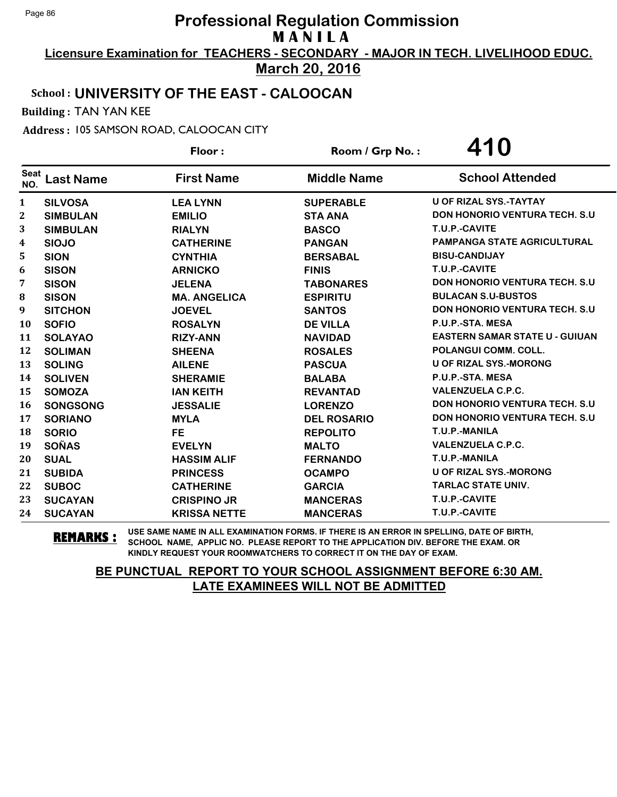**Licensure Examination for TEACHERS - SECONDARY - MAJOR IN TECH. LIVELIHOOD EDUC. March 20, 2016**

### School : **UNIVERSITY OF THE EAST - CALOOCAN**

Building : TAN YAN KEE

Address : 105 SAMSON ROAD, CALOOCAN CITY

|                    |                  | Floor:              | Room / Grp No.:    | 410                                   |
|--------------------|------------------|---------------------|--------------------|---------------------------------------|
| <b>Seat</b><br>NO. | <b>Last Name</b> | <b>First Name</b>   | <b>Middle Name</b> | <b>School Attended</b>                |
| 1                  | <b>SILVOSA</b>   | <b>LEA LYNN</b>     | <b>SUPERABLE</b>   | <b>U OF RIZAL SYS.-TAYTAY</b>         |
| $\mathbf 2$        | <b>SIMBULAN</b>  | <b>EMILIO</b>       | <b>STA ANA</b>     | <b>DON HONORIO VENTURA TECH. S.U</b>  |
| 3                  | <b>SIMBULAN</b>  | <b>RIALYN</b>       | <b>BASCO</b>       | T.U.P.-CAVITE                         |
| 4                  | <b>SIOJO</b>     | <b>CATHERINE</b>    | <b>PANGAN</b>      | <b>PAMPANGA STATE AGRICULTURAL</b>    |
| 5                  | <b>SION</b>      | <b>CYNTHIA</b>      | <b>BERSABAL</b>    | <b>BISU-CANDIJAY</b>                  |
| 6                  | <b>SISON</b>     | <b>ARNICKO</b>      | <b>FINIS</b>       | T.U.P.-CAVITE                         |
| 7                  | <b>SISON</b>     | <b>JELENA</b>       | <b>TABONARES</b>   | <b>DON HONORIO VENTURA TECH. S.U.</b> |
| 8                  | <b>SISON</b>     | <b>MA. ANGELICA</b> | <b>ESPIRITU</b>    | <b>BULACAN S.U-BUSTOS</b>             |
| 9                  | <b>SITCHON</b>   | <b>JOEVEL</b>       | <b>SANTOS</b>      | <b>DON HONORIO VENTURA TECH. S.U.</b> |
| 10                 | <b>SOFIO</b>     | <b>ROSALYN</b>      | <b>DE VILLA</b>    | P.U.P.-STA. MESA                      |
| 11                 | <b>SOLAYAO</b>   | <b>RIZY-ANN</b>     | <b>NAVIDAD</b>     | <b>EASTERN SAMAR STATE U - GUIUAN</b> |
| 12                 | <b>SOLIMAN</b>   | <b>SHEENA</b>       | <b>ROSALES</b>     | POLANGUI COMM. COLL.                  |
| 13                 | <b>SOLING</b>    | <b>AILENE</b>       | <b>PASCUA</b>      | <b>U OF RIZAL SYS.-MORONG</b>         |
| 14                 | <b>SOLIVEN</b>   | <b>SHERAMIE</b>     | <b>BALABA</b>      | P.U.P.-STA. MESA                      |
| 15                 | <b>SOMOZA</b>    | <b>IAN KEITH</b>    | <b>REVANTAD</b>    | <b>VALENZUELA C.P.C.</b>              |
| 16                 | <b>SONGSONG</b>  | <b>JESSALIE</b>     | <b>LORENZO</b>     | <b>DON HONORIO VENTURA TECH. S.U.</b> |
| 17                 | <b>SORIANO</b>   | <b>MYLA</b>         | <b>DEL ROSARIO</b> | <b>DON HONORIO VENTURA TECH. S.U</b>  |
| 18                 | <b>SORIO</b>     | <b>FE</b>           | <b>REPOLITO</b>    | T.U.P.-MANILA                         |
| 19                 | <b>SOÑAS</b>     | <b>EVELYN</b>       | <b>MALTO</b>       | <b>VALENZUELA C.P.C.</b>              |
| 20                 | <b>SUAL</b>      | <b>HASSIM ALIF</b>  | <b>FERNANDO</b>    | T.U.P.-MANILA                         |
| 21                 | <b>SUBIDA</b>    | <b>PRINCESS</b>     | <b>OCAMPO</b>      | <b>U OF RIZAL SYS.-MORONG</b>         |
| 22                 | <b>SUBOC</b>     | <b>CATHERINE</b>    | <b>GARCIA</b>      | <b>TARLAC STATE UNIV.</b>             |
| 23                 | <b>SUCAYAN</b>   | <b>CRISPINO JR</b>  | <b>MANCERAS</b>    | T.U.P.-CAVITE                         |
| 24                 | <b>SUCAYAN</b>   | <b>KRISSA NETTE</b> | <b>MANCERAS</b>    | T.U.P.-CAVITE                         |

**REMARKS :** USE SAME NAME IN ALL EXAMINATION FORMS. IF THERE IS AN ERROR IN SPELLING, DATE OF BIRTH, SCHOOL NAME, APPLIC NO. PLEASE REPORT TO THE APPLICATION DIV. BEFORE THE EXAM. OR KINDLY REQUEST YOUR ROOMWATCHERS TO CORRECT IT ON THE DAY OF EXAM.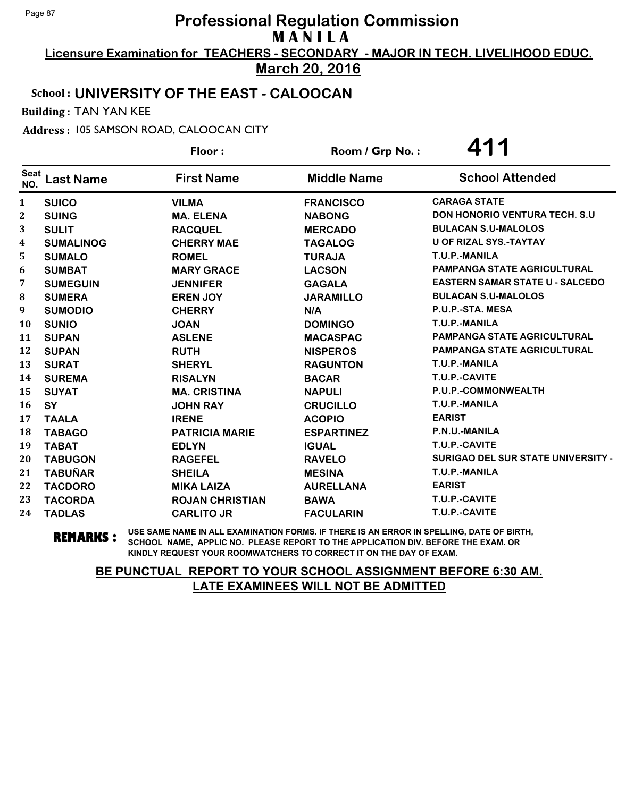**Licensure Examination for TEACHERS - SECONDARY - MAJOR IN TECH. LIVELIHOOD EDUC. March 20, 2016**

# School : **UNIVERSITY OF THE EAST - CALOOCAN**

Building : TAN YAN KEE

Address : 105 SAMSON ROAD, CALOOCAN CITY

|                    |                  | Floor:                 | Room / Grp No.:    | 411                                       |
|--------------------|------------------|------------------------|--------------------|-------------------------------------------|
| <b>Seat</b><br>NO. | <b>Last Name</b> | <b>First Name</b>      | <b>Middle Name</b> | <b>School Attended</b>                    |
| 1                  | <b>SUICO</b>     | <b>VILMA</b>           | <b>FRANCISCO</b>   | <b>CARAGA STATE</b>                       |
| $\mathbf 2$        | <b>SUING</b>     | <b>MA. ELENA</b>       | <b>NABONG</b>      | <b>DON HONORIO VENTURA TECH. S.U.</b>     |
| 3                  | <b>SULIT</b>     | <b>RACQUEL</b>         | <b>MERCADO</b>     | <b>BULACAN S.U-MALOLOS</b>                |
| 4                  | <b>SUMALINOG</b> | <b>CHERRY MAE</b>      | <b>TAGALOG</b>     | <b>U OF RIZAL SYS.-TAYTAY</b>             |
| 5                  | <b>SUMALO</b>    | <b>ROMEL</b>           | <b>TURAJA</b>      | T.U.P.-MANILA                             |
| 6                  | <b>SUMBAT</b>    | <b>MARY GRACE</b>      | <b>LACSON</b>      | <b>PAMPANGA STATE AGRICULTURAL</b>        |
| 7                  | <b>SUMEGUIN</b>  | <b>JENNIFER</b>        | <b>GAGALA</b>      | <b>EASTERN SAMAR STATE U - SALCEDO</b>    |
| 8                  | <b>SUMERA</b>    | <b>EREN JOY</b>        | <b>JARAMILLO</b>   | <b>BULACAN S.U-MALOLOS</b>                |
| 9                  | <b>SUMODIO</b>   | <b>CHERRY</b>          | N/A                | P.U.P.-STA. MESA                          |
| 10                 | <b>SUNIO</b>     | <b>JOAN</b>            | <b>DOMINGO</b>     | T.U.P.-MANILA                             |
| 11                 | <b>SUPAN</b>     | <b>ASLENE</b>          | <b>MACASPAC</b>    | <b>PAMPANGA STATE AGRICULTURAL</b>        |
| 12                 | <b>SUPAN</b>     | <b>RUTH</b>            | <b>NISPEROS</b>    | <b>PAMPANGA STATE AGRICULTURAL</b>        |
| 13                 | <b>SURAT</b>     | <b>SHERYL</b>          | <b>RAGUNTON</b>    | T.U.P.-MANILA                             |
| 14                 | <b>SUREMA</b>    | <b>RISALYN</b>         | <b>BACAR</b>       | T.U.P.-CAVITE                             |
| 15                 | <b>SUYAT</b>     | <b>MA. CRISTINA</b>    | <b>NAPULI</b>      | P.U.P.-COMMONWEALTH                       |
| 16                 | SY               | <b>JOHN RAY</b>        | <b>CRUCILLO</b>    | T.U.P.-MANILA                             |
| 17                 | <b>TAALA</b>     | <b>IRENE</b>           | <b>ACOPIO</b>      | <b>EARIST</b>                             |
| 18                 | <b>TABAGO</b>    | <b>PATRICIA MARIE</b>  | <b>ESPARTINEZ</b>  | P.N.U.-MANILA                             |
| 19                 | <b>TABAT</b>     | <b>EDLYN</b>           | <b>IGUAL</b>       | T.U.P.-CAVITE                             |
| 20                 | <b>TABUGON</b>   | <b>RAGEFEL</b>         | <b>RAVELO</b>      | <b>SURIGAO DEL SUR STATE UNIVERSITY -</b> |
| 21                 | <b>TABUÑAR</b>   | <b>SHEILA</b>          | <b>MESINA</b>      | T.U.P.-MANILA                             |
| 22                 | <b>TACDORO</b>   | <b>MIKA LAIZA</b>      | <b>AURELLANA</b>   | <b>EARIST</b>                             |
| 23                 | <b>TACORDA</b>   | <b>ROJAN CHRISTIAN</b> | <b>BAWA</b>        | T.U.P.-CAVITE                             |
| 24                 | <b>TADLAS</b>    | <b>CARLITO JR</b>      | <b>FACULARIN</b>   | T.U.P.-CAVITE                             |

**REMARKS :** USE SAME NAME IN ALL EXAMINATION FORMS. IF THERE IS AN ERROR IN SPELLING, DATE OF BIRTH, SCHOOL NAME, APPLIC NO. PLEASE REPORT TO THE APPLICATION DIV. BEFORE THE EXAM. OR KINDLY REQUEST YOUR ROOMWATCHERS TO CORRECT IT ON THE DAY OF EXAM.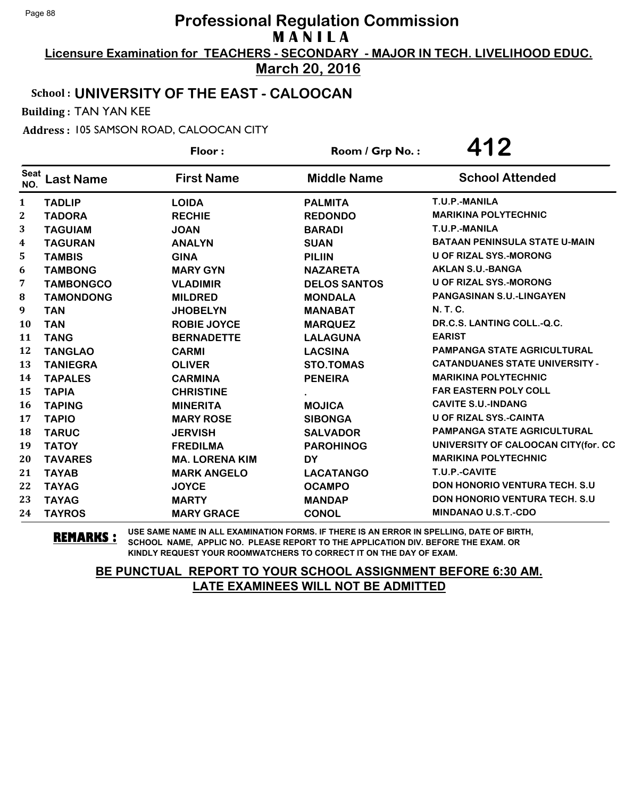**Licensure Examination for TEACHERS - SECONDARY - MAJOR IN TECH. LIVELIHOOD EDUC. March 20, 2016**

# School : **UNIVERSITY OF THE EAST - CALOOCAN**

Building : TAN YAN KEE

Address : 105 SAMSON ROAD, CALOOCAN CITY

|                    |                  | Floor:                | Room / Grp No.:     | 412                                   |
|--------------------|------------------|-----------------------|---------------------|---------------------------------------|
| <b>Seat</b><br>NO. | <b>Last Name</b> | <b>First Name</b>     | <b>Middle Name</b>  | <b>School Attended</b>                |
| 1                  | <b>TADLIP</b>    | <b>LOIDA</b>          | <b>PALMITA</b>      | T.U.P.-MANILA                         |
| $\mathbf 2$        | <b>TADORA</b>    | <b>RECHIE</b>         | <b>REDONDO</b>      | <b>MARIKINA POLYTECHNIC</b>           |
| 3                  | <b>TAGUIAM</b>   | <b>JOAN</b>           | <b>BARADI</b>       | T.U.P.-MANILA                         |
| 4                  | <b>TAGURAN</b>   | <b>ANALYN</b>         | <b>SUAN</b>         | <b>BATAAN PENINSULA STATE U-MAIN</b>  |
| 5                  | <b>TAMBIS</b>    | <b>GINA</b>           | <b>PILIIN</b>       | <b>U OF RIZAL SYS.-MORONG</b>         |
| 6                  | <b>TAMBONG</b>   | <b>MARY GYN</b>       | <b>NAZARETA</b>     | <b>AKLAN S.U.-BANGA</b>               |
| 7                  | <b>TAMBONGCO</b> | <b>VLADIMIR</b>       | <b>DELOS SANTOS</b> | <b>U OF RIZAL SYS.-MORONG</b>         |
| 8                  | <b>TAMONDONG</b> | <b>MILDRED</b>        | <b>MONDALA</b>      | <b>PANGASINAN S.U.-LINGAYEN</b>       |
| 9                  | <b>TAN</b>       | <b>JHOBELYN</b>       | <b>MANABAT</b>      | N. T. C.                              |
| 10                 | <b>TAN</b>       | <b>ROBIE JOYCE</b>    | <b>MARQUEZ</b>      | DR.C.S. LANTING COLL.-Q.C.            |
| 11                 | <b>TANG</b>      | <b>BERNADETTE</b>     | <b>LALAGUNA</b>     | <b>EARIST</b>                         |
| 12                 | <b>TANGLAO</b>   | <b>CARMI</b>          | <b>LACSINA</b>      | <b>PAMPANGA STATE AGRICULTURAL</b>    |
| 13                 | <b>TANIEGRA</b>  | <b>OLIVER</b>         | <b>STO.TOMAS</b>    | <b>CATANDUANES STATE UNIVERSITY -</b> |
| 14                 | <b>TAPALES</b>   | <b>CARMINA</b>        | <b>PENEIRA</b>      | <b>MARIKINA POLYTECHNIC</b>           |
| 15                 | <b>TAPIA</b>     | <b>CHRISTINE</b>      |                     | <b>FAR EASTERN POLY COLL</b>          |
| 16                 | <b>TAPING</b>    | <b>MINERITA</b>       | <b>MOJICA</b>       | <b>CAVITE S.U.-INDANG</b>             |
| 17                 | <b>TAPIO</b>     | <b>MARY ROSE</b>      | <b>SIBONGA</b>      | <b>U OF RIZAL SYS.-CAINTA</b>         |
| 18                 | <b>TARUC</b>     | <b>JERVISH</b>        | <b>SALVADOR</b>     | <b>PAMPANGA STATE AGRICULTURAL</b>    |
| 19                 | <b>TATOY</b>     | <b>FREDILMA</b>       | <b>PAROHINOG</b>    | UNIVERSITY OF CALOOCAN CITY(for. CC   |
| 20                 | <b>TAVARES</b>   | <b>MA. LORENA KIM</b> | <b>DY</b>           | <b>MARIKINA POLYTECHNIC</b>           |
| 21                 | <b>TAYAB</b>     | <b>MARK ANGELO</b>    | <b>LACATANGO</b>    | T.U.P.-CAVITE                         |
| 22                 | <b>TAYAG</b>     | <b>JOYCE</b>          | <b>OCAMPO</b>       | DON HONORIO VENTURA TECH. S.U         |
| 23                 | <b>TAYAG</b>     | <b>MARTY</b>          | <b>MANDAP</b>       | DON HONORIO VENTURA TECH. S.U         |
| 24                 | <b>TAYROS</b>    | <b>MARY GRACE</b>     | <b>CONOL</b>        | <b>MINDANAO U.S.T.-CDO</b>            |

**REMARKS :** USE SAME NAME IN ALL EXAMINATION FORMS. IF THERE IS AN ERROR IN SPELLING, DATE OF BIRTH, SCHOOL NAME, APPLIC NO. PLEASE REPORT TO THE APPLICATION DIV. BEFORE THE EXAM. OR KINDLY REQUEST YOUR ROOMWATCHERS TO CORRECT IT ON THE DAY OF EXAM.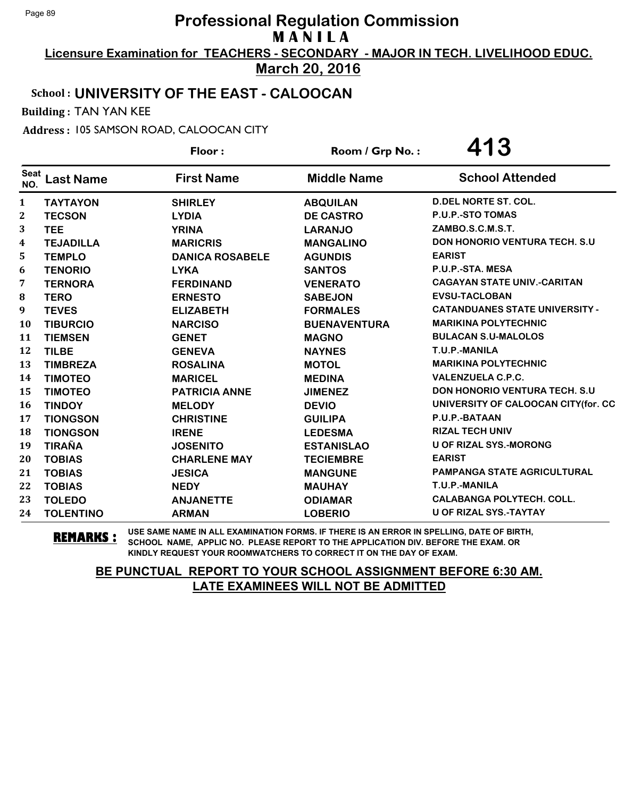**Licensure Examination for TEACHERS - SECONDARY - MAJOR IN TECH. LIVELIHOOD EDUC. March 20, 2016**

# School : **UNIVERSITY OF THE EAST - CALOOCAN**

Building : TAN YAN KEE

Address : 105 SAMSON ROAD, CALOOCAN CITY

|                    |                  | Floor:                 | Room / Grp No.:     | 413                                   |  |
|--------------------|------------------|------------------------|---------------------|---------------------------------------|--|
| <b>Seat</b><br>NO. | <b>Last Name</b> | <b>First Name</b>      | <b>Middle Name</b>  | <b>School Attended</b>                |  |
| $\mathbf{1}$       | <b>TAYTAYON</b>  | <b>SHIRLEY</b>         | <b>ABQUILAN</b>     | <b>D.DEL NORTE ST. COL.</b>           |  |
| $\mathbf{2}$       | <b>TECSON</b>    | <b>LYDIA</b>           | <b>DE CASTRO</b>    | P.U.P.-STO TOMAS                      |  |
| 3                  | <b>TEE</b>       | <b>YRINA</b>           | <b>LARANJO</b>      | ZAMBO.S.C.M.S.T.                      |  |
| 4                  | <b>TEJADILLA</b> | <b>MARICRIS</b>        | <b>MANGALINO</b>    | <b>DON HONORIO VENTURA TECH. S.U</b>  |  |
| 5                  | <b>TEMPLO</b>    | <b>DANICA ROSABELE</b> | <b>AGUNDIS</b>      | <b>EARIST</b>                         |  |
| 6                  | <b>TENORIO</b>   | <b>LYKA</b>            | <b>SANTOS</b>       | P.U.P.-STA. MESA                      |  |
| $\overline{7}$     | <b>TERNORA</b>   | <b>FERDINAND</b>       | <b>VENERATO</b>     | <b>CAGAYAN STATE UNIV.-CARITAN</b>    |  |
| 8                  | <b>TERO</b>      | <b>ERNESTO</b>         | <b>SABEJON</b>      | <b>EVSU-TACLOBAN</b>                  |  |
| 9                  | <b>TEVES</b>     | <b>ELIZABETH</b>       | <b>FORMALES</b>     | <b>CATANDUANES STATE UNIVERSITY -</b> |  |
| 10                 | <b>TIBURCIO</b>  | <b>NARCISO</b>         | <b>BUENAVENTURA</b> | <b>MARIKINA POLYTECHNIC</b>           |  |
| 11                 | <b>TIEMSEN</b>   | <b>GENET</b>           | <b>MAGNO</b>        | <b>BULACAN S.U-MALOLOS</b>            |  |
| 12                 | <b>TILBE</b>     | <b>GENEVA</b>          | <b>NAYNES</b>       | T.U.P.-MANILA                         |  |
| 13                 | <b>TIMBREZA</b>  | <b>ROSALINA</b>        | <b>MOTOL</b>        | <b>MARIKINA POLYTECHNIC</b>           |  |
| 14                 | <b>TIMOTEO</b>   | <b>MARICEL</b>         | <b>MEDINA</b>       | <b>VALENZUELA C.P.C.</b>              |  |
| 15                 | <b>TIMOTEO</b>   | <b>PATRICIA ANNE</b>   | <b>JIMENEZ</b>      | <b>DON HONORIO VENTURA TECH. S.U.</b> |  |
| 16                 | <b>TINDOY</b>    | <b>MELODY</b>          | <b>DEVIO</b>        | UNIVERSITY OF CALOOCAN CITY(for. CC   |  |
| 17                 | <b>TIONGSON</b>  | <b>CHRISTINE</b>       | <b>GUILIPA</b>      | P.U.P.-BATAAN                         |  |
| 18                 | <b>TIONGSON</b>  | <b>IRENE</b>           | <b>LEDESMA</b>      | <b>RIZAL TECH UNIV</b>                |  |
| 19                 | <b>TIRAÑA</b>    | <b>JOSENITO</b>        | <b>ESTANISLAO</b>   | <b>U OF RIZAL SYS.-MORONG</b>         |  |
| 20                 | <b>TOBIAS</b>    | <b>CHARLENE MAY</b>    | <b>TECIEMBRE</b>    | <b>EARIST</b>                         |  |
| 21                 | <b>TOBIAS</b>    | <b>JESICA</b>          | <b>MANGUNE</b>      | <b>PAMPANGA STATE AGRICULTURAL</b>    |  |
| 22                 | <b>TOBIAS</b>    | <b>NEDY</b>            | <b>MAUHAY</b>       | T.U.P.-MANILA                         |  |
| 23                 | <b>TOLEDO</b>    | <b>ANJANETTE</b>       | <b>ODIAMAR</b>      | <b>CALABANGA POLYTECH. COLL.</b>      |  |
| 24                 | <b>TOLENTINO</b> | <b>ARMAN</b>           | <b>LOBERIO</b>      | <b>U OF RIZAL SYS.-TAYTAY</b>         |  |

**REMARKS :** USE SAME NAME IN ALL EXAMINATION FORMS. IF THERE IS AN ERROR IN SPELLING, DATE OF BIRTH, SCHOOL NAME, APPLIC NO. PLEASE REPORT TO THE APPLICATION DIV. BEFORE THE EXAM. OR KINDLY REQUEST YOUR ROOMWATCHERS TO CORRECT IT ON THE DAY OF EXAM.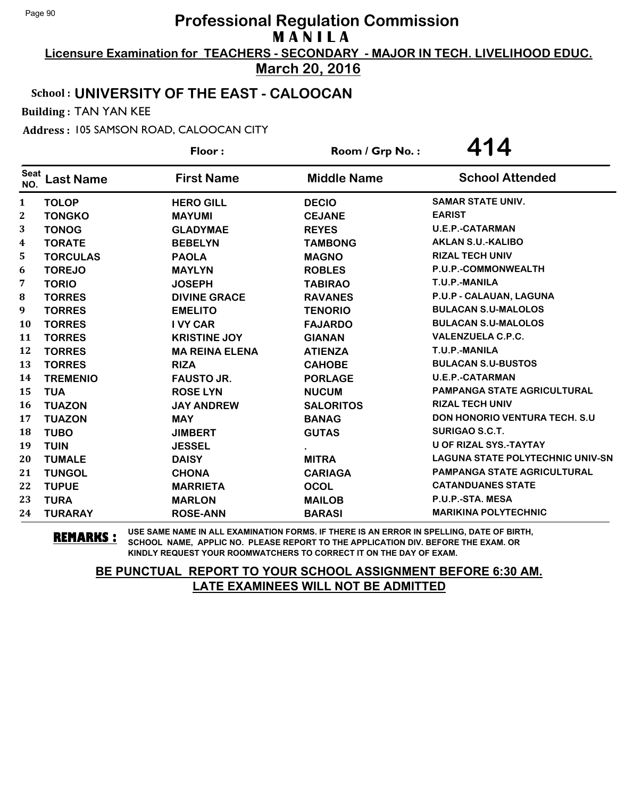**Licensure Examination for TEACHERS - SECONDARY - MAJOR IN TECH. LIVELIHOOD EDUC. March 20, 2016**

# School : **UNIVERSITY OF THE EAST - CALOOCAN**

Building : TAN YAN KEE

Address : 105 SAMSON ROAD, CALOOCAN CITY

|                    |                  | Floor:                | Room / Grp No.:    | 414                                     |
|--------------------|------------------|-----------------------|--------------------|-----------------------------------------|
| <b>Seat</b><br>NO. | <b>Last Name</b> | <b>First Name</b>     | <b>Middle Name</b> | <b>School Attended</b>                  |
| $\mathbf{1}$       | <b>TOLOP</b>     | <b>HERO GILL</b>      | <b>DECIO</b>       | <b>SAMAR STATE UNIV.</b>                |
| 2                  | <b>TONGKO</b>    | <b>MAYUMI</b>         | <b>CEJANE</b>      | <b>EARIST</b>                           |
| 3                  | <b>TONOG</b>     | <b>GLADYMAE</b>       | <b>REYES</b>       | <b>U.E.P.-CATARMAN</b>                  |
| 4                  | <b>TORATE</b>    | <b>BEBELYN</b>        | <b>TAMBONG</b>     | <b>AKLAN S.U.-KALIBO</b>                |
| 5                  | <b>TORCULAS</b>  | <b>PAOLA</b>          | <b>MAGNO</b>       | <b>RIZAL TECH UNIV</b>                  |
| 6                  | <b>TOREJO</b>    | <b>MAYLYN</b>         | <b>ROBLES</b>      | P.U.P.-COMMONWEALTH                     |
| $\overline{7}$     | <b>TORIO</b>     | <b>JOSEPH</b>         | <b>TABIRAO</b>     | T.U.P.-MANILA                           |
| 8                  | <b>TORRES</b>    | <b>DIVINE GRACE</b>   | <b>RAVANES</b>     | P.U.P - CALAUAN, LAGUNA                 |
| 9                  | <b>TORRES</b>    | <b>EMELITO</b>        | <b>TENORIO</b>     | <b>BULACAN S.U-MALOLOS</b>              |
| 10                 | <b>TORRES</b>    | <b>I VY CAR</b>       | <b>FAJARDO</b>     | <b>BULACAN S.U-MALOLOS</b>              |
| 11                 | <b>TORRES</b>    | <b>KRISTINE JOY</b>   | <b>GIANAN</b>      | <b>VALENZUELA C.P.C.</b>                |
| 12                 | <b>TORRES</b>    | <b>MA REINA ELENA</b> | <b>ATIENZA</b>     | T.U.P.-MANILA                           |
| 13                 | <b>TORRES</b>    | <b>RIZA</b>           | <b>CAHOBE</b>      | <b>BULACAN S.U-BUSTOS</b>               |
| 14                 | <b>TREMENIO</b>  | <b>FAUSTO JR.</b>     | <b>PORLAGE</b>     | <b>U.E.P.-CATARMAN</b>                  |
| 15                 | <b>TUA</b>       | <b>ROSE LYN</b>       | <b>NUCUM</b>       | <b>PAMPANGA STATE AGRICULTURAL</b>      |
| 16                 | <b>TUAZON</b>    | <b>JAY ANDREW</b>     | <b>SALORITOS</b>   | <b>RIZAL TECH UNIV</b>                  |
| 17                 | <b>TUAZON</b>    | <b>MAY</b>            | <b>BANAG</b>       | <b>DON HONORIO VENTURA TECH. S.U</b>    |
| 18                 | <b>TUBO</b>      | <b>JIMBERT</b>        | <b>GUTAS</b>       | <b>SURIGAO S.C.T.</b>                   |
| 19                 | <b>TUIN</b>      | <b>JESSEL</b>         |                    | <b>U OF RIZAL SYS.-TAYTAY</b>           |
| 20                 | <b>TUMALE</b>    | <b>DAISY</b>          | <b>MITRA</b>       | <b>LAGUNA STATE POLYTECHNIC UNIV-SN</b> |
| 21                 | <b>TUNGOL</b>    | <b>CHONA</b>          | <b>CARIAGA</b>     | <b>PAMPANGA STATE AGRICULTURAL</b>      |
| 22                 | <b>TUPUE</b>     | <b>MARRIETA</b>       | <b>OCOL</b>        | <b>CATANDUANES STATE</b>                |
| 23                 | <b>TURA</b>      | <b>MARLON</b>         | <b>MAILOB</b>      | P.U.P.-STA. MESA                        |
| 24                 | <b>TURARAY</b>   | <b>ROSE-ANN</b>       | <b>BARASI</b>      | <b>MARIKINA POLYTECHNIC</b>             |

**REMARKS :** USE SAME NAME IN ALL EXAMINATION FORMS. IF THERE IS AN ERROR IN SPELLING, DATE OF BIRTH, SCHOOL NAME, APPLIC NO. PLEASE REPORT TO THE APPLICATION DIV. BEFORE THE EXAM. OR KINDLY REQUEST YOUR ROOMWATCHERS TO CORRECT IT ON THE DAY OF EXAM.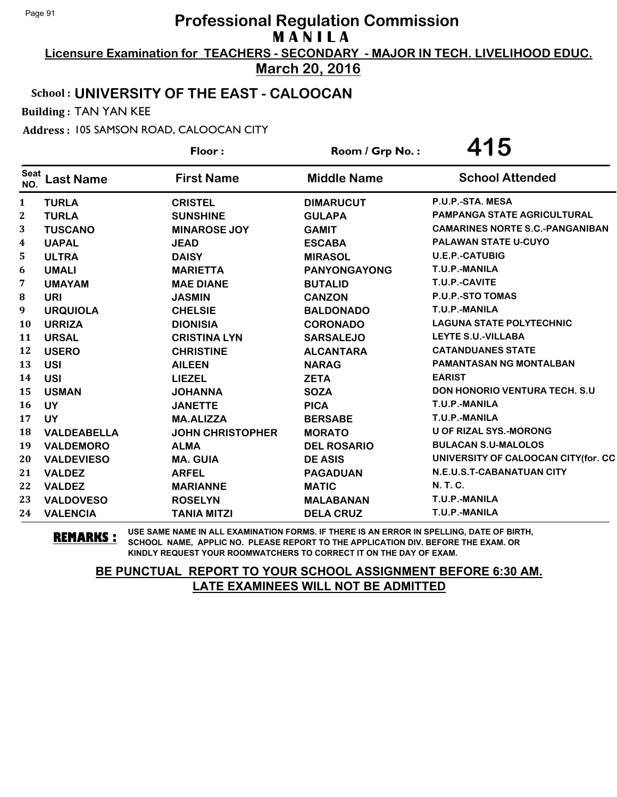**Licensure Examination for TEACHERS - SECONDARY - MAJOR IN TECH. LIVELIHOOD EDUC. March 20, 2016**

# School : **UNIVERSITY OF THE EAST - CALOOCAN**

Building : TAN YAN KEE

Address : 105 SAMSON ROAD, CALOOCAN CITY

|                    |                    | Floor:                  | Room / Grp No.:     | 415                                    |
|--------------------|--------------------|-------------------------|---------------------|----------------------------------------|
| <b>Seat</b><br>NO. | <b>Last Name</b>   | <b>First Name</b>       | <b>Middle Name</b>  | <b>School Attended</b>                 |
| 1                  | <b>TURLA</b>       | <b>CRISTEL</b>          | <b>DIMARUCUT</b>    | P.U.P.-STA, MESA                       |
| $\mathbf 2$        | <b>TURLA</b>       | <b>SUNSHINE</b>         | <b>GULAPA</b>       | <b>PAMPANGA STATE AGRICULTURAL</b>     |
| 3                  | <b>TUSCANO</b>     | <b>MINAROSE JOY</b>     | <b>GAMIT</b>        | <b>CAMARINES NORTE S.C.-PANGANIBAN</b> |
| 4                  | <b>UAPAL</b>       | <b>JEAD</b>             | <b>ESCABA</b>       | <b>PALAWAN STATE U-CUYO</b>            |
| 5                  | <b>ULTRA</b>       | <b>DAISY</b>            | <b>MIRASOL</b>      | <b>U.E.P.-CATUBIG</b>                  |
| 6                  | <b>UMALI</b>       | <b>MARIETTA</b>         | <b>PANYONGAYONG</b> | T.U.P.-MANILA                          |
| 7                  | <b>UMAYAM</b>      | <b>MAE DIANE</b>        | <b>BUTALID</b>      | T.U.P.-CAVITE                          |
| 8                  | URI                | <b>JASMIN</b>           | <b>CANZON</b>       | P.U.P.-STO TOMAS                       |
| 9                  | <b>URQUIOLA</b>    | <b>CHELSIE</b>          | <b>BALDONADO</b>    | T.U.P.-MANILA                          |
| 10                 | <b>URRIZA</b>      | <b>DIONISIA</b>         | <b>CORONADO</b>     | <b>LAGUNA STATE POLYTECHNIC</b>        |
| 11                 | <b>URSAL</b>       | <b>CRISTINA LYN</b>     | <b>SARSALEJO</b>    | LEYTE S.U.-VILLABA                     |
| 12                 | <b>USERO</b>       | <b>CHRISTINE</b>        | <b>ALCANTARA</b>    | <b>CATANDUANES STATE</b>               |
| 13                 | <b>USI</b>         | <b>AILEEN</b>           | <b>NARAG</b>        | <b>PAMANTASAN NG MONTALBAN</b>         |
| 14                 | <b>USI</b>         | <b>LIEZEL</b>           | <b>ZETA</b>         | <b>EARIST</b>                          |
| 15                 | <b>USMAN</b>       | <b>JOHANNA</b>          | <b>SOZA</b>         | <b>DON HONORIO VENTURA TECH. S.U</b>   |
| 16                 | <b>UY</b>          | <b>JANETTE</b>          | <b>PICA</b>         | T.U.P.-MANILA                          |
| 17                 | <b>UY</b>          | <b>MA.ALIZZA</b>        | <b>BERSABE</b>      | T.U.P.-MANILA                          |
| 18                 | <b>VALDEABELLA</b> | <b>JOHN CHRISTOPHER</b> | <b>MORATO</b>       | U OF RIZAL SYS.-MORONG                 |
| 19                 | <b>VALDEMORO</b>   | <b>ALMA</b>             | <b>DEL ROSARIO</b>  | <b>BULACAN S.U-MALOLOS</b>             |
| 20                 | <b>VALDEVIESO</b>  | <b>MA. GUIA</b>         | <b>DE ASIS</b>      | UNIVERSITY OF CALOOCAN CITY(for. CC    |
| 21                 | <b>VALDEZ</b>      | <b>ARFEL</b>            | <b>PAGADUAN</b>     | N.E.U.S.T-CABANATUAN CITY              |
| 22                 | <b>VALDEZ</b>      | <b>MARIANNE</b>         | <b>MATIC</b>        | N. T. C.                               |
| 23                 | <b>VALDOVESO</b>   | <b>ROSELYN</b>          | <b>MALABANAN</b>    | T.U.P.-MANILA                          |
| 24                 | <b>VALENCIA</b>    | <b>TANIA MITZI</b>      | <b>DELA CRUZ</b>    | T.U.P.-MANILA                          |

**REMARKS :** USE SAME NAME IN ALL EXAMINATION FORMS. IF THERE IS AN ERROR IN SPELLING, DATE OF BIRTH, SCHOOL NAME, APPLIC NO. PLEASE REPORT TO THE APPLICATION DIV. BEFORE THE EXAM. OR KINDLY REQUEST YOUR ROOMWATCHERS TO CORRECT IT ON THE DAY OF EXAM.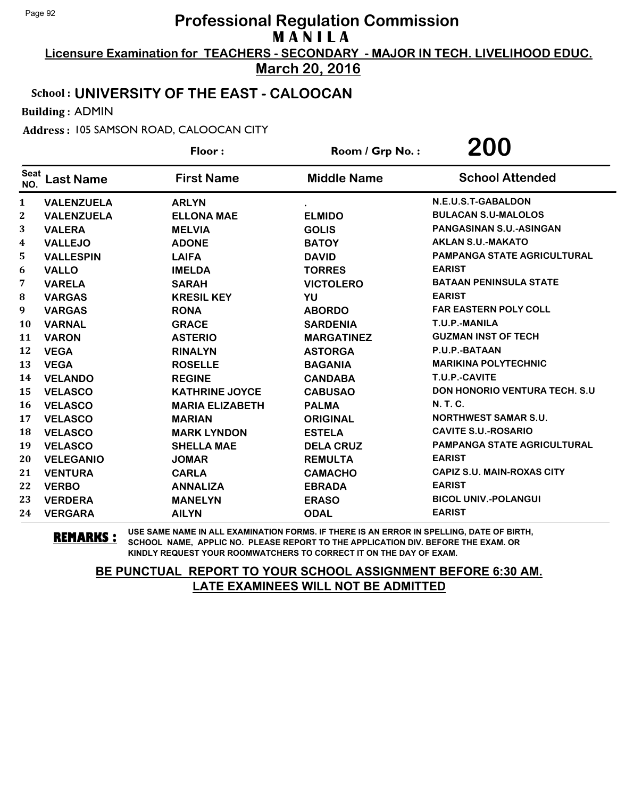**Licensure Examination for TEACHERS - SECONDARY - MAJOR IN TECH. LIVELIHOOD EDUC. March 20, 2016**

# School : **UNIVERSITY OF THE EAST - CALOOCAN**

Building : ADMIN

Address : 105 SAMSON ROAD, CALOOCAN CITY

|                    |                   | Floor:                 | Room / Grp No.:    | 200                                |
|--------------------|-------------------|------------------------|--------------------|------------------------------------|
| <b>Seat</b><br>NO. | <b>Last Name</b>  | <b>First Name</b>      | <b>Middle Name</b> | <b>School Attended</b>             |
| 1                  | <b>VALENZUELA</b> | <b>ARLYN</b>           |                    | N.E.U.S.T-GABALDON                 |
| 2                  | <b>VALENZUELA</b> | <b>ELLONA MAE</b>      | <b>ELMIDO</b>      | <b>BULACAN S.U-MALOLOS</b>         |
| 3                  | <b>VALERA</b>     | <b>MELVIA</b>          | <b>GOLIS</b>       | <b>PANGASINAN S.U.-ASINGAN</b>     |
| 4                  | <b>VALLEJO</b>    | <b>ADONE</b>           | <b>BATOY</b>       | <b>AKLAN S.U.-MAKATO</b>           |
| 5                  | <b>VALLESPIN</b>  | <b>LAIFA</b>           | <b>DAVID</b>       | <b>PAMPANGA STATE AGRICULTURAL</b> |
| 6                  | <b>VALLO</b>      | <b>IMELDA</b>          | <b>TORRES</b>      | <b>EARIST</b>                      |
| 7                  | <b>VARELA</b>     | <b>SARAH</b>           | <b>VICTOLERO</b>   | <b>BATAAN PENINSULA STATE</b>      |
| 8                  | <b>VARGAS</b>     | <b>KRESIL KEY</b>      | YU                 | <b>EARIST</b>                      |
| 9                  | <b>VARGAS</b>     | <b>RONA</b>            | <b>ABORDO</b>      | <b>FAR EASTERN POLY COLL</b>       |
| 10                 | <b>VARNAL</b>     | <b>GRACE</b>           | <b>SARDENIA</b>    | T.U.P.-MANILA                      |
| 11                 | <b>VARON</b>      | <b>ASTERIO</b>         | <b>MARGATINEZ</b>  | <b>GUZMAN INST OF TECH</b>         |
| 12                 | <b>VEGA</b>       | <b>RINALYN</b>         | <b>ASTORGA</b>     | P.U.P.-BATAAN                      |
| 13                 | <b>VEGA</b>       | <b>ROSELLE</b>         | <b>BAGANIA</b>     | <b>MARIKINA POLYTECHNIC</b>        |
| 14                 | <b>VELANDO</b>    | <b>REGINE</b>          | <b>CANDABA</b>     | T.U.P.-CAVITE                      |
| 15                 | <b>VELASCO</b>    | <b>KATHRINE JOYCE</b>  | <b>CABUSAO</b>     | DON HONORIO VENTURA TECH. S.U      |
| 16                 | <b>VELASCO</b>    | <b>MARIA ELIZABETH</b> | <b>PALMA</b>       | N. T. C.                           |
| 17                 | <b>VELASCO</b>    | <b>MARIAN</b>          | <b>ORIGINAL</b>    | <b>NORTHWEST SAMAR S.U.</b>        |
| 18                 | <b>VELASCO</b>    | <b>MARK LYNDON</b>     | <b>ESTELA</b>      | <b>CAVITE S.U.-ROSARIO</b>         |
| 19                 | <b>VELASCO</b>    | <b>SHELLA MAE</b>      | <b>DELA CRUZ</b>   | <b>PAMPANGA STATE AGRICULTURAL</b> |
| 20                 | <b>VELEGANIO</b>  | <b>JOMAR</b>           | <b>REMULTA</b>     | <b>EARIST</b>                      |
| 21                 | <b>VENTURA</b>    | <b>CARLA</b>           | <b>CAMACHO</b>     | <b>CAPIZ S.U. MAIN-ROXAS CITY</b>  |
| 22                 | <b>VERBO</b>      | <b>ANNALIZA</b>        | <b>EBRADA</b>      | <b>EARIST</b>                      |
| 23                 | <b>VERDERA</b>    | <b>MANELYN</b>         | <b>ERASO</b>       | <b>BICOL UNIV.-POLANGUI</b>        |
| 24                 | <b>VERGARA</b>    | <b>AILYN</b>           | <b>ODAL</b>        | <b>EARIST</b>                      |

**REMARKS :** USE SAME NAME IN ALL EXAMINATION FORMS. IF THERE IS AN ERROR IN SPELLING, DATE OF BIRTH, SCHOOL NAME, APPLIC NO. PLEASE REPORT TO THE APPLICATION DIV. BEFORE THE EXAM. OR KINDLY REQUEST YOUR ROOMWATCHERS TO CORRECT IT ON THE DAY OF EXAM.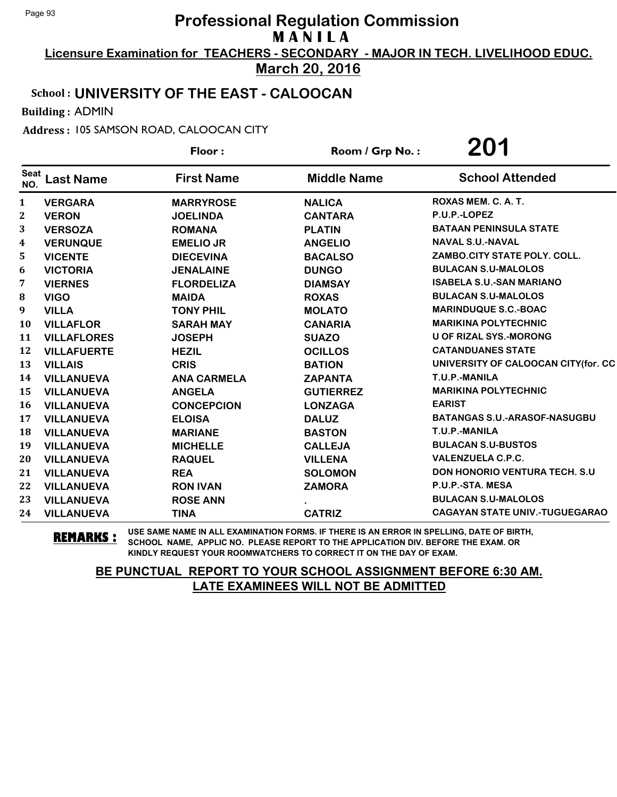**Licensure Examination for TEACHERS - SECONDARY - MAJOR IN TECH. LIVELIHOOD EDUC. March 20, 2016**

# School : **UNIVERSITY OF THE EAST - CALOOCAN**

Building : ADMIN

Address : 105 SAMSON ROAD, CALOOCAN CITY

|             |                    | Floor:             | Room / Grp No.:    | 201                                   |
|-------------|--------------------|--------------------|--------------------|---------------------------------------|
| Seat<br>NO. | <b>Last Name</b>   | <b>First Name</b>  | <b>Middle Name</b> | <b>School Attended</b>                |
| 1           | <b>VERGARA</b>     | <b>MARRYROSE</b>   | <b>NALICA</b>      | ROXAS MEM. C. A. T.                   |
| 2           | <b>VERON</b>       | <b>JOELINDA</b>    | <b>CANTARA</b>     | P.U.P.-LOPEZ                          |
| 3           | <b>VERSOZA</b>     | <b>ROMANA</b>      | <b>PLATIN</b>      | <b>BATAAN PENINSULA STATE</b>         |
| 4           | <b>VERUNQUE</b>    | <b>EMELIO JR</b>   | <b>ANGELIO</b>     | <b>NAVAL S.U.-NAVAL</b>               |
| 5           | <b>VICENTE</b>     | <b>DIECEVINA</b>   | <b>BACALSO</b>     | ZAMBO.CITY STATE POLY. COLL.          |
| 6           | <b>VICTORIA</b>    | <b>JENALAINE</b>   | <b>DUNGO</b>       | <b>BULACAN S.U-MALOLOS</b>            |
| 7           | <b>VIERNES</b>     | <b>FLORDELIZA</b>  | <b>DIAMSAY</b>     | <b>ISABELA S.U.-SAN MARIANO</b>       |
| 8           | <b>VIGO</b>        | <b>MAIDA</b>       | <b>ROXAS</b>       | <b>BULACAN S.U-MALOLOS</b>            |
| 9           | <b>VILLA</b>       | <b>TONY PHIL</b>   | <b>MOLATO</b>      | <b>MARINDUQUE S.C.-BOAC</b>           |
| 10          | <b>VILLAFLOR</b>   | <b>SARAH MAY</b>   | <b>CANARIA</b>     | <b>MARIKINA POLYTECHNIC</b>           |
| 11          | <b>VILLAFLORES</b> | <b>JOSEPH</b>      | <b>SUAZO</b>       | <b>U OF RIZAL SYS.-MORONG</b>         |
| 12          | <b>VILLAFUERTE</b> | <b>HEZIL</b>       | <b>OCILLOS</b>     | <b>CATANDUANES STATE</b>              |
| 13          | <b>VILLAIS</b>     | <b>CRIS</b>        | <b>BATION</b>      | UNIVERSITY OF CALOOCAN CITY(for. CC   |
| 14          | <b>VILLANUEVA</b>  | <b>ANA CARMELA</b> | <b>ZAPANTA</b>     | T.U.P.-MANILA                         |
| 15          | <b>VILLANUEVA</b>  | <b>ANGELA</b>      | <b>GUTIERREZ</b>   | <b>MARIKINA POLYTECHNIC</b>           |
| 16          | <b>VILLANUEVA</b>  | <b>CONCEPCION</b>  | <b>LONZAGA</b>     | <b>EARIST</b>                         |
| 17          | <b>VILLANUEVA</b>  | <b>ELOISA</b>      | <b>DALUZ</b>       | <b>BATANGAS S.U.-ARASOF-NASUGBU</b>   |
| 18          | <b>VILLANUEVA</b>  | <b>MARIANE</b>     | <b>BASTON</b>      | T.U.P.-MANILA                         |
| 19          | <b>VILLANUEVA</b>  | <b>MICHELLE</b>    | <b>CALLEJA</b>     | <b>BULACAN S.U-BUSTOS</b>             |
| 20          | <b>VILLANUEVA</b>  | <b>RAQUEL</b>      | <b>VILLENA</b>     | <b>VALENZUELA C.P.C.</b>              |
| 21          | <b>VILLANUEVA</b>  | <b>REA</b>         | <b>SOLOMON</b>     | <b>DON HONORIO VENTURA TECH. S.U</b>  |
| 22          | <b>VILLANUEVA</b>  | <b>RON IVAN</b>    | <b>ZAMORA</b>      | P.U.P.-STA. MESA                      |
| 23          | <b>VILLANUEVA</b>  | <b>ROSE ANN</b>    |                    | <b>BULACAN S.U-MALOLOS</b>            |
| 24          | <b>VILLANUEVA</b>  | <b>TINA</b>        | <b>CATRIZ</b>      | <b>CAGAYAN STATE UNIV.-TUGUEGARAO</b> |

**REMARKS :** USE SAME NAME IN ALL EXAMINATION FORMS. IF THERE IS AN ERROR IN SPELLING, DATE OF BIRTH, SCHOOL NAME, APPLIC NO. PLEASE REPORT TO THE APPLICATION DIV. BEFORE THE EXAM. OR KINDLY REQUEST YOUR ROOMWATCHERS TO CORRECT IT ON THE DAY OF EXAM.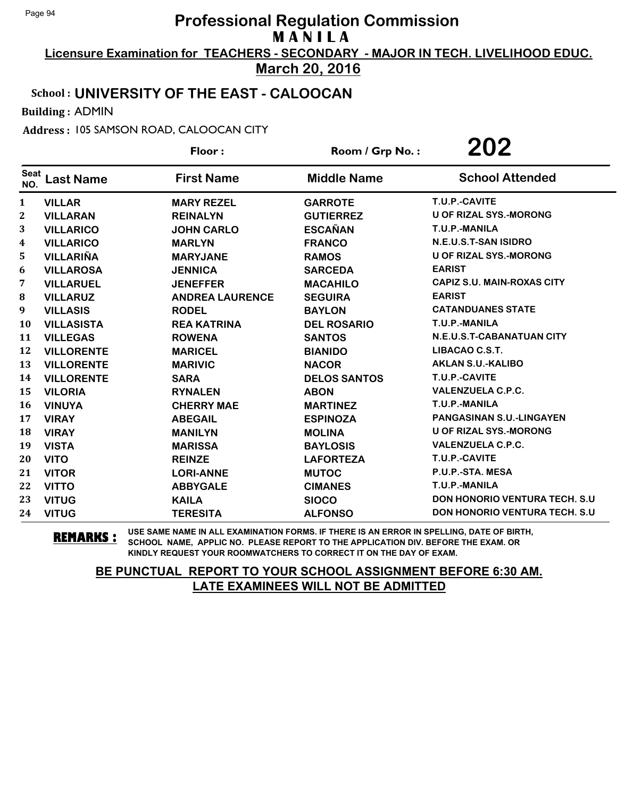**Licensure Examination for TEACHERS - SECONDARY - MAJOR IN TECH. LIVELIHOOD EDUC. March 20, 2016**

# School : **UNIVERSITY OF THE EAST - CALOOCAN**

Building : ADMIN

Address : 105 SAMSON ROAD, CALOOCAN CITY

| Floor:             |                   |                | 202<br>Room / Grp No.: |                     |  |  |                                       |  |
|--------------------|-------------------|----------------|------------------------|---------------------|--|--|---------------------------------------|--|
| <b>Seat</b><br>NO. | <b>Last Name</b>  |                | <b>First Name</b>      | <b>Middle Name</b>  |  |  | <b>School Attended</b>                |  |
| 1                  | <b>VILLAR</b>     |                | <b>MARY REZEL</b>      | <b>GARROTE</b>      |  |  | T.U.P.-CAVITE                         |  |
| 2                  | <b>VILLARAN</b>   |                | <b>REINALYN</b>        | <b>GUTIERREZ</b>    |  |  | <b>U OF RIZAL SYS.-MORONG</b>         |  |
| 3                  | <b>VILLARICO</b>  |                | <b>JOHN CARLO</b>      | <b>ESCAÑAN</b>      |  |  | T.U.P.-MANILA                         |  |
| 4                  | <b>VILLARICO</b>  | <b>MARLYN</b>  |                        | <b>FRANCO</b>       |  |  | N.E.U.S.T-SAN ISIDRO                  |  |
| 5                  | <b>VILLARIÑA</b>  |                | <b>MARYJANE</b>        | <b>RAMOS</b>        |  |  | <b>U OF RIZAL SYS.-MORONG</b>         |  |
| 6                  | <b>VILLAROSA</b>  | <b>JENNICA</b> |                        | <b>SARCEDA</b>      |  |  | <b>EARIST</b>                         |  |
| 7                  | <b>VILLARUEL</b>  |                | <b>JENEFFER</b>        | <b>MACAHILO</b>     |  |  | <b>CAPIZ S.U. MAIN-ROXAS CITY</b>     |  |
| 8                  | <b>VILLARUZ</b>   |                | <b>ANDREA LAURENCE</b> | <b>SEGUIRA</b>      |  |  | <b>EARIST</b>                         |  |
| 9                  | <b>VILLASIS</b>   | <b>RODEL</b>   |                        | <b>BAYLON</b>       |  |  | <b>CATANDUANES STATE</b>              |  |
| 10                 | <b>VILLASISTA</b> |                | <b>REA KATRINA</b>     | <b>DEL ROSARIO</b>  |  |  | T.U.P.-MANILA                         |  |
| 11                 | <b>VILLEGAS</b>   | <b>ROWENA</b>  |                        | <b>SANTOS</b>       |  |  | N.E.U.S.T-CABANATUAN CITY             |  |
| 12                 | <b>VILLORENTE</b> | <b>MARICEL</b> |                        | <b>BIANIDO</b>      |  |  | LIBACAO C.S.T.                        |  |
| 13                 | <b>VILLORENTE</b> | <b>MARIVIC</b> |                        | <b>NACOR</b>        |  |  | <b>AKLAN S.U.-KALIBO</b>              |  |
| 14                 | <b>VILLORENTE</b> | <b>SARA</b>    |                        | <b>DELOS SANTOS</b> |  |  | T.U.P.-CAVITE                         |  |
| 15                 | <b>VILORIA</b>    |                | <b>RYNALEN</b>         | <b>ABON</b>         |  |  | <b>VALENZUELA C.P.C.</b>              |  |
| 16                 | <b>VINUYA</b>     |                | <b>CHERRY MAE</b>      | <b>MARTINEZ</b>     |  |  | T.U.P.-MANILA                         |  |
| 17                 | <b>VIRAY</b>      | <b>ABEGAIL</b> |                        | <b>ESPINOZA</b>     |  |  | <b>PANGASINAN S.U.-LINGAYEN</b>       |  |
| 18                 | <b>VIRAY</b>      | <b>MANILYN</b> |                        | <b>MOLINA</b>       |  |  | <b>U OF RIZAL SYS.-MORONG</b>         |  |
| 19                 | <b>VISTA</b>      |                | <b>MARISSA</b>         | <b>BAYLOSIS</b>     |  |  | <b>VALENZUELA C.P.C.</b>              |  |
| 20                 | <b>VITO</b>       | <b>REINZE</b>  |                        | <b>LAFORTEZA</b>    |  |  | T.U.P.-CAVITE                         |  |
| 21                 | <b>VITOR</b>      |                | <b>LORI-ANNE</b>       | <b>MUTOC</b>        |  |  | P.U.P.-STA. MESA                      |  |
| 22                 | <b>VITTO</b>      |                | <b>ABBYGALE</b>        | <b>CIMANES</b>      |  |  | T.U.P.-MANILA                         |  |
| 23                 | <b>VITUG</b>      | <b>KAILA</b>   |                        | <b>SIOCO</b>        |  |  | <b>DON HONORIO VENTURA TECH. S.U.</b> |  |
| 24                 | <b>VITUG</b>      |                | <b>TERESITA</b>        | <b>ALFONSO</b>      |  |  | <b>DON HONORIO VENTURA TECH. S.U.</b> |  |

**REMARKS :** USE SAME NAME IN ALL EXAMINATION FORMS. IF THERE IS AN ERROR IN SPELLING, DATE OF BIRTH, SCHOOL NAME, APPLIC NO. PLEASE REPORT TO THE APPLICATION DIV. BEFORE THE EXAM. OR KINDLY REQUEST YOUR ROOMWATCHERS TO CORRECT IT ON THE DAY OF EXAM.